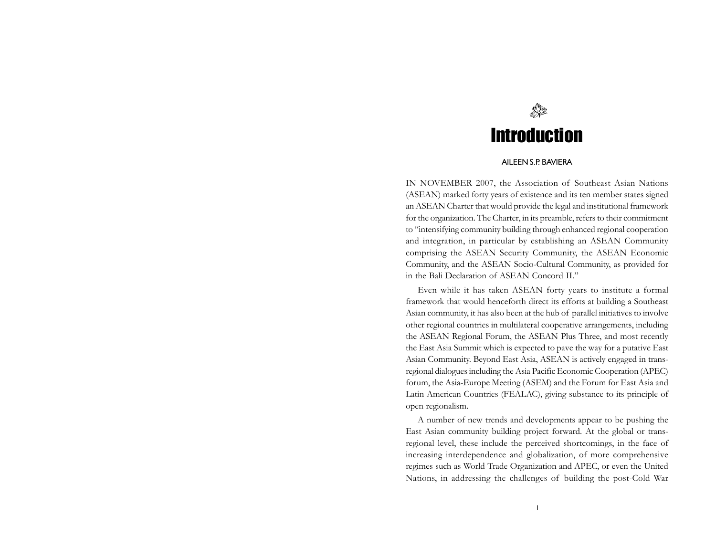# **Introduction** \$\$

## AILEEN S.P. BAVIERA

IN NOVEMBER 2007, the Association of Southeast Asian Nations (ASEAN) marked forty years of existence and its ten member states signed an ASEAN Charter that would provide the legal and institutional framework for the organization. The Charter, in its preamble, refers to their commitment to "intensifying community building through enhanced regional cooperation and integration, in particular by establishing an ASEAN Community comprising the ASEAN Security Community, the ASEAN Economic Community, and the ASEAN Socio-Cultural Community, as provided for in the Bali Declaration of ASEAN Concord II."

Even while it has taken ASEAN forty years to institute a formal framework that would henceforth direct its efforts at building a Southeast Asian community, it has also been at the hub of parallel initiatives to involve other regional countries in multilateral cooperative arrangements, including the ASEAN Regional Forum, the ASEAN Plus Three, and most recently the East Asia Summit which is expected to pave the way for a putative East Asian Community. Beyond East Asia, ASEAN is actively engaged in transregional dialogues including the Asia Pacific Economic Cooperation (APEC) forum, the Asia-Europe Meeting (ASEM) and the Forum for East Asia and Latin American Countries (FEALAC), giving substance to its principle of open regionalism.

A number of new trends and developments appear to be pushing the East Asian community building project forward. At the global or transregional level, these include the perceived shortcomings, in the face of increasing interdependence and globalization, of more comprehensive regimes such as World Trade Organization and APEC, or even the United Nations, in addressing the challenges of building the post-Cold War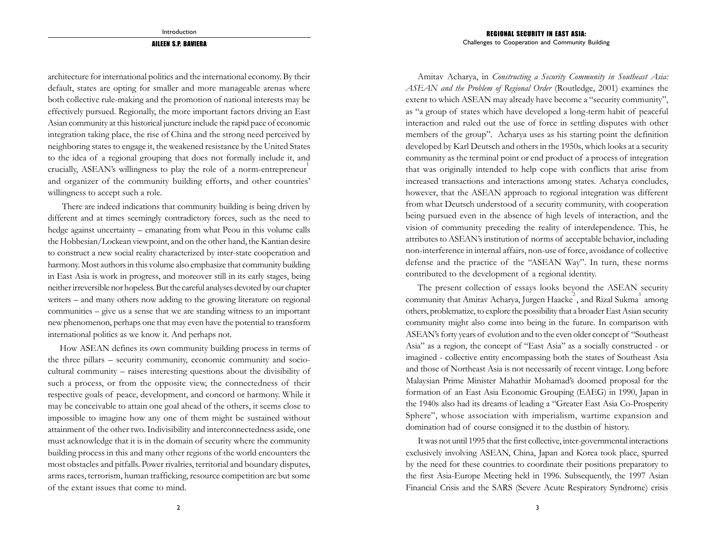architecture for international politics and the international economy. By their default, states are opting for smaller and more manageable arenas where both collective rule-making and the promotion of national interests may be effectively pursued. Regionally, the more important factors driving an East Asian community at this historical juncture include the rapid pace of economic integration taking place, the rise of China and the strong need perceived by neighboring states to engage it, the weakened resistance by the United States to the idea of a regional grouping that does not formally include it, and crucially, ASEAN's willingness to play the role of a norm-entrepreneur 1 and organizer of the community building efforts, and other countries' willingness to accept such a role.

 There are indeed indications that community building is being driven by different and at times seemingly contradictory forces, such as the need to hedge against uncertainty – emanating from what Peou in this volume calls the Hobbesian/Lockean viewpoint, and on the other hand, the Kantian desire to construct a new social reality characterized by inter-state cooperation and harmony. Most authors in this volume also emphasize that community building in East Asia is work in progress, and moreover still in its early stages, being neither irreversible nor hopeless. But the careful analyses devoted by our chapter writers – and many others now adding to the growing literature on regional communities – give us a sense that we are standing witness to an important new phenomenon, perhaps one that may even have the potential to transform international politics as we know it. And perhaps not.

How ASEAN defines its own community building process in terms of the three pillars – security community, economic community and sociocultural community – raises interesting questions about the divisibility of such a process, or from the opposite view, the connectedness of their respective goals of peace, development, and concord or harmony. While it may be conceivable to attain one goal ahead of the others, it seems close to impossible to imagine how any one of them might be sustained without attainment of the other two. Indivisibility and interconnectedness aside, one must acknowledge that it is in the domain of security where the community building process in this and many other regions of the world encounters the most obstacles and pitfalls. Power rivalries, territorial and boundary disputes, arms races, terrorism, human trafficking, resource competition are but some of the extant issues that come to mind.

Amitav Acharya, in *Constructing a Security Community in Southeast Asia: ASEAN and the Problem of Regional Order* (Routledge, 2001) examines the extent to which ASEAN may already have become a "security community", as "a group of states which have developed a long-term habit of peaceful interaction and ruled out the use of force in settling disputes with other members of the group". Acharya uses as his starting point the definition developed by Karl Deutsch and others in the 1950s, which looks at a security community as the terminal point or end product of a process of integration that was originally intended to help cope with conflicts that arise from increased transactions and interactions among states. Acharya concludes, however, that the ASEAN approach to regional integration was different from what Deutsch understood of a security community, with cooperation being pursued even in the absence of high levels of interaction, and the vision of community preceding the reality of interdependence. This, he attributes to ASEAN's institution of norms of acceptable behavior, including non-interference in internal affairs, non-use of force, avoidance of collective defense and the practice of the "ASEAN Way". In turn, these norms contributed to the development of a regional identity.

The present collection of essays looks beyond the ASEAN security community that Amitav Acharya, Jurgen Haacke<sup>2</sup>, and Rizal Sukma<sup>3</sup> among others, problematize, to explore the possibility that a broader East Asian security community might also come into being in the future. In comparison with ASEAN's forty years of evolution and to the even older concept of "Southeast Asia" as a region, the concept of "East Asia" as a socially constructed - or imagined - collective entity encompassing both the states of Southeast Asia and those of Northeast Asia is not necessarily of recent vintage. Long before Malaysian Prime Minister Mahathir Mohamad's doomed proposal for the formation of an East Asia Economic Grouping (EAEG) in 1990, Japan in the 1940s also had its dreams of leading a "Greater East Asia Co-Prosperity Sphere", whose association with imperialism, wartime expansion and domination had of course consigned it to the dustbin of history.

It was not until 1995 that the first collective, inter-governmental interactions exclusively involving ASEAN, China, Japan and Korea took place, spurred by the need for these countries to coordinate their positions preparatory to the first Asia-Europe Meeting held in 1996. Subsequently, the 1997 Asian Financial Crisis and the SARS (Severe Acute Respiratory Syndrome) crisis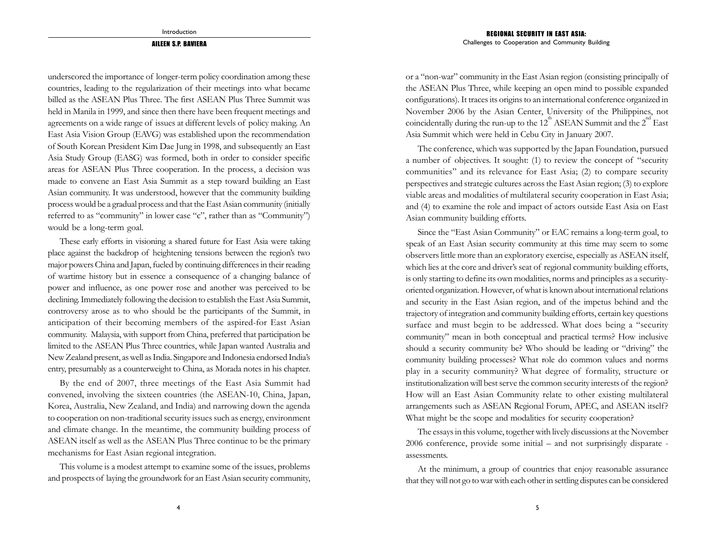underscored the importance of longer-term policy coordination among these countries, leading to the regularization of their meetings into what became billed as the ASEAN Plus Three. The first ASEAN Plus Three Summit was held in Manila in 1999, and since then there have been frequent meetings and agreements on a wide range of issues at different levels of policy making. An East Asia Vision Group (EAVG) was established upon the recommendation of South Korean President Kim Dae Jung in 1998, and subsequently an East Asia Study Group (EASG) was formed, both in order to consider specific areas for ASEAN Plus Three cooperation. In the process, a decision was made to convene an East Asia Summit as a step toward building an East Asian community. It was understood, however that the community building process would be a gradual process and that the East Asian community (initially referred to as "community" in lower case "c", rather than as "Community") would be a long-term goal.

These early efforts in visioning a shared future for East Asia were taking place against the backdrop of heightening tensions between the region's two major powers China and Japan, fueled by continuing differences in their reading of wartime history but in essence a consequence of a changing balance of power and influence, as one power rose and another was perceived to be declining. Immediately following the decision to establish the East Asia Summit, controversy arose as to who should be the participants of the Summit, in anticipation of their becoming members of the aspired-for East Asian community. Malaysia, with support from China, preferred that participation be limited to the ASEAN Plus Three countries, while Japan wanted Australia and New Zealand present, as well as India. Singapore and Indonesia endorsed India's entry, presumably as a counterweight to China, as Morada notes in his chapter.

By the end of 2007, three meetings of the East Asia Summit had convened, involving the sixteen countries (the ASEAN-10, China, Japan, Korea, Australia, New Zealand, and India) and narrowing down the agenda to cooperation on non-traditional security issues such as energy, environment and climate change. In the meantime, the community building process of ASEAN itself as well as the ASEAN Plus Three continue to be the primary mechanisms for East Asian regional integration.

This volume is a modest attempt to examine some of the issues, problems and prospects of laying the groundwork for an East Asian security community,

or a "non-war" community in the East Asian region (consisting principally of the ASEAN Plus Three, while keeping an open mind to possible expanded configurations). It traces its origins to an international conference organized in November 2006 by the Asian Center, University of the Philippines, not coincidentally during the run-up to the  $12^{th}$  ASEAN Summit and the  $2^{nd}$  East Asia Summit which were held in Cebu City in January 2007.

The conference, which was supported by the Japan Foundation, pursued a number of objectives. It sought: (1) to review the concept of "security communities" and its relevance for East Asia; (2) to compare security perspectives and strategic cultures across the East Asian region; (3) to explore viable areas and modalities of multilateral security cooperation in East Asia; and (4) to examine the role and impact of actors outside East Asia on East Asian community building efforts.

Since the "East Asian Community" or EAC remains a long-term goal, to speak of an East Asian security community at this time may seem to some observers little more than an exploratory exercise, especially as ASEAN itself, which lies at the core and driver's seat of regional community building efforts, is only starting to define its own modalities, norms and principles as a securityoriented organization. However, of what is known about international relations and security in the East Asian region, and of the impetus behind and the trajectory of integration and community building efforts, certain key questions surface and must begin to be addressed. What does being a "security community" mean in both conceptual and practical terms? How inclusive should a security community be? Who should be leading or "driving" the community building processes? What role do common values and norms play in a security community? What degree of formality, structure or institutionalization will best serve the common security interests of the region? How will an East Asian Community relate to other existing multilateral arrangements such as ASEAN Regional Forum, APEC, and ASEAN itself? What might be the scope and modalities for security cooperation?

The essays in this volume, together with lively discussions at the November 2006 conference, provide some initial – and not surprisingly disparate assessments.

At the minimum, a group of countries that enjoy reasonable assurance that they will not go to war with each other in settling disputes can be considered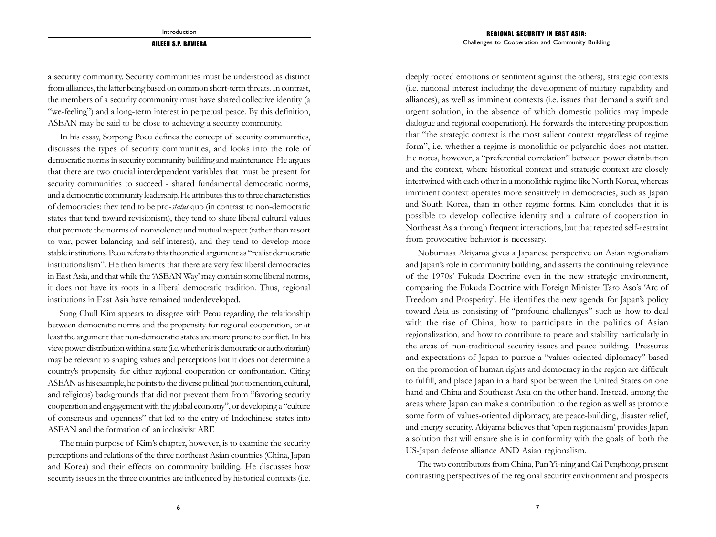a security community. Security communities must be understood as distinct from alliances, the latter being based on common short-term threats. In contrast, the members of a security community must have shared collective identity (a "we-feeling") and a long-term interest in perpetual peace. By this definition, ASEAN may be said to be close to achieving a security community.

In his essay, Sorpong Poeu defines the concept of security communities, discusses the types of security communities, and looks into the role of democratic norms in security community building and maintenance. He argues that there are two crucial interdependent variables that must be present for security communities to succeed - shared fundamental democratic norms, and a democratic community leadership. He attributes this to three characteristics of democracies: they tend to be pro-*status* quo (in contrast to non-democratic states that tend toward revisionism), they tend to share liberal cultural values that promote the norms of nonviolence and mutual respect (rather than resort to war, power balancing and self-interest), and they tend to develop more stable institutions. Peou refers to this theoretical argument as "realist democratic institutionalism". He then laments that there are very few liberal democracies in East Asia, and that while the 'ASEAN Way' may contain some liberal norms, it does not have its roots in a liberal democratic tradition. Thus, regional institutions in East Asia have remained underdeveloped.

Sung Chull Kim appears to disagree with Peou regarding the relationship between democratic norms and the propensity for regional cooperation, or at least the argument that non-democratic states are more prone to conflict. In his view, power distribution within a state (i.e. whether it is democratic or authoritarian) may be relevant to shaping values and perceptions but it does not determine a country's propensity for either regional cooperation or confrontation. Citing ASEAN as his example, he points to the diverse political (not to mention, cultural, and religious) backgrounds that did not prevent them from "favoring security cooperation and engagement with the global economy", or developing a "culture of consensus and openness" that led to the entry of Indochinese states into ASEAN and the formation of an inclusivist ARF.

The main purpose of Kim's chapter, however, is to examine the security perceptions and relations of the three northeast Asian countries (China, Japan and Korea) and their effects on community building. He discusses how security issues in the three countries are influenced by historical contexts (i.e.

deeply rooted emotions or sentiment against the others), strategic contexts (i.e. national interest including the development of military capability and alliances), as well as imminent contexts (i.e. issues that demand a swift and urgent solution, in the absence of which domestic politics may impede dialogue and regional cooperation). He forwards the interesting proposition that "the strategic context is the most salient context regardless of regime form", i.e. whether a regime is monolithic or polyarchic does not matter. He notes, however, a "preferential correlation" between power distribution and the context, where historical context and strategic context are closely intertwined with each other in a monolithic regime like North Korea, whereas imminent context operates more sensitively in democracies, such as Japan and South Korea, than in other regime forms. Kim concludes that it is possible to develop collective identity and a culture of cooperation in Northeast Asia through frequent interactions, but that repeated self-restraint from provocative behavior is necessary.

Nobumasa Akiyama gives a Japanese perspective on Asian regionalism and Japan's role in community building, and asserts the continuing relevance of the 1970s' Fukuda Doctrine even in the new strategic environment, comparing the Fukuda Doctrine with Foreign Minister Taro Aso's 'Arc of Freedom and Prosperity'. He identifies the new agenda for Japan's policy toward Asia as consisting of "profound challenges" such as how to deal with the rise of China, how to participate in the politics of Asian regionalization, and how to contribute to peace and stability particularly in the areas of non-traditional security issues and peace building. Pressures and expectations of Japan to pursue a "values-oriented diplomacy" based on the promotion of human rights and democracy in the region are difficult to fulfill, and place Japan in a hard spot between the United States on one hand and China and Southeast Asia on the other hand. Instead, among the areas where Japan can make a contribution to the region as well as promote some form of values-oriented diplomacy, are peace-building, disaster relief, and energy security. Akiyama believes that 'open regionalism' provides Japan a solution that will ensure she is in conformity with the goals of both the US-Japan defense alliance AND Asian regionalism.

The two contributors from China, Pan Yi-ning and Cai Penghong, present contrasting perspectives of the regional security environment and prospects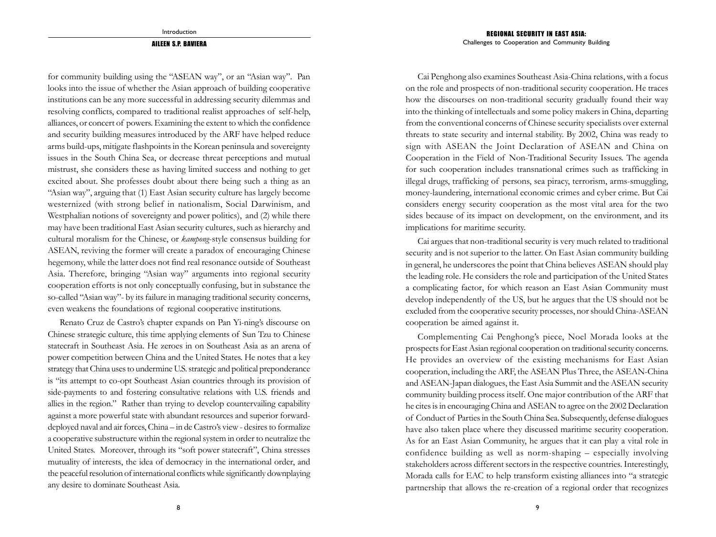Introduction

### AILEEN S.P. BAVIERA

for community building using the "ASEAN way", or an "Asian way". Pan looks into the issue of whether the Asian approach of building cooperative institutions can be any more successful in addressing security dilemmas and resolving conflicts, compared to traditional realist approaches of self-help, alliances, or concert of powers. Examining the extent to which the confidence and security building measures introduced by the ARF have helped reduce arms build-ups, mitigate flashpoints in the Korean peninsula and sovereignty issues in the South China Sea, or decrease threat perceptions and mutual mistrust, she considers these as having limited success and nothing to get excited about. She professes doubt about there being such a thing as an "Asian way", arguing that (1) East Asian security culture has largely become westernized (with strong belief in nationalism, Social Darwinism, and Westphalian notions of sovereignty and power politics), and (2) while there may have been traditional East Asian security cultures, such as hierarchy and cultural moralism for the Chinese, or *kampong*-style consensus building for ASEAN, reviving the former will create a paradox of encouraging Chinese hegemony, while the latter does not find real resonance outside of Southeast Asia. Therefore, bringing "Asian way" arguments into regional security cooperation efforts is not only conceptually confusing, but in substance the so-called "Asian way"- by its failure in managing traditional security concerns, even weakens the foundations of regional cooperative institutions.

Renato Cruz de Castro's chapter expands on Pan Yi-ning's discourse on Chinese strategic culture, this time applying elements of Sun Tzu to Chinese statecraft in Southeast Asia. He zeroes in on Southeast Asia as an arena of power competition between China and the United States. He notes that a key strategy that China uses to undermine U.S. strategic and political preponderance is "its attempt to co-opt Southeast Asian countries through its provision of side-payments to and fostering consultative relations with U.S. friends and allies in the region." Rather than trying to develop countervailing capability against a more powerful state with abundant resources and superior forwarddeployed naval and air forces, China – in de Castro's view - desires to formalize a cooperative substructure within the regional system in order to neutralize the United States. Moreover, through its "soft power statecraft", China stresses mutuality of interests, the idea of democracy in the international order, and the peaceful resolution of international conflicts while significantly downplaying any desire to dominate Southeast Asia.

Cai Penghong also examines Southeast Asia-China relations, with a focus on the role and prospects of non-traditional security cooperation. He traces how the discourses on non-traditional security gradually found their way into the thinking of intellectuals and some policy makers in China, departing from the conventional concerns of Chinese security specialists over external threats to state security and internal stability. By 2002, China was ready to sign with ASEAN the Joint Declaration of ASEAN and China on Cooperation in the Field of Non-Traditional Security Issues. The agenda for such cooperation includes transnational crimes such as trafficking in illegal drugs, trafficking of persons, sea piracy, terrorism, arms-smuggling, money-laundering, international economic crimes and cyber crime. But Cai considers energy security cooperation as the most vital area for the two sides because of its impact on development, on the environment, and its implications for maritime security.

Cai argues that non-traditional security is very much related to traditional security and is not superior to the latter. On East Asian community building in general, he underscores the point that China believes ASEAN should play the leading role. He considers the role and participation of the United States a complicating factor, for which reason an East Asian Community must develop independently of the US, but he argues that the US should not be excluded from the cooperative security processes, nor should China-ASEAN cooperation be aimed against it.

Complementing Cai Penghong's piece, Noel Morada looks at the prospects for East Asian regional cooperation on traditional security concerns. He provides an overview of the existing mechanisms for East Asian cooperation, including the ARF, the ASEAN Plus Three, the ASEAN-China and ASEAN-Japan dialogues, the East Asia Summit and the ASEAN security community building process itself. One major contribution of the ARF that he cites is in encouraging China and ASEAN to agree on the 2002 Declaration of Conduct of Parties in the South China Sea. Subsequently, defense dialogues have also taken place where they discussed maritime security cooperation. As for an East Asian Community, he argues that it can play a vital role in confidence building as well as norm-shaping – especially involving stakeholders across different sectors in the respective countries. Interestingly, Morada calls for EAC to help transform existing alliances into "a strategic partnership that allows the re-creation of a regional order that recognizes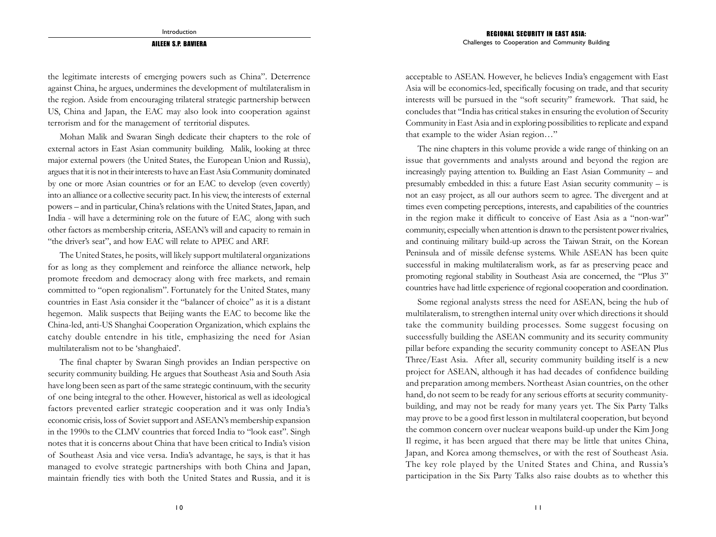the legitimate interests of emerging powers such as China". Deterrence against China, he argues, undermines the development of multilateralism in the region. Aside from encouraging trilateral strategic partnership between US, China and Japan, the EAC may also look into cooperation against terrorism and for the management of territorial disputes.

Mohan Malik and Swaran Singh dedicate their chapters to the role of external actors in East Asian community building. Malik, looking at three major external powers (the United States, the European Union and Russia), argues that it is not in their interests to have an East Asia Community dominated by one or more Asian countries or for an EAC to develop (even covertly) into an alliance or a collective security pact. In his view, the interests of external powers – and in particular, China's relations with the United States, Japan, and India - will have a determining role on the future of EAC¸ along with such other factors as membership criteria, ASEAN's will and capacity to remain in "the driver's seat", and how EAC will relate to APEC and ARF.

The United States, he posits, will likely support multilateral organizations for as long as they complement and reinforce the alliance network, help promote freedom and democracy along with free markets, and remain committed to "open regionalism". Fortunately for the United States, many countries in East Asia consider it the "balancer of choice" as it is a distant hegemon. Malik suspects that Beijing wants the EAC to become like the China-led, anti-US Shanghai Cooperation Organization, which explains the catchy double entendre in his title, emphasizing the need for Asian multilateralism not to be 'shanghaied'.

The final chapter by Swaran Singh provides an Indian perspective on security community building. He argues that Southeast Asia and South Asia have long been seen as part of the same strategic continuum, with the security of one being integral to the other. However, historical as well as ideological factors prevented earlier strategic cooperation and it was only India's economic crisis, loss of Soviet support and ASEAN's membership expansion in the 1990s to the CLMV countries that forced India to "look east". Singh notes that it is concerns about China that have been critical to India's vision of Southeast Asia and vice versa. India's advantage, he says, is that it has managed to evolve strategic partnerships with both China and Japan, maintain friendly ties with both the United States and Russia, and it is

acceptable to ASEAN. However, he believes India's engagement with East Asia will be economics-led, specifically focusing on trade, and that security interests will be pursued in the "soft security" framework. That said, he concludes that "India has critical stakes in ensuring the evolution of Security Community in East Asia and in exploring possibilities to replicate and expand that example to the wider Asian region…"

The nine chapters in this volume provide a wide range of thinking on an issue that governments and analysts around and beyond the region are increasingly paying attention to. Building an East Asian Community – and presumably embedded in this: a future East Asian security community – is not an easy project, as all our authors seem to agree. The divergent and at times even competing perceptions, interests, and capabilities of the countries in the region make it difficult to conceive of East Asia as a "non-war" community, especially when attention is drawn to the persistent power rivalries, and continuing military build-up across the Taiwan Strait, on the Korean Peninsula and of missile defense systems. While ASEAN has been quite successful in making multilateralism work, as far as preserving peace and promoting regional stability in Southeast Asia are concerned, the "Plus 3" countries have had little experience of regional cooperation and coordination.

Some regional analysts stress the need for ASEAN, being the hub of multilateralism, to strengthen internal unity over which directions it should take the community building processes. Some suggest focusing on successfully building the ASEAN community and its security community pillar before expanding the security community concept to ASEAN Plus Three/East Asia. After all, security community building itself is a new project for ASEAN, although it has had decades of confidence building and preparation among members. Northeast Asian countries, on the other hand, do not seem to be ready for any serious efforts at security communitybuilding, and may not be ready for many years yet. The Six Party Talks may prove to be a good first lesson in multilateral cooperation, but beyond the common concern over nuclear weapons build-up under the Kim Jong Il regime, it has been argued that there may be little that unites China, Japan, and Korea among themselves, or with the rest of Southeast Asia. The key role played by the United States and China, and Russia's participation in the Six Party Talks also raise doubts as to whether this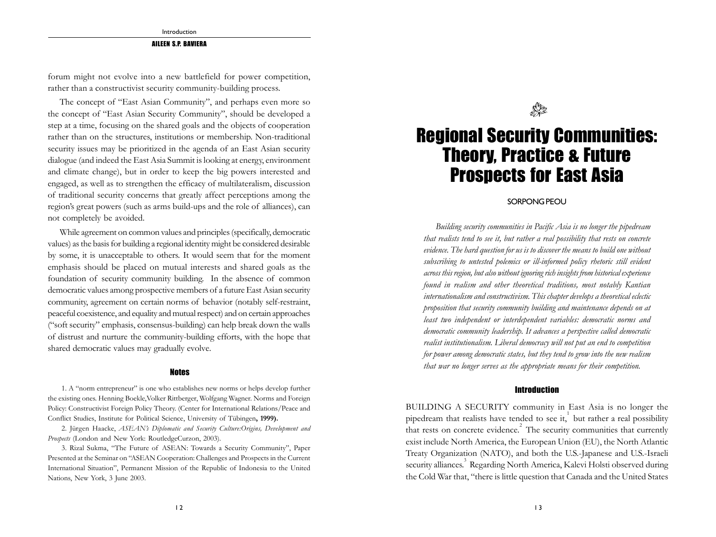forum might not evolve into a new battlefield for power competition, rather than a constructivist security community-building process.

The concept of "East Asian Community", and perhaps even more so the concept of "East Asian Security Community", should be developed a step at a time, focusing on the shared goals and the objects of cooperation rather than on the structures, institutions or membership. Non-traditional security issues may be prioritized in the agenda of an East Asian security dialogue (and indeed the East Asia Summit is looking at energy, environment and climate change), but in order to keep the big powers interested and engaged, as well as to strengthen the efficacy of multilateralism, discussion of traditional security concerns that greatly affect perceptions among the region's great powers (such as arms build-ups and the role of alliances), can not completely be avoided.

While agreement on common values and principles (specifically, democratic values) as the basis for building a regional identity might be considered desirable by some, it is unacceptable to others. It would seem that for the moment emphasis should be placed on mutual interests and shared goals as the foundation of security community building. In the absence of common democratic values among prospective members of a future East Asian security community, agreement on certain norms of behavior (notably self-restraint, peaceful coexistence, and equality and mutual respect) and on certain approaches ("soft security" emphasis, consensus-building) can help break down the walls of distrust and nurture the community-building efforts, with the hope that shared democratic values may gradually evolve.

## Notes

1. A "norm entrepreneur" is one who establishes new norms or helps develop further the existing ones. Henning Boekle,Volker Rittberger, Wolfgang Wagner. Norms and Foreign Policy: Constructivist Foreign Policy Theory. (Center for International Relations/Peace and Conflict Studies, Institute for Political Science, University of Tübingen**, 1999).**

2. Jürgen Haacke, *ASEAN's Diplomatic and Security Culture:Origins, Development and Prospects* (London and New York: RoutledgeCurzon, 2003).

3. Rizal Sukma, "The Future of ASEAN: Towards a Security Community", Paper Presented at the Seminar on "ASEAN Cooperation: Challenges and Prospects in the Current International Situation", Permanent Mission of the Republic of Indonesia to the United Nations, New York, 3 June 2003.

# Regional Security Communities: Theory, Practice & Future Prospects for East Asia

 $\mathcal{E}^{\prime\prime\prime}_{\mathcal{E}}$ 

## SORPONG PEOU

*Building security communities in Pacific Asia is no longer the pipedream that realists tend to see it, but rather a real possibility that rests on concrete evidence. The hard question for us is to discover the means to build one without subscribing to untested polemics or ill-informed policy rhetoric still evident across this region, but also without ignoring rich insights from historical experience found in realism and other theoretical traditions, most notably Kantian internationalism and constructivism. This chapter develops a theoretical eclectic proposition that security community building and maintenance depends on at least two independent or interdependent variables: democratic norms and democratic community leadership. It advances a perspective called democratic realist institutionalism. Liberal democracy will not put an end to competition for power among democratic states, but they tend to grow into the new realism that war no longer serves as the appropriate means for their competition.*

## Introduction

BUILDING A SECURITY community in East Asia is no longer the pipedream that realists have tended to see it, but rather a real possibility that rests on concrete evidence.<sup>2</sup> The security communities that currently exist include North America, the European Union (EU), the North Atlantic Treaty Organization (NATO), and both the U.S.-Japanese and U.S.-Israeli security alliances. 3 Regarding North America, Kalevi Holsti observed during the Cold War that, "there is little question that Canada and the United States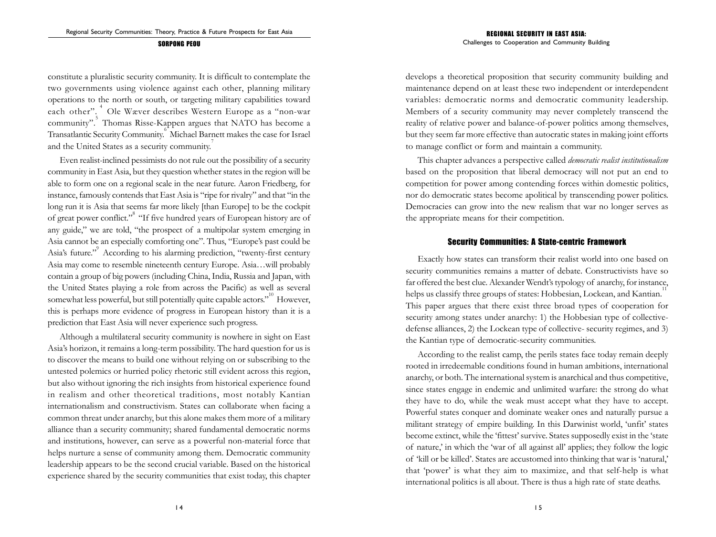constitute a pluralistic security community. It is difficult to contemplate the two governments using violence against each other, planning military operations to the north or south, or targeting military capabilities toward each other".<sup>4</sup> Ole Wæver describes Western Europe as a "non-war community". 5 Thomas Risse-Kappen argues that NATO has become a Transatlantic Security Community. 6 Michael Barnett makes the case for Israel and the United States as a security community.<sup>7</sup>

Even realist-inclined pessimists do not rule out the possibility of a security community in East Asia, but they question whether states in the region will be able to form one on a regional scale in the near future. Aaron Friedberg, for instance, famously contends that East Asia is "ripe for rivalry" and that "in the long run it is Asia that seems far more likely [than Europe] to be the cockpit of great power conflict." 8 "If five hundred years of European history are of any guide," we are told, "the prospect of a multipolar system emerging in Asia cannot be an especially comforting one". Thus, "Europe's past could be Asia's future."<sup>9</sup> According to his alarming prediction, "twenty-first century Asia may come to resemble nineteenth century Europe. Asia…will probably contain a group of big powers (including China, India, Russia and Japan, with the United States playing a role from across the Pacific) as well as several somewhat less powerful, but still potentially quite capable actors."<sup>10</sup> However, this is perhaps more evidence of progress in European history than it is a prediction that East Asia will never experience such progress.

Although a multilateral security community is nowhere in sight on East Asia's horizon, it remains a long-term possibility. The hard question for us is to discover the means to build one without relying on or subscribing to the untested polemics or hurried policy rhetoric still evident across this region, but also without ignoring the rich insights from historical experience found in realism and other theoretical traditions, most notably Kantian internationalism and constructivism. States can collaborate when facing a common threat under anarchy, but this alone makes them more of a military alliance than a security community; shared fundamental democratic norms and institutions, however, can serve as a powerful non-material force that helps nurture a sense of community among them. Democratic community leadership appears to be the second crucial variable. Based on the historical experience shared by the security communities that exist today, this chapter

develops a theoretical proposition that security community building and maintenance depend on at least these two independent or interdependent variables: democratic norms and democratic community leadership. Members of a security community may never completely transcend the reality of relative power and balance-of-power politics among themselves, but they seem far more effective than autocratic states in making joint efforts to manage conflict or form and maintain a community.

This chapter advances a perspective called *democratic realist institutionalism* based on the proposition that liberal democracy will not put an end to competition for power among contending forces within domestic politics, nor do democratic states become apolitical by transcending power politics. Democracies can grow into the new realism that war no longer serves as the appropriate means for their competition.

## Security Communities: A State-centric Framework

Exactly how states can transform their realist world into one based on security communities remains a matter of debate. Constructivists have so far offered the best clue. Alexander Wendt's typology of anarchy, for instance, helps us classify three groups of states: Hobbesian, Lockean, and Kantian. 11 This paper argues that there exist three broad types of cooperation for security among states under anarchy: 1) the Hobbesian type of collectivedefense alliances, 2) the Lockean type of collective- security regimes, and 3) the Kantian type of democratic-security communities.

According to the realist camp, the perils states face today remain deeply rooted in irredeemable conditions found in human ambitions, international anarchy, or both. The international system is anarchical and thus competitive, since states engage in endemic and unlimited warfare: the strong do what they have to do, while the weak must accept what they have to accept. Powerful states conquer and dominate weaker ones and naturally pursue a militant strategy of empire building. In this Darwinist world, 'unfit' states become extinct, while the 'fittest' survive. States supposedly exist in the 'state of nature,' in which the 'war of all against all' applies; they follow the logic of 'kill or be killed'. States are accustomed into thinking that war is 'natural,' that 'power' is what they aim to maximize, and that self-help is what international politics is all about. There is thus a high rate of state deaths.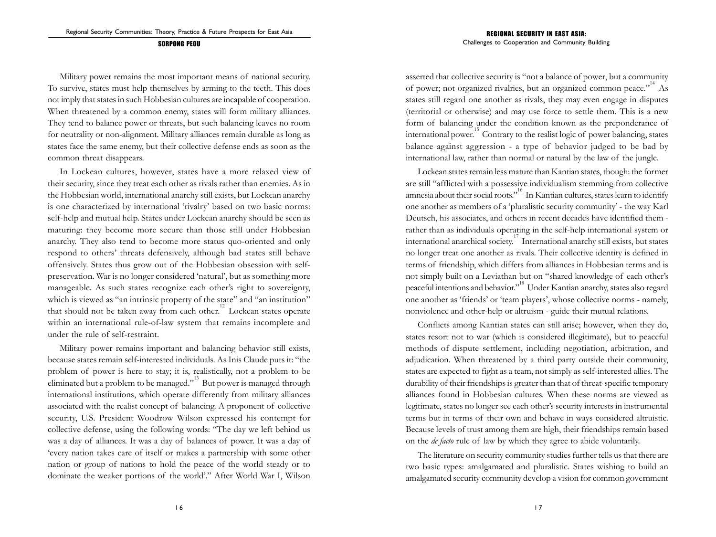Military power remains the most important means of national security. To survive, states must help themselves by arming to the teeth. This does not imply that states in such Hobbesian cultures are incapable of cooperation. When threatened by a common enemy, states will form military alliances. They tend to balance power or threats, but such balancing leaves no room for neutrality or non-alignment. Military alliances remain durable as long as states face the same enemy, but their collective defense ends as soon as the common threat disappears.

In Lockean cultures, however, states have a more relaxed view of their security, since they treat each other as rivals rather than enemies. As in the Hobbesian world, international anarchy still exists, but Lockean anarchy is one characterized by international 'rivalry' based on two basic norms: self-help and mutual help. States under Lockean anarchy should be seen as maturing: they become more secure than those still under Hobbesian anarchy. They also tend to become more status quo-oriented and only respond to others' threats defensively, although bad states still behave offensively. States thus grow out of the Hobbesian obsession with selfpreservation. War is no longer considered 'natural', but as something more manageable. As such states recognize each other's right to sovereignty, which is viewed as "an intrinsic property of the state" and "an institution" that should not be taken away from each other.<sup>12</sup> Lockean states operate within an international rule-of-law system that remains incomplete and under the rule of self-restraint.

Military power remains important and balancing behavior still exists, because states remain self-interested individuals. As Inis Claude puts it: "the problem of power is here to stay; it is, realistically, not a problem to be eliminated but a problem to be managed."<sup>13</sup> But power is managed through international institutions, which operate differently from military alliances associated with the realist concept of balancing. A proponent of collective security, U.S. President Woodrow Wilson expressed his contempt for collective defense, using the following words: "The day we left behind us was a day of alliances. It was a day of balances of power. It was a day of 'every nation takes care of itself or makes a partnership with some other nation or group of nations to hold the peace of the world steady or to dominate the weaker portions of the world'." After World War I, Wilson

asserted that collective security is "not a balance of power, but a community of power; not organized rivalries, but an organized common peace."<sup>14</sup> As states still regard one another as rivals, they may even engage in disputes (territorial or otherwise) and may use force to settle them. This is a new form of balancing under the condition known as the preponderance of international power. 15 Contrary to the realist logic of power balancing, states balance against aggression - a type of behavior judged to be bad by international law, rather than normal or natural by the law of the jungle.

Lockean states remain less mature than Kantian states, though: the former are still "afflicted with a possessive individualism stemming from collective amnesia about their social roots."<sup>16</sup> In Kantian cultures, states learn to identify one another as members of a 'pluralistic security community' - the way Karl Deutsch, his associates, and others in recent decades have identified them rather than as individuals operating in the self-help international system or international anarchical society. 17 International anarchy still exists, but states no longer treat one another as rivals. Their collective identity is defined in terms of friendship, which differs from alliances in Hobbesian terms and is not simply built on a Leviathan but on "shared knowledge of each other's peaceful intentions and behavior."18 Under Kantian anarchy, states also regard one another as 'friends' or 'team players', whose collective norms - namely, nonviolence and other-help or altruism - guide their mutual relations.

Conflicts among Kantian states can still arise; however, when they do, states resort not to war (which is considered illegitimate), but to peaceful methods of dispute settlement, including negotiation, arbitration, and adjudication. When threatened by a third party outside their community, states are expected to fight as a team, not simply as self-interested allies. The durability of their friendships is greater than that of threat-specific temporary alliances found in Hobbesian cultures. When these norms are viewed as legitimate, states no longer see each other's security interests in instrumental terms but in terms of their own and behave in ways considered altruistic. Because levels of trust among them are high, their friendships remain based on the *de facto* rule of law by which they agree to abide voluntarily.

The literature on security community studies further tells us that there are two basic types: amalgamated and pluralistic. States wishing to build an amalgamated security community develop a vision for common government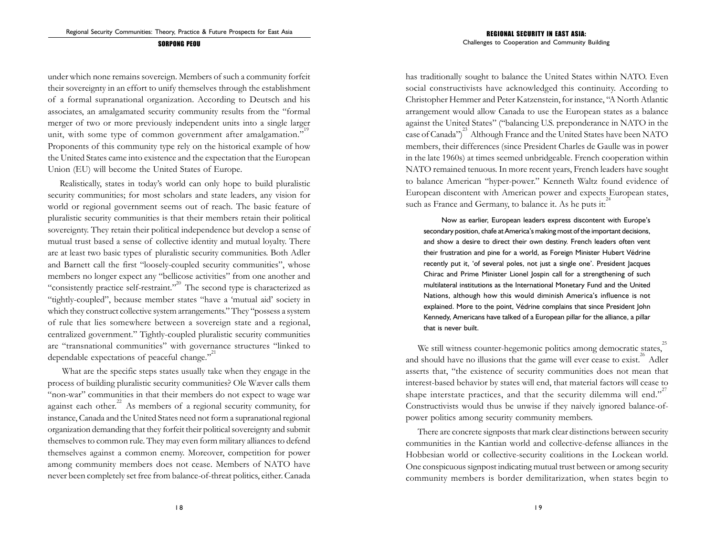under which none remains sovereign. Members of such a community forfeit their sovereignty in an effort to unify themselves through the establishment of a formal supranational organization. According to Deutsch and his associates, an amalgamated security community results from the "formal merger of two or more previously independent units into a single larger unit, with some type of common government after amalgamation."<sup>19</sup> Proponents of this community type rely on the historical example of how the United States came into existence and the expectation that the European Union (EU) will become the United States of Europe.

Realistically, states in today's world can only hope to build pluralistic security communities; for most scholars and state leaders, any vision for world or regional government seems out of reach. The basic feature of pluralistic security communities is that their members retain their political sovereignty. They retain their political independence but develop a sense of mutual trust based a sense of collective identity and mutual loyalty. There are at least two basic types of pluralistic security communities. Both Adler and Barnett call the first "loosely-coupled security communities", whose members no longer expect any "bellicose activities" from one another and "consistently practice self-restraint."<sup>20</sup> The second type is characterized as "tightly-coupled", because member states "have a 'mutual aid' society in which they construct collective system arrangements." They "possess a system of rule that lies somewhere between a sovereign state and a regional, centralized government." Tightly-coupled pluralistic security communities are "transnational communities" with governance structures "linked to dependable expectations of peaceful change."<sup>21</sup>

 What are the specific steps states usually take when they engage in the process of building pluralistic security communities? Ole Wæver calls them "non-war" communities in that their members do not expect to wage war against each other.<sup>22</sup> As members of a regional security community, for instance, Canada and the United States need not form a supranational regional organization demanding that they forfeit their political sovereignty and submit themselves to common rule. They may even form military alliances to defend themselves against a common enemy. Moreover, competition for power among community members does not cease. Members of NATO have never been completely set free from balance-of-threat politics, either. Canada

has traditionally sought to balance the United States within NATO. Even social constructivists have acknowledged this continuity. According to Christopher Hemmer and Peter Katzenstein, for instance, "A North Atlantic arrangement would allow Canada to use the European states as a balance against the United States" ("balancing U.S. preponderance in NATO in the case of Canada")<sup>23</sup> Although France and the United States have been NATO members, their differences (since President Charles de Gaulle was in power in the late 1960s) at times seemed unbridgeable. French cooperation within NATO remained tenuous. In more recent years, French leaders have sought to balance American "hyper-power." Kenneth Waltz found evidence of European discontent with American power and expects European states, such as France and Germany, to balance it. As he puts it: $^{24}$ 

Now as earlier, European leaders express discontent with Europe's secondary position, chafe at America's making most of the important decisions, and show a desire to direct their own destiny. French leaders often vent their frustration and pine for a world, as Foreign Minister Hubert Védrine recently put it, 'of several poles, not just a single one'. President Jacques Chirac and Prime Minister Lionel Jospin call for a strengthening of such multilateral institutions as the International Monetary Fund and the United Nations, although how this would diminish America's influence is not explained. More to the point, Védrine complains that since President John Kennedy, Americans have talked of a European pillar for the alliance, a pillar that is never built.

We still witness counter-hegemonic politics among democratic states, $\frac{25}{5}$ and should have no illusions that the game will ever cease to exist.<sup>26</sup> Adler asserts that, "the existence of security communities does not mean that interest-based behavior by states will end, that material factors will cease to shape interstate practices, and that the security dilemma will end."<sup>27</sup> Constructivists would thus be unwise if they naively ignored balance-ofpower politics among security community members.

There are concrete signposts that mark clear distinctions between security communities in the Kantian world and collective-defense alliances in the Hobbesian world or collective-security coalitions in the Lockean world. One conspicuous signpost indicating mutual trust between or among security community members is border demilitarization, when states begin to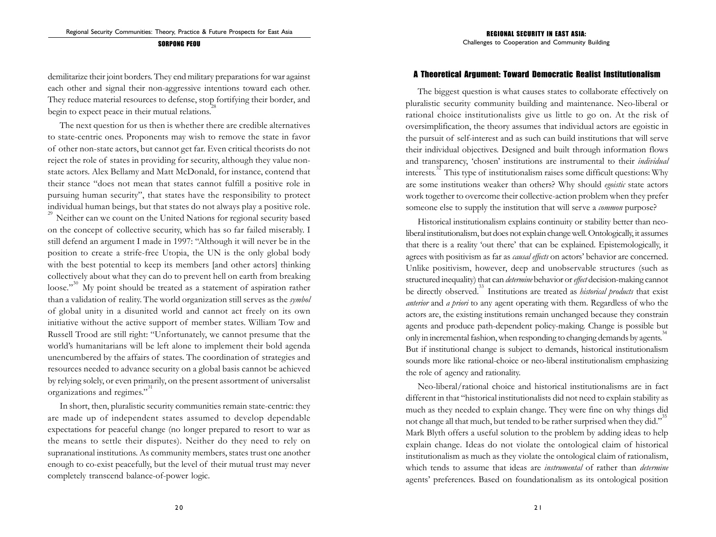demilitarize their joint borders. They end military preparations for war against each other and signal their non-aggressive intentions toward each other. They reduce material resources to defense, stop fortifying their border, and begin to expect peace in their mutual relations.

The next question for us then is whether there are credible alternatives to state-centric ones. Proponents may wish to remove the state in favor of other non-state actors, but cannot get far. Even critical theorists do not reject the role of states in providing for security, although they value nonstate actors. Alex Bellamy and Matt McDonald, for instance, contend that their stance "does not mean that states cannot fulfill a positive role in pursuing human security", that states have the responsibility to protect individual human beings, but that states do not always play a positive role. 29 Neither can we count on the United Nations for regional security based on the concept of collective security, which has so far failed miserably. I still defend an argument I made in 1997: "Although it will never be in the position to create a strife-free Utopia, the UN is the only global body with the best potential to keep its members [and other actors] thinking collectively about what they can do to prevent hell on earth from breaking loose."<sup>30</sup> My point should be treated as a statement of aspiration rather than a validation of reality. The world organization still serves as the *symbol* of global unity in a disunited world and cannot act freely on its own initiative without the active support of member states. William Tow and Russell Trood are still right: "Unfortunately, we cannot presume that the world's humanitarians will be left alone to implement their bold agenda unencumbered by the affairs of states. The coordination of strategies and resources needed to advance security on a global basis cannot be achieved by relying solely, or even primarily, on the present assortment of universalist organizations and regimes." 31

In short, then, pluralistic security communities remain state-centric: they are made up of independent states assumed to develop dependable expectations for peaceful change (no longer prepared to resort to war as the means to settle their disputes). Neither do they need to rely on supranational institutions. As community members, states trust one another enough to co-exist peacefully, but the level of their mutual trust may never completely transcend balance-of-power logic.

## REGIONAL SECURITY IN EAST ASIA:

Challenges to Cooperation and Community Building

## A Theoretical Argument: Toward Democratic Realist Institutionalism

The biggest question is what causes states to collaborate effectively on pluralistic security community building and maintenance. Neo-liberal or rational choice institutionalists give us little to go on. At the risk of oversimplification, the theory assumes that individual actors are egoistic in the pursuit of self-interest and as such can build institutions that will serve their individual objectives. Designed and built through information flows and transparency, 'chosen' institutions are instrumental to their *individual* interests.<sup>32</sup> This type of institutionalism raises some difficult questions: Why are some institutions weaker than others? Why should *egoistic* state actors work together to overcome their collective-action problem when they prefer someone else to supply the institution that will serve a *common* purpose?

Historical institutionalism explains continuity or stability better than neoliberal institutionalism, but does not explain change well. Ontologically, it assumes that there is a reality 'out there' that can be explained. Epistemologically, it agrees with positivism as far as *causal effects* on actors' behavior are concerned. Unlike positivism, however, deep and unobservable structures (such as structured inequality) that can *determine* behavior or *effect* decision-making cannot be directly observed.<sup>33</sup> Institutions are treated as *historical products* that exist *anterior* and *a priori* to any agent operating with them. Regardless of who the actors are, the existing institutions remain unchanged because they constrain agents and produce path-dependent policy-making. Change is possible but only in incremental fashion, when responding to changing demands by agents.<sup>34</sup> But if institutional change is subject to demands, historical institutionalism sounds more like rational-choice or neo-liberal institutionalism emphasizing the role of agency and rationality.

Neo-liberal/rational choice and historical institutionalisms are in fact different in that "historical institutionalists did not need to explain stability as much as they needed to explain change. They were fine on why things did not change all that much, but tended to be rather surprised when they  $\mathrm{did.}''^3$ Mark Blyth offers a useful solution to the problem by adding ideas to help explain change. Ideas do not violate the ontological claim of historical institutionalism as much as they violate the ontological claim of rationalism, which tends to assume that ideas are *instrumental* of rather than *determine* agents' preferences. Based on foundationalism as its ontological position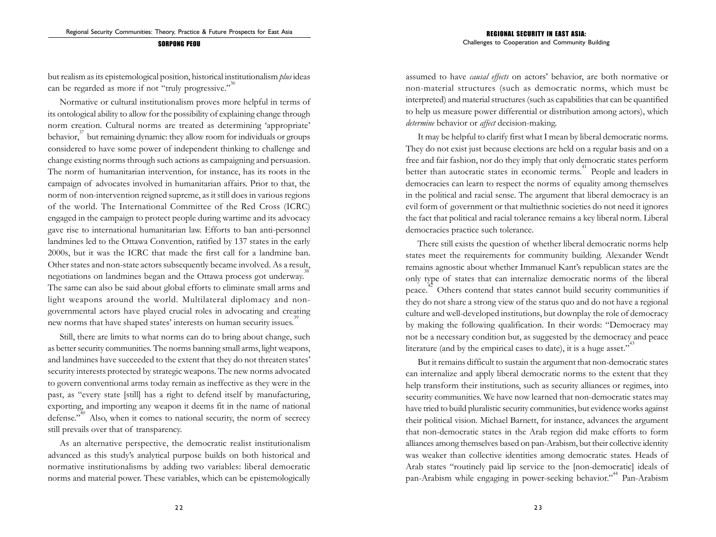but realism as its epistemological position, historical institutionalism *plus* ideas can be regarded as more if not "truly progressive."<sup>36</sup>

Normative or cultural institutionalism proves more helpful in terms of its ontological ability to allow for the possibility of explaining change through norm creation. Cultural norms are treated as determining 'appropriate' behavior,<sup>37</sup> but remaining dynamic: they allow room for individuals or groups considered to have some power of independent thinking to challenge and change existing norms through such actions as campaigning and persuasion. The norm of humanitarian intervention, for instance, has its roots in the campaign of advocates involved in humanitarian affairs. Prior to that, the norm of non-intervention reigned supreme, as it still does in various regions of the world. The International Committee of the Red Cross (ICRC) engaged in the campaign to protect people during wartime and its advocacy gave rise to international humanitarian law. Efforts to ban anti-personnel landmines led to the Ottawa Convention, ratified by 137 states in the early 2000s, but it was the ICRC that made the first call for a landmine ban. Other states and non-state actors subsequently became involved. As a result, negotiations on landmines began and the Ottawa process got underway. The same can also be said about global efforts to eliminate small arms and light weapons around the world. Multilateral diplomacy and nongovernmental actors have played crucial roles in advocating and creating new norms that have shaped states' interests on human security issues.

Still, there are limits to what norms can do to bring about change, such as better security communities. The norms banning small arms, light weapons, and landmines have succeeded to the extent that they do not threaten states' security interests protected by strategic weapons. The new norms advocated to govern conventional arms today remain as ineffective as they were in the past, as "every state [still] has a right to defend itself by manufacturing, exporting, and importing any weapon it deems fit in the name of national defense.<sup>740</sup> Also, when it comes to national security, the norm of secrecy still prevails over that of transparency.

As an alternative perspective, the democratic realist institutionalism advanced as this study's analytical purpose builds on both historical and normative institutionalisms by adding two variables: liberal democratic norms and material power. These variables, which can be epistemologically assumed to have *causal effects* on actors' behavior, are both normative or non-material structures (such as democratic norms, which must be interpreted) and material structures (such as capabilities that can be quantified to help us measure power differential or distribution among actors), which *determine* behavior or *affect* decision-making.

It may be helpful to clarify first what I mean by liberal democratic norms. They do not exist just because elections are held on a regular basis and on a free and fair fashion, nor do they imply that only democratic states perform better than autocratic states in economic terms.<sup>41</sup> People and leaders in democracies can learn to respect the norms of equality among themselves in the political and racial sense. The argument that liberal democracy is an evil form of government or that multiethnic societies do not need it ignores the fact that political and racial tolerance remains a key liberal norm. Liberal democracies practice such tolerance.

There still exists the question of whether liberal democratic norms help states meet the requirements for community building. Alexander Wendt remains agnostic about whether Immanuel Kant's republican states are the only type of states that can internalize democratic norms of the liberal peace.<sup>42</sup> Others contend that states cannot build security communities if they do not share a strong view of the status quo and do not have a regional culture and well-developed institutions, but downplay the role of democracy by making the following qualification. In their words: "Democracy may not be a necessary condition but, as suggested by the democracy and peace literature (and by the empirical cases to date), it is a huge asset."<sup>43</sup>

But it remains difficult to sustain the argument that non-democratic states can internalize and apply liberal democratic norms to the extent that they help transform their institutions, such as security alliances or regimes, into security communities. We have now learned that non-democratic states may have tried to build pluralistic security communities, but evidence works against their political vision. Michael Barnett, for instance, advances the argument that non-democratic states in the Arab region did make efforts to form alliances among themselves based on pan-Arabism, but their collective identity was weaker than collective identities among democratic states. Heads of Arab states "routinely paid lip service to the [non-democratic] ideals of pan-Arabism while engaging in power-seeking behavior."<sup>44</sup> Pan-Arabism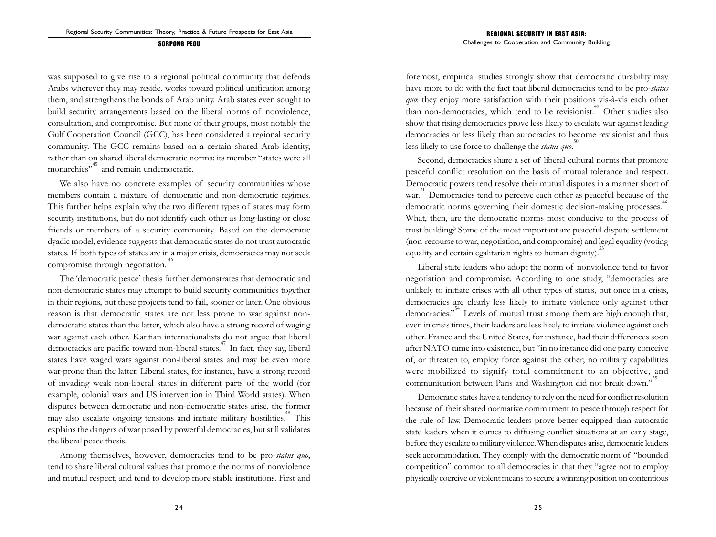was supposed to give rise to a regional political community that defends Arabs wherever they may reside, works toward political unification among them, and strengthens the bonds of Arab unity. Arab states even sought to build security arrangements based on the liberal norms of nonviolence, consultation, and compromise. But none of their groups, most notably the Gulf Cooperation Council (GCC), has been considered a regional security community. The GCC remains based on a certain shared Arab identity, rather than on shared liberal democratic norms: its member "states were all monarchies"<sup>45</sup> and remain undemocratic.

We also have no concrete examples of security communities whose members contain a mixture of democratic and non-democratic regimes. This further helps explain why the two different types of states may form security institutions, but do not identify each other as long-lasting or close friends or members of a security community. Based on the democratic dyadic model, evidence suggests that democratic states do not trust autocratic states. If both types of states are in a major crisis, democracies may not seek compromise through negotiation.<sup>46</sup>

The 'democratic peace' thesis further demonstrates that democratic and non-democratic states may attempt to build security communities together in their regions, but these projects tend to fail, sooner or later. One obvious reason is that democratic states are not less prone to war against nondemocratic states than the latter, which also have a strong record of waging war against each other. Kantian internationalists do not argue that liberal democracies are pacific toward non-liberal states. 47 In fact, they say, liberal states have waged wars against non-liberal states and may be even more war-prone than the latter. Liberal states, for instance, have a strong record of invading weak non-liberal states in different parts of the world (for example, colonial wars and US intervention in Third World states). When disputes between democratic and non-democratic states arise, the former may also escalate ongoing tensions and initiate military hostilities.<sup>48</sup> This explains the dangers of war posed by powerful democracies, but still validates the liberal peace thesis.

Among themselves, however, democracies tend to be pro-*status quo*, tend to share liberal cultural values that promote the norms of nonviolence and mutual respect, and tend to develop more stable institutions. First and

foremost, empirical studies strongly show that democratic durability may have more to do with the fact that liberal democracies tend to be pro-*status quo*: they enjoy more satisfaction with their positions vis-à-vis each other than non-democracies, which tend to be revisionist.<sup>49</sup> Other studies also show that rising democracies prove less likely to escalate war against leading democracies or less likely than autocracies to become revisionist and thus less likely to use force to challenge the *status quo*. 50

Second, democracies share a set of liberal cultural norms that promote peaceful conflict resolution on the basis of mutual tolerance and respect. Democratic powers tend resolve their mutual disputes in a manner short of war.<sup>51</sup> Democracies tend to perceive each other as peaceful because of the democratic norms governing their domestic decision-making processes. What, then, are the democratic norms most conducive to the process of trust building? Some of the most important are peaceful dispute settlement (non-recourse to war, negotiation, and compromise) and legal equality (voting equality and certain egalitarian rights to human dignity).

Liberal state leaders who adopt the norm of nonviolence tend to favor negotiation and compromise. According to one study, "democracies are unlikely to initiate crises with all other types of states, but once in a crisis, democracies are clearly less likely to initiate violence only against other democracies."<sup>54</sup> Levels of mutual trust among them are high enough that, even in crisis times, their leaders are less likely to initiate violence against each other. France and the United States, for instance, had their differences soon after NATO came into existence, but "in no instance did one party conceive of, or threaten to, employ force against the other; no military capabilities were mobilized to signify total commitment to an objective, and communication between Paris and Washington did not break down."<sup>55</sup>

Democratic states have a tendency to rely on the need for conflict resolution because of their shared normative commitment to peace through respect for the rule of law. Democratic leaders prove better equipped than autocratic state leaders when it comes to diffusing conflict situations at an early stage, before they escalate to military violence. When disputes arise, democratic leaders seek accommodation. They comply with the democratic norm of "bounded competition" common to all democracies in that they "agree not to employ physically coercive or violent means to secure a winning position on contentious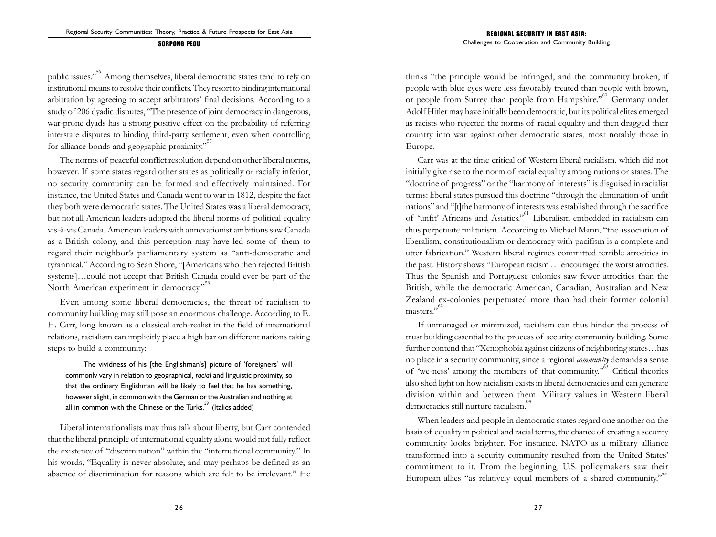public issues."<sup>56</sup> Among themselves, liberal democratic states tend to rely on institutional means to resolve their conflicts. They resort to binding international arbitration by agreeing to accept arbitrators' final decisions. According to a study of 206 dyadic disputes, "The presence of joint democracy in dangerous, war-prone dyads has a strong positive effect on the probability of referring interstate disputes to binding third-party settlement, even when controlling for alliance bonds and geographic proximity."

The norms of peaceful conflict resolution depend on other liberal norms, however. If some states regard other states as politically or racially inferior, no security community can be formed and effectively maintained. For instance, the United States and Canada went to war in 1812, despite the fact they both were democratic states. The United States was a liberal democracy, but not all American leaders adopted the liberal norms of political equality vis-à-vis Canada. American leaders with annexationist ambitions saw Canada as a British colony, and this perception may have led some of them to regard their neighbor's parliamentary system as "anti-democratic and tyrannical." According to Sean Shore, "[Americans who then rejected British systems]…could not accept that British Canada could ever be part of the North American experiment in democracy."<sup>58</sup>

Even among some liberal democracies, the threat of racialism to community building may still pose an enormous challenge. According to E. H. Carr, long known as a classical arch-realist in the field of international relations, racialism can implicitly place a high bar on different nations taking steps to build a community:

The vividness of his [the Englishman's] picture of 'foreigners' will commonly vary in relation to geographical, *racial* and linguistic proximity, so that the ordinary Englishman will be likely to feel that he has something, however slight, in common with the German or the Australian and nothing at all in common with the Chinese or the Turks. $59$  (Italics added)

Liberal internationalists may thus talk about liberty, but Carr contended that the liberal principle of international equality alone would not fully reflect the existence of "discrimination" within the "international community." In his words, "Equality is never absolute, and may perhaps be defined as an absence of discrimination for reasons which are felt to be irrelevant." He

thinks "the principle would be infringed, and the community broken, if people with blue eyes were less favorably treated than people with brown, or people from Surrey than people from Hampshire.<sup>560</sup> Germany under Adolf Hitler may have initially been democratic, but its political elites emerged as racists who rejected the norms of racial equality and then dragged their country into war against other democratic states, most notably those in Europe.

Carr was at the time critical of Western liberal racialism, which did not initially give rise to the norm of racial equality among nations or states. The "doctrine of progress" or the "harmony of interests" is disguised in racialist terms: liberal states pursued this doctrine "through the elimination of unfit nations" and "[t]the harmony of interests was established through the sacrifice of 'unfit' Africans and Asiatics."<sup>61</sup> Liberalism embedded in racialism can thus perpetuate militarism. According to Michael Mann, "the association of liberalism, constitutionalism or democracy with pacifism is a complete and utter fabrication." Western liberal regimes committed terrible atrocities in the past. History shows "European racism … encouraged the worst atrocities. Thus the Spanish and Portuguese colonies saw fewer atrocities than the British, while the democratic American, Canadian, Australian and New Zealand ex-colonies perpetuated more than had their former colonial masters."<sup>62</sup>

If unmanaged or minimized, racialism can thus hinder the process of trust building essential to the process of security community building. Some further contend that "Xenophobia against citizens of neighboring states…has no place in a security community, since a regional *community* demands a sense of 'we-ness' among the members of that community."<sup>63</sup> Critical theories also shed light on how racialism exists in liberal democracies and can generate division within and between them. Military values in Western liberal democracies still nurture racialism. 64

When leaders and people in democratic states regard one another on the basis of equality in political and racial terms, the chance of creating a security community looks brighter. For instance, NATO as a military alliance transformed into a security community resulted from the United States' commitment to it. From the beginning, U.S. policymakers saw their European allies "as relatively equal members of a shared community."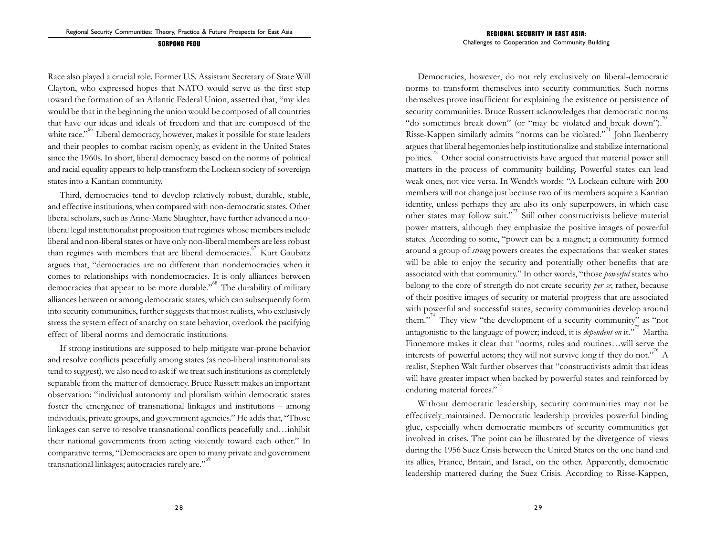Race also played a crucial role. Former U.S. Assistant Secretary of State Will Clayton, who expressed hopes that NATO would serve as the first step toward the formation of an Atlantic Federal Union, asserted that, "my idea would be that in the beginning the union would be composed of all countries that have our ideas and ideals of freedom and that are composed of the white race." 66 Liberal democracy, however, makes it possible for state leaders and their peoples to combat racism openly, as evident in the United States since the 1960s. In short, liberal democracy based on the norms of political and racial equality appears to help transform the Lockean society of sovereign states into a Kantian community.

Third, democracies tend to develop relatively robust, durable, stable, and effective institutions, when compared with non-democratic states. Other liberal scholars, such as Anne-Marie Slaughter, have further advanced a neoliberal legal institutionalist proposition that regimes whose members include liberal and non-liberal states or have only non-liberal members are less robust than regimes with members that are liberal democracies.<sup>67</sup> Kurt Gaubatz argues that, "democracies are no different than nondemocracies when it comes to relationships with nondemocracies. It is only alliances between democracies that appear to be more durable."<sup>68</sup> The durability of military alliances between or among democratic states, which can subsequently form into security communities, further suggests that most realists, who exclusively stress the system effect of anarchy on state behavior, overlook the pacifying effect of liberal norms and democratic institutions.

If strong institutions are supposed to help mitigate war-prone behavior and resolve conflicts peacefully among states (as neo-liberal institutionalists tend to suggest), we also need to ask if we treat such institutions as completely separable from the matter of democracy. Bruce Russett makes an important observation: "individual autonomy and pluralism within democratic states foster the emergence of transnational linkages and institutions – among individuals, private groups, and government agencies." He adds that, "Those linkages can serve to resolve transnational conflicts peacefully and…inhibit their national governments from acting violently toward each other." In comparative terms, "Democracies are open to many private and government transnational linkages; autocracies rarely are." 69

Democracies, however, do not rely exclusively on liberal-democratic norms to transform themselves into security communities. Such norms themselves prove insufficient for explaining the existence or persistence of security communities. Bruce Russett acknowledges that democratic norms "do sometimes break down" (or "may be violated and break down").<sup>70</sup> Risse-Kappen similarly admits "norms can be violated."<sup>1</sup> John Ikenberry argues that liberal hegemonies help institutionalize and stabilize international politics.<sup>72</sup> Other social constructivists have argued that material power still matters in the process of community building. Powerful states can lead weak ones, not vice versa. In Wendt's words: "A Lockean culture with 200 members will not change just because two of its members acquire a Kantian identity, unless perhaps they are also its only superpowers, in which case other states may follow suit."<sup>73</sup> Still other constructivists believe material power matters, although they emphasize the positive images of powerful states. According to some, "power can be a magnet; a community formed around a group of *strong* powers creates the expectations that weaker states will be able to enjoy the security and potentially other benefits that are associated with that community." In other words, "those *powerful* states who belong to the core of strength do not create security *per se*; rather, because of their positive images of security or material progress that are associated with powerful and successful states, security communities develop around them. $\mathbb{R}^{74}$  They view "the development of a security community" as "not antagonistic to the language of power; indeed, it is *dependent on* it." 75 Martha Finnemore makes it clear that "norms, rules and routines…will serve the interests of powerful actors; they will not survive long if they do not." $^{6}$  A realist, Stephen Walt further observes that "constructivists admit that ideas will have greater impact when backed by powerful states and reinforced by enduring material forces."<sup>77</sup>

Without democratic leadership, security communities may not be effectively maintained. Democratic leadership provides powerful binding glue, especially when democratic members of security communities get involved in crises. The point can be illustrated by the divergence of views during the 1956 Suez Crisis between the United States on the one hand and its allies, France, Britain, and Israel, on the other. Apparently, democratic leadership mattered during the Suez Crisis. According to Risse-Kappen,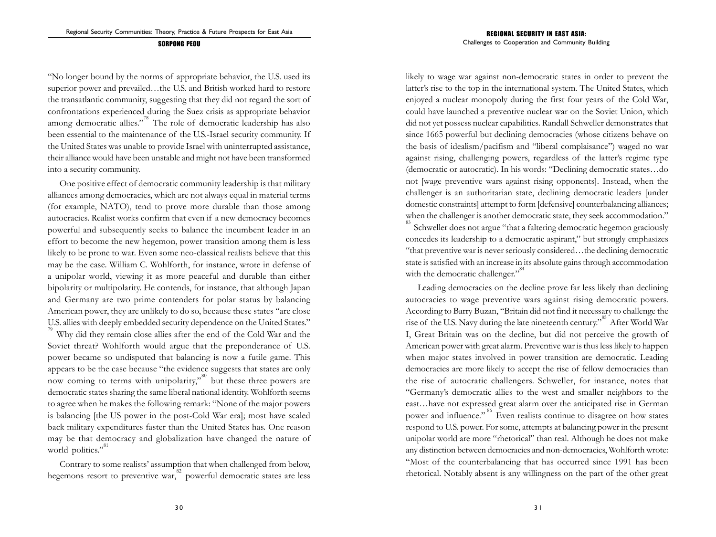"No longer bound by the norms of appropriate behavior, the U.S. used its superior power and prevailed…the U.S. and British worked hard to restore the transatlantic community, suggesting that they did not regard the sort of confrontations experienced during the Suez crisis as appropriate behavior among democratic allies."<sup>78</sup> The role of democratic leadership has also been essential to the maintenance of the U.S.-Israel security community. If the United States was unable to provide Israel with uninterrupted assistance, their alliance would have been unstable and might not have been transformed into a security community.

One positive effect of democratic community leadership is that military alliances among democracies, which are not always equal in material terms (for example, NATO), tend to prove more durable than those among autocracies. Realist works confirm that even if a new democracy becomes powerful and subsequently seeks to balance the incumbent leader in an effort to become the new hegemon, power transition among them is less likely to be prone to war. Even some neo-classical realists believe that this may be the case. William C. Wohlforth, for instance, wrote in defense of a unipolar world, viewing it as more peaceful and durable than either bipolarity or multipolarity. He contends, for instance, that although Japan and Germany are two prime contenders for polar status by balancing American power, they are unlikely to do so, because these states "are close U.S. allies with deeply embedded security dependence on the United States."

 Why did they remain close allies after the end of the Cold War and the Soviet threat? Wohlforth would argue that the preponderance of U.S. power became so undisputed that balancing is now a futile game. This appears to be the case because "the evidence suggests that states are only now coming to terms with unipolarity,"<sup>80</sup> but these three powers are democratic states sharing the same liberal national identity. Wohlforth seems to agree when he makes the following remark: "None of the major powers is balancing [the US power in the post-Cold War era]; most have scaled back military expenditures faster than the United States has. One reason may be that democracy and globalization have changed the nature of world politics."<sup>81</sup>

Contrary to some realists' assumption that when challenged from below, hegemons resort to preventive war, 82 powerful democratic states are less

likely to wage war against non-democratic states in order to prevent the latter's rise to the top in the international system. The United States, which enjoyed a nuclear monopoly during the first four years of the Cold War, could have launched a preventive nuclear war on the Soviet Union, which did not yet possess nuclear capabilities. Randall Schweller demonstrates that since 1665 powerful but declining democracies (whose citizens behave on the basis of idealism/pacifism and "liberal complaisance") waged no war against rising, challenging powers, regardless of the latter's regime type (democratic or autocratic). In his words: "Declining democratic states…do not [wage preventive wars against rising opponents]. Instead, when the challenger is an authoritarian state, declining democratic leaders [under domestic constraints] attempt to form [defensive] counterbalancing alliances; when the challenger is another democratic state, they seek accommodation."

 Schweller does not argue "that a faltering democratic hegemon graciously concedes its leadership to a democratic aspirant," but strongly emphasizes "that preventive war is never seriously considered…the declining democratic state is satisfied with an increase in its absolute gains through accommodation with the democratic challenger."<sup>84</sup>

Leading democracies on the decline prove far less likely than declining autocracies to wage preventive wars against rising democratic powers. According to Barry Buzan, "Britain did not find it necessary to challenge the rise of the U.S. Navy during the late nineteenth century."<sup>85</sup> After World War I, Great Britain was on the decline, but did not perceive the growth of American power with great alarm. Preventive war is thus less likely to happen when major states involved in power transition are democratic. Leading democracies are more likely to accept the rise of fellow democracies than the rise of autocratic challengers. Schweller, for instance, notes that "Germany's democratic allies to the west and smaller neighbors to the east…have not expressed great alarm over the anticipated rise in German power and influence." <sup>86</sup> Even realists continue to disagree on how states respond to U.S. power. For some, attempts at balancing power in the present unipolar world are more "rhetorical" than real. Although he does not make any distinction between democracies and non-democracies, Wohlforth wrote: "Most of the counterbalancing that has occurred since 1991 has been rhetorical. Notably absent is any willingness on the part of the other great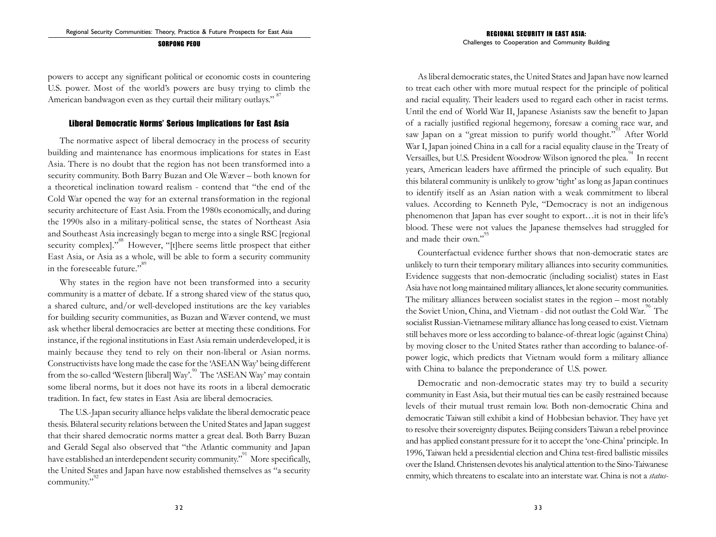powers to accept any significant political or economic costs in countering U.S. power. Most of the world's powers are busy trying to climb the American bandwagon even as they curtail their military outlays."<sup>"</sup>

# Liberal Democratic Norms' Serious Implications for East Asia

The normative aspect of liberal democracy in the process of security building and maintenance has enormous implications for states in East Asia. There is no doubt that the region has not been transformed into a security community. Both Barry Buzan and Ole Wæver – both known for a theoretical inclination toward realism - contend that "the end of the Cold War opened the way for an external transformation in the regional security architecture of East Asia. From the 1980s economically, and during the 1990s also in a military-political sense, the states of Northeast Asia and Southeast Asia increasingly began to merge into a single RSC [regional security complex]."<sup>88</sup> However, "[t]here seems little prospect that either East Asia, or Asia as a whole, will be able to form a security community in the foreseeable future."<sup>89</sup>

Why states in the region have not been transformed into a security community is a matter of debate. If a strong shared view of the status quo, a shared culture, and/or well-developed institutions are the key variables for building security communities, as Buzan and Wæver contend, we must ask whether liberal democracies are better at meeting these conditions. For instance, if the regional institutions in East Asia remain underdeveloped, it is mainly because they tend to rely on their non-liberal or Asian norms. Constructivists have long made the case for the 'ASEAN Way' being different from the so-called 'Western [liberal] Way'.<sup>90</sup> The 'ASEAN Way' may contain some liberal norms, but it does not have its roots in a liberal democratic tradition. In fact, few states in East Asia are liberal democracies.

The U.S.-Japan security alliance helps validate the liberal democratic peace thesis. Bilateral security relations between the United States and Japan suggest that their shared democratic norms matter a great deal. Both Barry Buzan and Gerald Segal also observed that "the Atlantic community and Japan have established an interdependent security community."<sup>91</sup> More specifically, the United States and Japan have now established themselves as "a security community." 92

REGIONAL SECURITY IN EAST ASIA: Challenges to Cooperation and Community Building

As liberal democratic states, the United States and Japan have now learned to treat each other with more mutual respect for the principle of political and racial equality. Their leaders used to regard each other in racist terms. Until the end of World War II, Japanese Asianists saw the benefit to Japan of a racially justified regional hegemony, foresaw a coming race war, and saw Japan on a "great mission to purify world thought."<sup>33</sup> After World War I, Japan joined China in a call for a racial equality clause in the Treaty of Versailles, but U.S. President Woodrow Wilson ignored the plea.<sup>94</sup> In recent years, American leaders have affirmed the principle of such equality. But this bilateral community is unlikely to grow 'tight' as long as Japan continues to identify itself as an Asian nation with a weak commitment to liberal values. According to Kenneth Pyle, "Democracy is not an indigenous phenomenon that Japan has ever sought to export…it is not in their life's blood. These were not values the Japanese themselves had struggled for and made their own."<sup>95</sup>

Counterfactual evidence further shows that non-democratic states are unlikely to turn their temporary military alliances into security communities. Evidence suggests that non-democratic (including socialist) states in East Asia have not long maintained military alliances, let alone security communities. The military alliances between socialist states in the region – most notably the Soviet Union, China, and Vietnam - did not outlast the Cold War.<sup>96</sup> The socialist Russian-Vietnamese military alliance has long ceased to exist. Vietnam still behaves more or less according to balance-of-threat logic (against China) by moving closer to the United States rather than according to balance-ofpower logic, which predicts that Vietnam would form a military alliance with China to balance the preponderance of U.S. power.

Democratic and non-democratic states may try to build a security community in East Asia, but their mutual ties can be easily restrained because levels of their mutual trust remain low. Both non-democratic China and democratic Taiwan still exhibit a kind of Hobbesian behavior. They have yet to resolve their sovereignty disputes. Beijing considers Taiwan a rebel province and has applied constant pressure for it to accept the 'one-China' principle. In 1996, Taiwan held a presidential election and China test-fired ballistic missiles over the Island. Christensen devotes his analytical attention to the Sino-Taiwanese enmity, which threatens to escalate into an interstate war. China is not a *status-*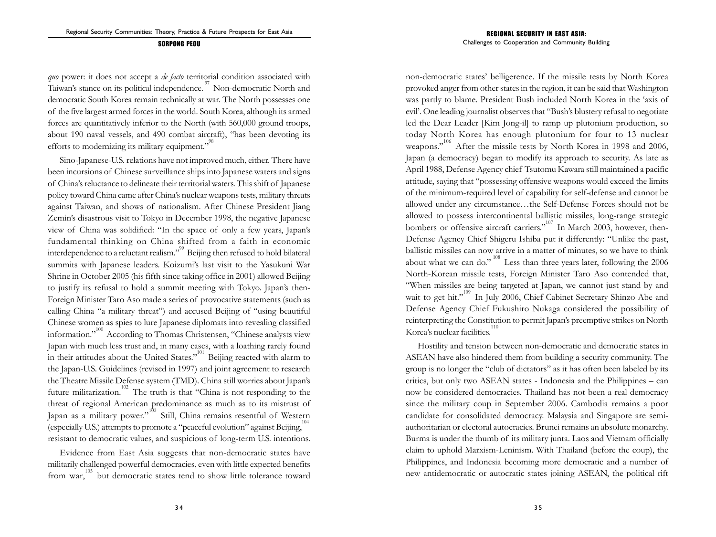*quo* power: it does not accept a *de facto* territorial condition associated with Taiwan's stance on its political independence.<sup>97</sup> Non-democratic North and democratic South Korea remain technically at war. The North possesses one of the five largest armed forces in the world. South Korea, although its armed forces are quantitatively inferior to the North (with 560,000 ground troops, about 190 naval vessels, and 490 combat aircraft), "has been devoting its efforts to modernizing its military equipment."<sup>98</sup>

Sino-Japanese-U.S. relations have not improved much, either. There have been incursions of Chinese surveillance ships into Japanese waters and signs of China's reluctance to delineate their territorial waters. This shift of Japanese policy toward China came after China's nuclear weapons tests, military threats against Taiwan, and shows of nationalism. After Chinese President Jiang Zemin's disastrous visit to Tokyo in December 1998, the negative Japanese view of China was solidified: "In the space of only a few years, Japan's fundamental thinking on China shifted from a faith in economic interdependence to a reluctant realism."<sup>99</sup> Beijing then refused to hold bilateral summits with Japanese leaders. Koizumi's last visit to the Yasukuni War Shrine in October 2005 (his fifth since taking office in 2001) allowed Beijing to justify its refusal to hold a summit meeting with Tokyo. Japan's then-Foreign Minister Taro Aso made a series of provocative statements (such as calling China "a military threat") and accused Beijing of "using beautiful Chinese women as spies to lure Japanese diplomats into revealing classified information."<sup>100</sup> According to Thomas Christensen, "Chinese analysts view Japan with much less trust and, in many cases, with a loathing rarely found in their attitudes about the United States."<sup>101</sup> Beijing reacted with alarm to the Japan-U.S. Guidelines (revised in 1997) and joint agreement to research the Theatre Missile Defense system (TMD). China still worries about Japan's future militarization.<sup>102</sup> The truth is that "China is not responding to the threat of regional American predominance as much as to its mistrust of Japan as a military power."<sup>103</sup> Still, China remains resentful of Western (especially U.S.) attempts to promote a "peaceful evolution" against Beijing, 104 resistant to democratic values, and suspicious of long-term U.S. intentions.

Evidence from East Asia suggests that non-democratic states have militarily challenged powerful democracies, even with little expected benefits from war,<sup>105</sup> but democratic states tend to show little tolerance toward

non-democratic states' belligerence. If the missile tests by North Korea provoked anger from other states in the region, it can be said that Washington was partly to blame. President Bush included North Korea in the 'axis of evil'. One leading journalist observes that "Bush's blustery refusal to negotiate led the Dear Leader [Kim Jong-il] to ramp up plutonium production, so today North Korea has enough plutonium for four to 13 nuclear weapons."<sup>106</sup> After the missile tests by North Korea in 1998 and 2006, Japan (a democracy) began to modify its approach to security. As late as April 1988, Defense Agency chief Tsutomu Kawara still maintained a pacific attitude, saying that "possessing offensive weapons would exceed the limits of the minimum-required level of capability for self-defense and cannot be allowed under any circumstance…the Self-Defense Forces should not be allowed to possess intercontinental ballistic missiles, long-range strategic bombers or offensive aircraft carriers."<sup>107</sup> In March 2003, however, then-Defense Agency Chief Shigeru Ishiba put it differently: "Unlike the past, ballistic missiles can now arrive in a matter of minutes, so we have to think about what we can do."  $^{108}$  Less than three years later, following the 2006 North-Korean missile tests, Foreign Minister Taro Aso contended that, "When missiles are being targeted at Japan, we cannot just stand by and wait to get hit."<sup>109</sup> In July 2006, Chief Cabinet Secretary Shinzo Abe and Defense Agency Chief Fukushiro Nukaga considered the possibility of reinterpreting the Constitution to permit Japan's preemptive strikes on North Korea's nuclear facilities. 110

Hostility and tension between non-democratic and democratic states in ASEAN have also hindered them from building a security community. The group is no longer the "club of dictators" as it has often been labeled by its critics, but only two ASEAN states - Indonesia and the Philippines – can now be considered democracies. Thailand has not been a real democracy since the military coup in September 2006. Cambodia remains a poor candidate for consolidated democracy. Malaysia and Singapore are semiauthoritarian or electoral autocracies. Brunei remains an absolute monarchy. Burma is under the thumb of its military junta. Laos and Vietnam officially claim to uphold Marxism-Leninism. With Thailand (before the coup), the Philippines, and Indonesia becoming more democratic and a number of new antidemocratic or autocratic states joining ASEAN, the political rift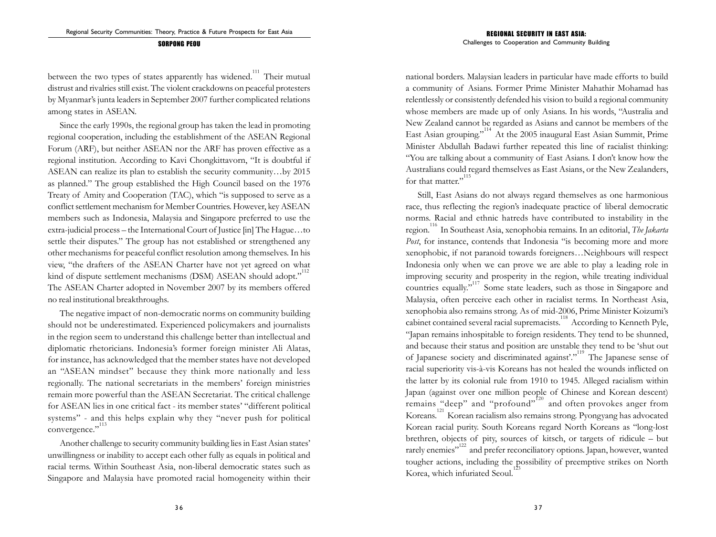between the two types of states apparently has widened.<sup>111</sup> Their mutual distrust and rivalries still exist. The violent crackdowns on peaceful protesters by Myanmar's junta leaders in September 2007 further complicated relations among states in ASEAN.

Since the early 1990s, the regional group has taken the lead in promoting regional cooperation, including the establishment of the ASEAN Regional Forum (ARF), but neither ASEAN nor the ARF has proven effective as a regional institution. According to Kavi Chongkittavorn, "It is doubtful if ASEAN can realize its plan to establish the security community…by 2015 as planned." The group established the High Council based on the 1976 Treaty of Amity and Cooperation (TAC), which "is supposed to serve as a conflict settlement mechanism for Member Countries. However, key ASEAN members such as Indonesia, Malaysia and Singapore preferred to use the extra-judicial process – the International Court of Justice [in] The Hague…to settle their disputes." The group has not established or strengthened any other mechanisms for peaceful conflict resolution among themselves. In his view, "the drafters of the ASEAN Charter have not yet agreed on what kind of dispute settlement mechanisms (DSM) ASEAN should adopt."<sup>112</sup> The ASEAN Charter adopted in November 2007 by its members offered no real institutional breakthroughs.

The negative impact of non-democratic norms on community building should not be underestimated. Experienced policymakers and journalists in the region seem to understand this challenge better than intellectual and diplomatic rhetoricians. Indonesia's former foreign minister Ali Alatas, for instance, has acknowledged that the member states have not developed an "ASEAN mindset" because they think more nationally and less regionally. The national secretariats in the members' foreign ministries remain more powerful than the ASEAN Secretariat. The critical challenge for ASEAN lies in one critical fact - its member states' "different political systems" - and this helps explain why they "never push for political convergence."<sup>113</sup>

Another challenge to security community building lies in East Asian states' unwillingness or inability to accept each other fully as equals in political and racial terms. Within Southeast Asia, non-liberal democratic states such as Singapore and Malaysia have promoted racial homogeneity within their

national borders. Malaysian leaders in particular have made efforts to build a community of Asians. Former Prime Minister Mahathir Mohamad has relentlessly or consistently defended his vision to build a regional community whose members are made up of only Asians. In his words, "Australia and New Zealand cannot be regarded as Asians and cannot be members of the East Asian grouping."<sup>114</sup> At the 2005 inaugural East Asian Summit, Prime Minister Abdullah Badawi further repeated this line of racialist thinking: "You are talking about a community of East Asians. I don't know how the Australians could regard themselves as East Asians, or the New Zealanders, for that matter." $^{\scriptscriptstyle 115}$ 

Still, East Asians do not always regard themselves as one harmonious race, thus reflecting the region's inadequate practice of liberal democratic norms. Racial and ethnic hatreds have contributed to instability in the region. 116 In Southeast Asia, xenophobia remains. In an editorial, *The Jakarta Post*, for instance, contends that Indonesia "is becoming more and more xenophobic, if not paranoid towards foreigners…Neighbours will respect Indonesia only when we can prove we are able to play a leading role in improving security and prosperity in the region, while treating individual countries equally."<sup>117</sup> Some state leaders, such as those in Singapore and Malaysia, often perceive each other in racialist terms. In Northeast Asia, xenophobia also remains strong. As of mid-2006, Prime Minister Koizumi's cabinet contained several racial supremacists.<sup>118</sup> According to Kenneth Pyle, "Japan remains inhospitable to foreign residents. They tend to be shunned, and because their status and position are unstable they tend to be 'shut out of Japanese society and discriminated against'."<sup>119</sup> The Japanese sense of racial superiority vis-à-vis Koreans has not healed the wounds inflicted on the latter by its colonial rule from 1910 to 1945. Alleged racialism within Japan (against over one million people of Chinese and Korean descent) remains "deep" and "profound"<sup>120</sup> and often provokes anger from Koreans. 121 Korean racialism also remains strong. Pyongyang has advocated Korean racial purity. South Koreans regard North Koreans as "long-lost brethren, objects of pity, sources of kitsch, or targets of ridicule – but rarely enemies"<sup>,122</sup> and prefer reconciliatory options. Japan, however, wanted tougher actions, including the possibility of preemptive strikes on North Korea, which infuriated Seoul. 123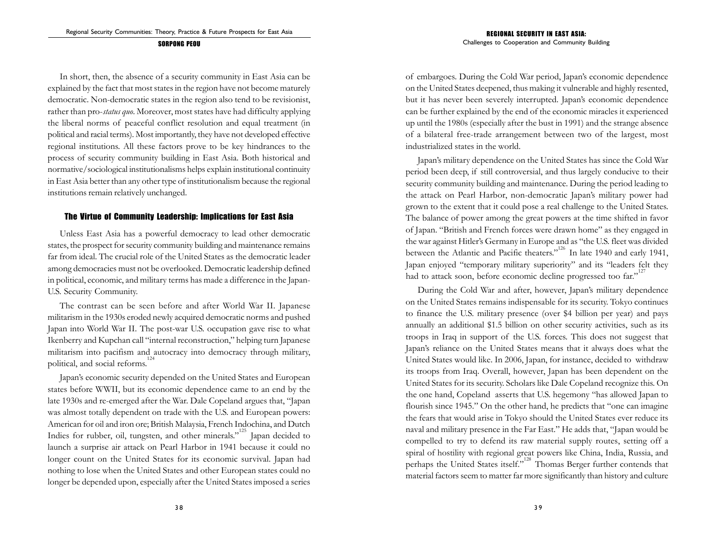In short, then, the absence of a security community in East Asia can be explained by the fact that most states in the region have not become maturely democratic. Non-democratic states in the region also tend to be revisionist, rather than pro-*status quo*. Moreover, most states have had difficulty applying the liberal norms of peaceful conflict resolution and equal treatment (in political and racial terms). Most importantly, they have not developed effective regional institutions. All these factors prove to be key hindrances to the process of security community building in East Asia. Both historical and normative/sociological institutionalisms helps explain institutional continuity in East Asia better than any other type of institutionalism because the regional institutions remain relatively unchanged.

## The Virtue of Community Leadership: Implications for East Asia

Unless East Asia has a powerful democracy to lead other democratic states, the prospect for security community building and maintenance remains far from ideal. The crucial role of the United States as the democratic leader among democracies must not be overlooked. Democratic leadership defined in political, economic, and military terms has made a difference in the Japan-U.S. Security Community.

The contrast can be seen before and after World War II. Japanese militarism in the 1930s eroded newly acquired democratic norms and pushed Japan into World War II. The post-war U.S. occupation gave rise to what Ikenberry and Kupchan call "internal reconstruction," helping turn Japanese militarism into pacifism and autocracy into democracy through military, political, and social reforms. 124

Japan's economic security depended on the United States and European states before WWII, but its economic dependence came to an end by the late 1930s and re-emerged after the War. Dale Copeland argues that, "Japan was almost totally dependent on trade with the U.S. and European powers: American for oil and iron ore; British Malaysia, French Indochina, and Dutch Indies for rubber, oil, tungsten, and other minerals."<sup>125</sup> Japan decided to launch a surprise air attack on Pearl Harbor in 1941 because it could no longer count on the United States for its economic survival. Japan had nothing to lose when the United States and other European states could no longer be depended upon, especially after the United States imposed a series

of embargoes. During the Cold War period, Japan's economic dependence on the United States deepened, thus making it vulnerable and highly resented, but it has never been severely interrupted. Japan's economic dependence can be further explained by the end of the economic miracles it experienced up until the 1980s (especially after the bust in 1991) and the strange absence of a bilateral free-trade arrangement between two of the largest, most industrialized states in the world.

Japan's military dependence on the United States has since the Cold War period been deep, if still controversial, and thus largely conducive to their security community building and maintenance. During the period leading to the attack on Pearl Harbor, non-democratic Japan's military power had grown to the extent that it could pose a real challenge to the United States. The balance of power among the great powers at the time shifted in favor of Japan. "British and French forces were drawn home" as they engaged in the war against Hitler's Germany in Europe and as "the U.S. fleet was divided between the Atlantic and Pacific theaters."<sup>126</sup> In late 1940 and early 1941, Japan enjoyed "temporary military superiority" and its "leaders felt they had to attack soon, before economic decline progressed too far."<sup>127</sup>

During the Cold War and after, however, Japan's military dependence on the United States remains indispensable for its security. Tokyo continues to finance the U.S. military presence (over \$4 billion per year) and pays annually an additional \$1.5 billion on other security activities, such as its troops in Iraq in support of the U.S. forces. This does not suggest that Japan's reliance on the United States means that it always does what the United States would like. In 2006, Japan, for instance, decided to withdraw its troops from Iraq. Overall, however, Japan has been dependent on the United States for its security. Scholars like Dale Copeland recognize this. On the one hand, Copeland asserts that U.S. hegemony "has allowed Japan to flourish since 1945." On the other hand, he predicts that "one can imagine the fears that would arise in Tokyo should the United States ever reduce its naval and military presence in the Far East." He adds that, "Japan would be compelled to try to defend its raw material supply routes, setting off a spiral of hostility with regional great powers like China, India, Russia, and perhaps the United States itself."<sup>128</sup> Thomas Berger further contends that material factors seem to matter far more significantly than history and culture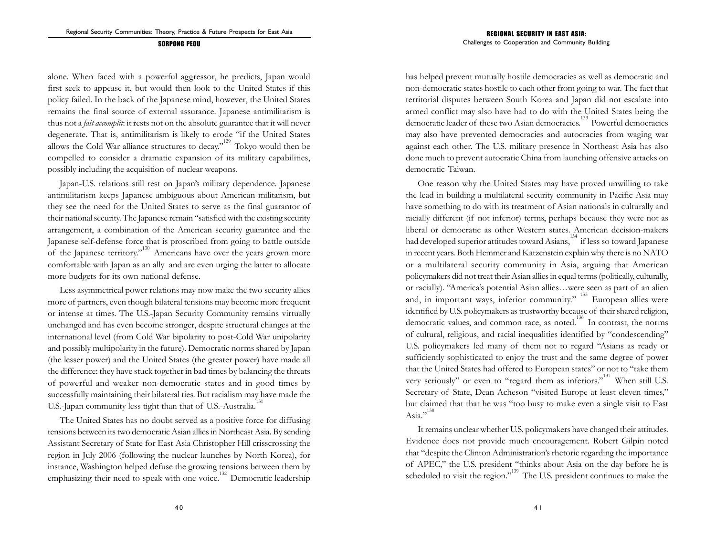alone. When faced with a powerful aggressor, he predicts, Japan would first seek to appease it, but would then look to the United States if this policy failed. In the back of the Japanese mind, however, the United States remains the final source of external assurance. Japanese antimilitarism is thus not a *fait accomplit*: it rests not on the absolute guarantee that it will never degenerate. That is, antimilitarism is likely to erode "if the United States allows the Cold War alliance structures to decay."<sup>129</sup> Tokyo would then be compelled to consider a dramatic expansion of its military capabilities, possibly including the acquisition of nuclear weapons.

Japan-U.S. relations still rest on Japan's military dependence. Japanese antimilitarism keeps Japanese ambiguous about American militarism, but they see the need for the United States to serve as the final guarantor of their national security. The Japanese remain "satisfied with the existing security arrangement, a combination of the American security guarantee and the Japanese self-defense force that is proscribed from going to battle outside of the Japanese territory."<sup>130</sup> Americans have over the years grown more comfortable with Japan as an ally and are even urging the latter to allocate more budgets for its own national defense.

Less asymmetrical power relations may now make the two security allies more of partners, even though bilateral tensions may become more frequent or intense at times. The U.S.-Japan Security Community remains virtually unchanged and has even become stronger, despite structural changes at the international level (from Cold War bipolarity to post-Cold War unipolarity and possibly multipolarity in the future). Democratic norms shared by Japan (the lesser power) and the United States (the greater power) have made all the difference: they have stuck together in bad times by balancing the threats of powerful and weaker non-democratic states and in good times by successfully maintaining their bilateral ties. But racialism may have made the U.S.-Japan community less tight than that of U.S.-Australia. 131

The United States has no doubt served as a positive force for diffusing tensions between its two democratic Asian allies in Northeast Asia. By sending Assistant Secretary of State for East Asia Christopher Hill crisscrossing the region in July 2006 (following the nuclear launches by North Korea), for instance, Washington helped defuse the growing tensions between them by emphasizing their need to speak with one voice.<sup>132</sup> Democratic leadership

has helped prevent mutually hostile democracies as well as democratic and non-democratic states hostile to each other from going to war. The fact that territorial disputes between South Korea and Japan did not escalate into armed conflict may also have had to do with the United States being the democratic leader of these two Asian democracies. 133 Powerful democracies may also have prevented democracies and autocracies from waging war against each other. The U.S. military presence in Northeast Asia has also done much to prevent autocratic China from launching offensive attacks on democratic Taiwan.

One reason why the United States may have proved unwilling to take the lead in building a multilateral security community in Pacific Asia may have something to do with its treatment of Asian nationals in culturally and racially different (if not inferior) terms, perhaps because they were not as liberal or democratic as other Western states. American decision-makers had developed superior attitudes toward Asians, 134 if less so toward Japanese in recent years. Both Hemmer and Katzenstein explain why there is no NATO or a multilateral security community in Asia, arguing that American policymakers did not treat their Asian allies in equal terms (politically, culturally, or racially). "America's potential Asian allies…were seen as part of an alien and, in important ways, inferior community." <sup>135</sup> European allies were identified by U.S. policymakers as trustworthy because of their shared religion, democratic values, and common race, as noted.<sup>136</sup> In contrast, the norms of cultural, religious, and racial inequalities identified by "condescending" U.S. policymakers led many of them not to regard "Asians as ready or sufficiently sophisticated to enjoy the trust and the same degree of power that the United States had offered to European states" or not to "take them very seriously" or even to "regard them as inferiors."<sup>137</sup> When still U.S. Secretary of State, Dean Acheson "visited Europe at least eleven times," but claimed that that he was "too busy to make even a single visit to East Asia."<sup>,138</sup>

It remains unclear whether U.S. policymakers have changed their attitudes. Evidence does not provide much encouragement. Robert Gilpin noted that "despite the Clinton Administration's rhetoric regarding the importance of APEC," the U.S. president "thinks about Asia on the day before he is scheduled to visit the region."<sup>139</sup> The U.S. president continues to make the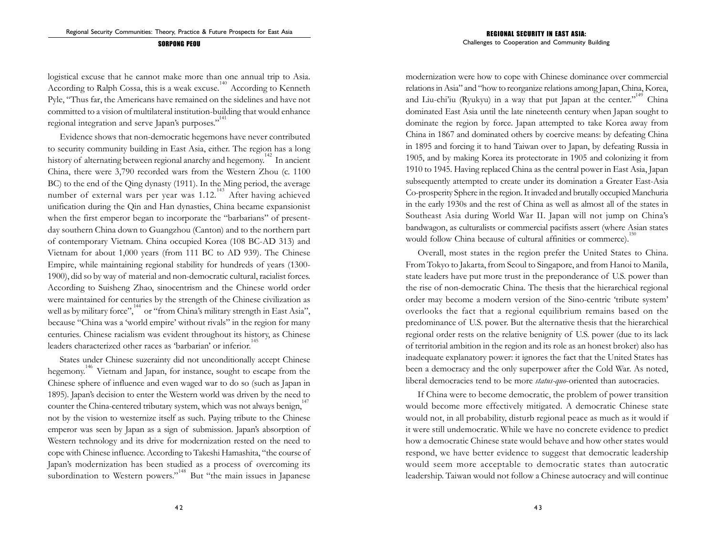logistical excuse that he cannot make more than one annual trip to Asia. According to Ralph Cossa, this is a weak excuse.<sup>140</sup> According to Kenneth Pyle, "Thus far, the Americans have remained on the sidelines and have not committed to a vision of multilateral institution-building that would enhance regional integration and serve Japan's purposes."<sup>141</sup>

Evidence shows that non-democratic hegemons have never contributed to security community building in East Asia, either. The region has a long history of alternating between regional anarchy and hegemony.<sup>142</sup> In ancient China, there were 3,790 recorded wars from the Western Zhou (c. 1100 BC) to the end of the Qing dynasty (1911). In the Ming period, the average number of external wars per year was  $1.12<sup>143</sup>$  After having achieved unification during the Qin and Han dynasties, China became expansionist when the first emperor began to incorporate the "barbarians" of presentday southern China down to Guangzhou (Canton) and to the northern part of contemporary Vietnam. China occupied Korea (108 BC-AD 313) and Vietnam for about 1,000 years (from 111 BC to AD 939). The Chinese Empire, while maintaining regional stability for hundreds of years (1300- 1900), did so by way of material and non-democratic cultural, racialist forces. According to Suisheng Zhao, sinocentrism and the Chinese world order were maintained for centuries by the strength of the Chinese civilization as well as by military force",  $^{144}$  or "from China's military strength in East Asia", because "China was a 'world empire' without rivals" in the region for many centuries. Chinese racialism was evident throughout its history, as Chinese leaders characterized other races as 'barbarian' or inferior.

States under Chinese suzerainty did not unconditionally accept Chinese hegemony. 146 Vietnam and Japan, for instance, sought to escape from the Chinese sphere of influence and even waged war to do so (such as Japan in 1895). Japan's decision to enter the Western world was driven by the need to counter the China-centered tributary system, which was not always benign, not by the vision to westernize itself as such. Paying tribute to the Chinese emperor was seen by Japan as a sign of submission. Japan's absorption of Western technology and its drive for modernization rested on the need to cope with Chinese influence. According to Takeshi Hamashita, "the course of Japan's modernization has been studied as a process of overcoming its subordination to Western powers."<sup>148</sup> But "the main issues in Japanese

modernization were how to cope with Chinese dominance over commercial relations in Asia" and "how to reorganize relations among Japan, China, Korea, and Liu-chi'iu (Ryukyu) in a way that put Japan at the center."<sup>149</sup> China dominated East Asia until the late nineteenth century when Japan sought to dominate the region by force. Japan attempted to take Korea away from China in 1867 and dominated others by coercive means: by defeating China in 1895 and forcing it to hand Taiwan over to Japan, by defeating Russia in 1905, and by making Korea its protectorate in 1905 and colonizing it from 1910 to 1945. Having replaced China as the central power in East Asia, Japan subsequently attempted to create under its domination a Greater East-Asia Co-prosperity Sphere in the region. It invaded and brutally occupied Manchuria in the early 1930s and the rest of China as well as almost all of the states in Southeast Asia during World War II. Japan will not jump on China's bandwagon, as culturalists or commercial pacifists assert (where Asian states would follow China because of cultural affinities or commerce).<sup>150</sup>

Overall, most states in the region prefer the United States to China. From Tokyo to Jakarta, from Seoul to Singapore, and from Hanoi to Manila, state leaders have put more trust in the preponderance of U.S. power than the rise of non-democratic China. The thesis that the hierarchical regional order may become a modern version of the Sino-centric 'tribute system' overlooks the fact that a regional equilibrium remains based on the predominance of U.S. power. But the alternative thesis that the hierarchical regional order rests on the relative benignity of U.S. power (due to its lack of territorial ambition in the region and its role as an honest broker) also has inadequate explanatory power: it ignores the fact that the United States has been a democracy and the only superpower after the Cold War. As noted, liberal democracies tend to be more *status-quo*-oriented than autocracies.

If China were to become democratic, the problem of power transition would become more effectively mitigated. A democratic Chinese state would not, in all probability, disturb regional peace as much as it would if it were still undemocratic. While we have no concrete evidence to predict how a democratic Chinese state would behave and how other states would respond, we have better evidence to suggest that democratic leadership would seem more acceptable to democratic states than autocratic leadership. Taiwan would not follow a Chinese autocracy and will continue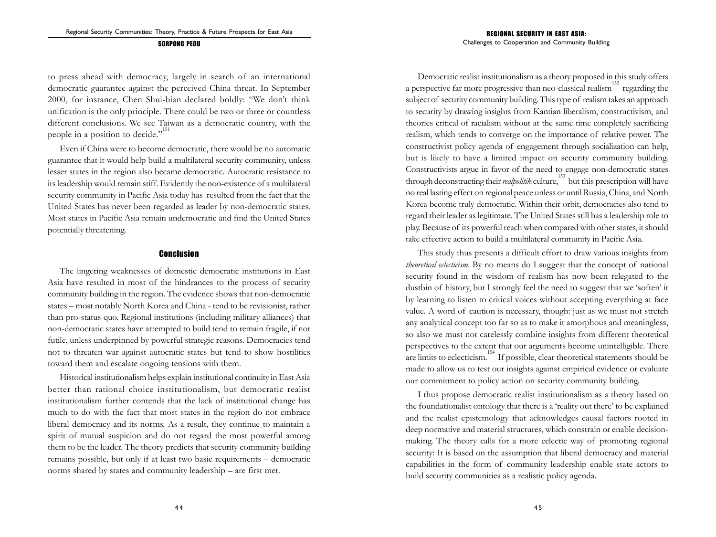to press ahead with democracy, largely in search of an international democratic guarantee against the perceived China threat. In September 2000, for instance, Chen Shui-bian declared boldly: "We don't think unification is the only principle. There could be two or three or countless different conclusions. We see Taiwan as a democratic country, with the people in a position to decide."<sup>151</sup>

Even if China were to become democratic, there would be no automatic guarantee that it would help build a multilateral security community, unless lesser states in the region also became democratic. Autocratic resistance to its leadership would remain stiff. Evidently the non-existence of a multilateral security community in Pacific Asia today has resulted from the fact that the United States has never been regarded as leader by non-democratic states. Most states in Pacific Asia remain undemocratic and find the United States potentially threatening.

## Conclusion

The lingering weaknesses of domestic democratic institutions in East Asia have resulted in most of the hindrances to the process of security community building in the region. The evidence shows that non-democratic states – most notably North Korea and China - tend to be revisionist, rather than pro-status quo. Regional institutions (including military alliances) that non-democratic states have attempted to build tend to remain fragile, if not futile, unless underpinned by powerful strategic reasons. Democracies tend not to threaten war against autocratic states but tend to show hostilities toward them and escalate ongoing tensions with them.

Historical institutionalism helps explain institutional continuity in East Asia better than rational choice institutionalism, but democratic realist institutionalism further contends that the lack of institutional change has much to do with the fact that most states in the region do not embrace liberal democracy and its norms. As a result, they continue to maintain a spirit of mutual suspicion and do not regard the most powerful among them to be the leader. The theory predicts that security community building remains possible, but only if at least two basic requirements – democratic norms shared by states and community leadership – are first met.

Democratic realist institutionalism as a theory proposed in this study offers a perspective far more progressive than neo-classical realism  $^{152}$  regarding the subject of security community building. This type of realism takes an approach to security by drawing insights from Kantian liberalism, constructivism, and theories critical of racialism without at the same time completely sacrificing realism, which tends to converge on the importance of relative power. The constructivist policy agenda of engagement through socialization can help, but is likely to have a limited impact on security community building. Constructivists argue in favor of the need to engage non-democratic states through deconstructing their *realpolitik* culture,<sup>153</sup> but this prescription will have no real lasting effect on regional peace unless or until Russia, China, and North Korea become truly democratic. Within their orbit, democracies also tend to regard their leader as legitimate. The United States still has a leadership role to play. Because of its powerful reach when compared with other states, it should take effective action to build a multilateral community in Pacific Asia.

This study thus presents a difficult effort to draw various insights from *theoretical eclecticism*. By no means do I suggest that the concept of national security found in the wisdom of realism has now been relegated to the dustbin of history, but I strongly feel the need to suggest that we 'soften' it by learning to listen to critical voices without accepting everything at face value. A word of caution is necessary, though: just as we must not stretch any analytical concept too far so as to make it amorphous and meaningless, so also we must not carelessly combine insights from different theoretical perspectives to the extent that our arguments become unintelligible. There are limits to eclecticism.<sup>154</sup> If possible, clear theoretical statements should be made to allow us to test our insights against empirical evidence or evaluate our commitment to policy action on security community building.

I thus propose democratic realist institutionalism as a theory based on the foundationalist ontology that there is a 'reality out there' to be explained and the realist epistemology that acknowledges causal factors rooted in deep normative and material structures, which constrain or enable decisionmaking. The theory calls for a more eclectic way of promoting regional security: It is based on the assumption that liberal democracy and material capabilities in the form of community leadership enable state actors to build security communities as a realistic policy agenda.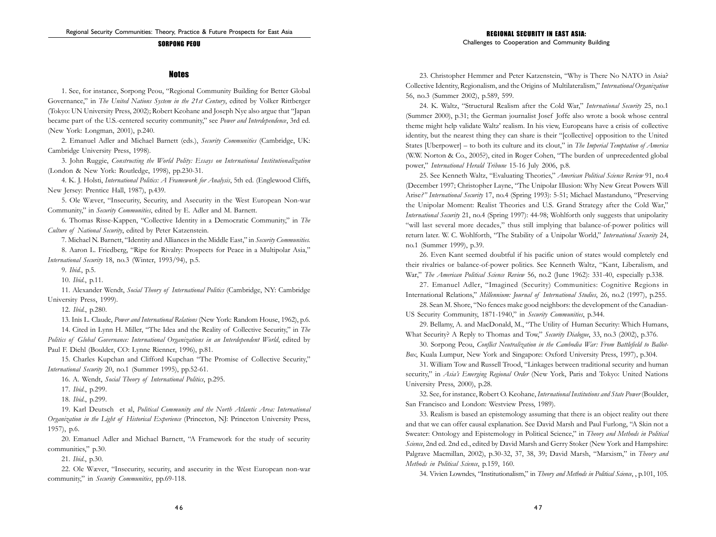#### Notes

1. See, for instance, Sorpong Peou, "Regional Community Building for Better Global Governance," in *The United Nations System in the 21st Century*, edited by Volker Rittberger (Tokyo: UN University Press, 2002); Robert Keohane and Joseph Nye also argue that "Japan became part of the U.S.-centered security community," see *Power and Interdependence*, 3rd ed. (New York: Longman, 2001), p.240.

2. Emanuel Adler and Michael Barnett (eds.), *Security Communities* (Cambridge, UK: Cambridge University Press, 1998).

3. John Ruggie, *Constructing the World Polity: Essays on International Institutionalization* (London & New York: Routledge, 1998), pp.230-31.

4. K. J. Holsti, *International Politics: A Framework for Analysis*, 5th ed. (Englewood Cliffs, New Jersey: Prentice Hall, 1987), p.439.

5. Ole Wæver, "Insecurity, Security, and Asecurity in the West European Non-war Community," in *Security Communities*, edited by E. Adler and M. Barnett.

6. Thomas Risse-Kappen, "Collective Identity in a Democratic Community," in *The Culture of National Security*, edited by Peter Katzenstein.

7. Michael N. Barnett, "Identity and Alliances in the Middle East," in *Security Communities.*

8. Aaron L. Friedberg, "Ripe for Rivalry: Prospects for Peace in a Multipolar Asia," *International Security* 18, no.3 (Winter, 1993/94), p.5.

9. *Ibid.*, p.5.

10. *Ibid.*, p.11.

11. Alexander Wendt, *Social Theory of International Politics* (Cambridge, NY: Cambridge University Press, 1999).

12. *Ibid.*, p.280.

13. Inis L. Claude, *Power and International Relations* (New York: Random House, 1962), p.6. 14. Cited in Lynn H. Miller, "The Idea and the Reality of Collective Security," in *The Politics of Global Governance: International Organizations in an Interdependent World*, edited by Paul F. Diehl (Boulder, CO: Lynne Rienner, 1996), p.81.

15. Charles Kupchan and Clifford Kupchan "The Promise of Collective Security," *International Security* 20, no.1 (Summer 1995), pp.52-61.

16. A. Wendt, *Social Theory of International Politics*, p.295.

17. *Ibid*., p.299.

18. *Ibid*., p.299.

19. Karl Deutsch et al, *Political Community and the North Atlantic Area: International Organization in the Light of Historical Experience* (Princeton, NJ: Princeton University Press, 1957), p.6.

20. Emanuel Adler and Michael Barnett, "A Framework for the study of security communities," p.30.

21. *Ibid*., p.30.

22. Ole Wæver, "Insecurity, security, and asecurity in the West European non-war community," in *Security Communities*, pp.69-118.

23. Christopher Hemmer and Peter Katzenstein, "Why is There No NATO in Asia? Collective Identity, Regionalism, and the Origins of Multilateralism," *International Organization* 56, no.3 (Summer 2002), p.589, 599.

24. K. Waltz, "Structural Realism after the Cold War," *International Security* 25, no.1 (Summer 2000), p.31; the German journalist Josef Joffe also wrote a book whose central theme might help validate Waltz' realism. In his view, Europeans have a crisis of collective identity, but the nearest thing they can share is their "[collective] opposition to the United States [Uberpower] – to both its culture and its clout," in *The Imperial Temptation of America* (W.W. Norton & Co., 2005?), cited in Roger Cohen, "The burden of unprecedented global power," *International Herald Tribune* 15-16 July 2006, p.8.

25. See Kenneth Waltz, "Evaluating Theories," *American Political Science Review* 91, no.4 (December 1997; Christopher Layne, "The Unipolar Illusion: Why New Great Powers Will Arise*?" International Security* 17, no.4 (Spring 1993): 5-51; Michael Mastanduno, "Preserving the Unipolar Moment: Realist Theories and U.S. Grand Strategy after the Cold War," *International Security* 21, no.4 (Spring 1997): 44-98; Wohlforth only suggests that unipolarity "will last several more decades," thus still implying that balance-of-power politics will return later. W. C. Wohlforth, "The Stability of a Unipolar World," *International Security* 24, no.1 (Summer 1999), p.39.

26. Even Kant seemed doubtful if his pacific union of states would completely end their rivalries or balance-of-power politics. See Kenneth Waltz, "Kant, Liberalism, and War," *The American Political Science Review* 56, no.2 (June 1962): 331-40, especially p.338.

27. Emanuel Adler, "Imagined (Security) Communities: Cognitive Regions in International Relations," *Millennium: Journal of International Studies*, 26, no.2 (1997), p.255.

28. Sean M. Shore, "No fences make good neighbors: the development of the Canadian-US Security Community, 1871-1940," in *Security Communities*, p.344.

29. Bellamy, A. and MacDonald, M., "The Utility of Human Security: Which Humans, What Security? A Reply to Thomas and Tow," *Security Dialogue*, 33, no.3 (2002), p.376.

30. Sorpong Peou, *Conflict Neutralization in the Cambodia War: From Battlefield to Ballot-Box*, Kuala Lumpur, New York and Singapore: Oxford University Press, 1997), p.304.

31. William Tow and Russell Trood, "Linkages between traditional security and human security," in *Asia's Emerging Regional Order* (New York, Paris and Tokyo: United Nations University Press, 2000), p.28.

32. See, for instance, Robert O. Keohane, *International Institutions and State Power* (Boulder, San Francisco and London: Westview Press, 1989).

33. Realism is based an epistemology assuming that there is an object reality out there and that we can offer causal explanation. See David Marsh and Paul Furlong, "A Skin not a Sweater: Ontology and Epistemology in Political Science," in *Theory and Methods in Political Science*, 2nd ed. 2nd ed., edited by David Marsh and Gerry Stoker (New York and Hampshire: Palgrave Macmillan, 2002), p.30-32, 37, 38, 39; David Marsh, "Marxism," in *Theory and Methods in Political Science*, p.159, 160.

34. Vivien Lowndes, "Institutionalism," in *Theory and Methods in Political Science*, , p.101, 105.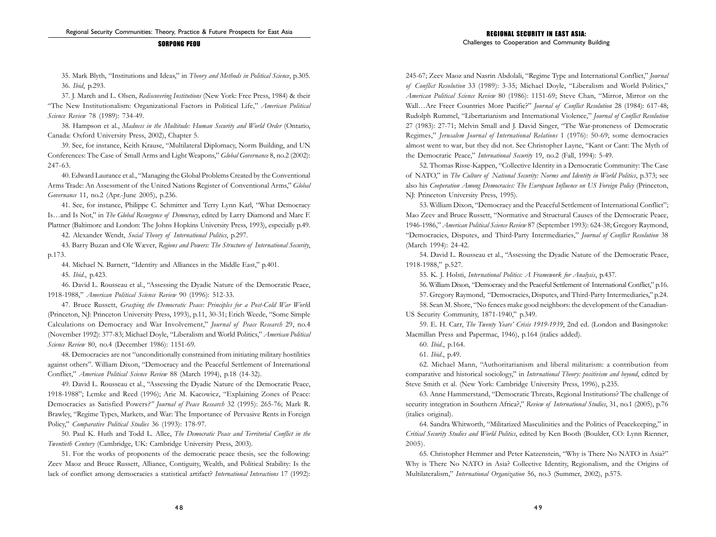35. Mark Blyth, "Institutions and Ideas," in *Theory and Methods in Political Science*, p.305. 36. *Ibid*, p.293.

37. J. March and L. Olsen, *Rediscovering Institutions* (New York: Free Press, 1984) & their "The New Institutionalism: Organizational Factors in Political Life," *American Political Science Review* 78 (1989): 734-49.

38. Hampson et al., *Madness in the Multitude: Human Security and World Order* (Ontario, Canada: Oxford University Press, 2002), Chapter 5.

39. See, for instance, Keith Krause, "Multilateral Diplomacy, Norm Building, and UN Conferences: The Case of Small Arms and Light Weapons," *Global Governance* 8, no.2 (2002): 247-63.

40. Edward Laurance et al., "Managing the Global Problems Created by the Conventional Arms Trade: An Assessment of the United Nations Register of Conventional Arms," *Global Governance* 11, no.2 (Apr.-June 2005), p.236.

41. See, for instance, Philippe C. Schmitter and Terry Lynn Karl, "What Democracy Is…and Is Not," in *The Global Resurgence of Democracy*, edited by Larry Diamond and Marc F. Plattner (Baltimore and London: The Johns Hopkins University Press, 1993), especially p.49.

42. Alexander Wendt, *Social Theory of International Politics*, p.297.

43. Barry Buzan and Ole Wæver, *Regions and Powers: The Structure of International Security*, p.173.

44. Michael N. Barnett, "Identity and Alliances in the Middle East," p.401.

45. *Ibid*., p.423.

46. David L. Rousseau et al., "Assessing the Dyadic Nature of the Democratic Peace, 1918-1988," *American Political Science Review* 90 (1996): 512-33.

47. Bruce Russett, *Grasping the Democratic Peace: Principles for a Post-Cold War Worl*d (Princeton, NJ: Princeton University Press, 1993), p.11, 30-31; Erich Weede, "Some Simple Calculations on Democracy and War Involvement," *Journal of Peace Research* 29, no.4 (November 1992): 377-83; Michael Doyle, "Liberalism and World Politics," *American Political Science Review* 80, no.4 (December 1986): 1151-69.

48. Democracies are not "unconditionally constrained from initiating military hostilities against others". William Dixon, "Democracy and the Peaceful Settlement of International Conflict," *American Political Science Review* 88 (March 1994), p.18 (14-32).

49. David L. Rousseau et al., "Assessing the Dyadic Nature of the Democratic Peace, 1918-1988"; Lemke and Reed (1996); Arie M. Kacowicz, "Explaining Zones of Peace: Democracies as Satisfied Powers*?" Journal of Peace Research* 32 (1995): 265-76; Mark R. Brawley, "Regime Types, Markets, and War: The Importance of Pervasive Rents in Foreign Policy," *Comparative Political Studies* 36 (1993): 178-97.

50. Paul K. Huth and Todd L. Allee, *The Democratic Peace and Territorial Conflict in the Twentieth Century* (Cambridge, UK: Cambridge University Press, 2003).

51. For the works of proponents of the democratic peace thesis, see the following: Zeev Maoz and Bruce Russett, Alliance, Contiguity, Wealth, and Political Stability: Is the lack of conflict among democracies a statistical artifact? *International Interactions* 17 (1992): 245-67; Zeev Maoz and Nasrin Abdolali, "Regime Type and International Conflict," *Journal of Conflict Resolution* 33 (1989): 3-35; Michael Doyle, "Liberalism and World Politics," *American Political Science Review* 80 (1986): 1151-69; Steve Chan, "Mirror, Mirror on the Wall…Are Freer Countries More Pacific?" *Journal of Conflict Resolution* 28 (1984): 617-48; Rudolph Rummel, "Libertarianism and International Violence," *Journal of Conflict Resolution* 27 (1983): 27-71; Melvin Small and J. David Singer, "The War-proneness of Democratic Regimes," *Jerusalem Journal of International Relations* 1 (1976): 50-69; some democracies almost went to war, but they did not. See Christopher Layne, "Kant or Cant: The Myth of the Democratic Peace," *International Security* 19, no.2 (Fall, 1994): 5-49.

52. Thomas Risse-Kappen, "Collective Identity in a Democratic Community: The Case of NATO," in *The Culture of National Security: Norms and Identity in World Politics*, p.373; see also his *Cooperation Among Democracies: The European Influence on US Foreign Policy* (Princeton, NJ: Princeton University Press, 1995).

53. William Dixon, "Democracy and the Peaceful Settlement of International Conflict"; Mao Zeev and Bruce Russett, "Normative and Structural Causes of the Democratic Peace, 1946-1986," *American Political Science Review* 87 (September 1993): 624-38; Gregory Raymond, "Democracies, Disputes, and Third-Party Intermediaries," *Journal of Conflict Resolution* 38 (March 1994): 24-42.

54. David L. Rousseau et al., "Assessing the Dyadic Nature of the Democratic Peace, 1918-1988," p.527.

55. K. J. Holsti, *International Politics: A Framework for Analysis*, p.437.

56. William Dixon, "Democracy and the Peaceful Settlement of International Conflict," p.16.

57. Gregory Raymond, "Democracies, Disputes, and Third-Party Intermediaries," p.24.

58. Sean M. Shore, "No fences make good neighbors: the development of the Canadian-US Security Community, 1871-1940," p.349.

59. E. H. Carr, *The Twenty Years' Crisis 1919-1939*, 2nd ed. (London and Basingstoke: Macmillan Press and Papermac, 1946), p.164 (italics added).

60. *Ibid*., p.164.

61. *Ibid*., p.49.

62. Michael Mann, "Authoritarianism and liberal militarism: a contribution from comparative and historical sociology," in *International Theory: positivism and beyond*, edited by Steve Smith et al. (New York: Cambridge University Press, 1996), p.235.

63. Anne Hammerstand, "Democratic Threats, Regional Institutions? The challenge of security integration in Southern Africa?," *Review of International Studies*, 31, no.1 (2005), p.76 (italics original).

64. Sandra Whitworth, "Militarized Masculinities and the Politics of Peacekeeping," in *Critical Security Studies and World Politics*, edited by Ken Booth (Boulder, CO: Lynn Rienner, 2005).

65. Christopher Hemmer and Peter Katzenstein, "Why is There No NATO in Asia?" Why is There No NATO in Asia? Collective Identity, Regionalism, and the Origins of Multilateralism," *International Organization* 56, no.3 (Summer, 2002), p.575.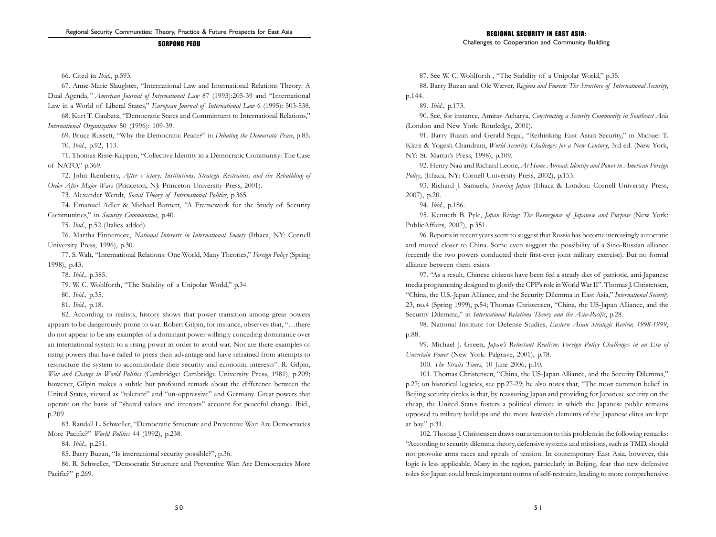67. Anne-Marie Slaughter, "International Law and International Relations Theory: A Dual Agenda*," American Journal of International Law* 87 (1993):205-39 and "International Law in a World of Liberal States," *European Journal of International Law* 6 (1995): 503-538.

68. Kurt T. Gaubatz, "Democratic States and Commitment to International Relations," *International Organization* 50 (1996): 109-39.

69. Bruce Russett, "Why the Democratic Peace?" in *Debating the Democratic Peace*, p.85. 70. *Ibid*., p.92, 113.

71. Thomas Risse-Kappen, "Collective Identity in a Democratic Community: The Case of NATO," p.369.

72. John Ikenberry, *After Victory: Institutions, Strategic Restraints, and the Rebuilding of Order After Major Wars* (Princeton, NJ: Princeton University Press, 2001).

73. Alexander Wendt, *Social Theory of International Politics*, p.365.

74. Emanuel Adler & Michael Barnett, "A Framework for the Study of Security Communities," in *Security Communities*, p.40.

75. *Ibid*., p.52 (Italics added).

76. Martha Finnemore, *National Interests in International Society* (Ithaca, NY: Cornell University Press, 1996), p.30.

77. S. Walt, "International Relations: One World, Many Theories," *Foreign Policy* (Spring 1998), p.43.

78. *Ibid*., p.385.

79. W. C. Wohlforth, "The Stability of a Unipolar World," p.34.

- 80. *Ibid*., p.35.
- 81. *Ibid*., p.18.

82. According to realists, history shows that power transition among great powers appears to be dangerously prone to war. Robert Gilpin, for instance, observes that, "…there do not appear to be any examples of a dominant power willingly conceding dominance over an international system to a rising power in order to avoid war. Nor are there examples of rising powers that have failed to press their advantage and have refrained from attempts to restructure the system to accommodate their security and economic interests". R. Gilpin, *War and Change in World Politics* (Cambridge: Cambridge University Press, 1981), p.209; however, Gilpin makes a subtle but profound remark about the difference between the United States, viewed as "tolerant" and "un-oppressive" and Germany. Great powers that operate on the basis of "shared values and interests" account for peaceful change. Ibid., p.209

83. Randall L. Schweller, "Democratic Structure and Preventive War: Are Democracies More Pacific?" *World Politics* 44 (1992), p.238.

84. *Ibid*., p.251.

85. Barry Buzan, "Is international security possible?", p.36.

86. R. Schweller, "Democratic Structure and Preventive War: Are Democracies More Pacific?" p.269.

Challenges to Cooperation and Community Building

87. See W. C. Wohlforth , "The Stability of a Unipolar World," p.35.

88. Barry Buzan and Ole Wæver, *Regions and Powers: The Structure of International Security*, p.144.

89. *Ibid*., p.173.

90. See, for instance, Amitav Acharya, *Constructing a Security Community in Southeast Asia* (London and New York: Routledge, 2001).

91. Barry Buzan and Gerald Segal, "Rethinking East Asian Security," in Michael T. Klare & Yogesh Chandrani, *World Security: Challenges for a New Century*, 3rd ed. (New York, NY: St. Martin's Press, 1998), p.109.

92. Henry Nau and Richard Leone, *At Home Abroad: Identity and Power in American Foreign Policy*, (Ithaca, NY: Cornell University Press, 2002), p.153.

93. Richard J. Samuels, *Securing Japan* (Ithaca & London: Cornell University Press, 2007), p.20.

94. *Ibid*., p.186.

95. Kenneth B. Pyle, *Japan Rising: The Resurgence of Japanese and Purpose* (New York: PublicAffairs, 2007), p.351.

96. Reports in recent years seem to suggest that Russia has become increasingly autocratic and moved closer to China. Some even suggest the possibility of a Sino-Russian alliance (recently the two powers conducted their first-ever joint military exercise). But no formal alliance between them exists.

97. "As a result, Chinese citizens have been fed a steady diet of patriotic, anti-Japanese media programming designed to glorify the CPP's role in World War II". Thomas J. Christensen, "China, the U.S.-Japan Alliance, and the Security Dilemma in East Asia," *International Security* 23, no.4 (Spring 1999), p.54; Thomas Christensen, "China, the US-Japan Alliance, and the Security Dilemma," in *International Relations Theory and the Asia-Pacific*, p.28.

98. National Institute for Defense Studies, *Eastern Asian Strategic Review, 1998-1999*, p.88.

99. Michael J. Green, *Japan's Reluctant Realism: Foreign Policy Challenges in an Era of Uncertain Power* (New York: Palgrave, 2001), p.78.

100. *The Straits Times*, 10 June 2006, p.10.

101. Thomas Christensen, "China, the US-Japan Alliance, and the Security Dilemma," p.27; on historical legacies, see pp.27-29; he also notes that, "The most common belief in Beijing security circles is that, by reassuring Japan and providing for Japanese security on the cheap, the United States fosters a political climate in which the Japanese public remains opposed to military buildups and the more hawkish elements of the Japanese elites are kept at bay." p.31.

102. Thomas J. Christensen draws our attention to this problem in the following remarks: "According to security dilemma theory, defensive systems and missions, such as TMD, should not provoke arms races and spirals of tension. In contemporary East Asia, however, this logic is less applicable. Many in the region, particularly in Beijing, fear that new defensive roles for Japan could break important norms of self-restraint, leading to more comprehensive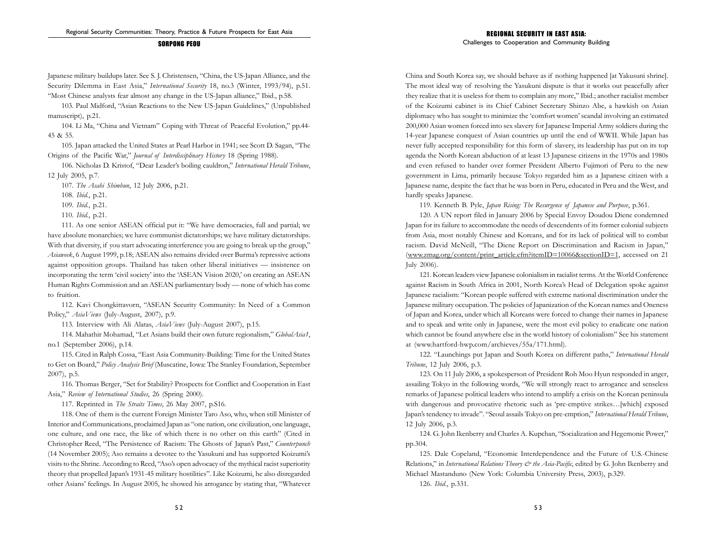Japanese military buildups later. See S. J. Christensen, "China, the US-Japan Alliance, and the Security Dilemma in East Asia," *International Security* 18, no.3 (Winter, 1993/94), p.51. "Most Chinese analysts fear almost any change in the US-Japan alliance," Ibid., p.58.

103. Paul Midford, "Asian Reactions to the New US-Japan Guidelines," (Unpublished manuscript), p.21.

104. Li Ma, "China and Vietnam" Coping with Threat of Peaceful Evolution," pp.44- 45 & 55.

105. Japan attacked the United States at Pearl Harbor in 1941; see Scott D. Sagan, "The Origins of the Pacific War," *Journal of Interdisciplinary History* 18 (Spring 1988).

106. Nicholas D. Kristof, "Dear Leader's boiling cauldron," *International Herald Tribune*, 12 July 2005, p.7.

107. *The Asahi Shimbun*, 12 July 2006, p.21.

108. *Ibid.*, p.21.

109. *Ibid.*, p.21.

110. *Ibid.*, p.21.

111. As one senior ASEAN official put it: "We have democracies, full and partial; we have absolute monarchies; we have communist dictatorships; we have military dictatorships. With that diversity, if you start advocating interference you are going to break up the group," *Asiaweek*, 6 August 1999, p.18; ASEAN also remains divided over Burma's repressive actions against opposition groups. Thailand has taken other liberal initiatives — insistence on incorporating the term 'civil society' into the 'ASEAN Vision 2020,' on creating an ASEAN Human Rights Commission and an ASEAN parliamentary body — none of which has come to fruition.

112. Kavi Chongkittavorn, "ASEAN Security Community: In Need of a Common Policy," *AsiaViews* (July-August, 2007), p.9.

113. Interview with Ali Alatas, *AsiaViews* (July-August 2007), p.15.

114. Mahathir Mohamad, "Let Asians build their own future regionalism," *GlobalAsia1*, no.1 (September 2006), p.14.

115. Cited in Ralph Cossa, "East Asia Community-Building: Time for the United States to Get on Board," *Policy Analysis Brief* (Muscatine, Iowa: The Stanley Foundation, September 2007), p.5.

116. Thomas Berger, "Set for Stability? Prospects for Conflict and Cooperation in East Asia," *Review of International Studies*, 26 (Spring 2000).

117. Reprinted in *The Straits Times*, 26 May 2007, p.S16.

118. One of them is the current Foreign Minister Taro Aso, who, when still Minister of Interior and Communications, proclaimed Japan as "one nation, one civilization, one language, one culture, and one race, the like of which there is no other on this earth" (Cited in Christopher Reed, "The Persistence of Racism: The Ghosts of Japan's Past," *Counterpunch* (14 November 2005); Aso remains a devotee to the Yasukuni and has supported Koizumi's visits to the Shrine. According to Reed, "Aso's open advocacy of the mythical racist superiority theory that propelled Japan's 1931-45 military hostilities". Like Koizumi, he also disregarded other Asians' feelings. In August 2005, he showed his arrogance by stating that, "Whatever

China and South Korea say, we should behave as if nothing happened [at Yakusuni shrine]. The most ideal way of resolving the Yasukuni dispute is that it works out peacefully after they realize that it is useless for them to complain any more," Ibid.; another racialist member of the Koizumi cabinet is its Chief Cabinet Secretary Shinzo Abe, a hawkish on Asian diplomacy who has sought to minimize the 'comfort women' scandal involving an estimated 200,000 Asian women forced into sex slavery for Japanese Imperial Army soldiers during the 14-year Japanese conquest of Asian countries up until the end of WWII. While Japan has never fully accepted responsibility for this form of slavery, its leadership has put on its top agenda the North Korean abduction of at least 13 Japanese citizens in the 1970s and 1980s and even refused to hander over former President Alberto Fujimori of Peru to the new government in Lima, primarily because Tokyo regarded him as a Japanese citizen with a Japanese name, despite the fact that he was born in Peru, educated in Peru and the West, and hardly speaks Japanese.

119. Kenneth B. Pyle, *Japan Rising: The Resurgence of Japanese and Purpose*, p.361.

120. A UN report filed in January 2006 by Special Envoy Doudou Diene condemned Japan for its failure to accommodate the needs of descendents of its former colonial subjects from Asia, most notably Chinese and Koreans, and for its lack of political will to combat racism. David McNeill, "The Diene Report on Discrimination and Racism in Japan," (www.zmag.org/content/print\_article.cfm?itemID=10066&sectionID=1, accessed on 21 July 2006).

121. Korean leaders view Japanese colonialism in racialist terms. At the World Conference against Racism in South Africa in 2001, North Korea's Head of Delegation spoke against Japanese racialism: "Korean people suffered with extreme national discrimination under the Japanese military occupation. The policies of Japanization of the Korean names and Oneness of Japan and Korea, under which all Koreans were forced to change their names in Japanese and to speak and write only in Japanese, were the most evil policy to eradicate one nation which cannot be found anywhere else in the world history of colonialism" See his statement at (www.hartford-hwp.com/archieves/55a/171.html).

122. "Launchings put Japan and South Korea on different paths," *International Herald Tribune*, 12 July 2006, p.3.

123. On 11 July 2006, a spokesperson of President Roh Moo Hyun responded in anger, assailing Tokyo in the following words, "We will strongly react to arrogance and senseless remarks of Japanese political leaders who intend to amplify a crisis on the Korean peninsula with dangerous and provocative rhetoric such as 'pre-emptive strikes…[which] exposed Japan's tendency to invade". "Seoul assails Tokyo on pre-emption," *International Herald Tribune*, 12 July 2006, p.3.

124. G. John Ikenberry and Charles A. Kupchan, "Socialization and Hegemonic Power," pp.304.

125. Dale Copeland, "Economic Interdependence and the Future of U.S.-Chinese Relations," in *International Relations Theory & the Asia-Pacific*, edited by G. John Ikenberry and Michael Mastanduno (New York: Columbia University Press, 2003), p.329.

126. *Ibid*., p.331.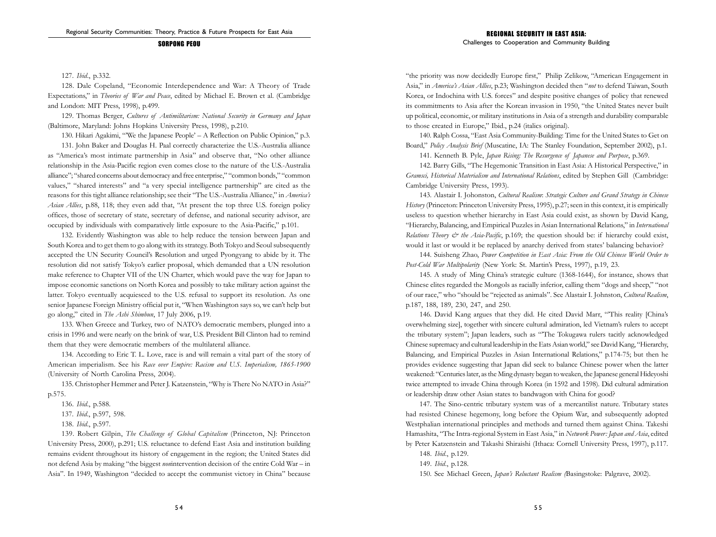#### 127. *Ibid*., p.332.

128. Dale Copeland, "Economic Interdependence and War: A Theory of Trade Expectations," in *Theories of War and Peace*, edited by Michael E. Brown et al. (Cambridge and London: MIT Press, 1998), p.499.

129. Thomas Berger, *Cultures of Antimilitarism: National Security in Germany and Japan* (Baltimore, Maryland: Johns Hopkins University Press, 1998), p.210.

130. Hikari Agakimi, "'We the Japanese People' – A Reflection on Public Opinion," p.3.

131. John Baker and Douglas H. Paal correctly characterize the U.S.-Australia alliance as "America's most intimate partnership in Asia" and observe that, "No other alliance relationship in the Asia-Pacific region even comes close to the nature of the U.S.-Australia alliance"; "shared concerns about democracy and free enterprise," "common bonds," "common values," "shared interests" and "a very special intelligence partnership" are cited as the reasons for this tight alliance relationship; see their "The U.S.-Australia Alliance," in *America's Asian Allies*, p.88, 118; they even add that, "At present the top three U.S. foreign policy offices, those of secretary of state, secretary of defense, and national security advisor, are occupied by individuals with comparatively little exposure to the Asia-Pacific," p.101.

132. Evidently Washington was able to help reduce the tension between Japan and South Korea and to get them to go along with its strategy. Both Tokyo and Seoul subsequently accepted the UN Security Council's Resolution and urged Pyongyang to abide by it. The resolution did not satisfy Tokyo's earlier proposal, which demanded that a UN resolution make reference to Chapter VII of the UN Charter, which would pave the way for Japan to impose economic sanctions on North Korea and possibly to take military action against the latter. Tokyo eventually acquiesced to the U.S. refusal to support its resolution. As one senior Japanese Foreign Ministry official put it, "When Washington says so, we can't help but go along," cited in *The Ashi Shimbun*, 17 July 2006, p.19.

133. When Greece and Turkey, two of NATO's democratic members, plunged into a crisis in 1996 and were nearly on the brink of war, U.S. President Bill Clinton had to remind them that they were democratic members of the multilateral alliance.

134. According to Eric T. L. Love, race is and will remain a vital part of the story of American imperialism. See his *Race over Empire: Racism and U.S. Imperialism, 1865-1900* (University of North Carolina Press, 2004).

135. Christopher Hemmer and Peter J. Katzenstein, "Why is There No NATO in Asia?" p.575.

139. Robert Gilpin, *The Challenge of Global Capitalism* (Princeton, NJ: Princeton University Press, 2000), p.291; U.S. reluctance to defend East Asia and institution building remains evident throughout its history of engagement in the region; the United States did not defend Asia by making "the biggest *non*intervention decision of the entire Cold War – in Asia". In 1949, Washington "decided to accept the communist victory in China" because "the priority was now decidedly Europe first," Philip Zelikow, "American Engagement in Asia," in *America's Asian Allies*, p.23; Washington decided then "*not* to defend Taiwan, South Korea, or Indochina with U.S. forces" and despite positive changes of policy that renewed its commitments to Asia after the Korean invasion in 1950, "the United States never built up political, economic, or military institutions in Asia of a strength and durability comparable to those created in Europe," Ibid., p.24 (italics original).

140. Ralph Cossa, "East Asia Community-Building: Time for the United States to Get on Board," *Policy Analysis Brief* (Muscatine, IA: The Stanley Foundation, September 2002), p.1.

141. Kenneth B. Pyle, *Japan Rising: The Resurgence of Japanese and Purpose*, p.369.

142. Barry Gills, "The Hegemonic Transition in East Asia: A Historical Perspective," in *Gramsci, Historical Materialism and International Relations*, edited by Stephen Gill (Cambridge: Cambridge University Press, 1993).

143. Alastair I. Johonston, *Cultural Realism*: *Strategic Culture and Grand Strategy in Chinese History* (Princeton: Princeton University Press, 1995), p.27; seen in this context, it is empirically useless to question whether hierarchy in East Asia could exist, as shown by David Kang, "Hierarchy, Balancing, and Empirical Puzzles in Asian International Relations," in *International Relations Theory & the Asia-Pacific*, p.169; the question should be: if hierarchy could exist, would it last or would it be replaced by anarchy derived from states' balancing behavior?

144. Suisheng Zhao, *Power Competition in East Asia: From the Old Chinese World Order to Post-Cold War Multipolarity* (New York: St. Martin's Press, 1997), p.19, 23.

145. A study of Ming China's strategic culture (1368-1644), for instance, shows that Chinese elites regarded the Mongols as racially inferior, calling them "dogs and sheep," "not of our race," who "should be "rejected as animals". See Alastair I. Johnston, *Cultural Realism*, p.187, 188, 189, 230, 247, and 250.

146. David Kang argues that they did. He cited David Marr, "'This reality [China's overwhelming size], together with sincere cultural admiration, led Vietnam's rulers to accept the tributary system"; Japan leaders, such as "'The Tokugawa rulers tacitly acknowledged Chinese supremacy and cultural leadership in the Eats Asian world," see David Kang, "Hierarchy, Balancing, and Empirical Puzzles in Asian International Relations," p.174-75; but then he provides evidence suggesting that Japan did seek to balance Chinese power when the latter weakened: "Centuries later, as the Ming dynasty began to weaken, the Japanese general Hideyoshi twice attempted to invade China through Korea (in 1592 and 1598). Did cultural admiration or leadership draw other Asian states to bandwagon with China for good?

147. The Sino-centric tributary system was of a mercantilist nature. Tributary states had resisted Chinese hegemony, long before the Opium War, and subsequently adopted Westphalian international principles and methods and turned them against China. Takeshi Hamashita, "The Intra-regional System in East Asia," in *Network Power: Japan and Asia*, edited by Peter Katzenstein and Takashi Shiraishi (Ithaca: Cornell University Press, 1997), p.117.

148. *Ibid*., p.129.

149. *Ibid*., p.128.

150. See Michael Green, *Japan's Reluctant Realism (*Basingstoke: Palgrave, 2002).

<sup>136.</sup> *Ibid*., p.588.

<sup>137.</sup> *Ibid*., p.597, 598.

<sup>138.</sup> *Ibid*., p.597.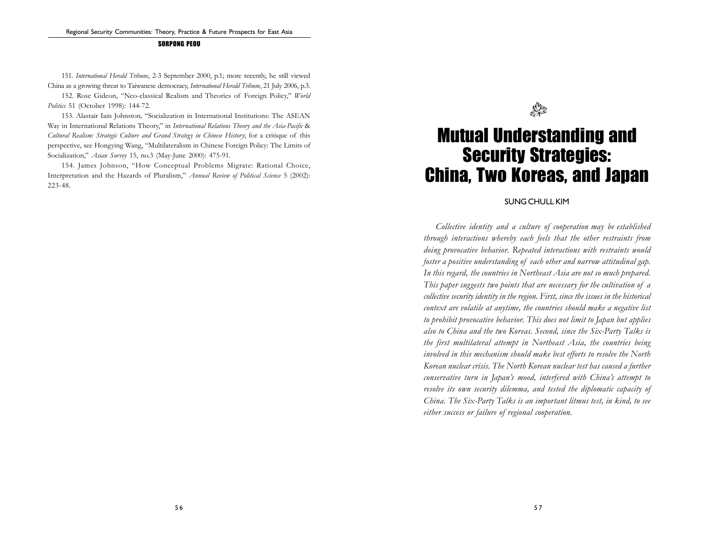151. *International Herald Tribune*, 2-3 September 2000, p.1; more recently, he still viewed China as a growing threat to Taiwanese democracy, *International Herald Tribune*, 21 July 2006, p.3.

152. Rose Gideon, "Neo-classical Realism and Theories of Foreign Policy," *World Politics* 51 (October 1998): 144-72.

153. Alastair Iain Johnston*,* "Socialization in International Institutions: The ASEAN Way in International Relations Theory," in *International Relations Theory and the Asia-Pacific* & *Cultural Realism: Strategic Culture and Grand Strategy in Chinese History*; for a critique of this perspective, see Hongying Wang, "Multilateralism in Chinese Foreign Policy: The Limits of Socialization," *Asian Survey* 15, no.3 (May-June 2000): 475-91.

154. James Johnson, "How Conceptual Problems Migrate: Rational Choice, Interpretation and the Hazards of Pluralism," *Annual Review of Political Science* 5 (2002): 223-48.

# Mutual Understanding and Security Strategies: China, Two Koreas, and Japan

 $\mathcal{E}^{\prime\prime\prime}_{\mathcal{E}}$ 

# SUNG CHULL KIM

*Collective identity and a culture of cooperation may be established through interactions whereby each feels that the other restraints from doing provocative behavior. Repeated interactions with restraints would foster a positive understanding of each other and narrow attitudinal gap. In this regard, the countries in Northeast Asia are not so much prepared. This paper suggests two points that are necessary for the cultivation of <sup>a</sup> collective security identity in the region. First, since the issues in the historical context are volatile at anytime, the countries should make a negative list to prohibit provocative behavior. This does not limit to Japan but applies also to China and the two Koreas. Second, since the Six-Party Talks is the first multilateral attempt in Northeast Asia, the countries being involved in this mechanism should make best efforts to resolve the North Korean nuclear crisis. The North Korean nuclear test has caused a further conservative turn in Japan's mood, interfered with China's attempt to resolve its own security dilemma, and tested the diplomatic capacity of China. The Six-Party Talks is an important litmus test, in kind, to see either success or failure of regional cooperation.*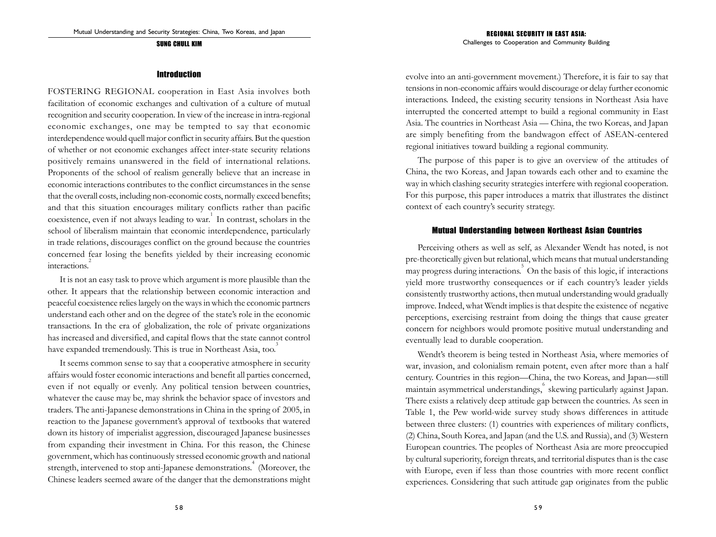## Introduction

FOSTERING REGIONAL cooperation in East Asia involves both facilitation of economic exchanges and cultivation of a culture of mutual recognition and security cooperation. In view of the increase in intra-regional economic exchanges, one may be tempted to say that economic interdependence would quell major conflict in security affairs. But the question of whether or not economic exchanges affect inter-state security relations positively remains unanswered in the field of international relations. Proponents of the school of realism generally believe that an increase in economic interactions contributes to the conflict circumstances in the sense that the overall costs, including non-economic costs, normally exceed benefits; and that this situation encourages military conflicts rather than pacific coexistence, even if not always leading to war.<sup>1</sup> In contrast, scholars in the school of liberalism maintain that economic interdependence, particularly in trade relations, discourages conflict on the ground because the countries concerned fear losing the benefits yielded by their increasing economic interactions.

It is not an easy task to prove which argument is more plausible than the other. It appears that the relationship between economic interaction and peaceful coexistence relies largely on the ways in which the economic partners understand each other and on the degree of the state's role in the economic transactions. In the era of globalization, the role of private organizations has increased and diversified, and capital flows that the state cannot control have expanded tremendously. This is true in Northeast Asia, too.<sup>3</sup>

It seems common sense to say that a cooperative atmosphere in security affairs would foster economic interactions and benefit all parties concerned, even if not equally or evenly. Any political tension between countries, whatever the cause may be, may shrink the behavior space of investors and traders. The anti-Japanese demonstrations in China in the spring of 2005, in reaction to the Japanese government's approval of textbooks that watered down its history of imperialist aggression, discouraged Japanese businesses from expanding their investment in China. For this reason, the Chinese government, which has continuously stressed economic growth and national strength, intervened to stop anti-Japanese demonstrations. (Moreover, the Chinese leaders seemed aware of the danger that the demonstrations might

interactions. Indeed, the existing security tensions in Northeast Asia have interrupted the concerted attempt to build a regional community in East Asia. The countries in Northeast Asia — China, the two Koreas, and Japan are simply benefiting from the bandwagon effect of ASEAN-centered regional initiatives toward building a regional community.

The purpose of this paper is to give an overview of the attitudes of China, the two Koreas, and Japan towards each other and to examine the way in which clashing security strategies interfere with regional cooperation. For this purpose, this paper introduces a matrix that illustrates the distinct context of each country's security strategy.

## Mutual Understanding between Northeast Asian Countries

Perceiving others as well as self, as Alexander Wendt has noted, is not pre-theoretically given but relational, which means that mutual understanding may progress during interactions.<sup>7</sup> On the basis of this logic, if interactions yield more trustworthy consequences or if each country's leader yields consistently trustworthy actions, then mutual understanding would gradually improve. Indeed, what Wendt implies is that despite the existence of negative perceptions, exercising restraint from doing the things that cause greater concern for neighbors would promote positive mutual understanding and eventually lead to durable cooperation.

Wendt's theorem is being tested in Northeast Asia, where memories of war, invasion, and colonialism remain potent, even after more than a half century. Countries in this region—China, the two Koreas, and Japan—still maintain asymmetrical understandings, skewing particularly against Japan. There exists a relatively deep attitude gap between the countries. As seen in Table 1, the Pew world-wide survey study shows differences in attitude between three clusters: (1) countries with experiences of military conflicts, (2) China, South Korea, and Japan (and the U.S. and Russia), and (3) Western European countries. The peoples of Northeast Asia are more preoccupied by cultural superiority, foreign threats, and territorial disputes than is the case with Europe, even if less than those countries with more recent conflict experiences. Considering that such attitude gap originates from the public

evolve into an anti-government movement.) Therefore, it is fair to say that tensions in non-economic affairs would discourage or delay further economic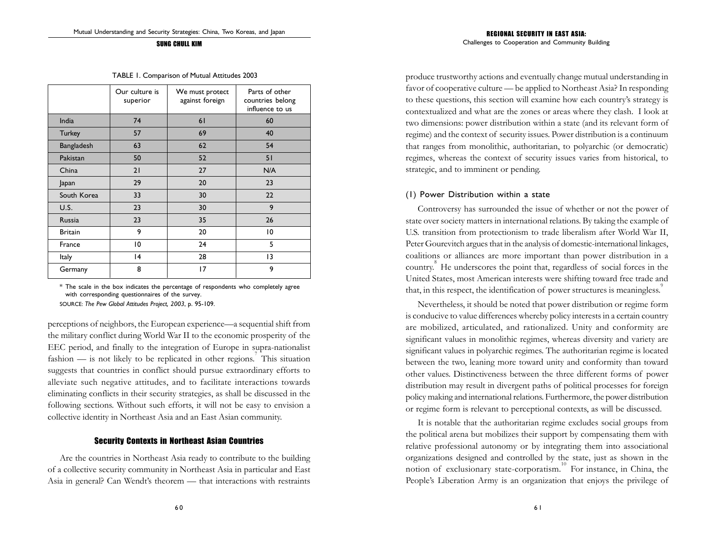TABLE 1. Comparison of Mutual Attitudes 2003

|                | Our culture is<br>superior | We must protect<br>against foreign | Parts of other<br>countries belong<br>influence to us |
|----------------|----------------------------|------------------------------------|-------------------------------------------------------|
| India          | 74                         | 61                                 | 60                                                    |
| Turkey         | 57                         | 69                                 | 40                                                    |
| Bangladesh     | 63                         | 62                                 | 54                                                    |
| Pakistan       | 50                         | 52                                 | 51                                                    |
| China          | 21                         | 27                                 | N/A                                                   |
| Japan          | 29                         | 20                                 | 23                                                    |
| South Korea    | 33                         | 30                                 | 22                                                    |
| U.S.           | 23                         | 30                                 | 9                                                     |
| <b>Russia</b>  | 23                         | 35                                 | 26                                                    |
| <b>Britain</b> | 9                          | 20                                 | 10                                                    |
| France         | 10                         | 24                                 | 5                                                     |
| Italy          | 4                          | 28                                 | 3                                                     |
| Germany        | 8                          | 17                                 | 9                                                     |

 $^\ast$  The scale in the box indicates the percentage of respondents who completely agree with corresponding questionnaires of the survey.

SOURCE: *The Pew Global Attitudes Project, 2003*, p. 95-109.

perceptions of neighbors, the European experience—a sequential shift from the military conflict during World War II to the economic prosperity of the EEC period, and finally to the integration of Europe in supra-nationalist fashion  $-$  is not likely to be replicated in other regions.<sup> $\dot{ }$ </sup> This situation suggests that countries in conflict should pursue extraordinary efforts to alleviate such negative attitudes, and to facilitate interactions towards eliminating conflicts in their security strategies, as shall be discussed in the following sections. Without such efforts, it will not be easy to envision a collective identity in Northeast Asia and an East Asian community.

## Security Contexts in Northeast Asian Countries

Are the countries in Northeast Asia ready to contribute to the building of a collective security community in Northeast Asia in particular and East Asia in general? Can Wendt's theorem — that interactions with restraints

produce trustworthy actions and eventually change mutual understanding in favor of cooperative culture — be applied to Northeast Asia? In responding to these questions, this section will examine how each country's strategy is contextualized and what are the zones or areas where they clash. I look at two dimensions: power distribution within a state (and its relevant form of regime) and the context of security issues. Power distribution is a continuum that ranges from monolithic, authoritarian, to polyarchic (or democratic) regimes, whereas the context of security issues varies from historical, to strategic, and to imminent or pending.

# (1) Power Distribution within a state

Controversy has surrounded the issue of whether or not the power of state over society matters in international relations. By taking the example of U.S. transition from protectionism to trade liberalism after World War II, Peter Gourevitch argues that in the analysis of domestic-international linkages, coalitions or alliances are more important than power distribution in a country. 8 He underscores the point that, regardless of social forces in the United States, most American interests were shifting toward free trade and that, in this respect, the identification of power structures is meaningless.

Nevertheless, it should be noted that power distribution or regime form is conducive to value differences whereby policy interests in a certain country are mobilized, articulated, and rationalized. Unity and conformity are significant values in monolithic regimes, whereas diversity and variety are significant values in polyarchic regimes. The authoritarian regime is located between the two, leaning more toward unity and conformity than toward other values. Distinctiveness between the three different forms of power distribution may result in divergent paths of political processes for foreign policy making and international relations. Furthermore, the power distribution or regime form is relevant to perceptional contexts, as will be discussed.

It is notable that the authoritarian regime excludes social groups from the political arena but mobilizes their support by compensating them with relative professional autonomy or by integrating them into associational organizations designed and controlled by the state, just as shown in the notion of exclusionary state-corporatism. 10 For instance, in China, the People's Liberation Army is an organization that enjoys the privilege of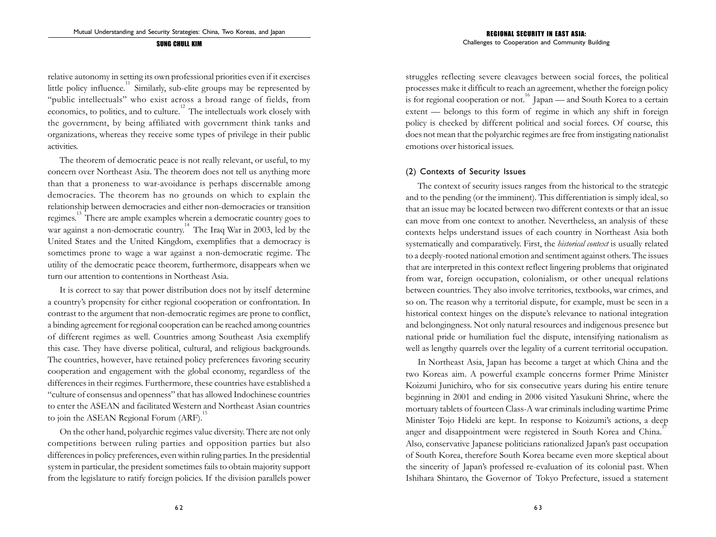relative autonomy in setting its own professional priorities even if it exercises little policy influence.<sup>11</sup> Similarly, sub-elite groups may be represented by "public intellectuals" who exist across a broad range of fields, from economics, to politics, and to culture.<sup>12</sup> The intellectuals work closely with the government, by being affiliated with government think tanks and organizations, whereas they receive some types of privilege in their public activities.

The theorem of democratic peace is not really relevant, or useful, to my concern over Northeast Asia. The theorem does not tell us anything more than that a proneness to war-avoidance is perhaps discernable among democracies. The theorem has no grounds on which to explain the relationship between democracies and either non-democracies or transition regimes.<sup>13</sup> There are ample examples wherein a democratic country goes to war against a non-democratic country.<sup>14</sup> The Iraq War in 2003, led by the United States and the United Kingdom, exemplifies that a democracy is sometimes prone to wage a war against a non-democratic regime. The utility of the democratic peace theorem, furthermore, disappears when we turn our attention to contentions in Northeast Asia.

It is correct to say that power distribution does not by itself determine a country's propensity for either regional cooperation or confrontation. In contrast to the argument that non-democratic regimes are prone to conflict, a binding agreement for regional cooperation can be reached among countries of different regimes as well. Countries among Southeast Asia exemplify this case. They have diverse political, cultural, and religious backgrounds. The countries, however, have retained policy preferences favoring security cooperation and engagement with the global economy, regardless of the differences in their regimes. Furthermore, these countries have established a "culture of consensus and openness" that has allowed Indochinese countries to enter the ASEAN and facilitated Western and Northeast Asian countries to join the ASEAN Regional Forum (ARF).<sup>15</sup>

On the other hand, polyarchic regimes value diversity. There are not only competitions between ruling parties and opposition parties but also differences in policy preferences, even within ruling parties. In the presidential system in particular, the president sometimes fails to obtain majority support from the legislature to ratify foreign policies. If the division parallels power struggles reflecting severe cleavages between social forces, the political processes make it difficult to reach an agreement, whether the foreign policy is for regional cooperation or not. 16 Japan — and South Korea to a certain extent — belongs to this form of regime in which any shift in foreign policy is checked by different political and social forces. Of course, this does not mean that the polyarchic regimes are free from instigating nationalist emotions over historical issues.

## (2) Contexts of Security Issues

The context of security issues ranges from the historical to the strategic and to the pending (or the imminent). This differentiation is simply ideal, so that an issue may be located between two different contexts or that an issue can move from one context to another. Nevertheless, an analysis of these contexts helps understand issues of each country in Northeast Asia both systematically and comparatively. First, the *historical context* is usually related to a deeply-rooted national emotion and sentiment against others. The issues that are interpreted in this context reflect lingering problems that originated from war, foreign occupation, colonialism, or other unequal relations between countries. They also involve territories, textbooks, war crimes, and so on. The reason why a territorial dispute, for example, must be seen in a historical context hinges on the dispute's relevance to national integration and belongingness. Not only natural resources and indigenous presence but national pride or humiliation fuel the dispute, intensifying nationalism as well as lengthy quarrels over the legality of a current territorial occupation.

In Northeast Asia, Japan has become a target at which China and the two Koreas aim. A powerful example concerns former Prime Minister Koizumi Junichiro, who for six consecutive years during his entire tenure beginning in 2001 and ending in 2006 visited Yasukuni Shrine, where the mortuary tablets of fourteen Class-A war criminals including wartime Prime Minister Tojo Hideki are kept. In response to Koizumi's actions, a deep anger and disappointment were registered in South Korea and China.<sup>17</sup> Also, conservative Japanese politicians rationalized Japan's past occupation of South Korea, therefore South Korea became even more skeptical about the sincerity of Japan's professed re-evaluation of its colonial past. When Ishihara Shintaro, the Governor of Tokyo Prefecture, issued a statement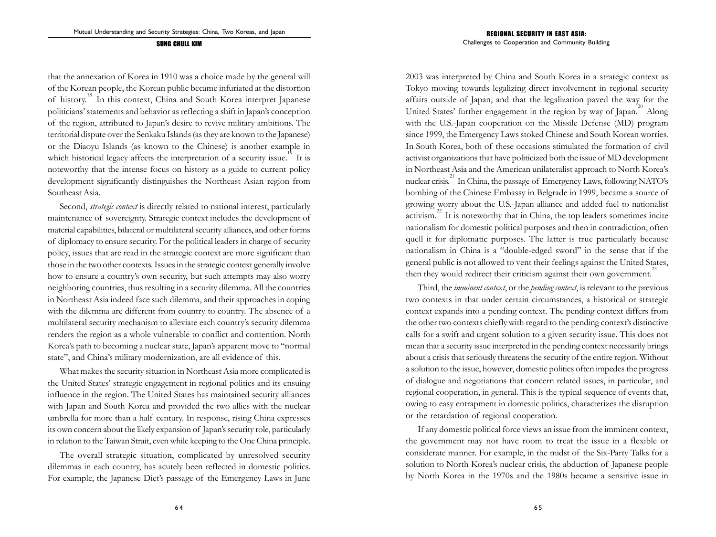that the annexation of Korea in 1910 was a choice made by the general will of the Korean people, the Korean public became infuriated at the distortion of history.<sup>18</sup> In this context, China and South Korea interpret Japanese politicians' statements and behavior as reflecting a shift in Japan's conception of the region, attributed to Japan's desire to revive military ambitions. The territorial dispute over the Senkaku Islands (as they are known to the Japanese) or the Diaoyu Islands (as known to the Chinese) is another example in which historical legacy affects the interpretation of a security issue.<sup>19</sup> It is noteworthy that the intense focus on history as a guide to current policy development significantly distinguishes the Northeast Asian region from Southeast Asia.

Second, *strategic context* is directly related to national interest, particularly maintenance of sovereignty. Strategic context includes the development of material capabilities, bilateral or multilateral security alliances, and other forms of diplomacy to ensure security. For the political leaders in charge of security policy, issues that are read in the strategic context are more significant than those in the two other contexts. Issues in the strategic context generally involve how to ensure a country's own security, but such attempts may also worry neighboring countries, thus resulting in a security dilemma. All the countries in Northeast Asia indeed face such dilemma, and their approaches in coping with the dilemma are different from country to country. The absence of <sup>a</sup> multilateral security mechanism to alleviate each country's security dilemma renders the region as a whole vulnerable to conflict and contention. North Korea's path to becoming a nuclear state, Japan's apparent move to "normal state", and China's military modernization, are all evidence of this.

What makes the security situation in Northeast Asia more complicated is the United States' strategic engagement in regional politics and its ensuing influence in the region. The United States has maintained security alliances with Japan and South Korea and provided the two allies with the nuclear umbrella for more than a half century. In response, rising China expresses its own concern about the likely expansion of Japan's security role, particularly in relation to the Taiwan Strait, even while keeping to the One China principle.

The overall strategic situation, complicated by unresolved security dilemmas in each country, has acutely been reflected in domestic politics. For example, the Japanese Diet's passage of the Emergency Laws in June

2003 was interpreted by China and South Korea in a strategic context as Tokyo moving towards legalizing direct involvement in regional security affairs outside of Japan, and that the legalization paved the way for the United States' further engagement in the region by way of Japan.<sup>20</sup> Along with the U.S.-Japan cooperation on the Missile Defense (MD) program since 1999, the Emergency Laws stoked Chinese and South Korean worries. In South Korea, both of these occasions stimulated the formation of civil activist organizations that have politicized both the issue of MD development in Northeast Asia and the American unilateralist approach to North Korea's nuclear crisis.<sup>21</sup> In China, the passage of Emergency Laws, following NATO's bombing of the Chinese Embassy in Belgrade in 1999, became a source of growing worry about the U.S.-Japan alliance and added fuel to nationalist activism.<sup>22</sup> It is noteworthy that in China, the top leaders sometimes incite nationalism for domestic political purposes and then in contradiction, often quell it for diplomatic purposes. The latter is true particularly because nationalism in China is a "double-edged sword" in the sense that if the general public is not allowed to vent their feelings against the United States, then they would redirect their criticism against their own government.<sup>23</sup>

Third, the *imminent context*, or the *pending context*, is relevant to the previous two contexts in that under certain circumstances, a historical or strategic context expands into a pending context. The pending context differs from the other two contexts chiefly with regard to the pending context's distinctive calls for a swift and urgent solution to a given security issue. This does not mean that a security issue interpreted in the pending context necessarily brings about a crisis that seriously threatens the security of the entire region. Without a solution to the issue, however, domestic politics often impedes the progress of dialogue and negotiations that concern related issues, in particular, and regional cooperation, in general. This is the typical sequence of events that, owing to easy entrapment in domestic politics, characterizes the disruption or the retardation of regional cooperation.

If any domestic political force views an issue from the imminent context, the government may not have room to treat the issue in a flexible or considerate manner. For example, in the midst of the Six-Party Talks for a solution to North Korea's nuclear crisis, the abduction of Japanese people by North Korea in the 1970s and the 1980s became a sensitive issue in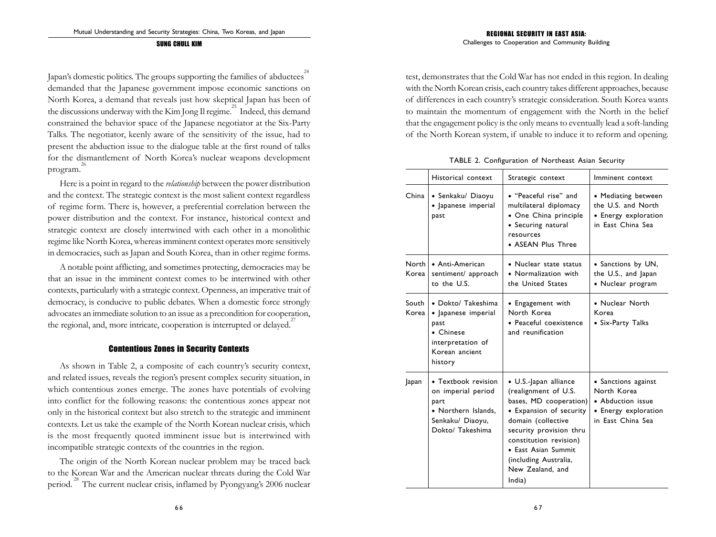Japan's domestic politics. The groups supporting the families of abductees 24 demanded that the Japanese government impose economic sanctions on North Korea, a demand that reveals just how skeptical Japan has been of the discussions underway with the Kim Jong Il regime.<sup>25</sup> Indeed, this demand constrained the behavior space of the Japanese negotiator at the Six-Party Talks. The negotiator, keenly aware of the sensitivity of the issue, had to present the abduction issue to the dialogue table at the first round of talks for the dismantlement of North Korea's nuclear weapons development program. 26

Here is a point in regard to the *relationship* between the power distribution and the context. The strategic context is the most salient context regardless of regime form. There is, however, a preferential correlation between the power distribution and the context. For instance, historical context and strategic context are closely intertwined with each other in a monolithic regime like North Korea, whereas imminent context operates more sensitively in democracies, such as Japan and South Korea, than in other regime forms.

A notable point afflicting, and sometimes protecting, democracies may be that an issue in the imminent context comes to be intertwined with other contexts, particularly with a strategic context. Openness, an imperative trait of democracy, is conducive to public debates. When a domestic force strongly advocates an immediate solution to an issue as a precondition for cooperation, the regional, and, more intricate, cooperation is interrupted or delayed.<sup>27</sup>

## Contentious Zones in Security Contexts

As shown in Table 2, a composite of each country's security context, and related issues, reveals the region's present complex security situation, in which contentious zones emerge. The zones have potentials of evolving into conflict for the following reasons: the contentious zones appear not only in the historical context but also stretch to the strategic and imminent contexts. Let us take the example of the North Korean nuclear crisis, which is the most frequently quoted imminent issue but is intertwined with incompatible strategic contexts of the countries in the region.

The origin of the North Korean nuclear problem may be traced back to the Korean War and the American nuclear threats during the Cold War period.<sup>28</sup> The current nuclear crisis, inflamed by Pyongyang's 2006 nuclear

test, demonstrates that the Cold War has not ended in this region. In dealing with the North Korean crisis, each country takes different approaches, because of differences in each country's strategic consideration. South Korea wants to maintain the momentum of engagement with the North in the belief that the engagement policy is the only means to eventually lead a soft-landing of the North Korean system, if unable to induce it to reform and opening.

| TABLE 2. Configuration of Northeast Asian Security |  |  |  |
|----------------------------------------------------|--|--|--|
|----------------------------------------------------|--|--|--|

|                | Historical context                                                                                               | Strategic context                                                                                                                                                                                                                                           | Imminent context                                                                                     |
|----------------|------------------------------------------------------------------------------------------------------------------|-------------------------------------------------------------------------------------------------------------------------------------------------------------------------------------------------------------------------------------------------------------|------------------------------------------------------------------------------------------------------|
| China          | • Senkaku/ Diaoyu<br>• Japanese imperial<br>past                                                                 | • "Peaceful rise" and<br>multilateral diplomacy<br>• One China principle<br>• Securing natural<br>resources<br>• ASEAN Plus Three                                                                                                                           | • Mediating between<br>the U.S. and North<br>• Energy exploration<br>in East China Sea               |
| North<br>Korea | • Anti-American<br>sentiment/ approach<br>to the U.S.                                                            | • Nuclear state status<br>• Normalization with<br>the United States                                                                                                                                                                                         | • Sanctions by UN,<br>the U.S., and Japan<br>• Nuclear program                                       |
| South<br>Korea | • Dokto/ Takeshima<br>• Japanese imperial<br>past<br>• Chinese<br>interpretation of<br>Korean ancient<br>history | • Engagement with<br>North Korea<br>· Peaceful coexistence<br>and reunification                                                                                                                                                                             | • Nuclear North<br>Korea<br>• Six-Party Talks                                                        |
| Japan          | • Textbook revision<br>on imperial period<br>part<br>• Northern Islands,<br>Senkaku/ Diaoyu,<br>Dokto/ Takeshima | · U.S.-Japan alliance<br>(realignment of U.S.<br>bases, MD cooperation)<br>• Expansion of security<br>domain (collective<br>security provision thru<br>constitution revision)<br>• East Asian Summit<br>(including Australia,<br>New Zealand, and<br>India) | • Sanctions against<br>North Korea<br>• Abduction issue<br>• Energy exploration<br>in East China Sea |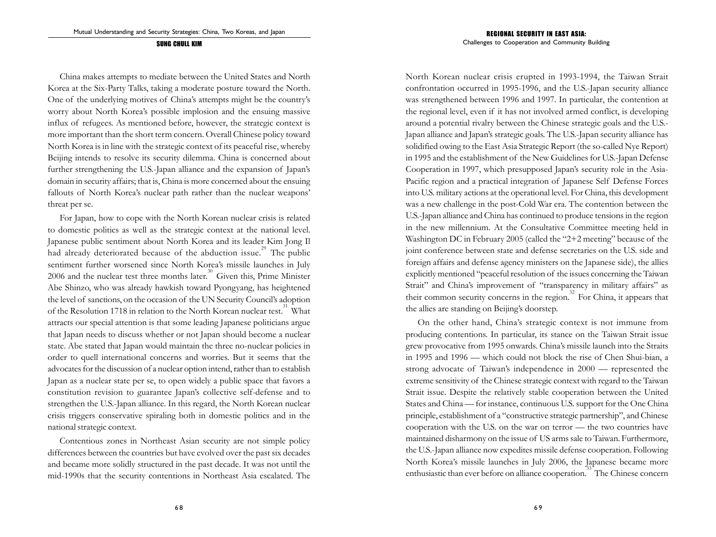China makes attempts to mediate between the United States and North Korea at the Six-Party Talks, taking a moderate posture toward the North. One of the underlying motives of China's attempts might be the country's worry about North Korea's possible implosion and the ensuing massive influx of refugees. As mentioned before, however, the strategic context is more important than the short term concern. Overall Chinese policy toward North Korea is in line with the strategic context of its peaceful rise, whereby Beijing intends to resolve its security dilemma. China is concerned about further strengthening the U.S.-Japan alliance and the expansion of Japan's domain in security affairs; that is, China is more concerned about the ensuing fallouts of North Korea's nuclear path rather than the nuclear weapons' threat per se.

For Japan, how to cope with the North Korean nuclear crisis is related to domestic politics as well as the strategic context at the national level. Japanese public sentiment about North Korea and its leader Kim Jong Il had already deteriorated because of the abduction issue.<sup>29</sup> The public sentiment further worsened since North Korea's missile launches in July  $2006$  and the nuclear test three months later.<sup>30</sup> Given this, Prime Minister Abe Shinzo, who was already hawkish toward Pyongyang, has heightened the level of sanctions, on the occasion of the UN Security Council's adoption of the Resolution 1718 in relation to the North Korean nuclear test.<sup>31</sup> What attracts our special attention is that some leading Japanese politicians argue that Japan needs to discuss whether or not Japan should become a nuclear state. Abe stated that Japan would maintain the three no-nuclear policies in order to quell international concerns and worries. But it seems that the advocates for the discussion of a nuclear option intend, rather than to establish Japan as a nuclear state per se, to open widely a public space that favors a constitution revision to guarantee Japan's collective self-defense and to strengthen the U.S.-Japan alliance. In this regard, the North Korean nuclear crisis triggers conservative spiraling both in domestic politics and in the national strategic context.

Contentious zones in Northeast Asian security are not simple policy differences between the countries but have evolved over the past six decades and became more solidly structured in the past decade. It was not until the mid-1990s that the security contentions in Northeast Asia escalated. The

North Korean nuclear crisis erupted in 1993-1994, the Taiwan Strait confrontation occurred in 1995-1996, and the U.S.-Japan security alliance was strengthened between 1996 and 1997. In particular, the contention at the regional level, even if it has not involved armed conflict, is developing around a potential rivalry between the Chinese strategic goals and the U.S.- Japan alliance and Japan's strategic goals. The U.S.-Japan security alliance has solidified owing to the East Asia Strategic Report (the so-called Nye Report) in 1995 and the establishment of the New Guidelines for U.S.-Japan Defense Cooperation in 1997, which presupposed Japan's security role in the Asia-Pacific region and a practical integration of Japanese Self Defense Forces into U.S. military actions at the operational level. For China, this development was a new challenge in the post-Cold War era. The contention between the U.S.-Japan alliance and China has continued to produce tensions in the region in the new millennium. At the Consultative Committee meeting held in Washington DC in February 2005 (called the "2+2 meeting" because of the joint conference between state and defense secretaries on the U.S. side and foreign affairs and defense agency ministers on the Japanese side), the allies explicitly mentioned "peaceful resolution of the issues concerning the Taiwan Strait" and China's improvement of "transparency in military affairs" as their common security concerns in the region. 32 For China, it appears that the allies are standing on Beijing's doorstep.

On the other hand, China's strategic context is not immune from producing contentions. In particular, its stance on the Taiwan Strait issue grew provocative from 1995 onwards. China's missile launch into the Straits in 1995 and 1996 — which could not block the rise of Chen Shui-bian, a strong advocate of Taiwan's independence in 2000 — represented the extreme sensitivity of the Chinese strategic context with regard to the Taiwan Strait issue. Despite the relatively stable cooperation between the United States and China — for instance, continuous U.S. support for the One China principle, establishment of a "constructive strategic partnership", and Chinese cooperation with the U.S. on the war on terror — the two countries have maintained disharmony on the issue of US arms sale to Taiwan. Furthermore, the U.S.-Japan alliance now expedites missile defense cooperation. Following North Korea's missile launches in July 2006, the Japanese became more enthusiastic than ever before on alliance cooperation. 33 The Chinese concern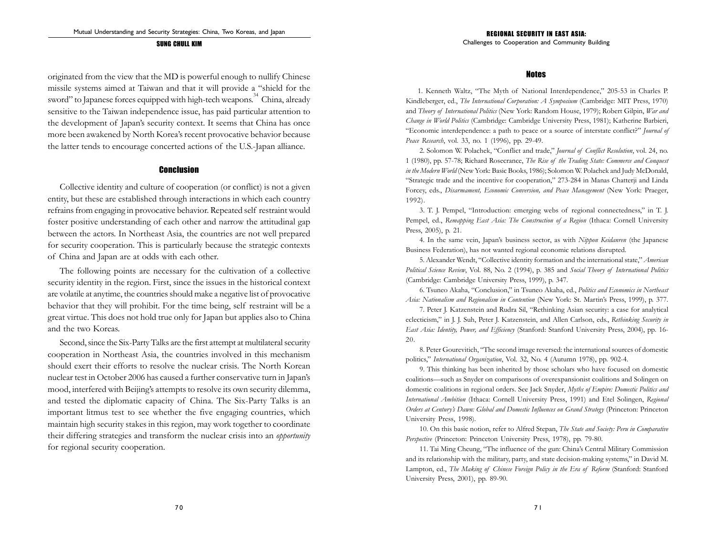Challenges to Cooperation and Community Building

### SUNG CHULL KIM

originated from the view that the MD is powerful enough to nullify Chinese missile systems aimed at Taiwan and that it will provide a "shield for the sword" to Japanese forces equipped with high-tech weapons.<sup>34</sup> China, already sensitive to the Taiwan independence issue, has paid particular attention to the development of Japan's security context. It seems that China has once more been awakened by North Korea's recent provocative behavior because the latter tends to encourage concerted actions of the U.S.-Japan alliance.

# Conclusion

Collective identity and culture of cooperation (or conflict) is not a given entity, but these are established through interactions in which each country refrains from engaging in provocative behavior. Repeated self restraint would foster positive understanding of each other and narrow the attitudinal gap between the actors. In Northeast Asia, the countries are not well prepared for security cooperation. This is particularly because the strategic contexts of China and Japan are at odds with each other.

The following points are necessary for the cultivation of a collective security identity in the region. First, since the issues in the historical context are volatile at anytime, the countries should make a negative list of provocative behavior that they will prohibit. For the time being, self restraint will be a great virtue. This does not hold true only for Japan but applies also to China and the two Koreas.

Second, since the Six-Party Talks are the first attempt at multilateral security cooperation in Northeast Asia, the countries involved in this mechanism should exert their efforts to resolve the nuclear crisis. The North Korean nuclear test in October 2006 has caused a further conservative turn in Japan's mood, interfered with Beijing's attempts to resolve its own security dilemma, and tested the diplomatic capacity of China. The Six-Party Talks is an important litmus test to see whether the five engaging countries, which maintain high security stakes in this region, may work together to coordinate their differing strategies and transform the nuclear crisis into an *opportunity* for regional security cooperation.

### Notes

1. Kenneth Waltz, "The Myth of National Interdependence," 205-53 in Charles P. Kindleberger, ed., *The International Corporation: A Symposium* (Cambridge: MIT Press, 1970) and *Theory of International Politics* (New York: Random House, 1979); Robert Gilpin, *War and Change in World Politics* (Cambridge: Cambridge University Press, 1981); Katherine Barbieri, "Economic interdependence: a path to peace or a source of interstate conflict?" *Journal of Peace Research*, vol. 33, no. 1 (1996), pp. 29-49.

2. Solomon W. Polachek, "Conflict and trade," *Journal of Conflict Resolution*, vol. 24, no. 1 (1980), pp. 57-78; Richard Rosecrance, *The Rise of the Trading State: Commerce and Conquest in the Modern World* (New York: Basic Books, 1986); Solomon W. Polachek and Judy McDonald, "Strategic trade and the incentive for cooperation," 273-284 in Manas Chatterji and Linda Forcey, eds., *Disarmament, Economic Conversion, and Peace Management* (New York: Praeger, 1992).

3. T. J. Pempel, "Introduction: emerging webs of regional connectedness," in T. J. Pempel, ed., *Remapping East Asia: The Construction of a Region* (Ithaca: Cornell University Press, 2005), p. 21.

4. In the same vein, Japan's business sector, as with *Nippon Keidanren* (the Japanese Business Federation), has not wanted regional economic relations disrupted.

5. Alexander Wendt, "Collective identity formation and the international state," *American Political Science Review*, Vol. 88, No. 2 (1994), p. 385 and *Social Theory of International Politics* (Cambridge: Cambridge University Press, 1999), p. 347.

6. Tsuneo Akaha, "Conclusion," in Tsuneo Akaha, ed., *Politics and Economics in Northeast Asia: Nationalism and Regionalism in Contention* (New York: St. Martin's Press, 1999), p. 377.

7. Peter J. Katzenstein and Rudra Sil, "Rethinking Asian security: a case for analytical eclecticism," in J. J. Suh, Peter J. Katzenstein, and Allen Carlson, eds., *Rethinking Security in East Asia: Identity, Power, and Efficiency* (Stanford: Stanford University Press, 2004), pp. 16- 20.

8. Peter Gourevitich, "The second image reversed: the international sources of domestic politics," *International Organization*, Vol. 32, No. 4 (Autumn 1978), pp. 902-4.

9. This thinking has been inherited by those scholars who have focused on domestic coalitions—such as Snyder on comparisons of overexpansionist coalitions and Solingen on domestic coalitions in regional orders. See Jack Snyder, *Myths of Empire: Domestic Politics and International Ambition* (Ithaca: Cornell University Press, 1991) and Etel Solingen, *Regional Orders at Century's Dawn: Global and Domestic Influences on Grand Strategy* (Princeton: Princeton University Press, 1998).

10. On this basic notion, refer to Alfred Stepan, *The State and Society: Peru in Comparative Perspective* (Princeton: Princeton University Press, 1978), pp. 79-80.

11. Tai Ming Cheung, "The influence of the gun: China's Central Military Commission and its relationship with the military, party, and state decision-making systems," in David M. Lampton, ed., *The Making of Chinese Foreign Policy in the Era of Reform* (Stanford: Stanford University Press, 2001), pp. 89-90.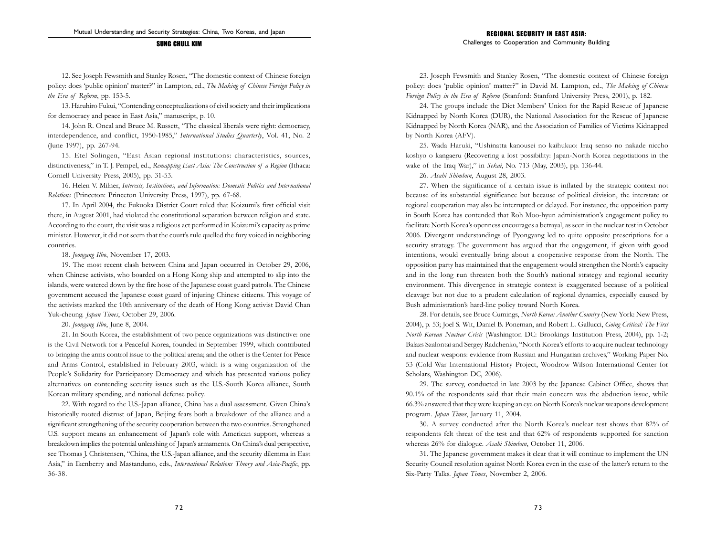#### SUNG CHULL KIM

12. See Joseph Fewsmith and Stanley Rosen, "The domestic context of Chinese foreign policy: does 'public opinion' matter?" in Lampton, ed., *The Making of Chinese Foreign Policy in the Era of Reform*, pp. 153-5.

13. Haruhiro Fukui, "Contending conceptualizations of civil society and their implications for democracy and peace in East Asia," manuscript, p. 10.

14. John R. Oneal and Bruce M. Russett, "The classical liberals were right: democracy, interdependence, and conflict, 1950-1985," *International Studies Quarterly*, Vol. 41, No. 2 (June 1997), pp. 267-94.

15. Etel Solingen, "East Asian regional institutions: characteristics, sources, distinctiveness," in T. J. Pempel, ed., *Remapping East Asia: The Construction of a Region* (Ithaca: Cornell University Press, 2005), pp. 31-53.

16. Helen V. Milner, *Interests, Institutions, and Information: Domestic Politics and International Relations* (Princeton: Princeton University Press, 1997), pp. 67-68.

17. In April 2004, the Fukuoka District Court ruled that Koizumi's first official visit there, in August 2001, had violated the constitutional separation between religion and state. According to the court, the visit was a religious act performed in Koizumi's capacity as prime minister. However, it did not seem that the court's rule quelled the fury voiced in neighboring countries.

18. *Joongang Ilbo*, November 17, 2003.

19. The most recent clash between China and Japan occurred in October 29, 2006, when Chinese activists, who boarded on a Hong Kong ship and attempted to slip into the islands, were watered down by the fire hose of the Japanese coast guard patrols. The Chinese government accused the Japanese coast guard of injuring Chinese citizens. This voyage of the activists marked the 10th anniversary of the death of Hong Kong activist David Chan Yuk-cheung. *Japan Times*, October 29, 2006.

20. *Joongang Ilbo*, June 8, 2004.

21. In South Korea, the establishment of two peace organizations was distinctive: one is the Civil Network for a Peaceful Korea, founded in September 1999, which contributed to bringing the arms control issue to the political arena; and the other is the Center for Peace and Arms Control, established in February 2003, which is a wing organization of the People's Solidarity for Participatory Democracy and which has presented various policy alternatives on contending security issues such as the U.S.-South Korea alliance, South Korean military spending, and national defense policy.

22. With regard to the U.S.-Japan alliance, China has a dual assessment. Given China's historically rooted distrust of Japan, Beijing fears both a breakdown of the alliance and a significant strengthening of the security cooperation between the two countries. Strengthened U.S. support means an enhancement of Japan's role with American support, whereas a breakdown implies the potential unleashing of Japan's armaments. On China's dual perspective, see Thomas J. Christensen, "China, the U.S.-Japan alliance, and the security dilemma in East Asia," in Ikenberry and Mastanduno, eds., *International Relations Theory and Asia-Pacific*, pp. 36-38.

REGIONAL SECURITY IN EAST ASIA: Challenges to Cooperation and Community Building

23. Joseph Fewsmith and Stanley Rosen, "The domestic context of Chinese foreign policy: does 'public opinion' matter?" in David M. Lampton, ed., *The Making of Chinese Foreign Policy in the Era of Reform* (Stanford: Stanford University Press, 2001), p. 182.

24. The groups include the Diet Members' Union for the Rapid Rescue of Japanese Kidnapped by North Korea (DUR), the National Association for the Rescue of Japanese Kidnapped by North Korea (NAR), and the Association of Families of Victims Kidnapped by North Korea (AFV).

25. Wada Haruki, "Ushinatta kanousei no kaihukuo: Iraq senso no nakade niccho koshyo o kangaeru (Recovering a lost possibility: Japan-North Korea negotiations in the wake of the Iraq War)," in *Sekai*, No. 713 (May, 2003), pp. 136-44.

26. *Asahi Shimbun*, August 28, 2003.

27. When the significance of a certain issue is inflated by the strategic context not because of its substantial significance but because of political division, the interstate or regional cooperation may also be interrupted or delayed. For instance, the opposition party in South Korea has contended that Roh Moo-hyun administration's engagement policy to facilitate North Korea's openness encourages a betrayal, as seen in the nuclear test in October 2006. Divergent understandings of Pyongyang led to quite opposite prescriptions for a security strategy. The government has argued that the engagement, if given with good intentions, would eventually bring about a cooperative response from the North. The opposition party has maintained that the engagement would strengthen the North's capacity and in the long run threaten both the South's national strategy and regional security environment. This divergence in strategic context is exaggerated because of a political cleavage but not due to a prudent calculation of regional dynamics, especially caused by Bush administration's hard-line policy toward North Korea.

28. For details, see Bruce Cumings, *North Korea: Another Country* (New York: New Press, 2004), p. 53; Joel S. Wit, Daniel B. Poneman, and Robert L. Gallucci, *Going Critical: The First North Korean Nuclear Crisis* (Washington DC: Brookings Institution Press, 2004), pp. 1-2; Balazs Szalontai and Sergey Radchenko, "North Korea's efforts to acquire nuclear technology and nuclear weapons: evidence from Russian and Hungarian archives," Working Paper No. 53 (Cold War International History Project, Woodrow Wilson International Center for Scholars, Washington DC, 2006).

29. The survey, conducted in late 2003 by the Japanese Cabinet Office, shows that 90.1% of the respondents said that their main concern was the abduction issue, while 66.3% answered that they were keeping an eye on North Korea's nuclear weapons development program. *Japan Times*, January 11, 2004.

30. A survey conducted after the North Korea's nuclear test shows that 82% of respondents felt threat of the test and that 62% of respondents supported for sanction whereas 26% for dialogue. *Asahi Shimbun*, October 11, 2006.

31. The Japanese government makes it clear that it will continue to implement the UN Security Council resolution against North Korea even in the case of the latter's return to the Six-Party Talks. *Japan Times*, November 2, 2006.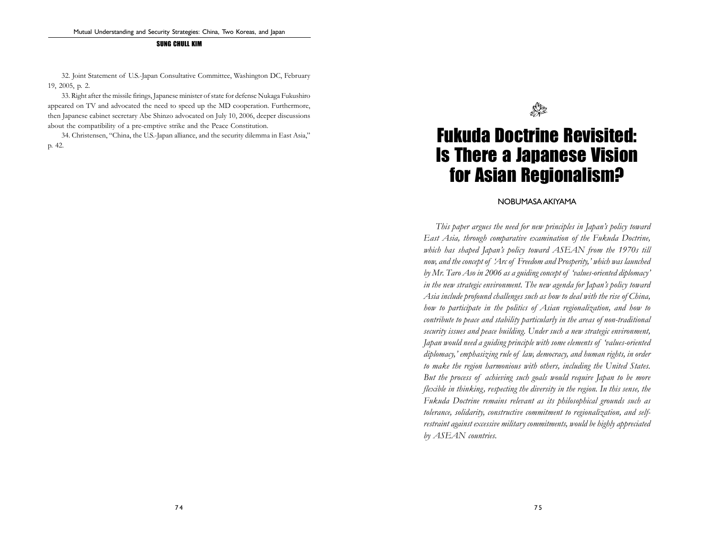#### SUNG CHULL KIM

32. Joint Statement of U.S.-Japan Consultative Committee, Washington DC, February 19, 2005, p. 2.

33. Right after the missile firings, Japanese minister of state for defense Nukaga Fukushiro appeared on TV and advocated the need to speed up the MD cooperation. Furthermore, then Japanese cabinet secretary Abe Shinzo advocated on July 10, 2006, deeper discussions about the compatibility of a pre-emptive strike and the Peace Constitution.

34. Christensen, "China, the U.S.-Japan alliance, and the security dilemma in East Asia," p. 42.

# Fukuda Doctrine Revisited: Is There a Japanese Vision for Asian Regionalism?

**La** 

### NOBUMASA AKIYAMA

*This paper argues the need for new principles in Japan's policy toward East Asia, through comparative examination of the Fukuda Doctrine, which has shaped Japan's policy toward ASEAN from the 1970s till now, and the concept of 'Arc of Freedom and Prosperity,' which was launched by Mr. Taro Aso in 2006 as a guiding concept of 'values-oriented diplomacy' in the new strategic environment. The new agenda for Japan's policy toward Asia include profound challenges such as how to deal with the rise of China, how to participate in the politics of Asian regionalization, and how to contribute to peace and stability particularly in the areas of non-traditional security issues and peace building. Under such a new strategic environment, Japan would need a guiding principle with some elements of 'values-oriented diplomacy,' emphasizing rule of law, democracy, and human rights, in order to make the region harmonious with others, including the United States. But the process of achieving such goals would require Japan to be more flexible in thinking, respecting the diversity in the region. In this sense, the Fukuda Doctrine remains relevant as its philosophical grounds such as tolerance, solidarity, constructive commitment to regionalization, and selfrestraint against excessive military commitments, would be highly appreciated by ASEAN countries.*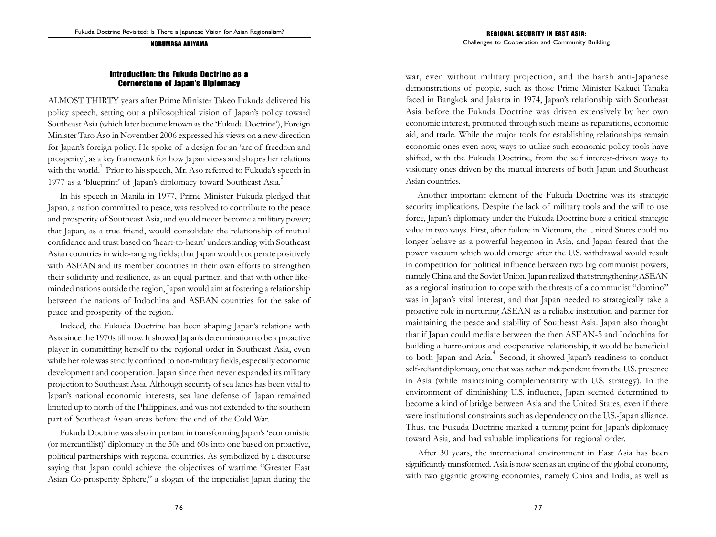# Introduction: the Fukuda Doctrine as a Cornerstone of Japan's Diplomacy

ALMOST THIRTY years after Prime Minister Takeo Fukuda delivered his policy speech, setting out a philosophical vision of Japan's policy toward Southeast Asia (which later became known as the 'Fukuda Doctrine'), Foreign Minister Taro Aso in November 2006 expressed his views on a new direction for Japan's foreign policy. He spoke of a design for an 'arc of freedom and prosperity', as a key framework for how Japan views and shapes her relations with the world. 1 Prior to his speech, Mr. Aso referred to Fukuda's speech in 1977 as a 'blueprint' of Japan's diplomacy toward Southeast Asia.<sup>2</sup>

In his speech in Manila in 1977, Prime Minister Fukuda pledged that Japan, a nation committed to peace, was resolved to contribute to the peace and prosperity of Southeast Asia, and would never become a military power; that Japan, as a true friend, would consolidate the relationship of mutual confidence and trust based on 'heart-to-heart' understanding with Southeast Asian countries in wide-ranging fields; that Japan would cooperate positively with ASEAN and its member countries in their own efforts to strengthen their solidarity and resilience, as an equal partner; and that with other likeminded nations outside the region, Japan would aim at fostering a relationship between the nations of Indochina and ASEAN countries for the sake of peace and prosperity of the region.<sup>3</sup>

Indeed, the Fukuda Doctrine has been shaping Japan's relations with Asia since the 1970s till now. It showed Japan's determination to be a proactive player in committing herself to the regional order in Southeast Asia, even while her role was strictly confined to non-military fields, especially economic development and cooperation. Japan since then never expanded its military projection to Southeast Asia. Although security of sea lanes has been vital to Japan's national economic interests, sea lane defense of Japan remained limited up to north of the Philippines, and was not extended to the southern part of Southeast Asian areas before the end of the Cold War.

Fukuda Doctrine was also important in transforming Japan's 'economistic (or mercantilist)' diplomacy in the 50s and 60s into one based on proactive, political partnerships with regional countries. As symbolized by a discourse saying that Japan could achieve the objectives of wartime "Greater East Asian Co-prosperity Sphere," a slogan of the imperialist Japan during the

REGIONAL SECURITY IN EAST ASIA: Challenges to Cooperation and Community Building

war, even without military projection, and the harsh anti-Japanese demonstrations of people, such as those Prime Minister Kakuei Tanaka faced in Bangkok and Jakarta in 1974, Japan's relationship with Southeast Asia before the Fukuda Doctrine was driven extensively by her own economic interest, promoted through such means as reparations, economic aid, and trade. While the major tools for establishing relationships remain economic ones even now, ways to utilize such economic policy tools have shifted, with the Fukuda Doctrine, from the self interest-driven ways to visionary ones driven by the mutual interests of both Japan and Southeast Asian countries.

Another important element of the Fukuda Doctrine was its strategic security implications. Despite the lack of military tools and the will to use force, Japan's diplomacy under the Fukuda Doctrine bore a critical strategic value in two ways. First, after failure in Vietnam, the United States could no longer behave as a powerful hegemon in Asia, and Japan feared that the power vacuum which would emerge after the U.S. withdrawal would result in competition for political influence between two big communist powers, namely China and the Soviet Union. Japan realized that strengthening ASEAN as a regional institution to cope with the threats of a communist "domino" was in Japan's vital interest, and that Japan needed to strategically take a proactive role in nurturing ASEAN as a reliable institution and partner for maintaining the peace and stability of Southeast Asia. Japan also thought that if Japan could mediate between the then ASEAN-5 and Indochina for building a harmonious and cooperative relationship, it would be beneficial to both Japan and Asia.<sup>4</sup> Second, it showed Japan's readiness to conduct self-reliant diplomacy, one that was rather independent from the U.S. presence in Asia (while maintaining complementarity with U.S. strategy). In the environment of diminishing U.S. influence, Japan seemed determined to become a kind of bridge between Asia and the United States, even if there were institutional constraints such as dependency on the U.S.-Japan alliance. Thus, the Fukuda Doctrine marked a turning point for Japan's diplomacy toward Asia, and had valuable implications for regional order.

After 30 years, the international environment in East Asia has been significantly transformed. Asia is now seen as an engine of the global economy, with two gigantic growing economies, namely China and India, as well as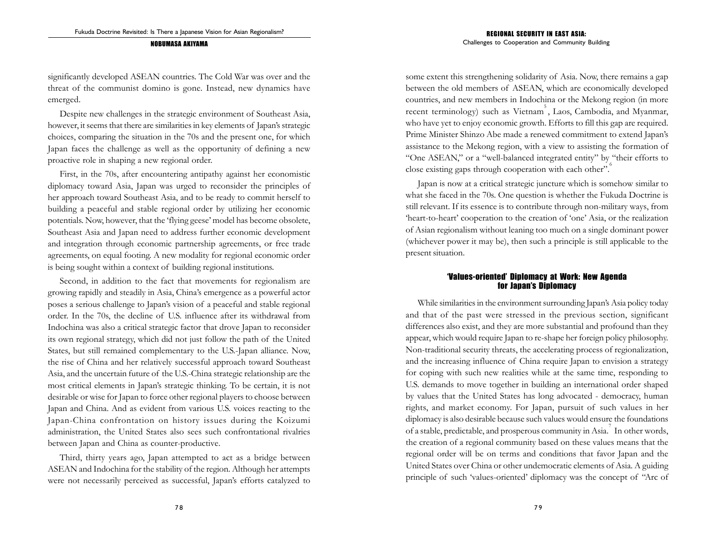significantly developed ASEAN countries. The Cold War was over and the threat of the communist domino is gone. Instead, new dynamics have emerged.

Despite new challenges in the strategic environment of Southeast Asia, however, it seems that there are similarities in key elements of Japan's strategic choices, comparing the situation in the 70s and the present one, for which Japan faces the challenge as well as the opportunity of defining a new proactive role in shaping a new regional order.

First, in the 70s, after encountering antipathy against her economistic diplomacy toward Asia, Japan was urged to reconsider the principles of her approach toward Southeast Asia, and to be ready to commit herself to building a peaceful and stable regional order by utilizing her economic potentials. Now, however, that the 'flying geese' model has become obsolete, Southeast Asia and Japan need to address further economic development and integration through economic partnership agreements, or free trade agreements, on equal footing. A new modality for regional economic order is being sought within a context of building regional institutions.

Second, in addition to the fact that movements for regionalism are growing rapidly and steadily in Asia, China's emergence as a powerful actor poses a serious challenge to Japan's vision of a peaceful and stable regional order. In the 70s, the decline of U.S. influence after its withdrawal from Indochina was also a critical strategic factor that drove Japan to reconsider its own regional strategy, which did not just follow the path of the United States, but still remained complementary to the U.S.-Japan alliance. Now, the rise of China and her relatively successful approach toward Southeast Asia, and the uncertain future of the U.S.-China strategic relationship are the most critical elements in Japan's strategic thinking. To be certain, it is not desirable or wise for Japan to force other regional players to choose between Japan and China. And as evident from various U.S. voices reacting to the Japan-China confrontation on history issues during the Koizumi administration, the United States also sees such confrontational rivalries between Japan and China as counter-productive.

Third, thirty years ago, Japan attempted to act as a bridge between ASEAN and Indochina for the stability of the region. Although her attempts were not necessarily perceived as successful, Japan's efforts catalyzed to

some extent this strengthening solidarity of Asia. Now, there remains a gap between the old members of ASEAN, which are economically developed countries, and new members in Indochina or the Mekong region (in more recent terminology) such as Vietnam<sup>3</sup>, Laos, Cambodia, and Myanmar, who have yet to enjoy economic growth. Efforts to fill this gap are required. Prime Minister Shinzo Abe made a renewed commitment to extend Japan's assistance to the Mekong region, with a view to assisting the formation of "One ASEAN," or a "well-balanced integrated entity" by "their efforts to close existing gaps through cooperation with each other".

Japan is now at a critical strategic juncture which is somehow similar to what she faced in the 70s. One question is whether the Fukuda Doctrine is still relevant. If its essence is to contribute through non-military ways, from 'heart-to-heart' cooperation to the creation of 'one' Asia, or the realization of Asian regionalism without leaning too much on a single dominant power (whichever power it may be), then such a principle is still applicable to the present situation.

# 'Values-oriented' Diplomacy at Work: New Agenda for Japan's Diplomacy

While similarities in the environment surrounding Japan's Asia policy today and that of the past were stressed in the previous section, significant differences also exist, and they are more substantial and profound than they appear, which would require Japan to re-shape her foreign policy philosophy. Non-traditional security threats, the accelerating process of regionalization, and the increasing influence of China require Japan to envision a strategy for coping with such new realities while at the same time, responding to U.S. demands to move together in building an international order shaped by values that the United States has long advocated - democracy, human rights, and market economy. For Japan, pursuit of such values in her diplomacy is also desirable because such values would ensure the foundations of a stable, predictable, and prosperous community in Asia.7 In other words, the creation of a regional community based on these values means that the regional order will be on terms and conditions that favor Japan and the United States over China or other undemocratic elements of Asia. A guiding principle of such 'values-oriented' diplomacy was the concept of "Arc of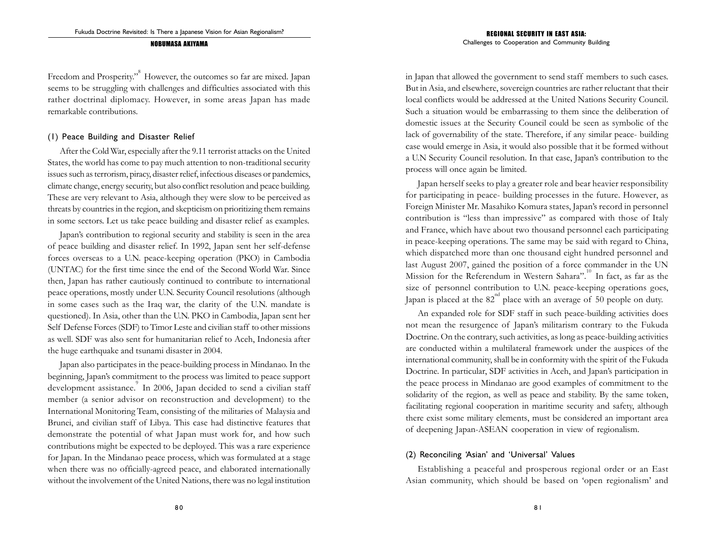Freedom and Prosperity."<sup>8</sup> However, the outcomes so far are mixed. Japan seems to be struggling with challenges and difficulties associated with this rather doctrinal diplomacy. However, in some areas Japan has made remarkable contributions.

### (1) Peace Building and Disaster Relief

After the Cold War, especially after the 9.11 terrorist attacks on the United States, the world has come to pay much attention to non-traditional security issues such as terrorism, piracy, disaster relief, infectious diseases or pandemics, climate change, energy security, but also conflict resolution and peace building. These are very relevant to Asia, although they were slow to be perceived as threats by countries in the region, and skepticism on prioritizing them remains in some sectors. Let us take peace building and disaster relief as examples.

Japan's contribution to regional security and stability is seen in the area of peace building and disaster relief. In 1992, Japan sent her self-defense forces overseas to a U.N. peace-keeping operation (PKO) in Cambodia (UNTAC) for the first time since the end of the Second World War. Since then, Japan has rather cautiously continued to contribute to international peace operations, mostly under U.N. Security Council resolutions (although in some cases such as the Iraq war, the clarity of the U.N. mandate is questioned). In Asia, other than the U.N. PKO in Cambodia, Japan sent her Self Defense Forces (SDF) to Timor Leste and civilian staff to other missions as well. SDF was also sent for humanitarian relief to Aceh, Indonesia after the huge earthquake and tsunami disaster in 2004.

Japan also participates in the peace-building process in Mindanao. In the beginning, Japan's commitment to the process was limited to peace support development assistance.<sup>7</sup> In 2006, Japan decided to send a civilian staff member (a senior advisor on reconstruction and development) to the International Monitoring Team, consisting of the militaries of Malaysia and Brunei, and civilian staff of Libya. This case had distinctive features that demonstrate the potential of what Japan must work for, and how such contributions might be expected to be deployed. This was a rare experience for Japan. In the Mindanao peace process, which was formulated at a stage when there was no officially-agreed peace, and elaborated internationally without the involvement of the United Nations, there was no legal institution

in Japan that allowed the government to send staff members to such cases. But in Asia, and elsewhere, sovereign countries are rather reluctant that their local conflicts would be addressed at the United Nations Security Council. Such a situation would be embarrassing to them since the deliberation of domestic issues at the Security Council could be seen as symbolic of the lack of governability of the state. Therefore, if any similar peace- building case would emerge in Asia, it would also possible that it be formed without a U.N Security Council resolution. In that case, Japan's contribution to the process will once again be limited.

Japan herself seeks to play a greater role and bear heavier responsibility for participating in peace- building processes in the future. However, as Foreign Minister Mr. Masahiko Komura states, Japan's record in personnel contribution is "less than impressive" as compared with those of Italy and France, which have about two thousand personnel each participating in peace-keeping operations. The same may be said with regard to China, which dispatched more than one thousand eight hundred personnel and last August 2007, gained the position of a force commander in the UN Mission for the Referendum in Western Sahara".<sup>10</sup> In fact, as far as the size of personnel contribution to U.N. peace-keeping operations goes, Japan is placed at the  $82<sup>nd</sup>$  place with an average of 50 people on duty.

An expanded role for SDF staff in such peace-building activities does not mean the resurgence of Japan's militarism contrary to the Fukuda Doctrine. On the contrary, such activities, as long as peace-building activities are conducted within a multilateral framework under the auspices of the international community, shall be in conformity with the spirit of the Fukuda Doctrine. In particular, SDF activities in Aceh, and Japan's participation in the peace process in Mindanao are good examples of commitment to the solidarity of the region, as well as peace and stability. By the same token, facilitating regional cooperation in maritime security and safety, although there exist some military elements, must be considered an important area of deepening Japan-ASEAN cooperation in view of regionalism.

# (2) Reconciling 'Asian' and 'Universal' Values

Establishing a peaceful and prosperous regional order or an East Asian community, which should be based on 'open regionalism' and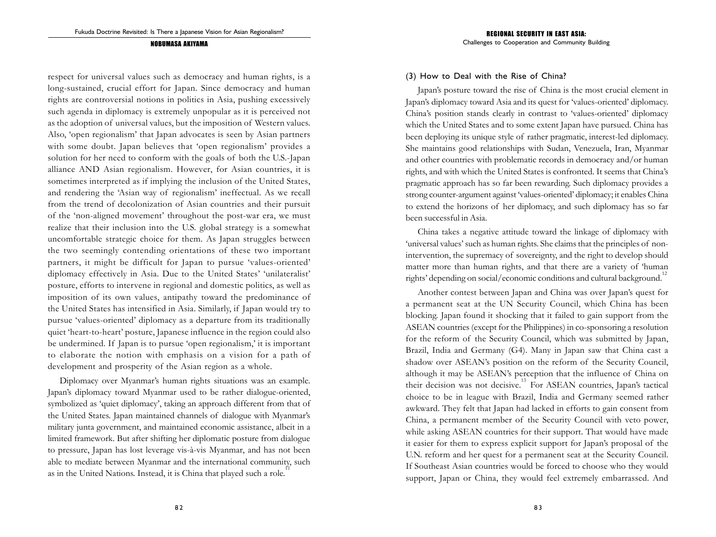respect for universal values such as democracy and human rights, is a long-sustained, crucial effort for Japan. Since democracy and human rights are controversial notions in politics in Asia, pushing excessively such agenda in diplomacy is extremely unpopular as it is perceived not as the adoption of universal values, but the imposition of Western values. Also, 'open regionalism' that Japan advocates is seen by Asian partners with some doubt. Japan believes that 'open regionalism' provides a solution for her need to conform with the goals of both the U.S.-Japan alliance AND Asian regionalism. However, for Asian countries, it is sometimes interpreted as if implying the inclusion of the United States, and rendering the 'Asian way of regionalism' ineffectual. As we recall from the trend of decolonization of Asian countries and their pursuit of the 'non-aligned movement' throughout the post-war era, we must realize that their inclusion into the U.S. global strategy is a somewhat uncomfortable strategic choice for them. As Japan struggles between the two seemingly contending orientations of these two important partners, it might be difficult for Japan to pursue 'values-oriented' diplomacy effectively in Asia. Due to the United States' 'unilateralist' posture, efforts to intervene in regional and domestic politics, as well as imposition of its own values, antipathy toward the predominance of the United States has intensified in Asia. Similarly, if Japan would try to pursue 'values-oriented' diplomacy as a departure from its traditionally quiet 'heart-to-heart' posture, Japanese influence in the region could also be undermined. If Japan is to pursue 'open regionalism,' it is important to elaborate the notion with emphasis on a vision for a path of development and prosperity of the Asian region as a whole.

Diplomacy over Myanmar's human rights situations was an example. Japan's diplomacy toward Myanmar used to be rather dialogue-oriented, symbolized as 'quiet diplomacy', taking an approach different from that of the United States. Japan maintained channels of dialogue with Myanmar's military junta government, and maintained economic assistance, albeit in a limited framework. But after shifting her diplomatic posture from dialogue to pressure, Japan has lost leverage vis-à-vis Myanmar, and has not been able to mediate between Myanmar and the international community, such as in the United Nations. Instead, it is China that played such a role. 11

#### (3) How to Deal with the Rise of China?

Japan's posture toward the rise of China is the most crucial element in Japan's diplomacy toward Asia and its quest for 'values-oriented' diplomacy. China's position stands clearly in contrast to 'values-oriented' diplomacy which the United States and to some extent Japan have pursued. China has been deploying its unique style of rather pragmatic, interest-led diplomacy. She maintains good relationships with Sudan, Venezuela, Iran, Myanmar and other countries with problematic records in democracy and/or human rights, and with which the United States is confronted. It seems that China's pragmatic approach has so far been rewarding. Such diplomacy provides a strong counter-argument against 'values-oriented' diplomacy; it enables China to extend the horizons of her diplomacy, and such diplomacy has so far been successful in Asia.

China takes a negative attitude toward the linkage of diplomacy with 'universal values' such as human rights. She claims that the principles of nonintervention, the supremacy of sovereignty, and the right to develop should matter more than human rights, and that there are a variety of 'human rights' depending on social/economic conditions and cultural background.<sup>12</sup>

Another contest between Japan and China was over Japan's quest for a permanent seat at the UN Security Council, which China has been blocking. Japan found it shocking that it failed to gain support from the ASEAN countries (except for the Philippines) in co-sponsoring a resolution for the reform of the Security Council, which was submitted by Japan, Brazil, India and Germany (G4). Many in Japan saw that China cast a shadow over ASEAN's position on the reform of the Security Council, although it may be ASEAN's perception that the influence of China on their decision was not decisive.<sup>13</sup> For ASEAN countries, Japan's tactical choice to be in league with Brazil, India and Germany seemed rather awkward. They felt that Japan had lacked in efforts to gain consent from China, a permanent member of the Security Council with veto power, while asking ASEAN countries for their support. That would have made it easier for them to express explicit support for Japan's proposal of the U.N. reform and her quest for a permanent seat at the Security Council. If Southeast Asian countries would be forced to choose who they would support, Japan or China, they would feel extremely embarrassed. And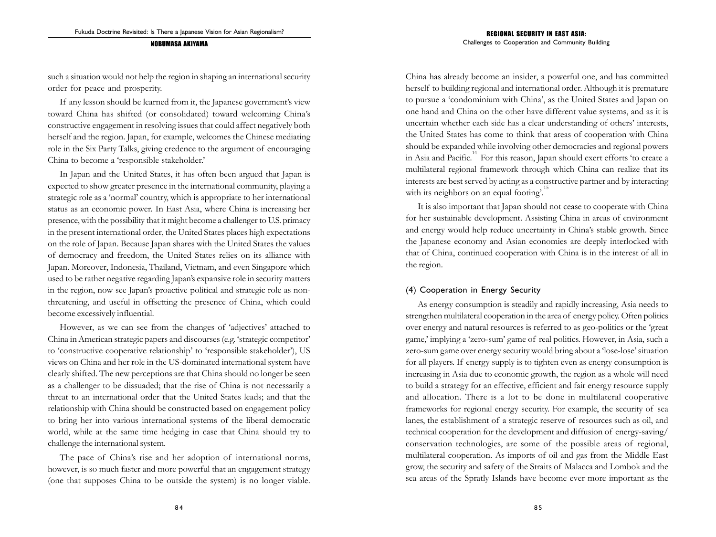such a situation would not help the region in shaping an international security order for peace and prosperity.

If any lesson should be learned from it, the Japanese government's view toward China has shifted (or consolidated) toward welcoming China's constructive engagement in resolving issues that could affect negatively both herself and the region. Japan, for example, welcomes the Chinese mediating role in the Six Party Talks, giving credence to the argument of encouraging China to become a 'responsible stakeholder.'

In Japan and the United States, it has often been argued that Japan is expected to show greater presence in the international community, playing a strategic role as a 'normal' country, which is appropriate to her international status as an economic power. In East Asia, where China is increasing her presence, with the possibility that it might become a challenger to U.S. primacy in the present international order, the United States places high expectations on the role of Japan. Because Japan shares with the United States the values of democracy and freedom, the United States relies on its alliance with Japan. Moreover, Indonesia, Thailand, Vietnam, and even Singapore which used to be rather negative regarding Japan's expansive role in security matters in the region, now see Japan's proactive political and strategic role as nonthreatening, and useful in offsetting the presence of China, which could become excessively influential.

However, as we can see from the changes of 'adjectives' attached to China in American strategic papers and discourses (e.g. 'strategic competitor' to 'constructive cooperative relationship' to 'responsible stakeholder'), US views on China and her role in the US-dominated international system have clearly shifted. The new perceptions are that China should no longer be seen as a challenger to be dissuaded; that the rise of China is not necessarily a threat to an international order that the United States leads; and that the relationship with China should be constructed based on engagement policy to bring her into various international systems of the liberal democratic world, while at the same time hedging in case that China should try to challenge the international system.

The pace of China's rise and her adoption of international norms, however, is so much faster and more powerful that an engagement strategy (one that supposes China to be outside the system) is no longer viable.

China has already become an insider, a powerful one, and has committed herself to building regional and international order. Although it is premature to pursue a 'condominium with China', as the United States and Japan on one hand and China on the other have different value systems, and as it is uncertain whether each side has a clear understanding of others' interests, the United States has come to think that areas of cooperation with China should be expanded while involving other democracies and regional powers in Asia and Pacific.<sup>14</sup> For this reason, Japan should exert efforts 'to create a multilateral regional framework through which China can realize that its interests are best served by acting as a constructive partner and by interacting with its neighbors on an equal footing'.<sup>15</sup>

It is also important that Japan should not cease to cooperate with China for her sustainable development. Assisting China in areas of environment and energy would help reduce uncertainty in China's stable growth. Since the Japanese economy and Asian economies are deeply interlocked with that of China, continued cooperation with China is in the interest of all in the region.

# (4) Cooperation in Energy Security

As energy consumption is steadily and rapidly increasing, Asia needs to strengthen multilateral cooperation in the area of energy policy. Often politics over energy and natural resources is referred to as geo-politics or the 'great game,' implying a 'zero-sum' game of real politics. However, in Asia, such a zero-sum game over energy security would bring about a 'lose-lose' situation for all players. If energy supply is to tighten even as energy consumption is increasing in Asia due to economic growth, the region as a whole will need to build a strategy for an effective, efficient and fair energy resource supply and allocation. There is a lot to be done in multilateral cooperative frameworks for regional energy security. For example, the security of sea lanes, the establishment of a strategic reserve of resources such as oil, and technical cooperation for the development and diffusion of energy-saving/ conservation technologies, are some of the possible areas of regional, multilateral cooperation. As imports of oil and gas from the Middle East grow, the security and safety of the Straits of Malacca and Lombok and the sea areas of the Spratly Islands have become ever more important as the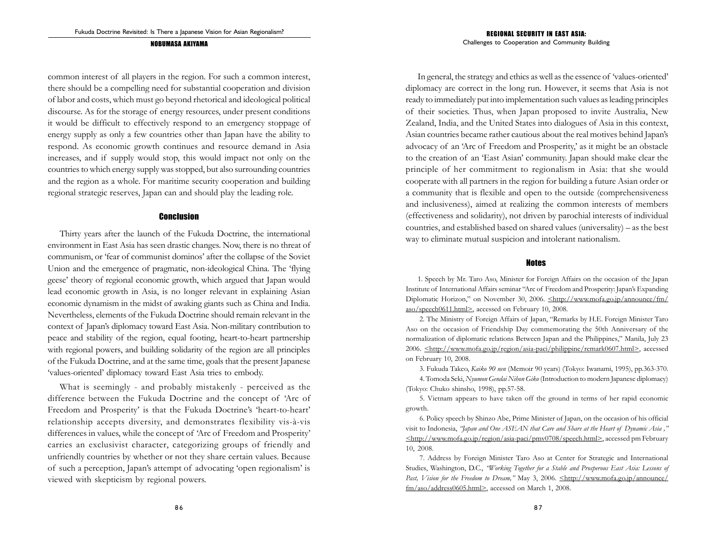common interest of all players in the region. For such a common interest, there should be a compelling need for substantial cooperation and division of labor and costs, which must go beyond rhetorical and ideological political discourse. As for the storage of energy resources, under present conditions it would be difficult to effectively respond to an emergency stoppage of energy supply as only a few countries other than Japan have the ability to respond. As economic growth continues and resource demand in Asia increases, and if supply would stop, this would impact not only on the countries to which energy supply was stopped, but also surrounding countries and the region as a whole. For maritime security cooperation and building regional strategic reserves, Japan can and should play the leading role.

#### Conclusion

Thirty years after the launch of the Fukuda Doctrine, the international environment in East Asia has seen drastic changes. Now, there is no threat of communism, or 'fear of communist dominos' after the collapse of the Soviet Union and the emergence of pragmatic, non-ideological China. The 'flying geese' theory of regional economic growth, which argued that Japan would lead economic growth in Asia, is no longer relevant in explaining Asian economic dynamism in the midst of awaking giants such as China and India. Nevertheless, elements of the Fukuda Doctrine should remain relevant in the context of Japan's diplomacy toward East Asia. Non-military contribution to peace and stability of the region, equal footing, heart-to-heart partnership with regional powers, and building solidarity of the region are all principles of the Fukuda Doctrine, and at the same time, goals that the present Japanese 'values-oriented' diplomacy toward East Asia tries to embody.

What is seemingly - and probably mistakenly - perceived as the difference between the Fukuda Doctrine and the concept of 'Arc of Freedom and Prosperity' is that the Fukuda Doctrine's 'heart-to-heart' relationship accepts diversity, and demonstrates flexibility vis-à-vis differences in values, while the concept of 'Arc of Freedom and Prosperity' carries an exclusivist character, categorizing groups of friendly and unfriendly countries by whether or not they share certain values. Because of such a perception, Japan's attempt of advocating 'open regionalism' is viewed with skepticism by regional powers.

In general, the strategy and ethics as well as the essence of 'values-oriented' diplomacy are correct in the long run. However, it seems that Asia is not ready to immediately put into implementation such values as leading principles of their societies. Thus, when Japan proposed to invite Australia, New Zealand, India, and the United States into dialogues of Asia in this context, Asian countries became rather cautious about the real motives behind Japan's advocacy of an 'Arc of Freedom and Prosperity,' as it might be an obstacle to the creation of an 'East Asian' community. Japan should make clear the principle of her commitment to regionalism in Asia: that she would cooperate with all partners in the region for building a future Asian order or a community that is flexible and open to the outside (comprehensiveness and inclusiveness), aimed at realizing the common interests of members (effectiveness and solidarity), not driven by parochial interests of individual countries, and established based on shared values (universality) – as the best way to eliminate mutual suspicion and intolerant nationalism.

# **Notes**

1. Speech by Mr. Taro Aso, Minister for Foreign Affairs on the occasion of the Japan Institute of International Affairs seminar "Arc of Freedom and Prosperity: Japan's Expanding Diplomatic Horizon," on November 30, 2006. <http://www.mofa.go.jp/announce/fm/ aso/speech0611.html>, accessed on February 10, 2008.

2. The Ministry of Foreign Affairs of Japan, "Remarks by H.E. Foreign Minister Taro Aso on the occasion of Friendship Day commemorating the 50th Anniversary of the normalization of diplomatic relations Between Japan and the Philippines," Manila, July 23 2006. <http://www.mofa.go.jp/region/asia-paci/philippine/remark0607.html>, accessed on February 10, 2008.

3. Fukuda Takeo, *Kaiko 90 nen* (Memoir 90 years) (Tokyo: Iwanami, 1995), pp.363-370.

4. Tomoda Seki, *Nyumon Gendai Nihon Giko* (Introduction to modern Japanese diplomacy) (Tokyo: Chuko shinsho, 1998), pp.57-58.

5. Vietnam appears to have taken off the ground in terms of her rapid economic growth.

6. Policy speech by Shinzo Abe, Prime Minister of Japan, on the occasion of his official visit to Indonesia, *"Japan and One ASEAN that Care and Share at the Heart of Dynamic Asia ,"* <http://www.mofa.go.jp/region/asia-paci/pmv0708/speech.html>, accessed pm February 10, 2008.

7. Address by Foreign Minister Taro Aso at Center for Strategic and International Studies, Washington, D.C., *"Working Together for a Stable and Prosperous East Asia: Lessons of* Past, Vision for the Freedom to Dream," May 3, 2006. <http://www.mofa.go.jp/announce/ fm/aso/address0605.html>, accessed on March 1, 2008.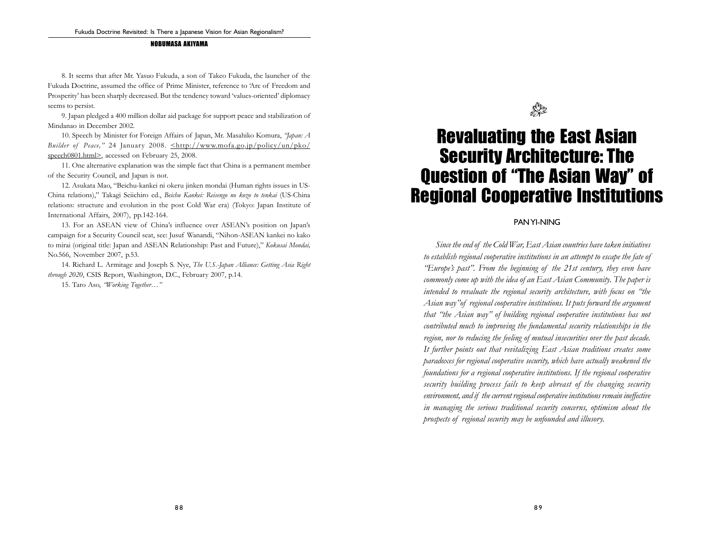8. It seems that after Mr. Yasuo Fukuda, a son of Takeo Fukuda, the launcher of the Fukuda Doctrine, assumed the office of Prime Minister, reference to 'Arc of Freedom and Prosperity' has been sharply decreased. But the tendency toward 'values-oriented' diplomacy seems to persist.

9. Japan pledged a 400 million dollar aid package for support peace and stabilization of Mindanao in December 2002.

10. Speech by Minister for Foreign Affairs of Japan, Mr. Masahiko Komura, *"Japan: A Builder of Peace,"* 24 January 2008. <http://www.mofa.go.jp/policy/un/pko/ speech0801.html>, accessed on February 25, 2008.

11. One alternative explanation was the simple fact that China is a permanent member of the Security Council, and Japan is not.

12. Asukata Mao, "Beichu-kankei ni okeru jinken mondai (Human rights issues in US-China relations)," Takagi Seiichiro ed., *Beichu Kankei: Reisengo no kozo to tenkai* (US-China relations: structure and evolution in the post Cold War era) (Tokyo: Japan Institute of International Affairs, 2007), pp.142-164.

13. For an ASEAN view of China's influence over ASEAN's position on Japan's campaign for a Security Council seat, see: Jusuf Wanandi, "Nihon-ASEAN kankei no kako to mirai (original title: Japan and ASEAN Relationship: Past and Future)," *Kokusai Mondai,* No.566, November 2007, p.53.

14. Richard L. Armitage and Joseph S. Nye, *The U.S.-Japan Alliance: Getting Asia Right through 2020*, CSIS Report, Washington, D.C., February 2007, p.14.

15. Taro Aso, *"Working Together…"*

# $\mathcal{L}^{\!\!m\!}$

# Revaluating the East Asian Security Architecture: The Question of "The Asian Way" of Regional Cooperative Institutions

#### PAN YI-NING

*Since the end of the Cold War, East Asian countries have taken initiatives to establish regional cooperative institutions in an attempt to escape the fate of "Europe's past". From the beginning of the 21st century, they even have commonly come up with the idea of an East Asian Community. The paper is intended to revaluate the regional security architecture, with focus on "the Asian way"of regional cooperative institutions. It puts forward the argument that "the Asian way" of building regional cooperative institutions has not contributed much to improving the fundamental security relationships in the region, nor to reducing the feeling of mutual insecurities over the past decade. It further points out that revitalizing East Asian traditions creates some paradoxes for regional cooperative security, which have actually weakened the foundations for a regional cooperative institutions. If the regional cooperative security building process fails to keep abreast of the changing security environment, and if the current regional cooperative institutions remain ineffective in managing the serious traditional security concerns, optimism about the prospects of regional security may be unfounded and illusory.*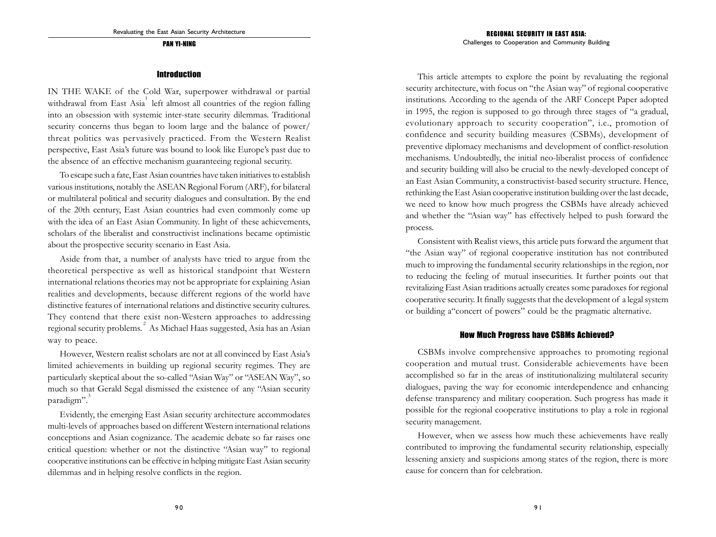# Introduction

IN THE WAKE of the Cold War, superpower withdrawal or partial withdrawal from East Asia<sup>1</sup> left almost all countries of the region falling into an obsession with systemic inter-state security dilemmas. Traditional security concerns thus began to loom large and the balance of power/ threat politics was pervasively practiced. From the Western Realist perspective, East Asia's future was bound to look like Europe's past due to the absence of an effective mechanism guaranteeing regional security.

To escape such a fate, East Asian countries have taken initiatives to establish various institutions, notably the ASEAN Regional Forum (ARF), for bilateral or multilateral political and security dialogues and consultation. By the end of the 20th century, East Asian countries had even commonly come up with the idea of an East Asian Community. In light of these achievements, scholars of the liberalist and constructivist inclinations became optimistic about the prospective security scenario in East Asia.

Aside from that, a number of analysts have tried to argue from the theoretical perspective as well as historical standpoint that Western international relations theories may not be appropriate for explaining Asian realities and developments, because different regions of the world have distinctive features of international relations and distinctive security cultures. They contend that there exist non-Western approaches to addressing regional security problems.<sup>2</sup> As Michael Haas suggested, Asia has an Asian way to peace.

However, Western realist scholars are not at all convinced by East Asia's limited achievements in building up regional security regimes. They are particularly skeptical about the so-called "Asian Way" or "ASEAN Way", so much so that Gerald Segal dismissed the existence of any "Asian security paradigm".

Evidently, the emerging East Asian security architecture accommodates multi-levels of approaches based on different Western international relations conceptions and Asian cognizance. The academic debate so far raises one critical question: whether or not the distinctive "Asian way" to regional cooperative institutions can be effective in helping mitigate East Asian security dilemmas and in helping resolve conflicts in the region.

This article attempts to explore the point by revaluating the regional security architecture, with focus on "the Asian way" of regional cooperative institutions. According to the agenda of the ARF Concept Paper adopted in 1995, the region is supposed to go through three stages of "a gradual, evolutionary approach to security cooperation", i.e., promotion of confidence and security building measures (CSBMs), development of preventive diplomacy mechanisms and development of conflict-resolution mechanisms. Undoubtedly, the initial neo-liberalist process of confidence and security building will also be crucial to the newly-developed concept of an East Asian Community, a constructivist-based security structure. Hence, rethinking the East Asian cooperative institution building over the last decade, we need to know how much progress the CSBMs have already achieved and whether the "Asian way" has effectively helped to push forward the process.

Consistent with Realist views, this article puts forward the argument that "the Asian way" of regional cooperative institution has not contributed much to improving the fundamental security relationships in the region, nor to reducing the feeling of mutual insecurities. It further points out that revitalizing East Asian traditions actually creates some paradoxes for regional cooperative security. It finally suggests that the development of a legal system or building a"concert of powers" could be the pragmatic alternative.

# How Much Progress have CSBMs Achieved?

CSBMs involve comprehensive approaches to promoting regional cooperation and mutual trust. Considerable achievements have been accomplished so far in the areas of institutionalizing multilateral security dialogues, paving the way for economic interdependence and enhancing defense transparency and military cooperation. Such progress has made it possible for the regional cooperative institutions to play a role in regional security management.

However, when we assess how much these achievements have really contributed to improving the fundamental security relationship, especially lessening anxiety and suspicions among states of the region, there is more cause for concern than for celebration.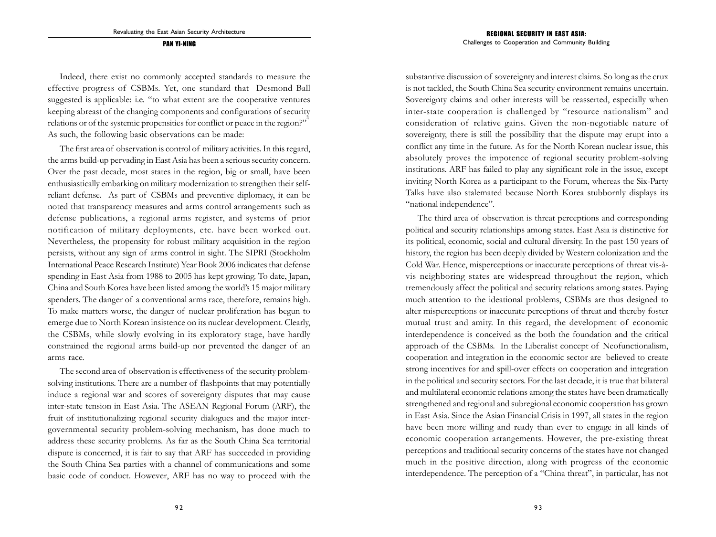Indeed, there exist no commonly accepted standards to measure the effective progress of CSBMs. Yet, one standard that Desmond Ball suggested is applicable: i.e. "to what extent are the cooperative ventures keeping abreast of the changing components and configurations of security relations or of the systemic propensities for conflict or peace in the region?" 4 As such, the following basic observations can be made:

The first area of observation is control of military activities. In this regard, the arms build-up pervading in East Asia has been a serious security concern. Over the past decade, most states in the region, big or small, have been enthusiastically embarking on military modernization to strengthen their selfreliant defense. As part of CSBMs and preventive diplomacy, it can be noted that transparency measures and arms control arrangements such as defense publications, a regional arms register, and systems of prior notification of military deployments, etc. have been worked out. Nevertheless, the propensity for robust military acquisition in the region persists, without any sign of arms control in sight. The SIPRI (Stockholm International Peace Research Institute) Year Book 2006 indicates that defense spending in East Asia from 1988 to 2005 has kept growing. To date, Japan, China and South Korea have been listed among the world's 15 major military spenders. The danger of a conventional arms race, therefore, remains high. To make matters worse, the danger of nuclear proliferation has begun to emerge due to North Korean insistence on its nuclear development. Clearly, the CSBMs, while slowly evolving in its exploratory stage, have hardly constrained the regional arms build-up nor prevented the danger of an arms race.

The second area of observation is effectiveness of the security problemsolving institutions. There are a number of flashpoints that may potentially induce a regional war and scores of sovereignty disputes that may cause inter-state tension in East Asia. The ASEAN Regional Forum (ARF), the fruit of institutionalizing regional security dialogues and the major intergovernmental security problem-solving mechanism, has done much to address these security problems. As far as the South China Sea territorial dispute is concerned, it is fair to say that ARF has succeeded in providing the South China Sea parties with a channel of communications and some basic code of conduct. However, ARF has no way to proceed with the

substantive discussion of sovereignty and interest claims. So long as the crux is not tackled, the South China Sea security environment remains uncertain. Sovereignty claims and other interests will be reasserted, especially when inter-state cooperation is challenged by "resource nationalism" and consideration of relative gains. Given the non-negotiable nature of sovereignty, there is still the possibility that the dispute may erupt into a conflict any time in the future. As for the North Korean nuclear issue, this absolutely proves the impotence of regional security problem-solving institutions. ARF has failed to play any significant role in the issue, except inviting North Korea as a participant to the Forum, whereas the Six-Party Talks have also stalemated because North Korea stubbornly displays its "national independence".

The third area of observation is threat perceptions and corresponding political and security relationships among states. East Asia is distinctive for its political, economic, social and cultural diversity. In the past 150 years of history, the region has been deeply divided by Western colonization and the Cold War. Hence, misperceptions or inaccurate perceptions of threat vis-àvis neighboring states are widespread throughout the region, which tremendously affect the political and security relations among states. Paying much attention to the ideational problems, CSBMs are thus designed to alter misperceptions or inaccurate perceptions of threat and thereby foster mutual trust and amity. In this regard, the development of economic interdependence is conceived as the both the foundation and the critical approach of the CSBMs. In the Liberalist concept of Neofunctionalism, cooperation and integration in the economic sector are believed to create strong incentives for and spill-over effects on cooperation and integration in the political and security sectors. For the last decade, it is true that bilateral and multilateral economic relations among the states have been dramatically strengthened and regional and subregional economic cooperation has grown in East Asia. Since the Asian Financial Crisis in 1997, all states in the region have been more willing and ready than ever to engage in all kinds of economic cooperation arrangements. However, the pre-existing threat perceptions and traditional security concerns of the states have not changed much in the positive direction, along with progress of the economic interdependence. The perception of a "China threat", in particular, has not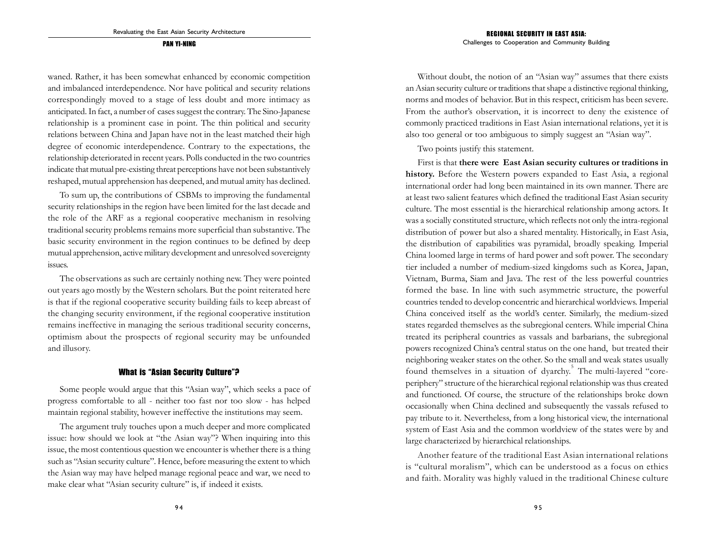waned. Rather, it has been somewhat enhanced by economic competition and imbalanced interdependence. Nor have political and security relations correspondingly moved to a stage of less doubt and more intimacy as anticipated. In fact, a number of cases suggest the contrary. The Sino-Japanese relationship is a prominent case in point. The thin political and security relations between China and Japan have not in the least matched their high degree of economic interdependence. Contrary to the expectations, the relationship deteriorated in recent years. Polls conducted in the two countries indicate that mutual pre-existing threat perceptions have not been substantively reshaped, mutual apprehension has deepened, and mutual amity has declined.

To sum up, the contributions of CSBMs to improving the fundamental security relationships in the region have been limited for the last decade and the role of the ARF as a regional cooperative mechanism in resolving traditional security problems remains more superficial than substantive. The basic security environment in the region continues to be defined by deep mutual apprehension, active military development and unresolved sovereignty issues.

The observations as such are certainly nothing new. They were pointed out years ago mostly by the Western scholars. But the point reiterated here is that if the regional cooperative security building fails to keep abreast of the changing security environment, if the regional cooperative institution remains ineffective in managing the serious traditional security concerns, optimism about the prospects of regional security may be unfounded and illusory.

# What is "Asian Security Culture"?

Some people would argue that this "Asian way", which seeks a pace of progress comfortable to all - neither too fast nor too slow - has helped maintain regional stability, however ineffective the institutions may seem.

The argument truly touches upon a much deeper and more complicated issue: how should we look at "the Asian way"? When inquiring into this issue, the most contentious question we encounter is whether there is a thing such as "Asian security culture". Hence, before measuring the extent to which the Asian way may have helped manage regional peace and war, we need to make clear what "Asian security culture" is, if indeed it exists.

Without doubt, the notion of an "Asian way" assumes that there exists an Asian security culture or traditions that shape a distinctive regional thinking, norms and modes of behavior. But in this respect, criticism has been severe. From the author's observation, it is incorrect to deny the existence of commonly practiced traditions in East Asian international relations, yet it is also too general or too ambiguous to simply suggest an "Asian way".

Two points justify this statement.

First is that **there were East Asian security cultures or traditions in history.** Before the Western powers expanded to East Asia, a regional international order had long been maintained in its own manner. There are at least two salient features which defined the traditional East Asian security culture. The most essential is the hierarchical relationship among actors. It was a socially constituted structure, which reflects not only the intra-regional distribution of power but also a shared mentality. Historically, in East Asia, the distribution of capabilities was pyramidal, broadly speaking. Imperial China loomed large in terms of hard power and soft power. The secondary tier included a number of medium-sized kingdoms such as Korea, Japan, Vietnam, Burma, Siam and Java. The rest of the less powerful countries formed the base. In line with such asymmetric structure, the powerful countries tended to develop concentric and hierarchical worldviews. Imperial China conceived itself as the world's center. Similarly, the medium-sized states regarded themselves as the subregional centers. While imperial China treated its peripheral countries as vassals and barbarians, the subregional powers recognized China's central status on the one hand, but treated their neighboring weaker states on the other. So the small and weak states usually found themselves in a situation of dyarchy.<sup>5</sup> The multi-layered "coreperiphery" structure of the hierarchical regional relationship was thus created and functioned. Of course, the structure of the relationships broke down occasionally when China declined and subsequently the vassals refused to pay tribute to it. Nevertheless, from a long historical view, the international system of East Asia and the common worldview of the states were by and large characterized by hierarchical relationships.

Another feature of the traditional East Asian international relations is "cultural moralism", which can be understood as a focus on ethics and faith. Morality was highly valued in the traditional Chinese culture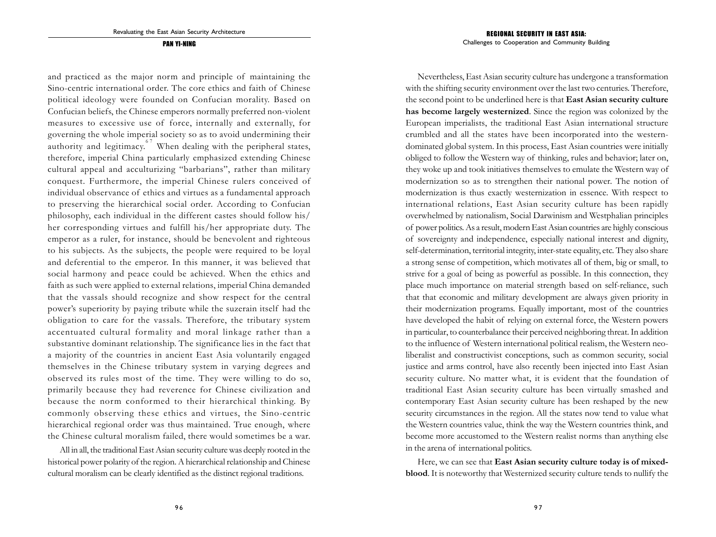and practiced as the major norm and principle of maintaining the Sino-centric international order. The core ethics and faith of Chinese political ideology were founded on Confucian morality. Based on Confucian beliefs, the Chinese emperors normally preferred non-violent measures to excessive use of force, internally and externally, for governing the whole imperial society so as to avoid undermining their authority and legitimacy. $67$  When dealing with the peripheral states, therefore, imperial China particularly emphasized extending Chinese cultural appeal and acculturizing "barbarians", rather than military conquest. Furthermore, the imperial Chinese rulers conceived of individual observance of ethics and virtues as a fundamental approach to preserving the hierarchical social order. According to Confucian philosophy, each individual in the different castes should follow his/ her corresponding virtues and fulfill his/her appropriate duty. The emperor as a ruler, for instance, should be benevolent and righteous to his subjects. As the subjects, the people were required to be loyal and deferential to the emperor. In this manner, it was believed that social harmony and peace could be achieved. When the ethics and faith as such were applied to external relations, imperial China demanded that the vassals should recognize and show respect for the central power's superiority by paying tribute while the suzerain itself had the obligation to care for the vassals. Therefore, the tributary system accentuated cultural formality and moral linkage rather than a substantive dominant relationship. The significance lies in the fact that a majority of the countries in ancient East Asia voluntarily engaged themselves in the Chinese tributary system in varying degrees and observed its rules most of the time. They were willing to do so, primarily because they had reverence for Chinese civilization and because the norm conformed to their hierarchical thinking. By commonly observing these ethics and virtues, the Sino-centric hierarchical regional order was thus maintained. True enough, where the Chinese cultural moralism failed, there would sometimes be a war.

All in all, the traditional East Asian security culture was deeply rooted in the historical power polarity of the region. A hierarchical relationship and Chinese cultural moralism can be clearly identified as the distinct regional traditions.

Nevertheless, East Asian security culture has undergone a transformation with the shifting security environment over the last two centuries. Therefore, the second point to be underlined here is that **East Asian security culture has become largely westernized**. Since the region was colonized by the European imperialists, the traditional East Asian international structure crumbled and all the states have been incorporated into the westerndominated global system. In this process, East Asian countries were initially obliged to follow the Western way of thinking, rules and behavior; later on, they woke up and took initiatives themselves to emulate the Western way of modernization so as to strengthen their national power. The notion of modernization is thus exactly westernization in essence. With respect to international relations, East Asian security culture has been rapidly overwhelmed by nationalism, Social Darwinism and Westphalian principles of power politics. As a result, modern East Asian countries are highly conscious of sovereignty and independence, especially national interest and dignity, self-determination, territorial integrity, inter-state equality, etc. They also share a strong sense of competition, which motivates all of them, big or small, to strive for a goal of being as powerful as possible. In this connection, they place much importance on material strength based on self-reliance, such that that economic and military development are always given priority in their modernization programs. Equally important, most of the countries have developed the habit of relying on external force, the Western powers in particular, to counterbalance their perceived neighboring threat. In addition to the influence of Western international political realism, the Western neoliberalist and constructivist conceptions, such as common security, social justice and arms control, have also recently been injected into East Asian security culture. No matter what, it is evident that the foundation of traditional East Asian security culture has been virtually smashed and contemporary East Asian security culture has been reshaped by the new security circumstances in the region. All the states now tend to value what the Western countries value, think the way the Western countries think, and become more accustomed to the Western realist norms than anything else in the arena of international politics.

Here, we can see that **East Asian security culture today is of mixedblood**. It is noteworthy that Westernized security culture tends to nullify the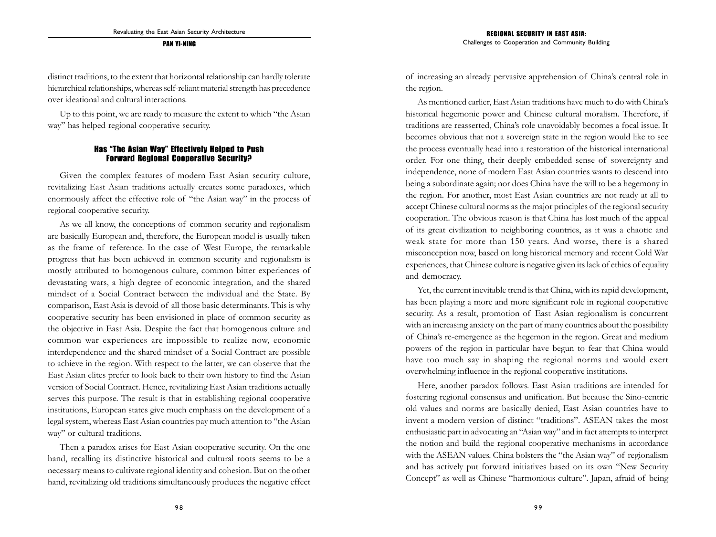distinct traditions, to the extent that horizontal relationship can hardly tolerate hierarchical relationships, whereas self-reliant material strength has precedence over ideational and cultural interactions.

Up to this point, we are ready to measure the extent to which "the Asian way" has helped regional cooperative security.

# Has "The Asian Way" Effectively Helped to Push Forward Regional Cooperative Security?

Given the complex features of modern East Asian security culture, revitalizing East Asian traditions actually creates some paradoxes, which enormously affect the effective role of "the Asian way" in the process of regional cooperative security.

As we all know, the conceptions of common security and regionalism are basically European and, therefore, the European model is usually taken as the frame of reference. In the case of West Europe, the remarkable progress that has been achieved in common security and regionalism is mostly attributed to homogenous culture, common bitter experiences of devastating wars, a high degree of economic integration, and the shared mindset of a Social Contract between the individual and the State. By comparison, East Asia is devoid of all those basic determinants. This is why cooperative security has been envisioned in place of common security as the objective in East Asia. Despite the fact that homogenous culture and common war experiences are impossible to realize now, economic interdependence and the shared mindset of a Social Contract are possible to achieve in the region. With respect to the latter, we can observe that the East Asian elites prefer to look back to their own history to find the Asian version of Social Contract. Hence, revitalizing East Asian traditions actually serves this purpose. The result is that in establishing regional cooperative institutions, European states give much emphasis on the development of a legal system, whereas East Asian countries pay much attention to "the Asian way" or cultural traditions.

Then a paradox arises for East Asian cooperative security. On the one hand, recalling its distinctive historical and cultural roots seems to be a necessary means to cultivate regional identity and cohesion. But on the other hand, revitalizing old traditions simultaneously produces the negative effect of increasing an already pervasive apprehension of China's central role in the region.

As mentioned earlier, East Asian traditions have much to do with China's historical hegemonic power and Chinese cultural moralism. Therefore, if traditions are reasserted, China's role unavoidably becomes a focal issue. It becomes obvious that not a sovereign state in the region would like to see the process eventually head into a restoration of the historical international order. For one thing, their deeply embedded sense of sovereignty and independence, none of modern East Asian countries wants to descend into being a subordinate again; nor does China have the will to be a hegemony in the region. For another, most East Asian countries are not ready at all to accept Chinese cultural norms as the major principles of the regional security cooperation. The obvious reason is that China has lost much of the appeal of its great civilization to neighboring countries, as it was a chaotic and weak state for more than 150 years. And worse, there is a shared misconception now, based on long historical memory and recent Cold War experiences, that Chinese culture is negative given its lack of ethics of equality and democracy.

Yet, the current inevitable trend is that China, with its rapid development, has been playing a more and more significant role in regional cooperative security. As a result, promotion of East Asian regionalism is concurrent with an increasing anxiety on the part of many countries about the possibility of China's re-emergence as the hegemon in the region. Great and medium powers of the region in particular have begun to fear that China would have too much say in shaping the regional norms and would exert overwhelming influence in the regional cooperative institutions.

Here, another paradox follows. East Asian traditions are intended for fostering regional consensus and unification. But because the Sino-centric old values and norms are basically denied, East Asian countries have to invent a modern version of distinct "traditions". ASEAN takes the most enthusiastic part in advocating an "Asian way" and in fact attempts to interpret the notion and build the regional cooperative mechanisms in accordance with the ASEAN values. China bolsters the "the Asian way" of regionalism and has actively put forward initiatives based on its own "New Security Concept" as well as Chinese "harmonious culture". Japan, afraid of being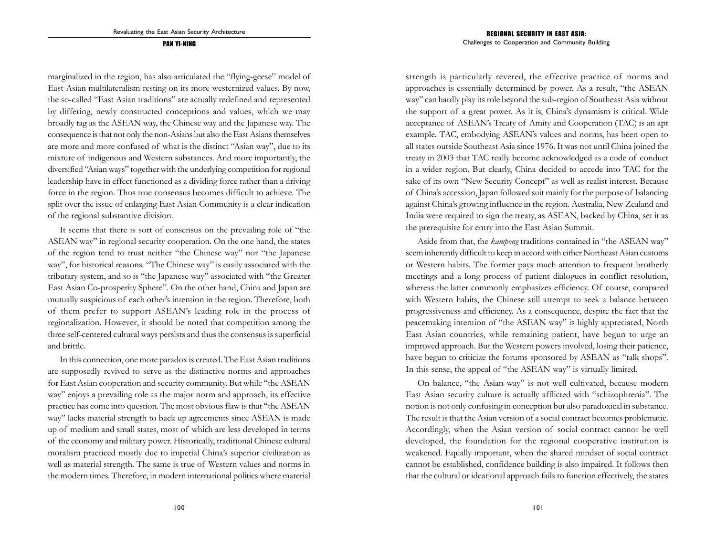marginalized in the region, has also articulated the "flying-geese" model of East Asian multilateralism resting on its more westernized values. By now, the so-called "East Asian traditions" are actually redefined and represented by differing, newly constructed conceptions and values, which we may broadly tag as the ASEAN way, the Chinese way and the Japanese way. The consequence is that not only the non-Asians but also the East Asians themselves are more and more confused of what is the distinct "Asian way", due to its mixture of indigenous and Western substances. And more importantly, the diversified "Asian ways" together with the underlying competition for regional leadership have in effect functioned as a dividing force rather than a driving force in the region. Thus true consensus becomes difficult to achieve. The split over the issue of enlarging East Asian Community is a clear indication of the regional substantive division.

It seems that there is sort of consensus on the prevailing role of "the ASEAN way" in regional security cooperation. On the one hand, the states of the region tend to trust neither "the Chinese way" nor "the Japanese way", for historical reasons. "The Chinese way" is easily associated with the tributary system, and so is "the Japanese way" associated with "the Greater East Asian Co-prosperity Sphere". On the other hand, China and Japan are mutually suspicious of each other's intention in the region. Therefore, both of them prefer to support ASEAN's leading role in the process of regionalization. However, it should be noted that competition among the three self-centered cultural ways persists and thus the consensus is superficial and brittle.

In this connection, one more paradox is created. The East Asian traditions are supposedly revived to serve as the distinctive norms and approaches for East Asian cooperation and security community. But while "the ASEAN way" enjoys a prevailing role as the major norm and approach, its effective practice has come into question. The most obvious flaw is that "the ASEAN way" lacks material strength to back up agreements since ASEAN is made up of medium and small states, most of which are less developed in terms of the economy and military power. Historically, traditional Chinese cultural moralism practiced mostly due to imperial China's superior civilization as well as material strength. The same is true of Western values and norms in the modern times. Therefore, in modern international politics where material

strength is particularly revered, the effective practice of norms and approaches is essentially determined by power. As a result, "the ASEAN way" can hardly play its role beyond the sub-region of Southeast Asia without the support of a great power. As it is, China's dynamism is critical. Wide acceptance of ASEAN's Treaty of Amity and Cooperation (TAC) is an apt example. TAC, embodying ASEAN's values and norms, has been open to all states outside Southeast Asia since 1976. It was not until China joined the treaty in 2003 that TAC really become acknowledged as a code of conduct in a wider region. But clearly, China decided to accede into TAC for the sake of its own "New Security Concept" as well as realist interest. Because of China's accession, Japan followed suit mainly for the purpose of balancing against China's growing influence in the region. Australia, New Zealand and India were required to sign the treaty, as ASEAN, backed by China, set it as the prerequisite for entry into the East Asian Summit.

Aside from that, the *kampong* traditions contained in "the ASEAN way" seem inherently difficult to keep in accord with either Northeast Asian customs or Western habits. The former pays much attention to frequent brotherly meetings and a long process of patient dialogues in conflict resolution, whereas the latter commonly emphasizes efficiency. Of course, compared with Western habits, the Chinese still attempt to seek a balance between progressiveness and efficiency. As a consequence, despite the fact that the peacemaking intention of "the ASEAN way" is highly appreciated, North East Asian countries, while remaining patient, have begun to urge an improved approach. But the Western powers involved, losing their patience, have begun to criticize the forums sponsored by ASEAN as "talk shops". In this sense, the appeal of "the ASEAN way" is virtually limited.

On balance, "the Asian way" is not well cultivated, because modern East Asian security culture is actually afflicted with "schizophrenia". The notion is not only confusing in conception but also paradoxical in substance. The result is that the Asian version of a social contract becomes problematic. Accordingly, when the Asian version of social contract cannot be well developed, the foundation for the regional cooperative institution is weakened. Equally important, when the shared mindset of social contract cannot be established, confidence building is also impaired. It follows then that the cultural or ideational approach fails to function effectively, the states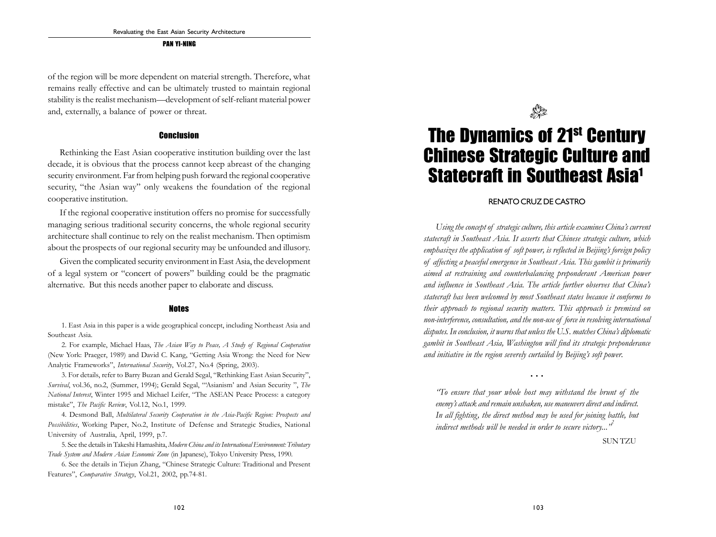of the region will be more dependent on material strength. Therefore, what remains really effective and can be ultimately trusted to maintain regional stability is the realist mechanism—development of self-reliant material power and, externally, a balance of power or threat.

# **Conclusion**

Rethinking the East Asian cooperative institution building over the last decade, it is obvious that the process cannot keep abreast of the changing security environment. Far from helping push forward the regional cooperative security, "the Asian way" only weakens the foundation of the regional cooperative institution.

If the regional cooperative institution offers no promise for successfully managing serious traditional security concerns, the whole regional security architecture shall continue to rely on the realist mechanism. Then optimism about the prospects of our regional security may be unfounded and illusory.

Given the complicated security environment in East Asia, the development of a legal system or "concert of powers" building could be the pragmatic alternative. But this needs another paper to elaborate and discuss.

# **Notes**

1. East Asia in this paper is a wide geographical concept, including Northeast Asia and Southeast Asia.

2. For example, Michael Haas, *The Asian Way to Peace, A Study of Regional Cooperation* (New York: Praeger, 1989) and David C. Kang, "Getting Asia Wrong: the Need for New Analytic Frameworks", *International Security*, Vol.27, No.4 (Spring, 2003).

3. For details, refer to Barry Buzan and Gerald Segal, "Rethinking East Asian Security", *Survival*, vol.36, no.2, (Summer, 1994); Gerald Segal, "'Asianism' and Asian Security ", *The National Interest*, Winter 1995 and Michael Leifer, "The ASEAN Peace Process: a category mistake", *The Pacific Review*, Vol.12, No.1, 1999.

4. Desmond Ball, *Multilateral Security Cooperation in the Asia-Pacific Region: Prospects and Possibilities*, Working Paper, No.2, Institute of Defense and Strategic Studies, National University of Australia, April, 1999, p.7.

5. See the details in Takeshi Hamashita, *Modern China and its International Environment: Tributary Trade System and Modern Asian Economic Zone* (in Japanese), Tokyo University Press, 1990.

6. See the details in Tiejun Zhang, "Chinese Strategic Culture: Traditional and Present Features", *Comparative Strategy*, Vol.21, 2002, pp.74-81.

# The Dynamics of 21st Century Chinese Strategic Culture and Statecraft in Southeast Asia<sup>1</sup>

₽,

# RENATO CRUZ DE CASTRO

*Using the concept of strategic culture, this article examines China's current statecraft in Southeast Asia. It asserts that Chinese strategic culture, which emphasizes the application of soft power, is reflected in Beijing's foreign policy of affecting a peaceful emergence in Southeast Asia. This gambit is primarily aimed at restraining and counterbalancing preponderant American power and influence in Southeast Asia. The article further observes that China's statecraft has been welcomed by most Southeast states because it conforms to their approach to regional security matters. This approach is premised on non-interference, consultation, and the non-use of force in resolving international disputes. In conclusion, it warns that unless the U.S. matches China's diplomatic gambit in Southeast Asia, Washington will find its strategic preponderance and initiative in the region severely curtailed by Beijing's soft power.*

*"To ensure that your whole host may withstand the brunt of the enemy's attack and remain unshaken, use maneuvers direct and indirect. In all fighting, the direct method may be used for joining battle, but indirect methods will be needed in order to secure victory..." 2*

• • •

SUN TZU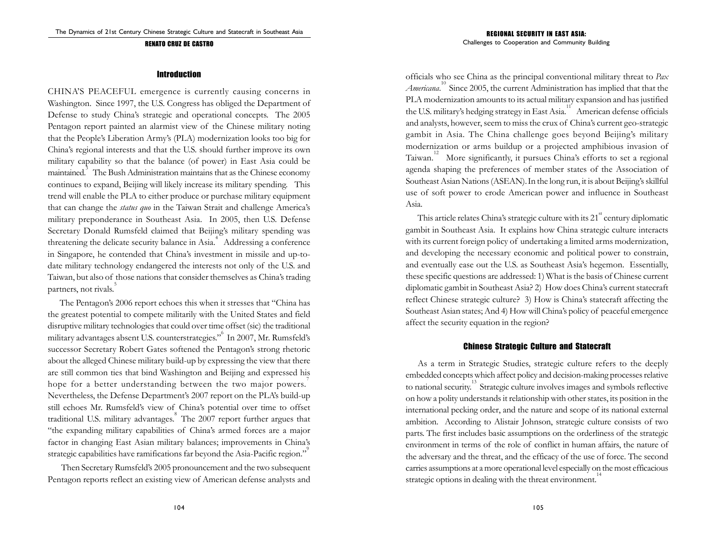#### Introduction

CHINA'S PEACEFUL emergence is currently causing concerns in Washington. Since 1997, the U.S. Congress has obliged the Department of Defense to study China's strategic and operational concepts. The 2005 Pentagon report painted an alarmist view of the Chinese military noting that the People's Liberation Army's (PLA) modernization looks too big for China's regional interests and that the U.S. should further improve its own military capability so that the balance (of power) in East Asia could be maintained.<sup>3</sup> The Bush Administration maintains that as the Chinese economy continues to expand, Beijing will likely increase its military spending. This trend will enable the PLA to either produce or purchase military equipment that can change the *status quo* in the Taiwan Strait and challenge America's military preponderance in Southeast Asia. In 2005, then U.S. Defense Secretary Donald Rumsfeld claimed that Beijing's military spending was threatening the delicate security balance in Asia.<sup>4</sup> Addressing a conference in Singapore, he contended that China's investment in missile and up-todate military technology endangered the interests not only of the U.S. and Taiwan, but also of those nations that consider themselves as China's trading partners, not rivals.

The Pentagon's 2006 report echoes this when it stresses that "China has the greatest potential to compete militarily with the United States and field disruptive military technologies that could over time offset (sic) the traditional military advantages absent U.S. counterstrategies."6 In 2007, Mr. Rumsfeld's successor Secretary Robert Gates softened the Pentagon's strong rhetoric about the alleged Chinese military build-up by expressing the view that there are still common ties that bind Washington and Beijing and expressed his hope for a better understanding between the two major powers. Nevertheless, the Defense Department's 2007 report on the PLA's build-up still echoes Mr. Rumsfeld's view of China's potential over time to offset traditional U.S. military advantages.<sup>8</sup> The 2007 report further argues that "the expanding military capabilities of China's armed forces are a major factor in changing East Asian military balances; improvements in China's strategic capabilities have ramifications far beyond the Asia-Pacific region."

 Then Secretary Rumsfeld's 2005 pronouncement and the two subsequent Pentagon reports reflect an existing view of American defense analysts and

officials who see China as the principal conventional military threat to *Pax* Americana.<sup>10</sup> Since 2005, the current Administration has implied that that the PLA modernization amounts to its actual military expansion and has justified the U.S. military's hedging strategy in East Asia.<sup>11</sup> American defense officials and analysts, however, seem to miss the crux of China's current geo-strategic gambit in Asia. The China challenge goes beyond Beijing's military modernization or arms buildup or a projected amphibious invasion of Taiwan. 12 More significantly, it pursues China's efforts to set a regional agenda shaping the preferences of member states of the Association of Southeast Asian Nations (ASEAN).In the long run, it is about Beijing's skillful use of soft power to erode American power and influence in Southeast Asia.

This article relates China's strategic culture with its 21 $^{\rm st}$  century diplomatic gambit in Southeast Asia. It explains how China strategic culture interacts with its current foreign policy of undertaking a limited arms modernization, and developing the necessary economic and political power to constrain, and eventually ease out the U.S. as Southeast Asia's hegemon. Essentially, these specific questions are addressed: 1) What is the basis of Chinese current diplomatic gambit in Southeast Asia? 2) How does China's current statecraft reflect Chinese strategic culture? 3) How is China's statecraft affecting the Southeast Asian states; And 4) How will China's policy of peaceful emergence affect the security equation in the region?

# Chinese Strategic Culture and Statecraft

As a term in Strategic Studies, strategic culture refers to the deeply embedded concepts which affect policy and decision-making processes relative to national security. 13 Strategic culture involves images and symbols reflective on how a polity understands it relationship with other states, its position in the international pecking order, and the nature and scope of its national external ambition. According to Alistair Johnson, strategic culture consists of two parts. The first includes basic assumptions on the orderliness of the strategic environment in terms of the role of conflict in human affairs, the nature of the adversary and the threat, and the efficacy of the use of force. The second carries assumptions at a more operational level especially on the most efficacious strategic options in dealing with the threat environment. 14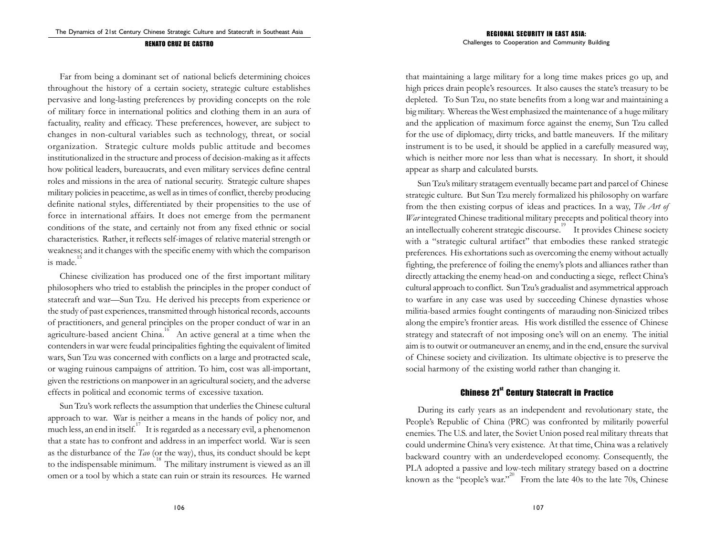Far from being a dominant set of national beliefs determining choices throughout the history of a certain society, strategic culture establishes pervasive and long-lasting preferences by providing concepts on the role of military force in international politics and clothing them in an aura of factuality, reality and efficacy. These preferences, however, are subject to changes in non-cultural variables such as technology, threat, or social organization. Strategic culture molds public attitude and becomes institutionalized in the structure and process of decision-making as it affects how political leaders, bureaucrats, and even military services define central roles and missions in the area of national security. Strategic culture shapes military policies in peacetime, as well as in times of conflict, thereby producing definite national styles, differentiated by their propensities to the use of force in international affairs. It does not emerge from the permanent conditions of the state, and certainly not from any fixed ethnic or social characteristics. Rather, it reflects self-images of relative material strength or weakness; and it changes with the specific enemy with which the comparison is made. 15

Chinese civilization has produced one of the first important military philosophers who tried to establish the principles in the proper conduct of statecraft and war—Sun Tzu. He derived his precepts from experience or the study of past experiences, transmitted through historical records, accounts of practitioners, and general principles on the proper conduct of war in an agriculture-based ancient China.<sup>16</sup> An active general at a time when the contenders in war were feudal principalities fighting the equivalent of limited wars, Sun Tzu was concerned with conflicts on a large and protracted scale, or waging ruinous campaigns of attrition. To him, cost was all-important, given the restrictions on manpower in an agricultural society, and the adverse effects in political and economic terms of excessive taxation.

Sun Tzu's work reflects the assumption that underlies the Chinese cultural approach to war. War is neither a means in the hands of policy nor, and much less, an end in itself.<sup>17</sup> It is regarded as a necessary evil, a phenomenon that a state has to confront and address in an imperfect world. War is seen as the disturbance of the *Tao* (or the way), thus, its conduct should be kept to the indispensable minimum.<sup>18</sup> The military instrument is viewed as an ill omen or a tool by which a state can ruin or strain its resources. He warned

that maintaining a large military for a long time makes prices go up, and high prices drain people's resources. It also causes the state's treasury to be depleted. To Sun Tzu, no state benefits from a long war and maintaining a big military. Whereas the West emphasized the maintenance of a huge military and the application of maximum force against the enemy, Sun Tzu called for the use of diplomacy, dirty tricks, and battle maneuvers. If the military instrument is to be used, it should be applied in a carefully measured way, which is neither more nor less than what is necessary. In short, it should appear as sharp and calculated bursts.

Sun Tzu's military stratagem eventually became part and parcel of Chinese strategic culture. But Sun Tzu merely formalized his philosophy on warfare from the then existing corpus of ideas and practices. In a way, *The Art of War* integrated Chinese traditional military precepts and political theory into an intellectually coherent strategic discourse.<sup>19</sup> It provides Chinese society with a "strategic cultural artifact" that embodies these ranked strategic preferences. His exhortations such as overcoming the enemy without actually fighting, the preference of foiling the enemy's plots and alliances rather than directly attacking the enemy head-on and conducting a siege, reflect China's cultural approach to conflict. Sun Tzu's gradualist and asymmetrical approach to warfare in any case was used by succeeding Chinese dynasties whose militia-based armies fought contingents of marauding non-Sinicized tribes along the empire's frontier areas. His work distilled the essence of Chinese strategy and statecraft of not imposing one's will on an enemy. The initial aim is to outwit or outmaneuver an enemy, and in the end, ensure the survival of Chinese society and civilization. Its ultimate objective is to preserve the social harmony of the existing world rather than changing it.

# **Chinese 21st Century Statecraft in Practice**

During its early years as an independent and revolutionary state, the People's Republic of China (PRC) was confronted by militarily powerful enemies. The U.S. and later, the Soviet Union posed real military threats that could undermine China's very existence. At that time, China was a relatively backward country with an underdeveloped economy. Consequently, the PLA adopted a passive and low-tech military strategy based on a doctrine known as the "people's war."<sup>20</sup> From the late 40s to the late 70s, Chinese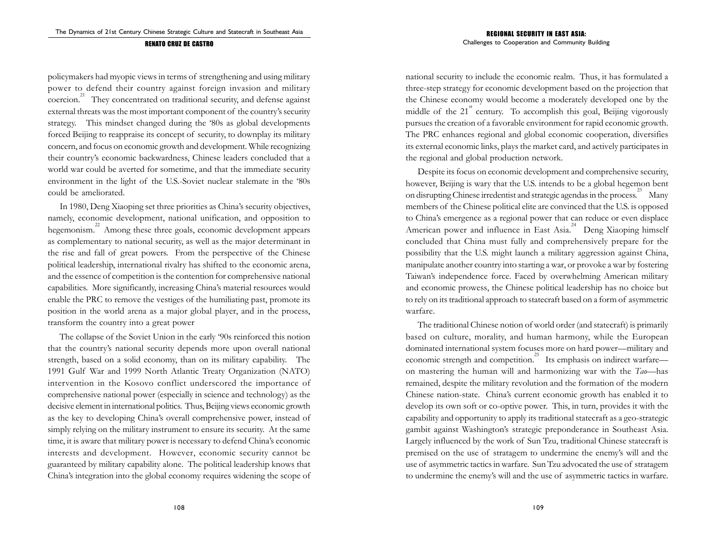policymakers had myopic views in terms of strengthening and using military power to defend their country against foreign invasion and military coercion.<sup>21</sup> They concentrated on traditional security, and defense against external threats was the most important component of the country's security strategy. This mindset changed during the '80s as global developments forced Beijing to reappraise its concept of security, to downplay its military concern, and focus on economic growth and development. While recognizing their country's economic backwardness, Chinese leaders concluded that a world war could be averted for sometime, and that the immediate security environment in the light of the U.S.-Soviet nuclear stalemate in the '80s could be ameliorated.

In 1980, Deng Xiaoping set three priorities as China's security objectives, namely, economic development, national unification, and opposition to hegemonism.<sup>22</sup> Among these three goals, economic development appears as complementary to national security, as well as the major determinant in the rise and fall of great powers. From the perspective of the Chinese political leadership, international rivalry has shifted to the economic arena, and the essence of competition is the contention for comprehensive national capabilities. More significantly, increasing China's material resources would enable the PRC to remove the vestiges of the humiliating past, promote its position in the world arena as a major global player, and in the process, transform the country into a great power

The collapse of the Soviet Union in the early '90s reinforced this notion that the country's national security depends more upon overall national strength, based on a solid economy, than on its military capability. The 1991 Gulf War and 1999 North Atlantic Treaty Organization (NATO) intervention in the Kosovo conflict underscored the importance of comprehensive national power (especially in science and technology) as the decisive element in international politics. Thus, Beijing views economic growth as the key to developing China's overall comprehensive power, instead of simply relying on the military instrument to ensure its security. At the same time, it is aware that military power is necessary to defend China's economic interests and development. However, economic security cannot be guaranteed by military capability alone. The political leadership knows that China's integration into the global economy requires widening the scope of

national security to include the economic realm. Thus, it has formulated a three-step strategy for economic development based on the projection that the Chinese economy would become a moderately developed one by the middle of the  $21^{\circ}$  century. To accomplish this goal, Beijing vigorously pursues the creation of a favorable environment for rapid economic growth. The PRC enhances regional and global economic cooperation, diversifies its external economic links, plays the market card, and actively participates in the regional and global production network.

Despite its focus on economic development and comprehensive security, however, Beijing is wary that the U.S. intends to be a global hegemon bent on disrupting Chinese irredentist and strategic agendas in the process.<sup>23</sup> Many members of the Chinese political elite are convinced that the U.S. is opposed to China's emergence as a regional power that can reduce or even displace American power and influence in East Asia.<sup>24</sup> Deng Xiaoping himself concluded that China must fully and comprehensively prepare for the possibility that the U.S. might launch a military aggression against China, manipulate another country into starting a war, or provoke a war by fostering Taiwan's independence force. Faced by overwhelming American military and economic prowess, the Chinese political leadership has no choice but to rely on its traditional approach to statecraft based on a form of asymmetric warfare.

The traditional Chinese notion of world order (and statecraft) is primarily based on culture, morality, and human harmony, while the European dominated international system focuses more on hard power—military and economic strength and competition.<sup>25</sup> Its emphasis on indirect warfare on mastering the human will and harmonizing war with the *Tao*—has remained, despite the military revolution and the formation of the modern Chinese nation-state. China's current economic growth has enabled it to develop its own soft or co-optive power. This, in turn, provides it with the capability and opportunity to apply its traditional statecraft as a geo-strategic gambit against Washington's strategic preponderance in Southeast Asia. Largely influenced by the work of Sun Tzu, traditional Chinese statecraft is premised on the use of stratagem to undermine the enemy's will and the use of asymmetric tactics in warfare. Sun Tzu advocated the use of stratagem to undermine the enemy's will and the use of asymmetric tactics in warfare.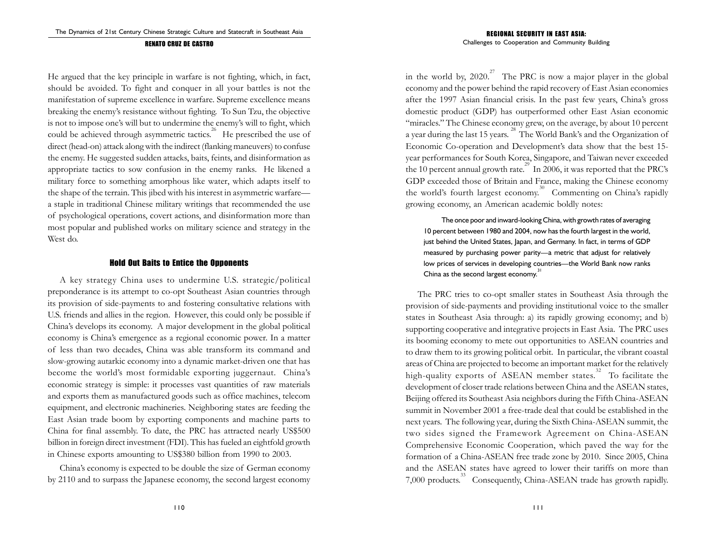He argued that the key principle in warfare is not fighting, which, in fact, should be avoided. To fight and conquer in all your battles is not the manifestation of supreme excellence in warfare. Supreme excellence means breaking the enemy's resistance without fighting. To Sun Tzu, the objective is not to impose one's will but to undermine the enemy's will to fight, which could be achieved through asymmetric tactics.<sup>26</sup> He prescribed the use of direct (head-on) attack along with the indirect (flanking maneuvers) to confuse the enemy. He suggested sudden attacks, baits, feints, and disinformation as appropriate tactics to sow confusion in the enemy ranks. He likened a military force to something amorphous like water, which adapts itself to the shape of the terrain. This jibed with his interest in asymmetric warfare a staple in traditional Chinese military writings that recommended the use of psychological operations, covert actions, and disinformation more than most popular and published works on military science and strategy in the West do.

# Hold Out Baits to Entice the Opponents

A key strategy China uses to undermine U.S. strategic/political preponderance is its attempt to co-opt Southeast Asian countries through its provision of side-payments to and fostering consultative relations with U.S. friends and allies in the region. However, this could only be possible if China's develops its economy. A major development in the global political economy is China's emergence as a regional economic power. In a matter of less than two decades, China was able transform its command and slow-growing autarkic economy into a dynamic market-driven one that has become the world's most formidable exporting juggernaut. China's economic strategy is simple: it processes vast quantities of raw materials and exports them as manufactured goods such as office machines, telecom equipment, and electronic machineries. Neighboring states are feeding the East Asian trade boom by exporting components and machine parts to China for final assembly. To date, the PRC has attracted nearly US\$500 billion in foreign direct investment (FDI). This has fueled an eightfold growth in Chinese exports amounting to US\$380 billion from 1990 to 2003.

China's economy is expected to be double the size of German economy by 2110 and to surpass the Japanese economy, the second largest economy

in the world by, 2020. $^{27}$  The PRC is now a major player in the global economy and the power behind the rapid recovery of East Asian economies after the 1997 Asian financial crisis. In the past few years, China's gross domestic product (GDP) has outperformed other East Asian economic "miracles." The Chinese economy grew, on the average, by about 10 percent a year during the last 15 years.<sup>28</sup> The World Bank's and the Organization of Economic Co-operation and Development's data show that the best 15 year performances for South Korea, Singapore, and Taiwan never exceeded the 10 percent annual growth rate.<sup>29</sup> In 2006, it was reported that the PRC's GDP exceeded those of Britain and France, making the Chinese economy the world's fourth largest economy. 30 Commenting on China's rapidly growing economy, an American academic boldly notes:

The once poor and inward-looking China, with growth rates of averaging 10 percent between 1980 and 2004, now has the fourth largest in the world, just behind the United States, Japan, and Germany. In fact, in terms of GDP measured by purchasing power parity—a metric that adjust for relatively low prices of services in developing countries—the World Bank now ranks China as the second largest economy.<sup>31</sup>

The PRC tries to co-opt smaller states in Southeast Asia through the provision of side-payments and providing institutional voice to the smaller states in Southeast Asia through: a) its rapidly growing economy; and b) supporting cooperative and integrative projects in East Asia. The PRC uses its booming economy to mete out opportunities to ASEAN countries and to draw them to its growing political orbit. In particular, the vibrant coastal areas of China are projected to become an important market for the relatively high-quality exports of ASEAN member states.<sup>32</sup> To facilitate the development of closer trade relations between China and the ASEAN states, Beijing offered its Southeast Asia neighbors during the Fifth China-ASEAN summit in November 2001 a free-trade deal that could be established in the next years. The following year, during the Sixth China-ASEAN summit, the two sides signed the Framework Agreement on China-ASEAN Comprehensive Economic Cooperation, which paved the way for the formation of a China-ASEAN free trade zone by 2010. Since 2005, China and the ASEAN states have agreed to lower their tariffs on more than 7,000 products. 33 Consequently, China-ASEAN trade has growth rapidly.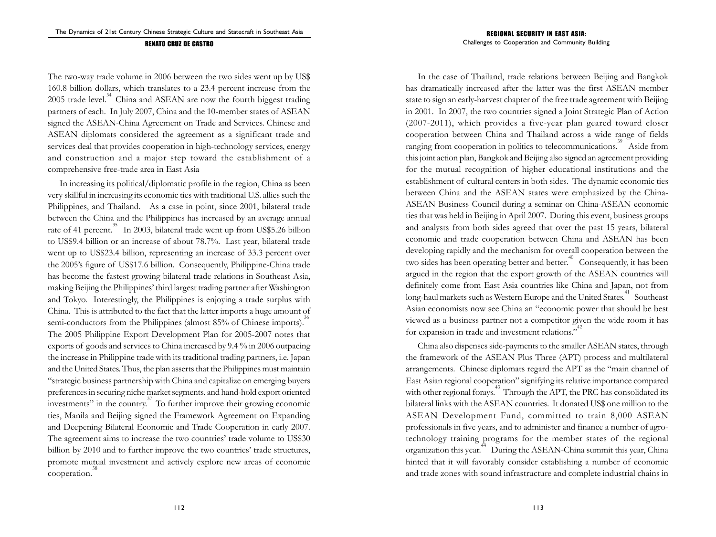The two-way trade volume in 2006 between the two sides went up by US\$ 160.8 billion dollars, which translates to a 23.4 percent increase from the 2005 trade level. $34$  China and ASEAN are now the fourth biggest trading partners of each. In July 2007, China and the 10-member states of ASEAN signed the ASEAN-China Agreement on Trade and Services. Chinese and ASEAN diplomats considered the agreement as a significant trade and services deal that provides cooperation in high-technology services, energy and construction and a major step toward the establishment of a comprehensive free-trade area in East Asia

In increasing its political/diplomatic profile in the region, China as been very skillful in increasing its economic ties with traditional U.S. allies such the Philippines, and Thailand. As a case in point, since 2001, bilateral trade between the China and the Philippines has increased by an average annual rate of 41 percent.<sup>35</sup> In 2003, bilateral trade went up from US\$5.26 billion to US\$9.4 billion or an increase of about 78.7%. Last year, bilateral trade went up to US\$23.4 billion, representing an increase of 33.3 percent over the 2005's figure of US\$17.6 billion. Consequently, Philippine-China trade has become the fastest growing bilateral trade relations in Southeast Asia, making Beijing the Philippines' third largest trading partner after Washington and Tokyo. Interestingly, the Philippines is enjoying a trade surplus with China. This is attributed to the fact that the latter imports a huge amount of semi-conductors from the Philippines (almost 85% of Chinese imports).<sup>36</sup> The 2005 Philippine Export Development Plan for 2005-2007 notes that exports of goods and services to China increased by 9.4 % in 2006 outpacing the increase in Philippine trade with its traditional trading partners, i.e. Japan and the United States. Thus, the plan asserts that the Philippines must maintain "strategic business partnership with China and capitalize on emerging buyers preferences in securing niche market segments, and hand-hold export oriented investments" in the country. 37 To further improve their growing economic ties, Manila and Beijing signed the Framework Agreement on Expanding and Deepening Bilateral Economic and Trade Cooperation in early 2007. The agreement aims to increase the two countries' trade volume to US\$30 billion by 2010 and to further improve the two countries' trade structures, promote mutual investment and actively explore new areas of economic cooperation. 38

In the case of Thailand, trade relations between Beijing and Bangkok has dramatically increased after the latter was the first ASEAN member state to sign an early-harvest chapter of the free trade agreement with Beijing in 2001. In 2007, the two countries signed a Joint Strategic Plan of Action (2007-2011), which provides a five-year plan geared toward closer cooperation between China and Thailand across a wide range of fields ranging from cooperation in politics to telecommunications. 39 Aside from this joint action plan, Bangkok and Beijing also signed an agreement providing for the mutual recognition of higher educational institutions and the establishment of cultural centers in both sides. The dynamic economic ties between China and the ASEAN states were emphasized by the China-ASEAN Business Council during a seminar on China-ASEAN economic ties that was held in Beijing in April 2007. During this event, business groups and analysts from both sides agreed that over the past 15 years, bilateral economic and trade cooperation between China and ASEAN has been developing rapidly and the mechanism for overall cooperation between the two sides has been operating better and better. 40 Consequently, it has been argued in the region that the export growth of the ASEAN countries will definitely come from East Asia countries like China and Japan, not from long-haul markets such as Western Europe and the United States. Southeast Asian economists now see China an "economic power that should be best viewed as a business partner not a competitor given the wide room it has for expansion in trade and investment relations."<sup>42</sup>

China also dispenses side-payments to the smaller ASEAN states, through the framework of the ASEAN Plus Three (APT) process and multilateral arrangements. Chinese diplomats regard the APT as the "main channel of East Asian regional cooperation" signifying its relative importance compared with other regional forays.<sup>43</sup> Through the APT, the PRC has consolidated its bilateral links with the ASEAN countries. It donated US\$ one million to the ASEAN Development Fund, committed to train 8,000 ASEAN professionals in five years, and to administer and finance a number of agrotechnology training programs for the member states of the regional organization this year. 44 During the ASEAN-China summit this year, China hinted that it will favorably consider establishing a number of economic and trade zones with sound infrastructure and complete industrial chains in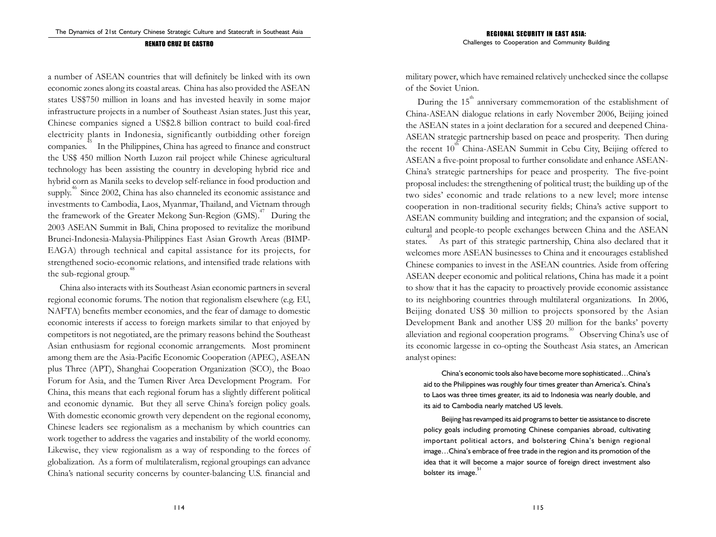a number of ASEAN countries that will definitely be linked with its own economic zones along its coastal areas. China has also provided the ASEAN states US\$750 million in loans and has invested heavily in some major infrastructure projects in a number of Southeast Asian states. Just this year, Chinese companies signed a US\$2.8 billion contract to build coal-fired electricity plants in Indonesia, significantly outbidding other foreign companies. 45 In the Philippines, China has agreed to finance and construct the US\$ 450 million North Luzon rail project while Chinese agricultural technology has been assisting the country in developing hybrid rice and hybrid corn as Manila seeks to develop self-reliance in food production and supply. 46 Since 2002, China has also channeled its economic assistance and investments to Cambodia, Laos, Myanmar, Thailand, and Vietnam through the framework of the Greater Mekong Sun-Region (GMS).<sup>47</sup> During the 2003 ASEAN Summit in Bali, China proposed to revitalize the moribund Brunei-Indonesia-Malaysia-Philippines East Asian Growth Areas (BIMP-EAGA) through technical and capital assistance for its projects, for strengthened socio-economic relations, and intensified trade relations with the sub-regional group.<sup>7</sup>

China also interacts with its Southeast Asian economic partners in several regional economic forums. The notion that regionalism elsewhere (e.g. EU, NAFTA) benefits member economies, and the fear of damage to domestic economic interests if access to foreign markets similar to that enjoyed by competitors is not negotiated, are the primary reasons behind the Southeast Asian enthusiasm for regional economic arrangements. Most prominent among them are the Asia-Pacific Economic Cooperation (APEC), ASEAN plus Three (APT), Shanghai Cooperation Organization (SCO), the Boao Forum for Asia, and the Tumen River Area Development Program. For China, this means that each regional forum has a slightly different political and economic dynamic. But they all serve China's foreign policy goals. With domestic economic growth very dependent on the regional economy, Chinese leaders see regionalism as a mechanism by which countries can work together to address the vagaries and instability of the world economy. Likewise, they view regionalism as a way of responding to the forces of globalization. As a form of multilateralism, regional groupings can advance China's national security concerns by counter-balancing U.S. financial and

military power, which have remained relatively unchecked since the collapse of the Soviet Union.

During the 15<sup>th</sup> anniversary commemoration of the establishment of China-ASEAN dialogue relations in early November 2006, Beijing joined the ASEAN states in a joint declaration for a secured and deepened China-ASEAN strategic partnership based on peace and prosperity. Then during the recent 10<sup>th</sup> China-ASEAN Summit in Cebu City, Beijing offered to ASEAN a five-point proposal to further consolidate and enhance ASEAN-China's strategic partnerships for peace and prosperity. The five-point proposal includes: the strengthening of political trust; the building up of the two sides' economic and trade relations to a new level; more intense cooperation in non-traditional security fields; China's active support to ASEAN community building and integration; and the expansion of social, cultural and people-to people exchanges between China and the ASEAN states.<sup>49</sup> As part of this strategic partnership, China also declared that it welcomes more ASEAN businesses to China and it encourages established Chinese companies to invest in the ASEAN countries. Aside from offering ASEAN deeper economic and political relations, China has made it a point to show that it has the capacity to proactively provide economic assistance to its neighboring countries through multilateral organizations. In 2006, Beijing donated US\$ 30 million to projects sponsored by the Asian Development Bank and another US\$ 20 million for the banks' poverty alleviation and regional cooperation programs. 50 Observing China's use of its economic largesse in co-opting the Southeast Asia states, an American analyst opines:

China's economic tools also have become more sophisticated…China's aid to the Philippines was roughly four times greater than America's. China's to Laos was three times greater, its aid to Indonesia was nearly double, and its aid to Cambodia nearly matched US levels.

Beijing has revamped its aid programs to better tie assistance to discrete policy goals including promoting Chinese companies abroad, cultivating important political actors, and bolstering China's benign regional image…China's embrace of free trade in the region and its promotion of the idea that it will become a major source of foreign direct investment also bolster its image.<sup>51</sup>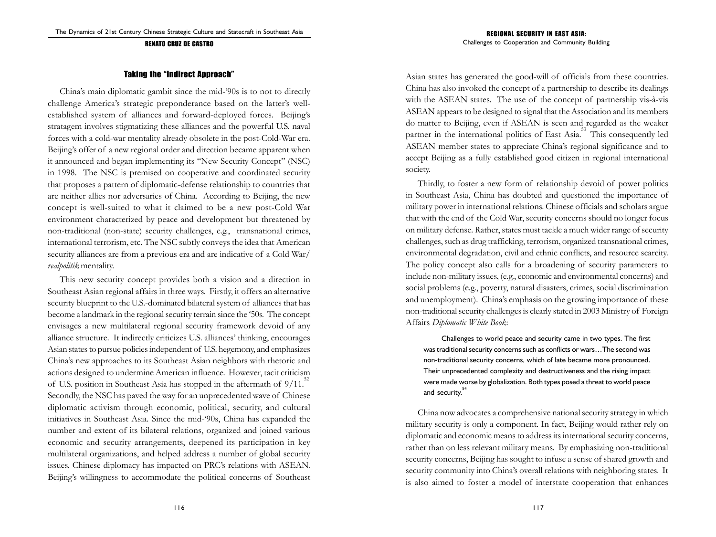#### Taking the "Indirect Approach"

China's main diplomatic gambit since the mid-'90s is to not to directly challenge America's strategic preponderance based on the latter's wellestablished system of alliances and forward-deployed forces. Beijing's stratagem involves stigmatizing these alliances and the powerful U.S. naval forces with a cold-war mentality already obsolete in the post-Cold-War era. Beijing's offer of a new regional order and direction became apparent when it announced and began implementing its "New Security Concept" (NSC) in 1998. The NSC is premised on cooperative and coordinated security that proposes a pattern of diplomatic-defense relationship to countries that are neither allies nor adversaries of China. According to Beijing, the new concept is well-suited to what it claimed to be a new post-Cold War environment characterized by peace and development but threatened by non-traditional (non-state) security challenges, e.g., transnational crimes, international terrorism, etc. The NSC subtly conveys the idea that American security alliances are from a previous era and are indicative of a Cold War/ *realpolitik* mentality.

This new security concept provides both a vision and a direction in Southeast Asian regional affairs in three ways. Firstly, it offers an alternative security blueprint to the U.S.-dominated bilateral system of alliances that has become a landmark in the regional security terrain since the '50s. The concept envisages a new multilateral regional security framework devoid of any alliance structure. It indirectly criticizes U.S. alliances' thinking, encourages Asian states to pursue policies independent of U.S. hegemony, and emphasizes China's new approaches to its Southeast Asian neighbors with rhetoric and actions designed to undermine American influence. However, tacit criticism of U.S. position in Southeast Asia has stopped in the aftermath of  $9/11$ .<sup>52</sup> Secondly, the NSC has paved the way for an unprecedented wave of Chinese diplomatic activism through economic, political, security, and cultural initiatives in Southeast Asia. Since the mid-'90s, China has expanded the number and extent of its bilateral relations, organized and joined various economic and security arrangements, deepened its participation in key multilateral organizations, and helped address a number of global security issues. Chinese diplomacy has impacted on PRC's relations with ASEAN. Beijing's willingness to accommodate the political concerns of Southeast

Asian states has generated the good-will of officials from these countries. China has also invoked the concept of a partnership to describe its dealings with the ASEAN states. The use of the concept of partnership vis-à-vis ASEAN appears to be designed to signal that the Association and its members do matter to Beijing, even if ASEAN is seen and regarded as the weaker partner in the international politics of East Asia.<sup>53</sup> This consequently led ASEAN member states to appreciate China's regional significance and to accept Beijing as a fully established good citizen in regional international society.

Thirdly, to foster a new form of relationship devoid of power politics in Southeast Asia, China has doubted and questioned the importance of military power in international relations. Chinese officials and scholars argue that with the end of the Cold War, security concerns should no longer focus on military defense. Rather, states must tackle a much wider range of security challenges, such as drug trafficking, terrorism, organized transnational crimes, environmental degradation, civil and ethnic conflicts, and resource scarcity. The policy concept also calls for a broadening of security parameters to include non-military issues, (e.g., economic and environmental concerns) and social problems (e.g., poverty, natural disasters, crimes, social discrimination and unemployment). China's emphasis on the growing importance of these non-traditional security challenges is clearly stated in 2003 Ministry of Foreign Affairs *Diplomatic White Book*:

Challenges to world peace and security came in two types. The first was traditional security concerns such as conflicts or wars…The second was non-traditional security concerns, which of late became more pronounced. Their unprecedented complexity and destructiveness and the rising impact were made worse by globalization. Both types posed a threat to world peace and security.<sup>54</sup>

China now advocates a comprehensive national security strategy in which military security is only a component. In fact, Beijing would rather rely on diplomatic and economic means to address its international security concerns, rather than on less relevant military means. By emphasizing non-traditional security concerns, Beijing has sought to infuse a sense of shared growth and security community into China's overall relations with neighboring states. It is also aimed to foster a model of interstate cooperation that enhances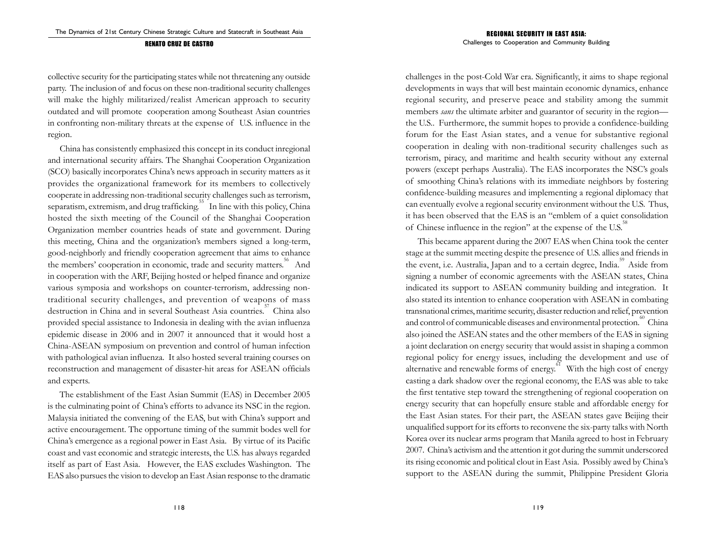collective security for the participating states while not threatening any outside party. The inclusion of and focus on these non-traditional security challenges will make the highly militarized/realist American approach to security outdated and will promote cooperation among Southeast Asian countries in confronting non-military threats at the expense of U.S. influence in the region.

China has consistently emphasized this concept in its conduct inregional and international security affairs. The Shanghai Cooperation Organization (SCO) basically incorporates China's news approach in security matters as it provides the organizational framework for its members to collectively cooperate in addressing non-traditional security challenges such as terrorism, separatism, extremism, and drug trafficking.<sup>55</sup> In line with this policy, China hosted the sixth meeting of the Council of the Shanghai Cooperation Organization member countries heads of state and government. During this meeting, China and the organization's members signed a long-term, good-neighborly and friendly cooperation agreement that aims to enhance the members' cooperation in economic, trade and security matters.<sup>56</sup> And in cooperation with the ARF, Beijing hosted or helped finance and organize various symposia and workshops on counter-terrorism, addressing nontraditional security challenges, and prevention of weapons of mass destruction in China and in several Southeast Asia countries.<sup>57</sup> China also provided special assistance to Indonesia in dealing with the avian influenza epidemic disease in 2006 and in 2007 it announced that it would host a China-ASEAN symposium on prevention and control of human infection with pathological avian influenza. It also hosted several training courses on reconstruction and management of disaster-hit areas for ASEAN officials and experts.

The establishment of the East Asian Summit (EAS) in December 2005 is the culminating point of China's efforts to advance its NSC in the region. Malaysia initiated the convening of the EAS, but with China's support and active encouragement. The opportune timing of the summit bodes well for China's emergence as a regional power in East Asia. By virtue of its Pacific coast and vast economic and strategic interests, the U.S. has always regarded itself as part of East Asia. However, the EAS excludes Washington. The EAS also pursues the vision to develop an East Asian response to the dramatic

challenges in the post-Cold War era. Significantly, it aims to shape regional developments in ways that will best maintain economic dynamics, enhance regional security, and preserve peace and stability among the summit members *sans* the ultimate arbiter and guarantor of security in the region the U.S.. Furthermore, the summit hopes to provide a confidence-building forum for the East Asian states, and a venue for substantive regional cooperation in dealing with non-traditional security challenges such as terrorism, piracy, and maritime and health security without any external powers (except perhaps Australia). The EAS incorporates the NSC's goals of smoothing China's relations with its immediate neighbors by fostering confidence-building measures and implementing a regional diplomacy that can eventually evolve a regional security environment without the U.S. Thus, it has been observed that the EAS is an "emblem of a quiet consolidation of Chinese influence in the region" at the expense of the U.S. 58

This became apparent during the 2007 EAS when China took the center stage at the summit meeting despite the presence of U.S. allies and friends in the event, i.e. Australia, Japan and to a certain degree, India.<sup>59</sup> Aside from signing a number of economic agreements with the ASEAN states, China indicated its support to ASEAN community building and integration. It also stated its intention to enhance cooperation with ASEAN in combating transnational crimes, maritime security, disaster reduction and relief, prevention and control of communicable diseases and environmental protection.<sup>60</sup> China also joined the ASEAN states and the other members of the EAS in signing a joint declaration on energy security that would assist in shaping a common regional policy for energy issues, including the development and use of alternative and renewable forms of energy. With the high cost of energy casting a dark shadow over the regional economy, the EAS was able to take the first tentative step toward the strengthening of regional cooperation on energy security that can hopefully ensure stable and affordable energy for the East Asian states. For their part, the ASEAN states gave Beijing their unqualified support for its efforts to reconvene the six-party talks with North Korea over its nuclear arms program that Manila agreed to host in February 2007. China's activism and the attention it got during the summit underscored its rising economic and political clout in East Asia. Possibly awed by China's support to the ASEAN during the summit, Philippine President Gloria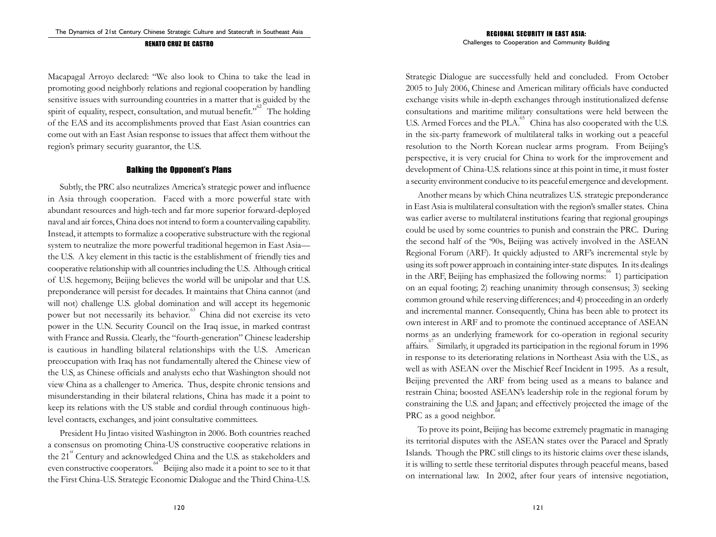Macapagal Arroyo declared: "We also look to China to take the lead in promoting good neighborly relations and regional cooperation by handling sensitive issues with surrounding countries in a matter that is guided by the spirit of equality, respect, consultation, and mutual benefit." $^{62}$  The holding of the EAS and its accomplishments proved that East Asian countries can come out with an East Asian response to issues that affect them without the region's primary security guarantor, the U.S.

# Balking the Opponent's Plans

Subtly, the PRC also neutralizes America's strategic power and influence in Asia through cooperation. Faced with a more powerful state with abundant resources and high-tech and far more superior forward-deployed naval and air forces, China does not intend to form a countervailing capability. Instead, it attempts to formalize a cooperative substructure with the regional system to neutralize the more powerful traditional hegemon in East Asia the U.S. A key element in this tactic is the establishment of friendly ties and cooperative relationship with all countries including the U.S. Although critical of U.S. hegemony, Beijing believes the world will be unipolar and that U.S. preponderance will persist for decades. It maintains that China cannot (and will not) challenge U.S. global domination and will accept its hegemonic power but not necessarily its behavior. 63 China did not exercise its veto power in the U.N. Security Council on the Iraq issue, in marked contrast with France and Russia. Clearly, the "fourth-generation" Chinese leadership is cautious in handling bilateral relationships with the U.S. American preoccupation with Iraq has not fundamentally altered the Chinese view of the U.S, as Chinese officials and analysts echo that Washington should not view China as a challenger to America. Thus, despite chronic tensions and misunderstanding in their bilateral relations, China has made it a point to keep its relations with the US stable and cordial through continuous highlevel contacts, exchanges, and joint consultative committees.

President Hu Jintao visited Washington in 2006. Both countries reached a consensus on promoting China-US constructive cooperative relations in the 21<sup>st</sup> Century and acknowledged China and the U.S. as stakeholders and even constructive cooperators. <sup>64</sup> Beijing also made it a point to see to it that the First China-U.S. Strategic Economic Dialogue and the Third China-U.S.

Strategic Dialogue are successfully held and concluded. From October 2005 to July 2006, Chinese and American military officials have conducted exchange visits while in-depth exchanges through institutionalized defense consultations and maritime military consultations were held between the U.S. Armed Forces and the PLA.<sup>65</sup> China has also cooperated with the U.S. in the six-party framework of multilateral talks in working out a peaceful resolution to the North Korean nuclear arms program. From Beijing's perspective, it is very crucial for China to work for the improvement and development of China-U.S. relations since at this point in time, it must foster a security environment conducive to its peaceful emergence and development.

Another means by which China neutralizes U.S. strategic preponderance in East Asia is multilateral consultation with the region's smaller states. China was earlier averse to multilateral institutions fearing that regional groupings could be used by some countries to punish and constrain the PRC. During the second half of the '90s, Beijing was actively involved in the ASEAN Regional Forum (ARF). It quickly adjusted to ARF's incremental style by using its soft power approach in containing inter-state disputes. In its dealings in the ARF, Beijing has emphasized the following norms: <sup>66</sup> 1) participation on an equal footing; 2) reaching unanimity through consensus; 3) seeking common ground while reserving differences; and 4) proceeding in an orderly and incremental manner. Consequently, China has been able to protect its own interest in ARF and to promote the continued acceptance of ASEAN norms as an underlying framework for co-operation in regional security affairs.<sup>67</sup> Similarly, it upgraded its participation in the regional forum in 1996 in response to its deteriorating relations in Northeast Asia with the U.S., as well as with ASEAN over the Mischief Reef Incident in 1995. As a result, Beijing prevented the ARF from being used as a means to balance and restrain China; boosted ASEAN's leadership role in the regional forum by constraining the U.S. and Japan; and effectively projected the image of the PRC as a good neighbor.

To prove its point, Beijing has become extremely pragmatic in managing its territorial disputes with the ASEAN states over the Paracel and Spratly Islands. Though the PRC still clings to its historic claims over these islands, it is willing to settle these territorial disputes through peaceful means, based on international law. In 2002, after four years of intensive negotiation,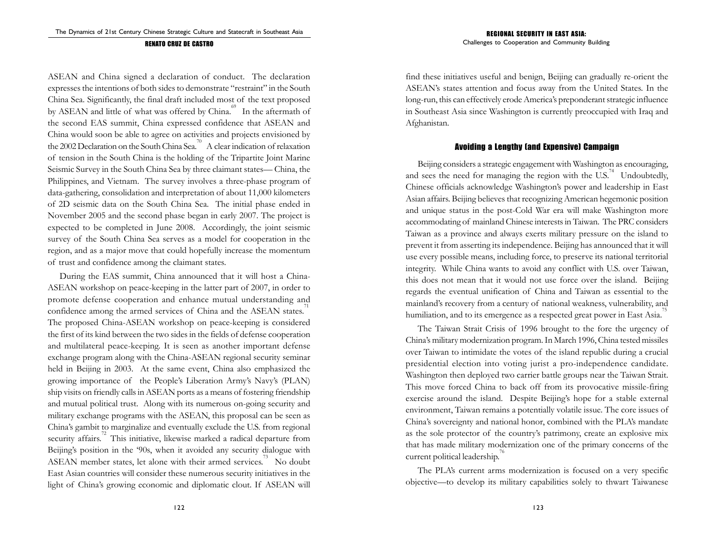ASEAN and China signed a declaration of conduct. The declaration expresses the intentions of both sides to demonstrate "restraint" in the South China Sea. Significantly, the final draft included most of the text proposed by ASEAN and little of what was offered by China.<sup>69</sup> In the aftermath of the second EAS summit, China expressed confidence that ASEAN and China would soon be able to agree on activities and projects envisioned by the 2002 Declaration on the South China Sea.<sup>70</sup> A clear indication of relaxation of tension in the South China is the holding of the Tripartite Joint Marine Seismic Survey in the South China Sea by three claimant states— China, the Philippines, and Vietnam. The survey involves a three-phase program of data-gathering, consolidation and interpretation of about 11,000 kilometers of 2D seismic data on the South China Sea. The initial phase ended in November 2005 and the second phase began in early 2007. The project is expected to be completed in June 2008. Accordingly, the joint seismic survey of the South China Sea serves as a model for cooperation in the region, and as a major move that could hopefully increase the momentum of trust and confidence among the claimant states.

During the EAS summit, China announced that it will host a China-ASEAN workshop on peace-keeping in the latter part of 2007, in order to promote defense cooperation and enhance mutual understanding and confidence among the armed services of China and the ASEAN states. 71 The proposed China-ASEAN workshop on peace-keeping is considered the first of its kind between the two sides in the fields of defense cooperation and multilateral peace-keeping. It is seen as another important defense exchange program along with the China-ASEAN regional security seminar held in Beijing in 2003. At the same event, China also emphasized the growing importance of the People's Liberation Army's Navy's (PLAN) ship visits on friendly calls in ASEAN ports as a means of fostering friendship and mutual political trust. Along with its numerous on-going security and military exchange programs with the ASEAN, this proposal can be seen as China's gambit to marginalize and eventually exclude the U.S. from regional security affairs.<sup>72</sup> This initiative, likewise marked a radical departure from Beijing's position in the '90s, when it avoided any security dialogue with ASEAN member states, let alone with their armed services.<sup>33</sup> No doubt East Asian countries will consider these numerous security initiatives in the light of China's growing economic and diplomatic clout. If ASEAN will

find these initiatives useful and benign, Beijing can gradually re-orient the ASEAN's states attention and focus away from the United States. In the long-run, this can effectively erode America's preponderant strategic influence in Southeast Asia since Washington is currently preoccupied with Iraq and Afghanistan.

## Avoiding a Lengthy (and Expensive) Campaign

Beijing considers a strategic engagement with Washington as encouraging, and sees the need for managing the region with the U.S. $14$  Undoubtedly, Chinese officials acknowledge Washington's power and leadership in East Asian affairs. Beijing believes that recognizing American hegemonic position and unique status in the post-Cold War era will make Washington more accommodating of mainland Chinese interests in Taiwan. The PRC considers Taiwan as a province and always exerts military pressure on the island to prevent it from asserting its independence. Beijing has announced that it will use every possible means, including force, to preserve its national territorial integrity. While China wants to avoid any conflict with U.S. over Taiwan, this does not mean that it would not use force over the island. Beijing regards the eventual unification of China and Taiwan as essential to the mainland's recovery from a century of national weakness, vulnerability, and humiliation, and to its emergence as a respected great power in East Asia. 75

The Taiwan Strait Crisis of 1996 brought to the fore the urgency of China's military modernization program. In March 1996, China tested missiles over Taiwan to intimidate the votes of the island republic during a crucial presidential election into voting jurist a pro-independence candidate. Washington then deployed two carrier battle groups near the Taiwan Strait. This move forced China to back off from its provocative missile-firing exercise around the island. Despite Beijing's hope for a stable external environment, Taiwan remains a potentially volatile issue. The core issues of China's sovereignty and national honor, combined with the PLA's mandate as the sole protector of the country's patrimony, create an explosive mix that has made military modernization one of the primary concerns of the current political leadership. 76

The PLA's current arms modernization is focused on a very specific objective—to develop its military capabilities solely to thwart Taiwanese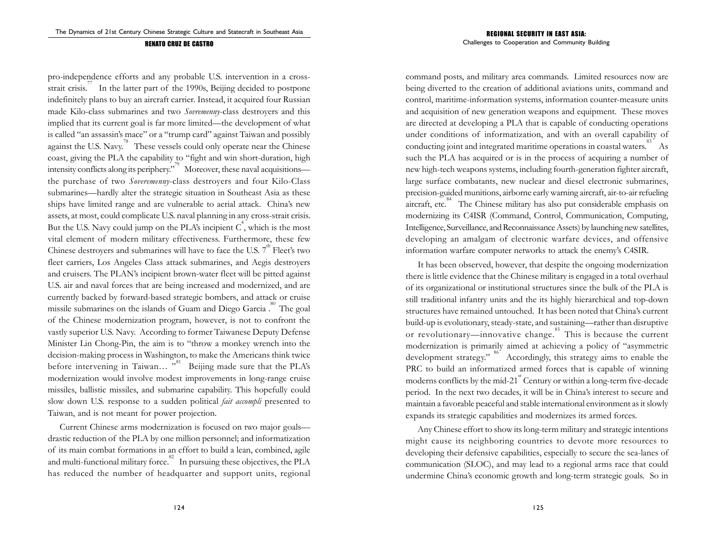pro-independence efforts and any probable U.S. intervention in a crossstrait crisis.<sup>77</sup> In the latter part of the 1990s, Beijing decided to postpone indefinitely plans to buy an aircraft carrier. Instead, it acquired four Russian made Kilo-class submarines and two *Sovremenny*-class destroyers and this implied that its current goal is far more limited—the development of what is called "an assassin's mace" or a "trump card" against Taiwan and possibly against the U.S. Navy.<sup>78</sup> These vessels could only operate near the Chinese coast, giving the PLA the capability to "fight and win short-duration, high intensity conflicts along its periphery.<sup>79</sup> Moreover, these naval acquisitions the purchase of two *Soveremenny*-class destroyers and four Kilo-Class submarines—hardly alter the strategic situation in Southeast Asia as these ships have limited range and are vulnerable to aerial attack. China's new assets, at most, could complicate U.S. naval planning in any cross-strait crisis. But the U.S. Navy could jump on the PLA's incipient  $C^4$ , which is the most vital element of modern military effectiveness. Furthermore, these few Chinese destroyers and submarines will have to face the U.S.  $7^{\text{th}}$  Fleet's two fleet carriers, Los Angeles Class attack submarines, and Aegis destroyers and cruisers. The PLAN's incipient brown-water fleet will be pitted against U.S. air and naval forces that are being increased and modernized, and are currently backed by forward-based strategic bombers, and attack or cruise missile submarines on the islands of Guam and Diego Garcia.<sup>80</sup> The goal of the Chinese modernization program, however, is not to confront the vastly superior U.S. Navy. According to former Taiwanese Deputy Defense Minister Lin Chong-Pin, the aim is to "throw a monkey wrench into the decision-making process in Washington, to make the Americans think twice before intervening in Taiwan... "<sup>81</sup> Beijing made sure that the PLA's modernization would involve modest improvements in long-range cruise missiles, ballistic missiles, and submarine capability. This hopefully could slow down U.S. response to a sudden political *fait accompli* presented to Taiwan, and is not meant for power projection.

Current Chinese arms modernization is focused on two major goals drastic reduction of the PLA by one million personnel; and informatization of its main combat formations in an effort to build a lean, combined, agile and multi-functional military force. 82 In pursuing these objectives, the PLA has reduced the number of headquarter and support units, regional

command posts, and military area commands. Limited resources now are being diverted to the creation of additional aviations units, command and control, maritime-information systems, information counter-measure units and acquisition of new generation weapons and equipment. These moves are directed at developing a PLA that is capable of conducting operations under conditions of informatization, and with an overall capability of conducting joint and integrated maritime operations in coastal waters.<sup>83</sup> As such the PLA has acquired or is in the process of acquiring a number of new high-tech weapons systems, including fourth-generation fighter aircraft, large surface combatants, new nuclear and diesel electronic submarines, precision-guided munitions, airborne early warning aircraft, air-to-air refueling aircraft, etc. The Chinese military has also put considerable emphasis on modernizing its C4ISR (Command, Control, Communication, Computing, Intelligence, Surveillance, and Reconnaissance Assets) by launching new satellites, developing an amalgam of electronic warfare devices, and offensive information warfare computer networks to attack the enemy's C4SIR.

It has been observed, however, that despite the ongoing modernization there is little evidence that the Chinese military is engaged in a total overhaul of its organizational or institutional structures since the bulk of the PLA is still traditional infantry units and the its highly hierarchical and top-down structures have remained untouched. It has been noted that China's current build-up is evolutionary, steady-state, and sustaining—rather than disruptive or revolutionary—innovative change.<sup>85</sup> This is because the current modernization is primarily aimed at achieving a policy of "asymmetric development strategy." <sup>86</sup> Accordingly, this strategy aims to enable the PRC to build an informatized armed forces that is capable of winning moderns conflicts by the mid-21 $\mathrm{K}^{\mathrm{st}}$  Century or within a long-term five-decade period. In the next two decades, it will be in China's interest to secure and maintain a favorable peaceful and stable international environment as it slowly expands its strategic capabilities and modernizes its armed forces.

Any Chinese effort to show its long-term military and strategic intentions might cause its neighboring countries to devote more resources to developing their defensive capabilities, especially to secure the sea-lanes of communication (SLOC), and may lead to a regional arms race that could undermine China's economic growth and long-term strategic goals. So in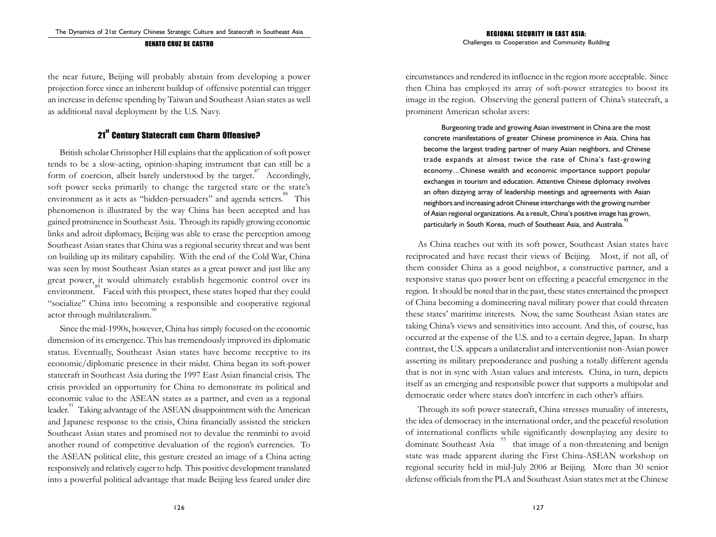the near future, Beijing will probably abstain from developing a power projection force since an inherent buildup of offensive potential can trigger an increase in defense spending by Taiwan and Southeast Asian states as well as additional naval deployment by the U.S. Navy.

# 21<sup>st</sup> Century Statecraft cum Charm Offensive?

British scholar Christopher Hill explains that the application of soft power tends to be a slow-acting, opinion-shaping instrument that can still be a form of coercion, albeit barely understood by the target.<sup>87</sup> Accordingly, soft power seeks primarily to change the targeted state or the state's environment as it acts as "hidden-persuaders" and agenda setters.<sup>88</sup> This phenomenon is illustrated by the way China has been accepted and has gained prominence in Southeast Asia. Through its rapidly growing economic links and adroit diplomacy, Beijing was able to erase the perception among Southeast Asian states that China was a regional security threat and was bent on building up its military capability. With the end of the Cold War, China was seen by most Southeast Asian states as a great power and just like any great power, it would ultimately establish hegemonic control over its environment.<sup>89</sup> Faced with this prospect, these states hoped that they could "socialize" China into becoming a responsible and cooperative regional actor through multilateralism. $^{^{90}}$ 

Since the mid-1990s, however, China has simply focused on the economic dimension of its emergence. This has tremendously improved its diplomatic status. Eventually, Southeast Asian states have become receptive to its economic/diplomatic presence in their midst. China began its soft-power statecraft in Southeast Asia during the 1997 East Asian financial crisis. The crisis provided an opportunity for China to demonstrate its political and economic value to the ASEAN states as a partner, and even as a regional leader.<sup>91</sup> Taking advantage of the ASEAN disappointment with the American and Japanese response to the crisis, China financially assisted the stricken Southeast Asian states and promised not to devalue the renminbi to avoid another round of competitive devaluation of the region's currencies. To the ASEAN political elite, this gesture created an image of a China acting responsively and relatively eager to help. This positive development translated into a powerful political advantage that made Beijing less feared under dire

circumstances and rendered its influence in the region more acceptable. Since then China has employed its array of soft-power strategies to boost its image in the region. Observing the general pattern of China's statecraft, a prominent American scholar avers:

Burgeoning trade and growing Asian investment in China are the most concrete manifestations of greater Chinese prominence in Asia. China has become the largest trading partner of many Asian neighbors, and Chinese trade expands at almost twice the rate of China's fast-growing economy…Chinese wealth and economic importance support popular exchanges in tourism and education. Attentive Chinese diplomacy involves an often dizzying array of leadership meetings and agreements with Asian neighbors and increasing adroit Chinese interchange with the growing number of Asian regional organizations. As a result, China's positive image has grown, particularly in South Korea, much of Southeast Asia, and Australia.

As China reaches out with its soft power, Southeast Asian states have reciprocated and have recast their views of Beijing. Most, if not all, of them consider China as a good neighbor, a constructive partner, and a responsive status quo power bent on effecting a peaceful emergence in the region. It should be noted that in the past, these states entertained the prospect of China becoming a domineering naval military power that could threaten these states' maritime interests. Now, the same Southeast Asian states are taking China's views and sensitivities into account. And this, of course, has occurred at the expense of the U.S. and to a certain degree, Japan. In sharp contrast, the U.S. appears a unilateralist and interventionist non-Asian power asserting its military preponderance and pushing a totally different agenda that is not in sync with Asian values and interests. China, in turn, depicts itself as an emerging and responsible power that supports a multipolar and democratic order where states don't interfere in each other's affairs.

Through its soft power statecraft, China stresses mutuality of interests, the idea of democracy in the international order, and the peaceful resolution of international conflicts while significantly downplaying any desire to dominate Southeast Asia<sup>93</sup> that image of a non-threatening and benign state was made apparent during the First China-ASEAN workshop on regional security held in mid-July 2006 at Beijing. More than 30 senior defense officials from the PLA and Southeast Asian states met at the Chinese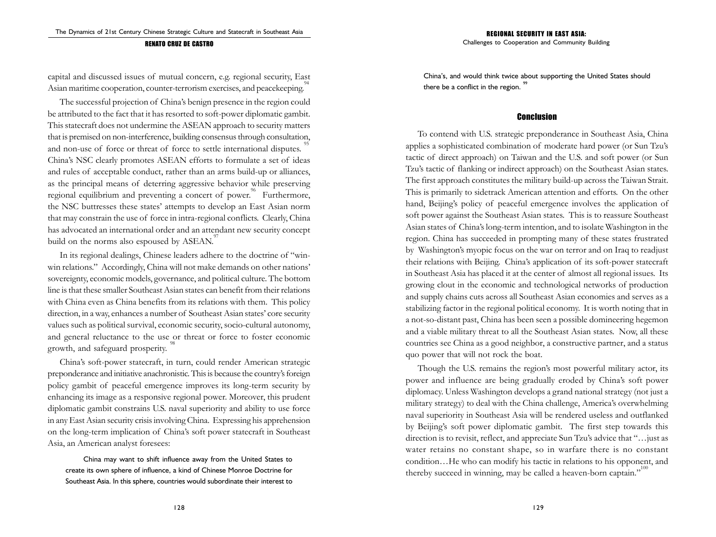capital and discussed issues of mutual concern, e.g. regional security, East Asian maritime cooperation, counter-terrorism exercises, and peacekeeping. 94

The successful projection of China's benign presence in the region could be attributed to the fact that it has resorted to soft-power diplomatic gambit. This statecraft does not undermine the ASEAN approach to security matters that is premised on non-interference, building consensus through consultation, and non-use of force or threat of force to settle international disputes. China's NSC clearly promotes ASEAN efforts to formulate a set of ideas and rules of acceptable conduct, rather than an arms build-up or alliances, as the principal means of deterring aggressive behavior while preserving regional equilibrium and preventing a concert of power.<sup>96</sup> Furthermore, the NSC buttresses these states' attempts to develop an East Asian norm that may constrain the use of force in intra-regional conflicts. Clearly, China has advocated an international order and an attendant new security concept build on the norms also espoused by ASEAN.<sup>5</sup>

In its regional dealings, Chinese leaders adhere to the doctrine of "winwin relations." Accordingly, China will not make demands on other nations' sovereignty, economic models, governance, and political culture. The bottom line is that these smaller Southeast Asian states can benefit from their relations with China even as China benefits from its relations with them. This policy direction, in a way, enhances a number of Southeast Asian states' core security values such as political survival, economic security, socio-cultural autonomy, and general reluctance to the use or threat or force to foster economic growth, and safeguard prosperity. 98

China's soft-power statecraft, in turn, could render American strategic preponderance and initiative anachronistic. This is because the country's foreign policy gambit of peaceful emergence improves its long-term security by enhancing its image as a responsive regional power. Moreover, this prudent diplomatic gambit constrains U.S. naval superiority and ability to use force in any East Asian security crisis involving China. Expressing his apprehension on the long-term implication of China's soft power statecraft in Southeast Asia, an American analyst foresees:

China may want to shift influence away from the United States to create its own sphere of influence, a kind of Chinese Monroe Doctrine for Southeast Asia. In this sphere, countries would subordinate their interest to China's, and would think twice about supporting the United States should there be a conflict in the region.

#### Conclusion

To contend with U.S. strategic preponderance in Southeast Asia, China applies a sophisticated combination of moderate hard power (or Sun Tzu's tactic of direct approach) on Taiwan and the U.S. and soft power (or Sun Tzu's tactic of flanking or indirect approach) on the Southeast Asian states. The first approach constitutes the military build-up across the Taiwan Strait. This is primarily to sidetrack American attention and efforts. On the other hand, Beijing's policy of peaceful emergence involves the application of soft power against the Southeast Asian states. This is to reassure Southeast Asian states of China's long-term intention, and to isolate Washington in the region. China has succeeded in prompting many of these states frustrated by Washington's myopic focus on the war on terror and on Iraq to readjust their relations with Beijing. China's application of its soft-power statecraft in Southeast Asia has placed it at the center of almost all regional issues. Its growing clout in the economic and technological networks of production and supply chains cuts across all Southeast Asian economies and serves as a stabilizing factor in the regional political economy. It is worth noting that in a not-so-distant past, China has been seen a possible domineering hegemon and a viable military threat to all the Southeast Asian states. Now, all these countries see China as a good neighbor, a constructive partner, and a status quo power that will not rock the boat.

Though the U.S. remains the region's most powerful military actor, its power and influence are being gradually eroded by China's soft power diplomacy. Unless Washington develops a grand national strategy (not just a military strategy) to deal with the China challenge, America's overwhelming naval superiority in Southeast Asia will be rendered useless and outflanked by Beijing's soft power diplomatic gambit. The first step towards this direction is to revisit, reflect, and appreciate Sun Tzu's advice that "…just as water retains no constant shape, so in warfare there is no constant condition…He who can modify his tactic in relations to his opponent, and thereby succeed in winning, may be called a heaven-born captain."<sup>100</sup>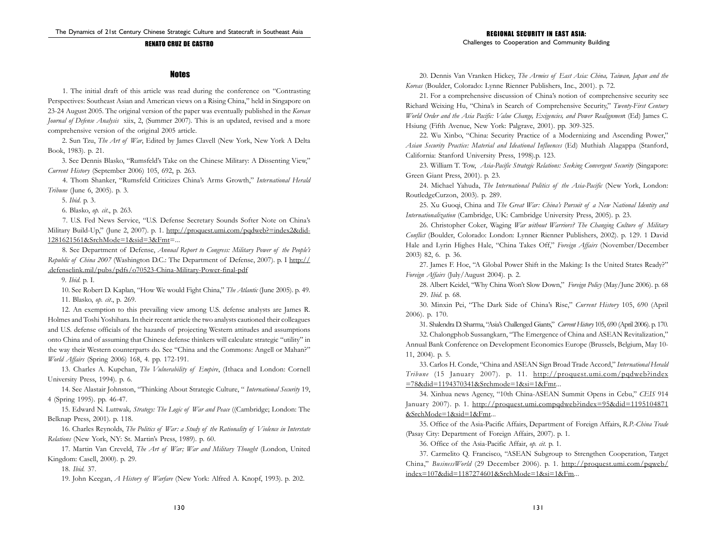#### Notes

 1. The initial draft of this article was read during the conference on "Contrasting Perspectives: Southeast Asian and American views on a Rising China," held in Singapore on 23-24 August 2005. The original version of the paper was eventually published in the *Korean Journal of Defense Analysis* xiix, 2, (Summer 2007). This is an updated, revised and a more comprehensive version of the original 2005 article.

 2. Sun Tzu, *The Art of War*, Edited by James Clavell (New York, New York A Delta Book, 1983). p. 21.

 3. See Dennis Blasko, "Rumsfeld's Take on the Chinese Military: A Dissenting View," *Current History* (September 2006) 105, 692, p. 263.

 4. Thom Shanker, "Rumsfeld Criticizes China's Arms Growth," *International Herald Tribune* (June 6, 2005). p. 3.

5. *Ibid*. p. 3.

6. Blasko, *op. cit*., p. 263.

 7. U.S. Fed News Service, "U.S. Defense Secretary Sounds Softer Note on China's Military Build-Up," (June 2, 2007). p. 1. http://proquest.umi.com/pqdweb?=index2&did-1281621561&SrchMode=1&sid=3&Fmt=...

 8. See Department of Defense, *Annual Report to Congress: Military Power of the People's Republic of China 2007* (Washington D.C.: The Department of Defense, 2007). p. I http:// .defenselink.mil/pubs/pdfs/o70523-China-Military-Power-final-pdf

9. *Ibid*. p. I.

10. See Robert D. Kaplan, "How We would Fight China," *The Atlantic* (June 2005). p. 49. 11. Blasko, *op. cit*., p. 269.

12. An exemption to this prevailing view among U.S. defense analysts are James R. Holmes and Toshi Yoshihara. In their recent article the two analysts cautioned their colleagues and U.S. defense officials of the hazards of projecting Western attitudes and assumptions onto China and of assuming that Chinese defense thinkers will calculate strategic "utility" in the way their Western counterparts do. See "China and the Commons: Angell or Mahan?" *World Affairs* (Spring 2006) 168, 4. pp. 172-191.

13. Charles A. Kupchan, *The Vulnerability of Empire*, (Ithaca and London: Cornell University Press, 1994). p. 6.

14. See Alastair Johnston, "Thinking About Strategic Culture, " *International Security* 19, 4 (Spring 1995). pp. 46-47.

15. Edward N. Luttwak*, Strategy: The Logic of War and Peace* ((Cambridge; London: The Belknap Press, 2001). p. 118.

16. Charles Reynolds, *The Politics of War: a Study of the Rationality of Violence in Interstate Relations* (New York, NY: St. Martin's Press, 1989). p. 60.

17. Martin Van Creveld, *The Art of War; War and Military Thought* (London, United Kingdom: Casell, 2000). p. 29.

18. *Ibid.* 37.

19. John Keegan, *A History of Warfare* (New York: Alfred A. Knopf, 1993). p. 202.

20. Dennis Van Vranken Hickey, *The Armies of East Asia: China, Taiwan, Japan and the Koreas* (Boulder, Colorado: Lynne Rienner Publishers, Inc., 2001). p. 72.

21. For a comprehensive discussion of China's notion of comprehensive security see Richard Weixing Hu, "China's in Search of Comprehensive Security," *Twenty-First Century World Order and the Asia Pacific: Value Change, Exigencies, and Power Realignmen*t (Ed) James C. Hsiung (Fifth Avenue, New York: Palgrave, 2001). pp. 309-325.

22. Wu Xinbo, "China: Security Practice of a Modernizing and Ascending Power," *Asian Security Practice: Material and Ideational Influences* (Ed) Muthiah Alagappa (Stanford, California: Stanford University Press, 1998).p. 123.

23. William T. Tow, *Asia-Pacific Strategic Relations: Seeking Convergent Security* (Singapore: Green Giant Press, 2001). p. 23.

24. Michael Yahuda, *The International Politics of the Asia-Pacific* (New York, London: RoutledgeCurzon, 2003). p. 289.

25. Xu Guoqi, China and *The Great War: China's Pursuit of a New National Identity and Internationalization* (Cambridge, UK: Cambridge University Press, 2005). p. 23.

26. Christopher Coker, Waging *War without Warriors? The Changing Culture of Military Conflict* (Boulder, Colorado: London: Lynner Rienner Publishers, 2002). p. 129. 1 David Hale and Lyrin Highes Hale, "China Takes Off," *Foreign Affairs* (November/December 2003) 82, 6. p. 36.

27. James F. Hoe, "A Global Power Shift in the Making: Is the United States Ready?" *Foreign Affairs* (July/August 2004). p. 2.

28. Albert Keidel, "Why China Won't Slow Down," *Foreign Policy* (May/June 2006). p. 68 29. *Ibid*. p. 68.

30. Minxin Pei, "The Dark Side of China's Rise," *Current History* 105, 690 (April 2006). p. 170.

31. Shalendra D. Sharma, "Asia's Challenged Giants," *Current History* 105, 690 (April 2006). p. 170.

32. Chalongphob Sussangkarn, "The Emergence of China and ASEAN Revitalization," Annual Bank Conference on Development Economics Europe (Brussels, Belgium, May 10- 11, 2004). p. 5.

33. Carlos H. Conde, "China and ASEAN Sign Broad Trade Accord," *International Herald Tribune* (15 January 2007). p. 11. http://proquest.umi.com/pqd web?index =78&did=1194370341&Srchmode=1&si=1&Fmt...

34. Xinhua news Agency, "10th China-ASEAN Summit Opens in Cebu," *CEIS* 914 January 2007). p. 1. http://proquest.umi.compqd web?index=95&did=1195104871 &SrchMode=1&sid=1&Fmt...

35. Office of the Asia-Pacific Affairs, Department of Foreign Affairs, *R.P.-China Trade* (Pasay City: Department of Foreign Affairs, 2007). p. 1.

36. Office of the Asia-Pacific Affair, *op. cit.* p. 1.

37. Carmelito Q. Francisco, "ASEAN Subgroup to Strengthen Cooperation, Target China," *BusinessWorld* (29 December 2006). p. 1. http://proquest.umi.com/pqweb/ index=107&did=1187274601&SrchMode=1&si=1&Fm...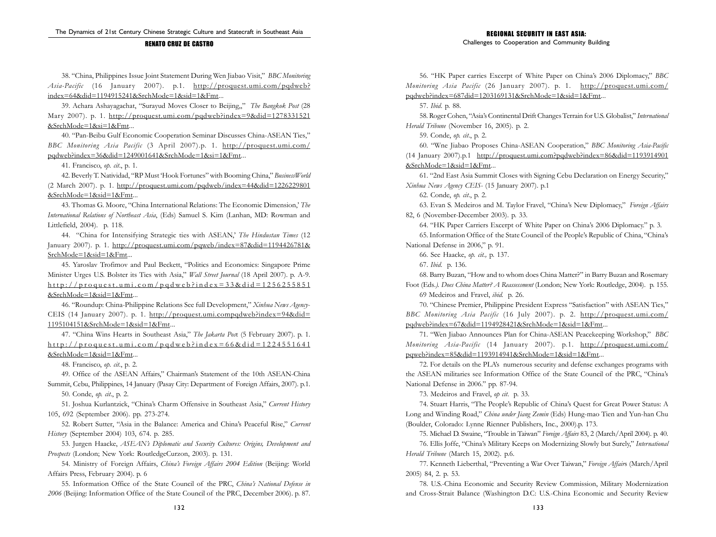38. "China, Philippines Issue Joint Statement During Wen Jiabao Visit," *BBC Monitoring Asia-Pacific* (16 January 2007). p.1. http://proquest.umi.com/pqdweb? index=64&did=1194915241&SrchMode=1&sid=1&Fmt...

39. Achara Ashayagachat, "Surayud Moves Closer to Beijing,," *The Bangkok Post* (28 Mary 2007). p. 1. http://proquest.umi.com/pqdweb?index=9&did=1278331521 &SrchMode=1&si=1&Fmt...

40. "Pan-Beibu Gulf Economic Cooperation Seminar Discusses China-ASEAN Ties," *BBC Monitoring Asia Pacific* (3 April 2007).p. 1. http://proquest.umi.com/ pqdweb?index=36&did=1249001641&SrchMode=1&si=1&Fmt...

41. Francisco, *op. cit*., p. 1.

42. Beverly T. Natividad, "RP Must 'Hook Fortunes" with Booming China," *BusinessWorld* (2 March 2007). p. 1. http://proquest.umi.com/pqdweb/index=44&did=1226229801 &SrchMode=1&sid=1&Fmt...

43. Thomas G. Moore, "China International Relations: The Economic Dimension,' *The International Relations of Northeast Asia*, (Eds) Samuel S. Kim (Lanhan, MD: Rowman and Littlefield, 2004). p. 118.

44. "China for Intensifying Strategic ties with ASEAN,' *The Hindustan Times* (12 January 2007). p. 1. http://proquest.umi.com/pqweb/index=87&did=1194426781& SrchMode=1&sid=1&Fmt...

45. Yaroslav Trofimov and Paul Beckett, "Politics and Economics: Singapore Prime Minister Urges U.S. Bolster its Ties with Asia," *Wall Street Journal* (18 April 2007). p. A-9. http://proquest.umi.com/pqdweb?index=33&did=1256255851 &SrchMode=1&sid=1&Fmt...

46. "Roundup: China-Philippine Relations See full Development," *Xinhua News Agency*-CEIS (14 January 2007). p. 1. http://proquest.umi.compqdweb?index=94&did= 1195104151&SrchMode=1&sid=1&Fmt...

47. "China Wins Hearts in Southeast Asia," *The Jakarta Pos*t (5 February 2007). p. 1. http://proquest.umi.com/pqdweb?index=66&did=1224551641 &SrchMode=1&sid=1&Fmt...

48. Francisco, *op. cit.*, p. 2.

49. Office of the ASEAN Affairs," Chairman's Statement of the 10th ASEAN-China Summit, Cebu, Philippines, 14 January (Pasay City: Department of Foreign Affairs, 2007). p.1.

50. Conde, *op. cit*., p. 2.

51. Joshua Kurlantzick, "China's Charm Offensive in Southeast Asia," *Current History* 105, 692 (September 2006). pp. 273-274.

52. Robert Sutter, "Asia in the Balance: America and China's Peaceful Rise," *Current History* (September 2004) 103, 674. p. 285.

53. Jurgen Haacke, *ASEAN's Diplomatic and Security Cultures: Origins, Development and Prospects* (London; New York: RoutledgeCurzon, 2003). p. 131.

54. Ministry of Foreign Affairs, *China's Foreign Affairs 2004 Edition* (Beijing: World Affairs Press, February 2004). p. 6

55. Information Office of the State Council of the PRC, *China's National Defense in 2006* (Beijing: Information Office of the State Council of the PRC, December 2006). p. 87.

56. "HK Paper carries Excerpt of White Paper on China's 2006 Diplomacy," *BBC Monitoring Asia Pacific* (26 January 2007). p. 1. http://proquest.umi.com/ pqdweb?index=687did=1203169131&SrchMode=1&sid=1&Fmt...

57. *Ibid*. p. 88.

58. Roger Cohen, "Asia's Continental Drift Changes Terrain for U.S. Globalist," *International Herald Tribune* (November 16, 2005). p. 2.

59. Conde, *op. cit*., p. 2.

60. "Wne Jiabao Proposes China-ASEAN Cooperation," *BBC Monitoring Asia-Pacific* (14 January 2007).p.1 http://proquest.umi.com?pqdweb?index=86&did=1193914901 &SrchMode=1&sid=1&Fmt...

61. "2nd East Asia Summit Closes with Signing Cebu Declaration on Energy Security," *Xinhua News Agency CEIS-* (15 January 2007). p.1

62. Conde, *op. cit*., p. 2.

63. Evan S. Medeiros and M. Taylor Fravel, "China's New Diplomacy," *Foreign Affairs* 82, 6 (November-December 2003). p. 33.

64. "HK Paper Carriers Excerpt of White Paper on China's 2006 Diplomacy." p. 3.

65. Information Office of the State Council of the People's Republic of China, "China's National Defense in 2006," p. 91.

66. See Haacke, *op. cit.,* p. 137.

67. *Ibid*. p. 136.

68. Barry Buzan, "How and to whom does China Matter?" in Barry Buzan and Rosemary Foot (Eds*.). Does China Matter? A Reassessment* (London; New York: Routledge, 2004). p. 155.

69 Medeiros and Fravel, *ibid.* p. 26.

70. "Chinese Premier, Philippine President Express "Satisfaction" with ASEAN Ties," *BBC Monitoring Asia Pacific* (16 July 2007). p. 2. http://proquest.umi.com/ pqdweb?index=67&did=1194928421&SrchMode=1&sid=1&Fmt...

71. "Wen Jiabao Announces Plan for China-ASEAN Peacekeeping Workshop," *BBC Monitoring Asia-Pacific* (14 January 2007). p.1. http://proquest.umi.com/ pqweb?index=85&did=1193914941&SrchMode=1&sid=1&Fmt...

72. For details on the PLA's numerous security and defense exchanges programs with the ASEAN militaries see Information Office of the State Council of the PRC, "China's National Defense in 2006." pp. 87-94.

73. Medeiros and Fravel, *op cit*. p. 33.

74. Stuart Harris, "The People's Republic of China's Quest for Great Power Status: A Long and Winding Road," *China under Jiang Zemin* (Eds) Hung-mao Tien and Yun-han Chu (Boulder, Colorado: Lynne Rienner Publishers, Inc., 2000).p. 173.

75. Michael D. Swaine, "Trouble in Taiwan" *Foreign Affairs* 83, 2 (March/April 2004). p. 40. 76. Ellis Joffe, "China's Military Keeps on Modernizing Slowly but Surely," *International Herald Tribune* (March 15, 2002). p.6.

77. Kenneth Lieberthal, "Preventing a War Over Taiwan," *Foreign Affair*s (March/April 2005) 84, 2. p. 53.

78. U.S.-China Economic and Security Review Commission, Military Modernization and Cross-Strait Balance (Washington D.C: U.S.-China Economic and Security Review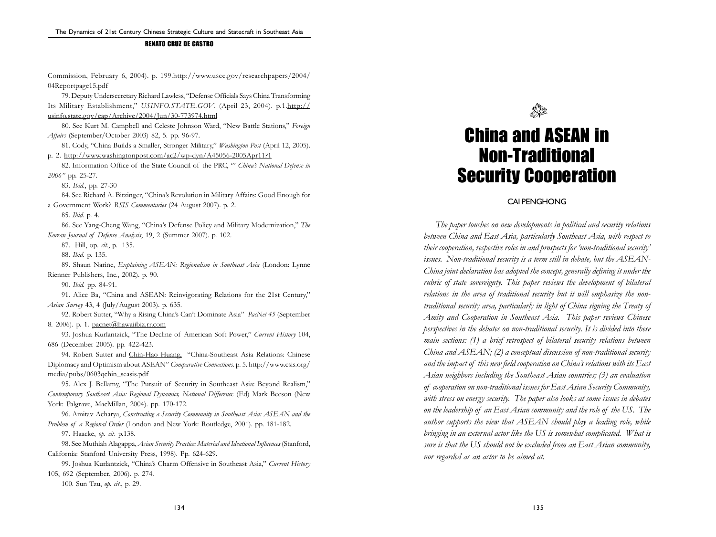Commission, February 6, 2004). p. 199.http://www.uscc.gov/researchpapers/2004/ 04Reportpage15.pdf

79. Deputy Undersecretary Richard Lawless, "Defense Officials Says China Transforming Its Military Establishment," *USINFO.STATE.GOV*. (April 23, 2004). p.1.http:// usinfo.state.gov/eap/Archive/2004/Jun/30-773974.html

80. See Kurt M. Campbell and Celeste Johnson Ward, "New Battle Stations," *Foreign Affairs* (September/October 2003) 82, 5. pp. 96-97.

81. Cody, "China Builds a Smaller, Stronger Military," *Washington Post* (April 12, 2005). p. 2. http://www.washingtonpost.com/ac2/wp-dyn/A45056-2005Apr11?1

82. Information Office of the State Council of the PRC, "' *China's National Defense in 2006"* pp. 25-27.

83. *Ibid*., pp. 27-30

84. See Richard A. Bitzinger, "China's Revolution in Military Affairs: Good Enough for a Government Work? *RSIS Commentaries* (24 August 2007). p. 2.

85. *Ibid.* p. 4.

86. See Yang-Cheng Wang, "China's Defense Policy and Military Modernization," *The Korean Journal of Defense Analysis*, 19, 2 (Summer 2007). p. 102.

87. Hill, op*. cit.*, p. 135.

88. *Ibid.* p. 135.

89. Shaun Narine, *Explaining ASEAN: Regionalism in Southeast Asia* (London: Lynne Rienner Publishers, Inc., 2002). p. 90.

90. *Ibid.* pp. 84-91.

91. Alice Ba, "China and ASEAN: Reinvigorating Relations for the 21st Century," *Asian Survey* 43, 4 (July/August 2003). p. 635.

92. Robert Sutter, "Why a Rising China's Can't Dominate Asia" *PacNet 45* (September 8. 2006). p. 1. pacnet@hawaiibiz.rr.com

93. Joshua Kurlantzick, "The Decline of American Soft Power," *Current History* 104, 686 (December 2005). pp. 422-423.

94. Robert Sutter and Chin-Hao Huang, "China-Southeast Asia Relations: Chinese Diplomacy and Optimism about ASEAN" *Comparative Connections.* p. 5. http://www.csis.org/ media/pubs/0603qchin\_seasis.pdf

95. Alex J. Bellamy, "The Pursuit of Security in Southeast Asia: Beyond Realism," *Contemporary Southeast Asia: Regional Dynamics, National Differenc*e (Ed) Mark Beeson (New York: Palgrave, MacMillan, 2004). pp. 170-172.

96. Amitav Acharya, *Constructing a Security Community in Southeast Asia: ASEAN and the Problem of a Regional Order* (London and New York: Routledge, 2001). pp. 181-182.

97. Haacke, *op. cit*. p.138.

98. See Muthiah Alagappa, *Asian Security Practice: Material and Ideational Influences* (Stanford, California: Stanford University Press, 1998). Pp. 624-629.

99. Joshua Kurlantzick, "China's Charm Offensive in Southeast Asia," *Current History* 105, 692 (September, 2006). p. 274.

100. Sun Tzu, *op. cit*., p. 29.

# China and ASEAN in Non-Traditional Security Cooperation

 $\mathcal{E}^{\prime\prime\prime}_{\mathcal{E}}$ 

#### CAI PENGHONG

*The paper touches on new developments in political and security relations between China and East Asia, particularly Southeast Asia, with respect to their cooperation, respective roles in and prospects for 'non-traditional security' issues. Non-traditional security is a term still in debate, but the ASEAN-China joint declaration has adopted the concept, generally defining it under the rubric of state sovereignty. This paper reviews the development of bilateral relations in the area of traditional security but it will emphasize the nontraditional security area, particularly in light of China signing the Treaty of Amity and Cooperation in Southeast Asia. This paper reviews Chinese perspectives in the debates on non-traditional security. It is divided into these main sections: (1) a brief retrospect of bilateral security relations between China and ASEAN; (2) a conceptual discussion of non-traditional security and the impact of this new field cooperation on China's relations with its East Asian neighbors including the Southeast Asian countries; (3) an evaluation of cooperation on non-traditional issues for East Asian Security Community, with stress on energy security. The paper also looks at some issues in debates on the leadership of an East Asian community and the role of the US. The author supports the view that ASEAN should play a leading role, while bringing in an external actor like the US is somewhat complicated. What is sure is that the US should not be excluded from an East Asian community, nor regarded as an actor to be aimed at.*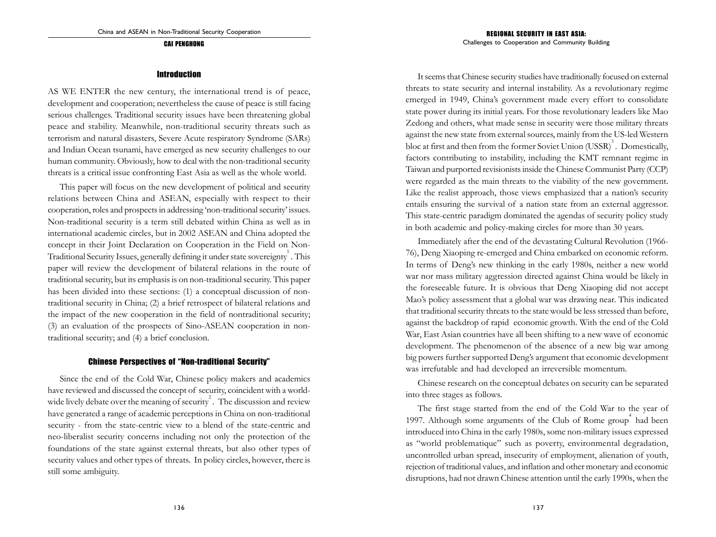## Introduction

AS WE ENTER the new century, the international trend is of peace, development and cooperation; nevertheless the cause of peace is still facing serious challenges. Traditional security issues have been threatening global peace and stability. Meanwhile, non-traditional security threats such as terrorism and natural disasters, Severe Acute respiratory Syndrome (SARs) and Indian Ocean tsunami, have emerged as new security challenges to our human community. Obviously, how to deal with the non-traditional security threats is a critical issue confronting East Asia as well as the whole world.

This paper will focus on the new development of political and security relations between China and ASEAN, especially with respect to their cooperation, roles and prospects in addressing 'non-traditional security' issues. Non-traditional security is a term still debated within China as well as in international academic circles, but in 2002 ASEAN and China adopted the concept in their Joint Declaration on Cooperation in the Field on Non-Traditional Security Issues, generally defining it under state sovereignty. This paper will review the development of bilateral relations in the route of traditional security, but its emphasis is on non-traditional security. This paper has been divided into these sections: (1) a conceptual discussion of nontraditional security in China; (2) a brief retrospect of bilateral relations and the impact of the new cooperation in the field of nontraditional security; (3) an evaluation of the prospects of Sino-ASEAN cooperation in nontraditional security; and (4) a brief conclusion.

# Chinese Perspectives of "Non-traditional Security"

Since the end of the Cold War, Chinese policy makers and academics have reviewed and discussed the concept of security, coincident with a worldwide lively debate over the meaning of security<sup>2</sup>. The discussion and review have generated a range of academic perceptions in China on non-traditional security - from the state-centric view to a blend of the state-centric and neo-liberalist security concerns including not only the protection of the foundations of the state against external threats, but also other types of security values and other types of threats. In policy circles, however, there is still some ambiguity.

It seems that Chinese security studies have traditionally focused on external threats to state security and internal instability. As a revolutionary regime emerged in 1949, China's government made every effort to consolidate state power during its initial years. For those revolutionary leaders like Mao Zedong and others, what made sense in security were those military threats against the new state from external sources, mainly from the US-led Western bloc at first and then from the former Soviet Union (USSR)<sup>3</sup>. Domestically, factors contributing to instability, including the KMT remnant regime in Taiwan and purported revisionists inside the Chinese Communist Party (CCP) were regarded as the main threats to the viability of the new government. Like the realist approach, those views emphasized that a nation's security entails ensuring the survival of a nation state from an external aggressor. This state-centric paradigm dominated the agendas of security policy study in both academic and policy-making circles for more than 30 years.

Immediately after the end of the devastating Cultural Revolution (1966- 76), Deng Xiaoping re-emerged and China embarked on economic reform. In terms of Deng's new thinking in the early 1980s, neither a new world war nor mass military aggression directed against China would be likely in the foreseeable future. It is obvious that Deng Xiaoping did not accept Mao's policy assessment that a global war was drawing near. This indicated that traditional security threats to the state would be less stressed than before, against the backdrop of rapid economic growth. With the end of the Cold War, East Asian countries have all been shifting to a new wave of economic development. The phenomenon of the absence of a new big war among big powers further supported Deng's argument that economic development was irrefutable and had developed an irreversible momentum.

Chinese research on the conceptual debates on security can be separated into three stages as follows.

The first stage started from the end of the Cold War to the year of 1997. Although some arguments of the Club of Rome group<sup>4</sup> had been introduced into China in the early 1980s, some non-military issues expressed as "world problematique" such as poverty, environmental degradation, uncontrolled urban spread, insecurity of employment, alienation of youth, rejection of traditional values, and inflation and other monetary and economic disruptions, had not drawn Chinese attention until the early 1990s, when the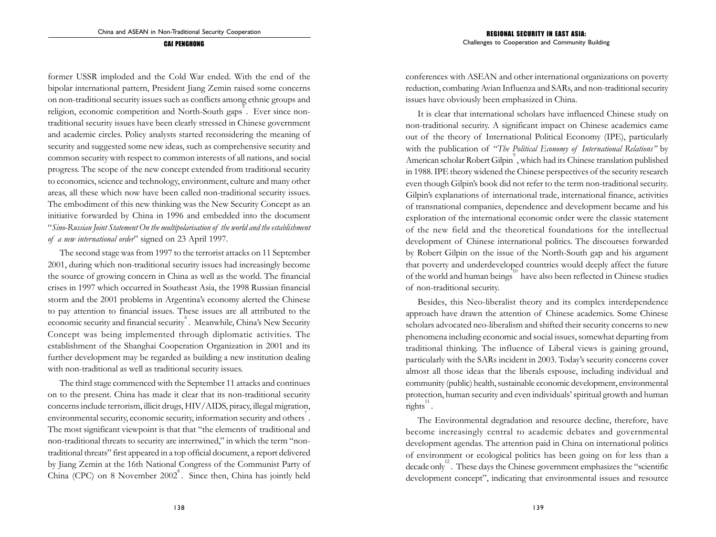former USSR imploded and the Cold War ended. With the end of the bipolar international pattern, President Jiang Zemin raised some concerns on non-traditional security issues such as conflicts among ethnic groups and religion, economic competition and North-South gaps<sup>3</sup>. Ever since nontraditional security issues have been clearly stressed in Chinese government and academic circles. Policy analysts started reconsidering the meaning of security and suggested some new ideas, such as comprehensive security and common security with respect to common interests of all nations, and social progress. The scope of the new concept extended from traditional security to economics, science and technology, environment, culture and many other areas, all these which now have been called non-traditional security issues. The embodiment of this new thinking was the New Security Concept as an initiative forwarded by China in 1996 and embedded into the document "*Sino-Russian Joint Statement On the multipolarisation of the world and the establishment of a new international order*" signed on 23 April 1997.

The second stage was from 1997 to the terrorist attacks on 11 September 2001, during which non-traditional security issues had increasingly become the source of growing concern in China as well as the world. The financial crises in 1997 which occurred in Southeast Asia, the 1998 Russian financial storm and the 2001 problems in Argentina's economy alerted the Chinese to pay attention to financial issues. These issues are all attributed to the economic security and financial security . Meanwhile, China's New Security Concept was being implemented through diplomatic activities. The establishment of the Shanghai Cooperation Organization in 2001 and its further development may be regarded as building a new institution dealing with non-traditional as well as traditional security issues.

The third stage commenced with the September 11 attacks and continues on to the present. China has made it clear that its non-traditional security concerns include terrorism, illicit drugs, HIV/AIDS, piracy, illegal migration, environmental security, economic security, information security and others<sup>7</sup>. The most significant viewpoint is that that "the elements of traditional and non-traditional threats to security are intertwined," in which the term "nontraditional threats" first appeared in a top official document, a report delivered by Jiang Zemin at the 16th National Congress of the Communist Party of China (CPC) on 8 November  $2002^{\degree}$ . Since then, China has jointly held

REGIONAL SECURITY IN EAST ASIA: Challenges to Cooperation and Community Building

It is clear that international scholars have influenced Chinese study on non-traditional security. A significant impact on Chinese academics came out of the theory of International Political Economy (IPE), particularly with the publication of "*The Political Economy of International Relations"* by American scholar Robert Gilpin<sup>9</sup>, which had its Chinese translation published in 1988. IPE theory widened the Chinese perspectives of the security research even though Gilpin's book did not refer to the term non-traditional security. Gilpin's explanations of international trade, international finance, activities of transnational companies, dependence and development became and his exploration of the international economic order were the classic statement of the new field and the theoretical foundations for the intellectual development of Chinese international politics. The discourses forwarded by Robert Gilpin on the issue of the North-South gap and his argument that poverty and underdeveloped countries would deeply affect the future of the world and human beings<sup>10</sup> have also been reflected in Chinese studies of non-traditional security.

Besides, this Neo-liberalist theory and its complex interdependence approach have drawn the attention of Chinese academics. Some Chinese scholars advocated neo-liberalism and shifted their security concerns to new phenomena including economic and social issues, somewhat departing from traditional thinking. The influence of Liberal views is gaining ground, particularly with the SARs incident in 2003. Today's security concerns cover almost all those ideas that the liberals espouse, including individual and community (public) health, sustainable economic development, environmental protection, human security and even individuals' spiritual growth and human .<br>rights <sup>11</sup> .

The Environmental degradation and resource decline, therefore, have become increasingly central to academic debates and governmental development agendas. The attention paid in China on international politics of environment or ecological politics has been going on for less than a decade only<sup>12</sup>. These days the Chinese government emphasizes the "scientific development concept", indicating that environmental issues and resource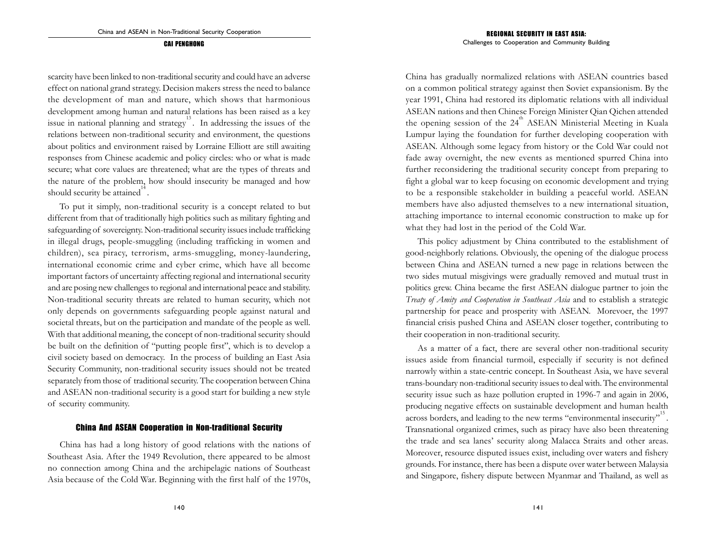scarcity have been linked to non-traditional security and could have an adverse effect on national grand strategy. Decision makers stress the need to balance the development of man and nature, which shows that harmonious development among human and natural relations has been raised as a key issue in national planning and strategy 13 . In addressing the issues of the relations between non-traditional security and environment, the questions about politics and environment raised by Lorraine Elliott are still awaiting responses from Chinese academic and policy circles: who or what is made secure; what core values are threatened; what are the types of threats and the nature of the problem, how should insecurity be managed and how should security be attained<sup>14</sup>.

To put it simply, non-traditional security is a concept related to but different from that of traditionally high politics such as military fighting and safeguarding of sovereignty. Non-traditional security issues include trafficking in illegal drugs, people-smuggling (including trafficking in women and children), sea piracy, terrorism, arms-smuggling, money-laundering, international economic crime and cyber crime, which have all become important factors of uncertainty affecting regional and international security and are posing new challenges to regional and international peace and stability. Non-traditional security threats are related to human security, which not only depends on governments safeguarding people against natural and societal threats, but on the participation and mandate of the people as well. With that additional meaning, the concept of non-traditional security should be built on the definition of "putting people first", which is to develop a civil society based on democracy. In the process of building an East Asia Security Community, non-traditional security issues should not be treated separately from those of traditional security. The cooperation between China and ASEAN non-traditional security is a good start for building a new style of security community.

# China And ASEAN Cooperation in Non-traditional Security

China has had a long history of good relations with the nations of Southeast Asia. After the 1949 Revolution, there appeared to be almost no connection among China and the archipelagic nations of Southeast Asia because of the Cold War. Beginning with the first half of the 1970s,

China has gradually normalized relations with ASEAN countries based on a common political strategy against then Soviet expansionism. By the year 1991, China had restored its diplomatic relations with all individual ASEAN nations and then Chinese Foreign Minister Qian Qichen attended the opening session of the 24<sup>th</sup> ASEAN Ministerial Meeting in Kuala Lumpur laying the foundation for further developing cooperation with ASEAN. Although some legacy from history or the Cold War could not fade away overnight, the new events as mentioned spurred China into further reconsidering the traditional security concept from preparing to fight a global war to keep focusing on economic development and trying to be a responsible stakeholder in building a peaceful world. ASEAN members have also adjusted themselves to a new international situation, attaching importance to internal economic construction to make up for what they had lost in the period of the Cold War.

This policy adjustment by China contributed to the establishment of good-neighborly relations. Obviously, the opening of the dialogue process between China and ASEAN turned a new page in relations between the two sides mutual misgivings were gradually removed and mutual trust in politics grew. China became the first ASEAN dialogue partner to join the *Treaty of Amity and Cooperation in Southeast Asia* and to establish a strategic partnership for peace and prosperity with ASEAN. Morevoer, the 1997 financial crisis pushed China and ASEAN closer together, contributing to their cooperation in non-traditional security.

As a matter of a fact, there are several other non-traditional security issues aside from financial turmoil, especially if security is not defined narrowly within a state-centric concept. In Southeast Asia, we have several trans-boundary non-traditional security issues to deal with. The environmental security issue such as haze pollution erupted in 1996-7 and again in 2006, producing negative effects on sustainable development and human health across borders, and leading to the new terms "environmental insecurity".<sup>15</sup>. Transnational organized crimes, such as piracy have also been threatening the trade and sea lanes' security along Malacca Straits and other areas. Moreover, resource disputed issues exist, including over waters and fishery grounds. For instance, there has been a dispute over water between Malaysia and Singapore, fishery dispute between Myanmar and Thailand, as well as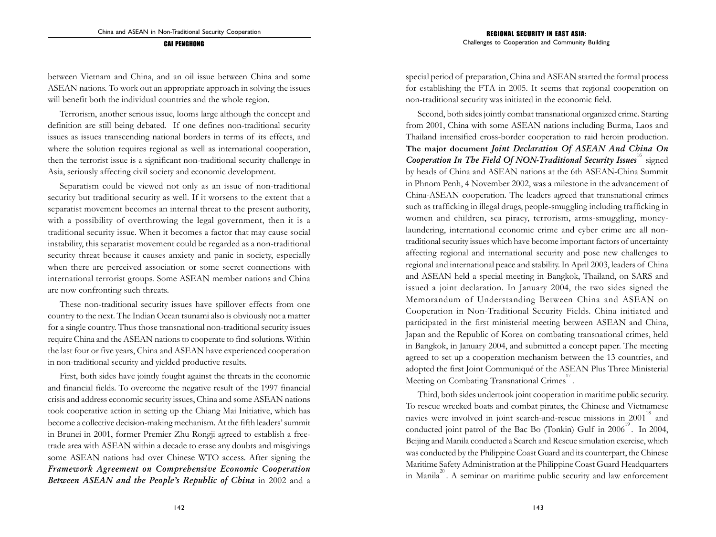between Vietnam and China, and an oil issue between China and some ASEAN nations. To work out an appropriate approach in solving the issues will benefit both the individual countries and the whole region.

Terrorism, another serious issue, looms large although the concept and definition are still being debated. If one defines non-traditional security issues as issues transcending national borders in terms of its effects, and where the solution requires regional as well as international cooperation, then the terrorist issue is a significant non-traditional security challenge in Asia, seriously affecting civil society and economic development.

Separatism could be viewed not only as an issue of non-traditional security but traditional security as well. If it worsens to the extent that a separatist movement becomes an internal threat to the present authority, with a possibility of overthrowing the legal government, then it is a traditional security issue. When it becomes a factor that may cause social instability, this separatist movement could be regarded as a non-traditional security threat because it causes anxiety and panic in society, especially when there are perceived association or some secret connections with international terrorist groups. Some ASEAN member nations and China are now confronting such threats.

These non-traditional security issues have spillover effects from one country to the next. The Indian Ocean tsunami also is obviously not a matter for a single country. Thus those transnational non-traditional security issues require China and the ASEAN nations to cooperate to find solutions. Within the last four or five years, China and ASEAN have experienced cooperation in non-traditional security and yielded productive results.

First, both sides have jointly fought against the threats in the economic and financial fields. To overcome the negative result of the 1997 financial crisis and address economic security issues, China and some ASEAN nations took cooperative action in setting up the Chiang Mai Initiative, which has become a collective decision-making mechanism. At the fifth leaders' summit in Brunei in 2001, former Premier Zhu Rongji agreed to establish a freetrade area with ASEAN within a decade to erase any doubts and misgivings some ASEAN nations had over Chinese WTO access. After signing the *Framework Agreement on Comprehensive Economic Cooperation Between ASEAN and the People's Republic of China* in 2002 and a

special period of preparation, China and ASEAN started the formal process for establishing the FTA in 2005. It seems that regional cooperation on non-traditional security was initiated in the economic field.

Second, both sides jointly combat transnational organized crime. Starting from 2001, China with some ASEAN nations including Burma, Laos and Thailand intensified cross-border cooperation to raid heroin production. **The major document** *Joint Declaration Of ASEAN And China On* **Cooperation In The Field Of NON-Traditional Security Issues**<sup>16</sup> signed by heads of China and ASEAN nations at the 6th ASEAN-China Summit in Phnom Penh, 4 November 2002, was a milestone in the advancement of China-ASEAN cooperation. The leaders agreed that transnational crimes such as trafficking in illegal drugs, people-smuggling including trafficking in women and children, sea piracy, terrorism, arms-smuggling, moneylaundering, international economic crime and cyber crime are all nontraditional security issues which have become important factors of uncertainty affecting regional and international security and pose new challenges to regional and international peace and stability. In April 2003, leaders of China and ASEAN held a special meeting in Bangkok, Thailand, on SARS and issued a joint declaration. In January 2004, the two sides signed the Memorandum of Understanding Between China and ASEAN on Cooperation in Non-Traditional Security Fields. China initiated and participated in the first ministerial meeting between ASEAN and China, Japan and the Republic of Korea on combating transnational crimes, held in Bangkok, in January 2004, and submitted a concept paper. The meeting agreed to set up a cooperation mechanism between the 13 countries, and adopted the first Joint Communiqué of the ASEAN Plus Three Ministerial Meeting on Combating Transnational Crimes<sup>17</sup>.

Third, both sides undertook joint cooperation in maritime public security. To rescue wrecked boats and combat pirates, the Chinese and Vietnamese navies were involved in joint search-and-rescue missions in 2001<sup>18</sup> and conducted joint patrol of the Bac Bo (Tonkin) Gulf in  $2006^{19}$ . In 2004, Beijing and Manila conducted a Search and Rescue simulation exercise, which was conducted by the Philippine Coast Guard and its counterpart, the Chinese Maritime Safety Administration at the Philippine Coast Guard Headquarters in Manila<sup>20</sup>. A seminar on maritime public security and law enforcement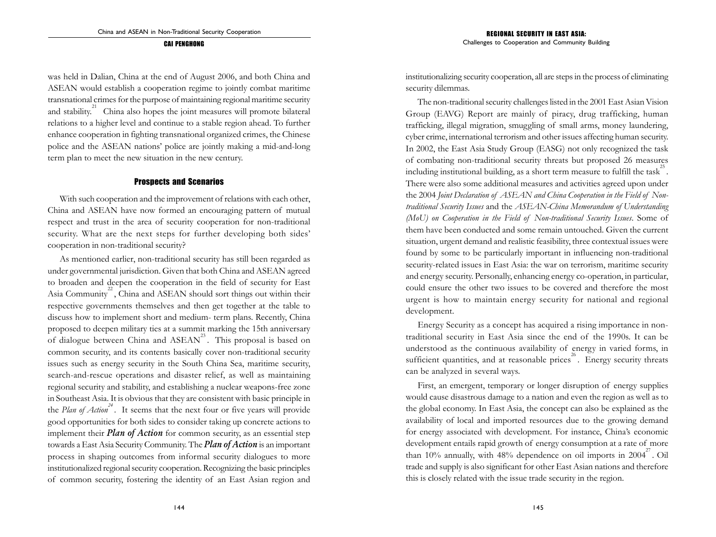was held in Dalian, China at the end of August 2006, and both China and ASEAN would establish a cooperation regime to jointly combat maritime transnational crimes for the purpose of maintaining regional maritime security and stability. $21$  China also hopes the joint measures will promote bilateral relations to a higher level and continue to a stable region ahead. To further enhance cooperation in fighting transnational organized crimes, the Chinese police and the ASEAN nations' police are jointly making a mid-and-long term plan to meet the new situation in the new century.

#### Prospects and Scenarios

With such cooperation and the improvement of relations with each other, China and ASEAN have now formed an encouraging pattern of mutual respect and trust in the area of security cooperation for non-traditional security. What are the next steps for further developing both sides' cooperation in non-traditional security?

As mentioned earlier, non-traditional security has still been regarded as under governmental jurisdiction. Given that both China and ASEAN agreed to broaden and deepen the cooperation in the field of security for East Asia Community<sup>22</sup>, China and ASEAN should sort things out within their respective governments themselves and then get together at the table to discuss how to implement short and medium- term plans. Recently, China proposed to deepen military ties at a summit marking the 15th anniversary of dialogue between China and ASEAN<sup>23</sup>. This proposal is based on common security, and its contents basically cover non-traditional security issues such as energy security in the South China Sea, maritime security, search-and-rescue operations and disaster relief, as well as maintaining regional security and stability, and establishing a nuclear weapons-free zone in Southeast Asia. It is obvious that they are consistent with basic principle in the *Plan of Action*<sup>24</sup>. It seems that the next four or five years will provide good opportunities for both sides to consider taking up concrete actions to implement their *Plan of Action* for common security, as an essential step towards a East Asia Security Community. The *Plan of Action* is an important process in shaping outcomes from informal security dialogues to more institutionalized regional security cooperation. Recognizing the basic principles of common security, fostering the identity of an East Asian region and institutionalizing security cooperation, all are steps in the process of eliminating security dilemmas.

The non-traditional security challenges listed in the 2001 East Asian Vision Group (EAVG) Report are mainly of piracy, drug trafficking, human trafficking, illegal migration, smuggling of small arms, money laundering, cyber crime, international terrorism and other issues affecting human security. In 2002, the East Asia Study Group (EASG) not only recognized the task of combating non-traditional security threats but proposed 26 measures including institutional building, as a short term measure to fulfill the task  $^{25}$ . There were also some additional measures and activities agreed upon under the 2004 *Joint Declaration of ASEAN and China Cooperation in the Field of Nontraditional Security Issues* and the *ASEAN-China Memorandum of Understanding (MoU) on Cooperation in the Field of Non-traditional Security Issues*. Some of them have been conducted and some remain untouched. Given the current situation, urgent demand and realistic feasibility, three contextual issues were found by some to be particularly important in influencing non-traditional security-related issues in East Asia: the war on terrorism, maritime security and energy security. Personally, enhancing energy co-operation, in particular, could ensure the other two issues to be covered and therefore the most urgent is how to maintain energy security for national and regional development.

Energy Security as a concept has acquired a rising importance in nontraditional security in East Asia since the end of the 1990s. It can be understood as the continuous availability of energy in varied forms, in sufficient quantities, and at reasonable prices<sup>26</sup>. Energy security threats can be analyzed in several ways.

First, an emergent, temporary or longer disruption of energy supplies would cause disastrous damage to a nation and even the region as well as to the global economy. In East Asia, the concept can also be explained as the availability of local and imported resources due to the growing demand for energy associated with development. For instance, China's economic development entails rapid growth of energy consumption at a rate of more than 10% annually, with 48% dependence on oil imports in 2004 $^{27}$ . Oil trade and supply is also significant for other East Asian nations and therefore this is closely related with the issue trade security in the region.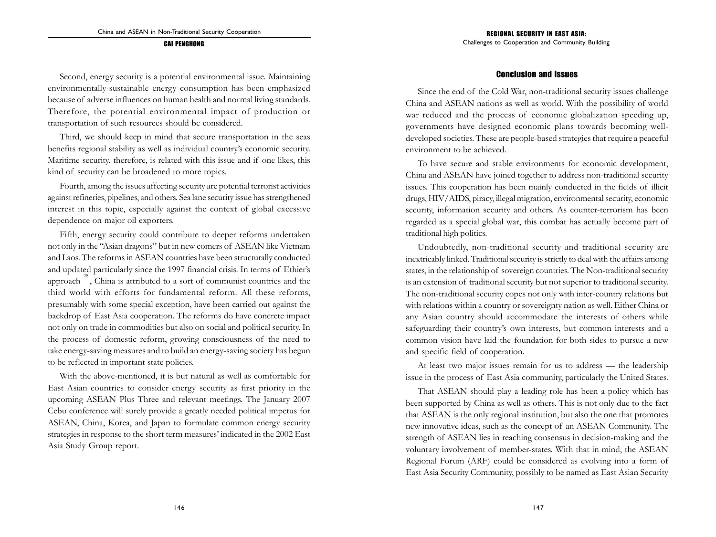Second, energy security is a potential environmental issue. Maintaining environmentally-sustainable energy consumption has been emphasized because of adverse influences on human health and normal living standards. Therefore, the potential environmental impact of production or transportation of such resources should be considered.

Third, we should keep in mind that secure transportation in the seas benefits regional stability as well as individual country's economic security. Maritime security, therefore, is related with this issue and if one likes, this kind of security can be broadened to more topics.

Fourth, among the issues affecting security are potential terrorist activities against refineries, pipelines, and others. Sea lane security issue has strengthened interest in this topic, especially against the context of global excessive dependence on major oil exporters.

Fifth, energy security could contribute to deeper reforms undertaken not only in the "Asian dragons" but in new comers of ASEAN like Vietnam and Laos. The reforms in ASEAN countries have been structurally conducted and updated particularly since the 1997 financial crisis. In terms of Ethier's approach  $^{28}$ , China is attributed to a sort of communist countries and the third world with efforts for fundamental reform. All these reforms, presumably with some special exception, have been carried out against the backdrop of East Asia cooperation. The reforms do have concrete impact not only on trade in commodities but also on social and political security. In the process of domestic reform, growing consciousness of the need to take energy-saving measures and to build an energy-saving society has begun to be reflected in important state policies.

With the above-mentioned, it is but natural as well as comfortable for East Asian countries to consider energy security as first priority in the upcoming ASEAN Plus Three and relevant meetings. The January 2007 Cebu conference will surely provide a greatly needed political impetus for ASEAN, China, Korea, and Japan to formulate common energy security strategies in response to the short term measures' indicated in the 2002 East Asia Study Group report.

REGIONAL SECURITY IN EAST ASIA: Challenges to Cooperation and Community Building

Conclusion and Issues

Since the end of the Cold War, non-traditional security issues challenge China and ASEAN nations as well as world. With the possibility of world war reduced and the process of economic globalization speeding up, governments have designed economic plans towards becoming welldeveloped societies. These are people-based strategies that require a peaceful environment to be achieved.

To have secure and stable environments for economic development, China and ASEAN have joined together to address non-traditional security issues. This cooperation has been mainly conducted in the fields of illicit drugs, HIV/AIDS, piracy, illegal migration, environmental security, economic security, information security and others. As counter-terrorism has been regarded as a special global war, this combat has actually become part of traditional high politics.

Undoubtedly, non-traditional security and traditional security are inextricably linked. Traditional security is strictly to deal with the affairs among states, in the relationship of sovereign countries. The Non-traditional security is an extension of traditional security but not superior to traditional security. The non-traditional security copes not only with inter-country relations but with relations within a country or sovereignty nation as well. Either China or any Asian country should accommodate the interests of others while safeguarding their country's own interests, but common interests and a common vision have laid the foundation for both sides to pursue a new and specific field of cooperation.

At least two major issues remain for us to address — the leadership issue in the process of East Asia community, particularly the United States.

That ASEAN should play a leading role has been a policy which has been supported by China as well as others. This is not only due to the fact that ASEAN is the only regional institution, but also the one that promotes new innovative ideas, such as the concept of an ASEAN Community. The strength of ASEAN lies in reaching consensus in decision-making and the voluntary involvement of member-states. With that in mind, the ASEAN Regional Forum (ARF) could be considered as evolving into a form of East Asia Security Community, possibly to be named as East Asian Security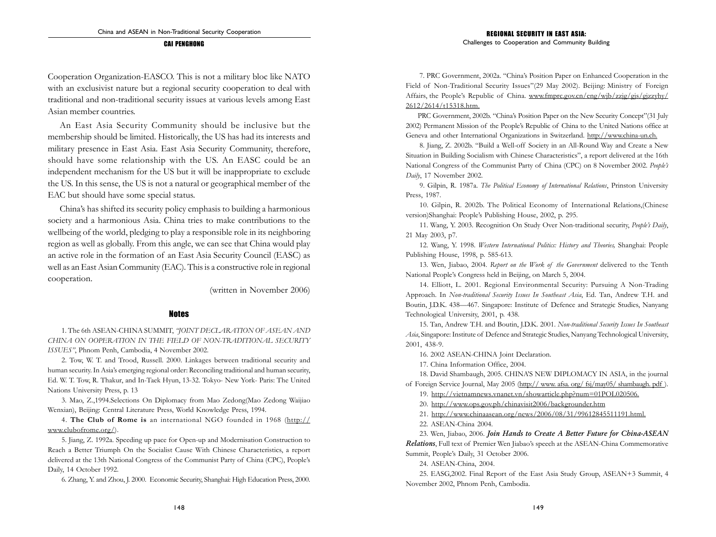Cooperation Organization-EASCO. This is not a military bloc like NATO with an exclusivist nature but a regional security cooperation to deal with traditional and non-traditional security issues at various levels among East Asian member countries.

An East Asia Security Community should be inclusive but the membership should be limited. Historically, the US has had its interests and military presence in East Asia. East Asia Security Community, therefore, should have some relationship with the US. An EASC could be an independent mechanism for the US but it will be inappropriate to exclude the US. In this sense, the US is not a natural or geographical member of the EAC but should have some special status.

China's has shifted its security policy emphasis to building a harmonious society and a harmonious Asia. China tries to make contributions to the wellbeing of the world, pledging to play a responsible role in its neighboring region as well as globally. From this angle, we can see that China would play an active role in the formation of an East Asia Security Council (EASC) as well as an East Asian Community (EAC). This is a constructive role in regional cooperation.

(written in November 2006)

#### **Notes**

1. The 6th ASEAN-CHINA SUMMIT, *"JOINT DECLARATION OF ASEAN AND CHINA ON OOPERATION IN THE FIELD OF NON-TRADITIONAL SECURITY ISSUES"*, Phnom Penh, Cambodia, 4 November 2002.

2. Tow, W. T. and Trood, Russell. 2000. Linkages between traditional security and human security. In Asia's emerging regional order: Reconciling traditional and human security, Ed. W. T. Tow, R. Thakur, and In-Taek Hyun, 13-32. Tokyo- New York- Paris: The United Nations University Press, p. 13

3. Mao, Z.,1994.Selections On Diplomacy from Mao Zedong(Mao Zedong Waijiao Wenxian), Beijing: Central Literature Press, World Knowledge Press, 1994.

4. **The Club of Rome is** an international NGO founded in 1968 (http:// www.clubofrome.org/).

5. Jiang, Z. 1992a. Speeding up pace for Open-up and Modernisation Construction to Reach a Better Triumph On the Socialist Cause With Chinese Characteristics, a report delivered at the 13th National Congress of the Communist Party of China (CPC), People's Daily, 14 October 1992.

6. Zhang, Y. and Zhou, J. 2000. Economic Security, Shanghai: High Education Press, 2000.

7. PRC Government, 2002a. "China's Position Paper on Enhanced Cooperation in the Field of Non-Traditional Security Issues"(29 May 2002). Beijing: Ministry of Foreign Affairs, the People's Republic of China. www.fmprc.gov.cn/eng/wjb/zzjg/gjs/gjzzyhy/ 2612/2614/t15318.htm.

PRC Government, 2002b. "China's Position Paper on the New Security Concept"(31 July 2002) Permanent Mission of the People's Republic of China to the United Nations office at Geneva and other International Organizations in Switzerland. http://www.china-un.ch.

8. Jiang, Z. 2002b. "Build a Well-off Society in an All-Round Way and Create a New Situation in Building Socialism with Chinese Characteristics", a report delivered at the 16th National Congress of the Communist Party of China (CPC) on 8 November 2002. *People's Daily*, 17 November 2002.

9. Gilpin, R. 1987a. *The Political Economy of International Relations*, Prinston University Press, 1987.

10. Gilpin, R. 2002b. The Political Economy of International Relations,(Chinese version)Shanghai: People's Publishing House, 2002, p. 295.

11. Wang, Y. 2003. Recognition On Study Over Non-traditional security, *People's Daily*, 21 May 2003, p7.

12. Wang, Y. 1998. *Western International Politics: History and Theories,* Shanghai: People Publishing House, 1998, p. 585-613.

13. Wen, Jiabao, 2004. *Report on the Work of the Government* delivered to the Tenth National People's Congress held in Beijing, on March 5, 2004.

14. Elliott, L. 2001. Regional Environmental Security: Pursuing A Non-Trading Approach. In *Non-traditional Security Issues In Southeast Asia*, Ed. Tan, Andrew T.H. and Boutin, J.D.K. 438—467. Singapore: Institute of Defence and Strategic Studies, Nanyang Technological University, 2001, p. 438.

15. Tan, Andrew T.H. and Boutin, J.D.K. 2001. *Non-traditional Security Issues In Southeast Asia*, Singapore: Institute of Defence and Strategic Studies, Nanyang Technological University, 2001, 438-9.

16. 2002 ASEAN-CHINA Joint Declaration.

17. China Information Office, 2004.

18. David Shambaugh, 2005. CHINA'S NEW DIPLOMACY IN ASIA, in the journal of Foreign Service Journal, May 2005 (http:// www. afsa. org/ fsj/may05/ shambaugh. pdf ).

19. http://vietnamnews.vnanet.vn/showarticle.php?num=01POL020506.

20. http://www.ops.gov.ph/chinavisit2006/backgrounder.htm

21. http://www.chinaasean.org/news/2006/08/31/99612845511191.html.

22. ASEAN-China 2004.

23. Wen, Jiabao, 2006. *Join Hands to Create A Better Future for China-ASEAN Relations*, Full text of Premier Wen Jiabao's speech at the ASEAN-China Commemorative Summit, People's Daily, 31 October 2006.

24. ASEAN-China, 2004.

25. EASG,2002. Final Report of the East Asia Study Group, ASEAN+3 Summit, 4 November 2002, Phnom Penh, Cambodia.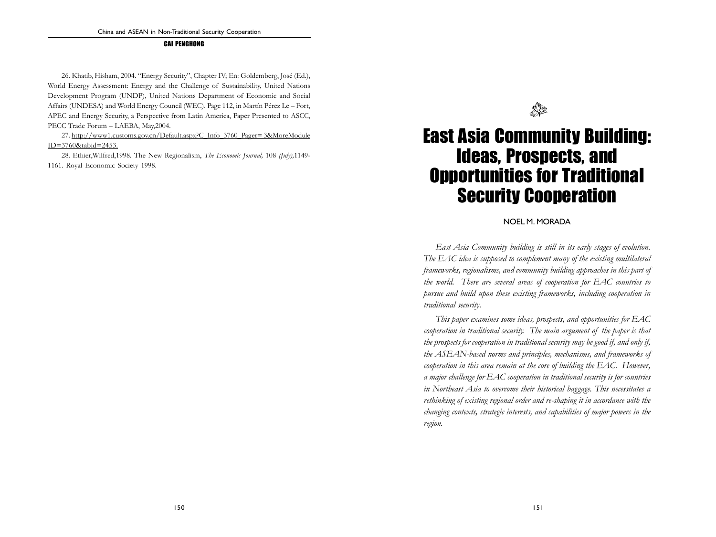26. Khatib, Hisham, 2004. "Energy Security", Chapter IV; En: Goldemberg, José (Ed.), World Energy Assessment: Energy and the Challenge of Sustainability, United Nations Development Program (UNDP), United Nations Department of Economic and Social Affairs (UNDESA) and World Energy Council (WEC). Page 112, in Martín Pérez Le – Fort, APEC and Energy Security, a Perspective from Latin America, Paper Presented to ASCC, PECC Trade Forum – LAEBA, May,2004.

27. http://www1.customs.gov.cn/Default.aspx?C\_Info\_3760\_Pager= 3&MoreModule ID=3760&tabid=2453.

28. Ethier,Wilfred,1998. The New Regionalism, *The Economic Journal,* 108 *(July),*1149- 1161. Royal Economic Society 1998.

## $\mathcal{E}^{\prime\prime\prime}_{\mathcal{E}}$

# East Asia Community Building: Ideas, Prospects, and Opportunities for Traditional Security Cooperation

#### NOEL M. MORADA

*East Asia Community building is still in its early stages of evolution. The EAC idea is supposed to complement many of the existing multilateral frameworks, regionalisms, and community building approaches in this part of the world. There are several areas of cooperation for EAC countries to pursue and build upon these existing frameworks, including cooperation in traditional security.*

*This paper examines some ideas, prospects, and opportunities for EAC cooperation in traditional security. The main argument of the paper is that the prospects for cooperation in traditional security may be good if, and only if, the ASEAN-based norms and principles, mechanisms, and frameworks of cooperation in this area remain at the core of building the EAC. However, a major challenge for EAC cooperation in traditional security is for countries in Northeast Asia to overcome their historical baggage. This necessitates a rethinking of existing regional order and re-shaping it in accordance with the changing contexts, strategic interests, and capabilities of major powers in the region.*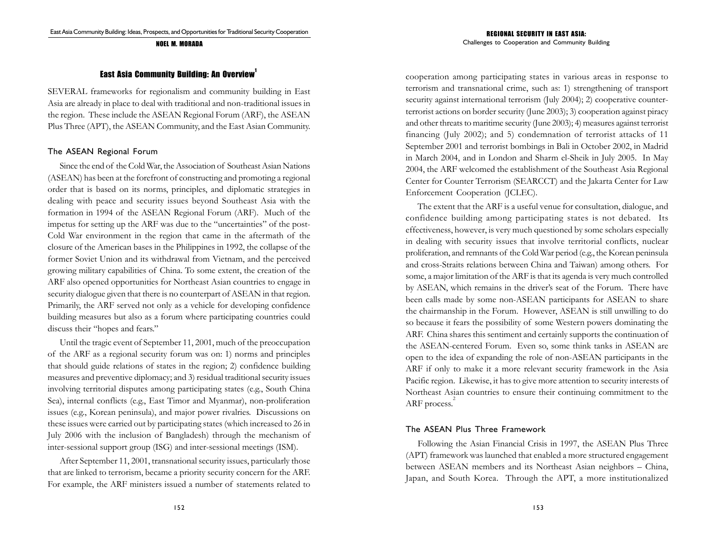#### **East Asia Community Building: An Overview**

SEVERAL frameworks for regionalism and community building in East Asia are already in place to deal with traditional and non-traditional issues in the region. These include the ASEAN Regional Forum (ARF), the ASEAN Plus Three (APT), the ASEAN Community, and the East Asian Community.

#### The ASEAN Regional Forum

Since the end of the Cold War, the Association of Southeast Asian Nations (ASEAN) has been at the forefront of constructing and promoting a regional order that is based on its norms, principles, and diplomatic strategies in dealing with peace and security issues beyond Southeast Asia with the formation in 1994 of the ASEAN Regional Forum (ARF). Much of the impetus for setting up the ARF was due to the "uncertainties" of the post-Cold War environment in the region that came in the aftermath of the closure of the American bases in the Philippines in 1992, the collapse of the former Soviet Union and its withdrawal from Vietnam, and the perceived growing military capabilities of China. To some extent, the creation of the ARF also opened opportunities for Northeast Asian countries to engage in security dialogue given that there is no counterpart of ASEAN in that region. Primarily, the ARF served not only as a vehicle for developing confidence building measures but also as a forum where participating countries could discuss their "hopes and fears."

Until the tragic event of September 11, 2001, much of the preoccupation of the ARF as a regional security forum was on: 1) norms and principles that should guide relations of states in the region; 2) confidence building measures and preventive diplomacy; and 3) residual traditional security issues involving territorial disputes among participating states (e.g., South China Sea), internal conflicts (e.g., East Timor and Myanmar), non-proliferation issues (e.g., Korean peninsula), and major power rivalries. Discussions on these issues were carried out by participating states (which increased to 26 in July 2006 with the inclusion of Bangladesh) through the mechanism of inter-sessional support group (ISG) and inter-sessional meetings (ISM).

After September 11, 2001, transnational security issues, particularly those that are linked to terrorism, became a priority security concern for the ARF. For example, the ARF ministers issued a number of statements related to

REGIONAL SECURITY IN EAST ASIA: Challenges to Cooperation and Community Building

cooperation among participating states in various areas in response to terrorism and transnational crime, such as: 1) strengthening of transport security against international terrorism (July 2004); 2) cooperative counterterrorist actions on border security (June 2003); 3) cooperation against piracy and other threats to maritime security (June 2003); 4) measures against terrorist financing (July 2002); and 5) condemnation of terrorist attacks of 11 September 2001 and terrorist bombings in Bali in October 2002, in Madrid in March 2004, and in London and Sharm el-Sheik in July 2005. In May 2004, the ARF welcomed the establishment of the Southeast Asia Regional Center for Counter Terrorism (SEARCCT) and the Jakarta Center for Law Enforcement Cooperation (JCLEC).

The extent that the ARF is a useful venue for consultation, dialogue, and confidence building among participating states is not debated. Its effectiveness, however, is very much questioned by some scholars especially in dealing with security issues that involve territorial conflicts, nuclear proliferation, and remnants of the Cold War period (e.g., the Korean peninsula and cross-Straits relations between China and Taiwan) among others. For some, a major limitation of the ARF is that its agenda is very much controlled by ASEAN, which remains in the driver's seat of the Forum. There have been calls made by some non-ASEAN participants for ASEAN to share the chairmanship in the Forum. However, ASEAN is still unwilling to do so because it fears the possibility of some Western powers dominating the ARF. China shares this sentiment and certainly supports the continuation of the ASEAN-centered Forum. Even so, some think tanks in ASEAN are open to the idea of expanding the role of non-ASEAN participants in the ARF if only to make it a more relevant security framework in the Asia Pacific region. Likewise, it has to give more attention to security interests of Northeast Asian countries to ensure their continuing commitment to the ARF process.

#### The ASEAN Plus Three Framework

Following the Asian Financial Crisis in 1997, the ASEAN Plus Three (APT) framework was launched that enabled a more structured engagement between ASEAN members and its Northeast Asian neighbors – China, Japan, and South Korea. Through the APT, a more institutionalized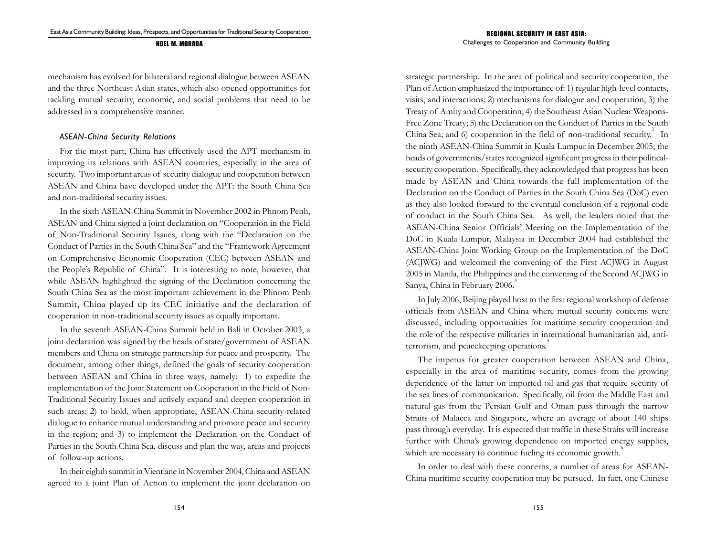mechanism has evolved for bilateral and regional dialogue between ASEAN and the three Northeast Asian states, which also opened opportunities for tackling mutual security, economic, and social problems that need to be addressed in a comprehensive manner.

#### *ASEAN-China Security Relations*

For the most part, China has effectively used the APT mechanism in improving its relations with ASEAN countries, especially in the area of security. Two important areas of security dialogue and cooperation between ASEAN and China have developed under the APT: the South China Sea and non-traditional security issues.

In the sixth ASEAN-China Summit in November 2002 in Phnom Penh, ASEAN and China signed a joint declaration on "Cooperation in the Field of Non-Traditional Security Issues, along with the "Declaration on the Conduct of Parties in the South China Sea" and the "Framework Agreement on Comprehensive Economic Cooperation (CEC) between ASEAN and the People's Republic of China". It is interesting to note, however, that while ASEAN highlighted the signing of the Declaration concerning the South China Sea as the most important achievement in the Phnom Penh Summit, China played up its CEC initiative and the declaration of cooperation in non-traditional security issues as equally important.

In the seventh ASEAN-China Summit held in Bali in October 2003, a joint declaration was signed by the heads of state/government of ASEAN members and China on strategic partnership for peace and prosperity. The document, among other things, defined the goals of security cooperation between ASEAN and China in three ways, namely: 1) to expedite the implementation of the Joint Statement on Cooperation in the Field of Non-Traditional Security Issues and actively expand and deepen cooperation in such areas; 2) to hold, when appropriate, ASEAN-China security-related dialogue to enhance mutual understanding and promote peace and security in the region; and 3) to implement the Declaration on the Conduct of Parties in the South China Sea, discuss and plan the way, areas and projects of follow-up actions.

In their eighth summit in Vientiane in November 2004, China and ASEAN agreed to a joint Plan of Action to implement the joint declaration on

strategic partnership. In the area of political and security cooperation, the Plan of Action emphasized the importance of: 1) regular high-level contacts, visits, and interactions; 2) mechanisms for dialogue and cooperation; 3) the Treaty of Amity and Cooperation; 4) the Southeast Asian Nuclear Weapons-Free Zone Treaty; 5) the Declaration on the Conduct of Parties in the South China Sea; and 6) cooperation in the field of non-traditional security.<sup>3</sup> In the ninth ASEAN-China Summit in Kuala Lumpur in December 2005, the heads of governments/states recognized significant progress in their politicalsecurity cooperation. Specifically, they acknowledged that progress has been made by ASEAN and China towards the full implementation of the Declaration on the Conduct of Parties in the South China Sea (DoC) even as they also looked forward to the eventual conclusion of a regional code of conduct in the South China Sea. As well, the leaders noted that the ASEAN-China Senior Officials' Meeting on the Implementation of the DoC in Kuala Lumpur, Malaysia in December 2004 had established the ASEAN-China Joint Working Group on the Implementation of the DoC (ACJWG) and welcomed the convening of the First ACJWG in August 2005 in Manila, the Philippines and the convening of the Second ACJWG in Sanya, China in February 2006.<sup>4</sup>

In July 2006, Beijing played host to the first regional workshop of defense officials from ASEAN and China where mutual security concerns were discussed, including opportunities for maritime security cooperation and the role of the respective militaries in international humanitarian aid, antiterrorism, and peacekeeping operations.

The impetus for greater cooperation between ASEAN and China, especially in the area of maritime security, comes from the growing dependence of the latter on imported oil and gas that require security of the sea lines of communication. Specifically, oil from the Middle East and natural gas from the Persian Gulf and Oman pass through the narrow Straits of Malacca and Singapore, where an average of about 140 ships pass through everyday. It is expected that traffic in these Straits will increase further with China's growing dependence on imported energy supplies, which are necessary to continue fueling its economic growth.<sup>6</sup>

In order to deal with these concerns, a number of areas for ASEAN-China maritime security cooperation may be pursued. In fact, one Chinese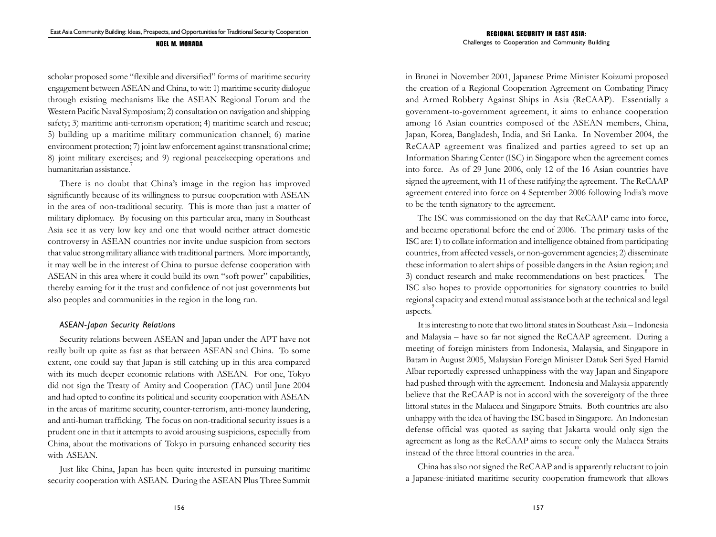scholar proposed some "flexible and diversified" forms of maritime security engagement between ASEAN and China, to wit: 1) maritime security dialogue through existing mechanisms like the ASEAN Regional Forum and the Western Pacific Naval Symposium; 2) consultation on navigation and shipping safety; 3) maritime anti-terrorism operation; 4) maritime search and rescue; 5) building up a maritime military communication channel; 6) marine environment protection; 7) joint law enforcement against transnational crime; 8) joint military exercises; and 9) regional peacekeeping operations and humanitarian assistance. 7

There is no doubt that China's image in the region has improved significantly because of its willingness to pursue cooperation with ASEAN in the area of non-traditional security. This is more than just a matter of military diplomacy. By focusing on this particular area, many in Southeast Asia see it as very low key and one that would neither attract domestic controversy in ASEAN countries nor invite undue suspicion from sectors that value strong military alliance with traditional partners. More importantly, it may well be in the interest of China to pursue defense cooperation with ASEAN in this area where it could build its own "soft power" capabilities, thereby earning for it the trust and confidence of not just governments but also peoples and communities in the region in the long run.

#### *ASEAN-Japan Security Relations*

Security relations between ASEAN and Japan under the APT have not really built up quite as fast as that between ASEAN and China. To some extent, one could say that Japan is still catching up in this area compared with its much deeper economic relations with ASEAN. For one, Tokyo did not sign the Treaty of Amity and Cooperation (TAC) until June 2004 and had opted to confine its political and security cooperation with ASEAN in the areas of maritime security, counter-terrorism, anti-money laundering, and anti-human trafficking. The focus on non-traditional security issues is a prudent one in that it attempts to avoid arousing suspicions, especially from China, about the motivations of Tokyo in pursuing enhanced security ties with ASEAN.

Just like China, Japan has been quite interested in pursuing maritime security cooperation with ASEAN. During the ASEAN Plus Three Summit

in Brunei in November 2001, Japanese Prime Minister Koizumi proposed the creation of a Regional Cooperation Agreement on Combating Piracy and Armed Robbery Against Ships in Asia (ReCAAP). Essentially a government-to-government agreement, it aims to enhance cooperation among 16 Asian countries composed of the ASEAN members, China, Japan, Korea, Bangladesh, India, and Sri Lanka. In November 2004, the ReCAAP agreement was finalized and parties agreed to set up an Information Sharing Center (ISC) in Singapore when the agreement comes into force. As of 29 June 2006, only 12 of the 16 Asian countries have signed the agreement, with 11 of these ratifying the agreement. The ReCAAP agreement entered into force on 4 September 2006 following India's move to be the tenth signatory to the agreement.

The ISC was commissioned on the day that ReCAAP came into force, and became operational before the end of 2006. The primary tasks of the ISC are: 1) to collate information and intelligence obtained from participating countries, from affected vessels, or non-government agencies; 2) disseminate these information to alert ships of possible dangers in the Asian region; and 3) conduct research and make recommendations on best practices. The ISC also hopes to provide opportunities for signatory countries to build regional capacity and extend mutual assistance both at the technical and legal aspects.

It is interesting to note that two littoral states in Southeast Asia – Indonesia and Malaysia – have so far not signed the ReCAAP agreement. During a meeting of foreign ministers from Indonesia, Malaysia, and Singapore in Batam in August 2005, Malaysian Foreign Minister Datuk Seri Syed Hamid Albar reportedly expressed unhappiness with the way Japan and Singapore had pushed through with the agreement. Indonesia and Malaysia apparently believe that the ReCAAP is not in accord with the sovereignty of the three littoral states in the Malacca and Singapore Straits. Both countries are also unhappy with the idea of having the ISC based in Singapore. An Indonesian defense official was quoted as saying that Jakarta would only sign the agreement as long as the ReCAAP aims to secure only the Malacca Straits instead of the three littoral countries in the area. 10

China has also not signed the ReCAAP and is apparently reluctant to join a Japanese-initiated maritime security cooperation framework that allows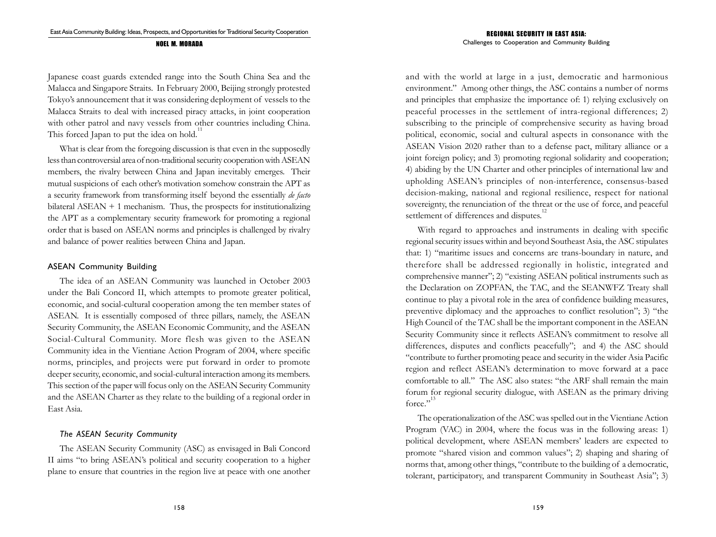Japanese coast guards extended range into the South China Sea and the Malacca and Singapore Straits. In February 2000, Beijing strongly protested Tokyo's announcement that it was considering deployment of vessels to the Malacca Straits to deal with increased piracy attacks, in joint cooperation with other patrol and navy vessels from other countries including China. This forced Japan to put the idea on hold.<sup>11</sup>

What is clear from the foregoing discussion is that even in the supposedly less than controversial area of non-traditional security cooperation with ASEAN members, the rivalry between China and Japan inevitably emerges. Their mutual suspicions of each other's motivation somehow constrain the APT as a security framework from transforming itself beyond the essentially *de facto* bilateral  $ASEAN + 1$  mechanism. Thus, the prospects for institutionalizing the APT as a complementary security framework for promoting a regional order that is based on ASEAN norms and principles is challenged by rivalry and balance of power realities between China and Japan.

#### ASEAN Community Building

The idea of an ASEAN Community was launched in October 2003 under the Bali Concord II, which attempts to promote greater political, economic, and social-cultural cooperation among the ten member states of ASEAN. It is essentially composed of three pillars, namely, the ASEAN Security Community, the ASEAN Economic Community, and the ASEAN Social-Cultural Community. More flesh was given to the ASEAN Community idea in the Vientiane Action Program of 2004, where specific norms, principles, and projects were put forward in order to promote deeper security, economic, and social-cultural interaction among its members. This section of the paper will focus only on the ASEAN Security Community and the ASEAN Charter as they relate to the building of a regional order in East Asia.

#### *The ASEAN Security Community*

The ASEAN Security Community (ASC) as envisaged in Bali Concord II aims "to bring ASEAN's political and security cooperation to a higher plane to ensure that countries in the region live at peace with one another and with the world at large in a just, democratic and harmonious environment." Among other things, the ASC contains a number of norms and principles that emphasize the importance of: 1) relying exclusively on peaceful processes in the settlement of intra-regional differences; 2) subscribing to the principle of comprehensive security as having broad political, economic, social and cultural aspects in consonance with the ASEAN Vision 2020 rather than to a defense pact, military alliance or a joint foreign policy; and 3) promoting regional solidarity and cooperation; 4) abiding by the UN Charter and other principles of international law and upholding ASEAN's principles of non-interference, consensus-based decision-making, national and regional resilience, respect for national sovereignty, the renunciation of the threat or the use of force, and peaceful settlement of differences and disputes. 12

With regard to approaches and instruments in dealing with specific regional security issues within and beyond Southeast Asia, the ASC stipulates that: 1) "maritime issues and concerns are trans-boundary in nature, and therefore shall be addressed regionally in holistic, integrated and comprehensive manner"; 2) "existing ASEAN political instruments such as the Declaration on ZOPFAN, the TAC, and the SEANWFZ Treaty shall continue to play a pivotal role in the area of confidence building measures, preventive diplomacy and the approaches to conflict resolution"; 3) "the High Council of the TAC shall be the important component in the ASEAN Security Community since it reflects ASEAN's commitment to resolve all differences, disputes and conflicts peacefully"; and 4) the ASC should "contribute to further promoting peace and security in the wider Asia Pacific region and reflect ASEAN's determination to move forward at a pace comfortable to all." The ASC also states: "the ARF shall remain the main forum for regional security dialogue, with ASEAN as the primary driving force."<sup>13</sup>

The operationalization of the ASC was spelled out in the Vientiane Action Program (VAC) in 2004, where the focus was in the following areas: 1) political development, where ASEAN members' leaders are expected to promote "shared vision and common values"; 2) shaping and sharing of norms that, among other things, "contribute to the building of a democratic, tolerant, participatory, and transparent Community in Southeast Asia"; 3)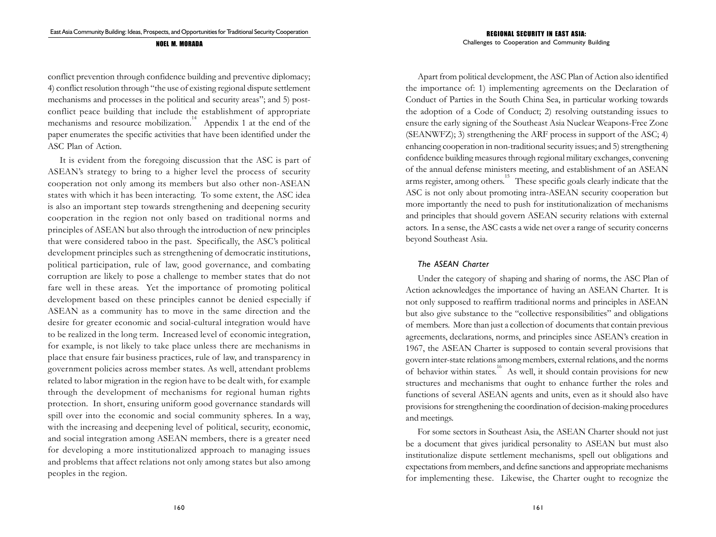conflict prevention through confidence building and preventive diplomacy; 4) conflict resolution through "the use of existing regional dispute settlement mechanisms and processes in the political and security areas"; and 5) postconflict peace building that include the establishment of appropriate mechanisms and resource mobilization.<sup>14</sup> Appendix 1 at the end of the paper enumerates the specific activities that have been identified under the ASC Plan of Action.

It is evident from the foregoing discussion that the ASC is part of ASEAN's strategy to bring to a higher level the process of security cooperation not only among its members but also other non-ASEAN states with which it has been interacting. To some extent, the ASC idea is also an important step towards strengthening and deepening security cooperation in the region not only based on traditional norms and principles of ASEAN but also through the introduction of new principles that were considered taboo in the past. Specifically, the ASC's political development principles such as strengthening of democratic institutions, political participation, rule of law, good governance, and combating corruption are likely to pose a challenge to member states that do not fare well in these areas. Yet the importance of promoting political development based on these principles cannot be denied especially if ASEAN as a community has to move in the same direction and the desire for greater economic and social-cultural integration would have to be realized in the long term. Increased level of economic integration, for example, is not likely to take place unless there are mechanisms in place that ensure fair business practices, rule of law, and transparency in government policies across member states. As well, attendant problems related to labor migration in the region have to be dealt with, for example through the development of mechanisms for regional human rights protection. In short, ensuring uniform good governance standards will spill over into the economic and social community spheres. In a way, with the increasing and deepening level of political, security, economic, and social integration among ASEAN members, there is a greater need for developing a more institutionalized approach to managing issues and problems that affect relations not only among states but also among peoples in the region.

Apart from political development, the ASC Plan of Action also identified the importance of: 1) implementing agreements on the Declaration of Conduct of Parties in the South China Sea, in particular working towards the adoption of a Code of Conduct; 2) resolving outstanding issues to ensure the early signing of the Southeast Asia Nuclear Weapons-Free Zone (SEANWFZ); 3) strengthening the ARF process in support of the ASC; 4) enhancing cooperation in non-traditional security issues; and 5) strengthening confidence building measures through regional military exchanges, convening of the annual defense ministers meeting, and establishment of an ASEAN arms register, among others.<sup>15</sup> These specific goals clearly indicate that the ASC is not only about promoting intra-ASEAN security cooperation but more importantly the need to push for institutionalization of mechanisms and principles that should govern ASEAN security relations with external actors. In a sense, the ASC casts a wide net over a range of security concerns beyond Southeast Asia.

#### *The ASEAN Charter*

Under the category of shaping and sharing of norms, the ASC Plan of Action acknowledges the importance of having an ASEAN Charter. It is not only supposed to reaffirm traditional norms and principles in ASEAN but also give substance to the "collective responsibilities" and obligations of members. More than just a collection of documents that contain previous agreements, declarations, norms, and principles since ASEAN's creation in 1967, the ASEAN Charter is supposed to contain several provisions that govern inter-state relations among members, external relations, and the norms of behavior within states.<sup>16</sup> As well, it should contain provisions for new structures and mechanisms that ought to enhance further the roles and functions of several ASEAN agents and units, even as it should also have provisions for strengthening the coordination of decision-making procedures and meetings.

For some sectors in Southeast Asia, the ASEAN Charter should not just be a document that gives juridical personality to ASEAN but must also institutionalize dispute settlement mechanisms, spell out obligations and expectations from members, and define sanctions and appropriate mechanisms for implementing these. Likewise, the Charter ought to recognize the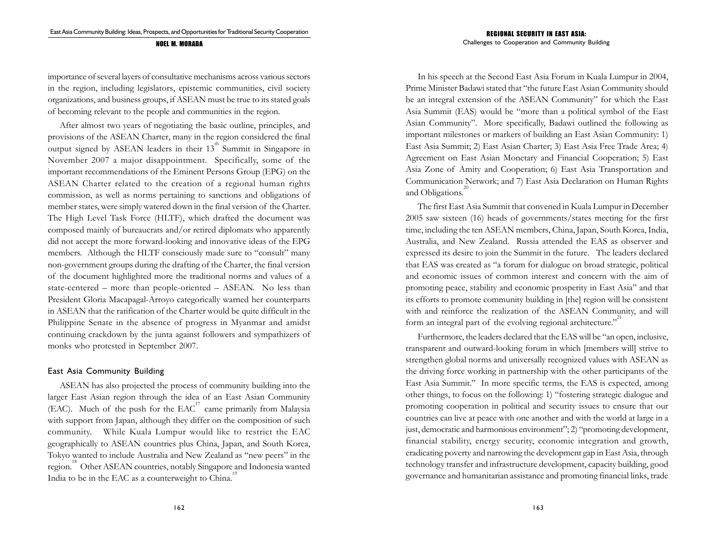importance of several layers of consultative mechanisms across various sectors in the region, including legislators, epistemic communities, civil society organizations, and business groups, if ASEAN must be true to its stated goals of becoming relevant to the people and communities in the region.

After almost two years of negotiating the basic outline, principles, and provisions of the ASEAN Charter, many in the region considered the final output signed by ASEAN leaders in their  $13^{\text{th}}$  Summit in Singapore in November 2007 a major disappointment. Specifically, some of the important recommendations of the Eminent Persons Group (EPG) on the ASEAN Charter related to the creation of a regional human rights commission, as well as norms pertaining to sanctions and obligations of member states, were simply watered down in the final version of the Charter. The High Level Task Force (HLTF), which drafted the document was composed mainly of bureaucrats and/or retired diplomats who apparently did not accept the more forward-looking and innovative ideas of the EPG members. Although the HLTF consciously made sure to "consult" many non-government groups during the drafting of the Charter, the final version of the document highlighted more the traditional norms and values of <sup>a</sup> state-centered – more than people-oriented – ASEAN. No less than President Gloria Macapagal-Arroyo categorically warned her counterparts in ASEAN that the ratification of the Charter would be quite difficult in the Philippine Senate in the absence of progress in Myanmar and amidst continuing crackdown by the junta against followers and sympathizers of monks who protested in September 2007.

#### East Asia Community Building

ASEAN has also projected the process of community building into the larger East Asian region through the idea of an East Asian Community (EAC). Much of the push for the  $EAC<sup>17</sup>$  came primarily from Malaysia with support from Japan, although they differ on the composition of such community. While Kuala Lumpur would like to restrict the EAC geographically to ASEAN countries plus China, Japan, and South Korea, Tokyo wanted to include Australia and New Zealand as "new peers" in the region. 18 Other ASEAN countries, notably Singapore and Indonesia wanted India to be in the EAC as a counterweight to China.

In his speech at the Second East Asia Forum in Kuala Lumpur in 2004, Prime Minister Badawi stated that "the future East Asian Community should be an integral extension of the ASEAN Community" for which the East Asia Summit (EAS) would be "more than a political symbol of the East Asian Community". More specifically, Badawi outlined the following as important milestones or markers of building an East Asian Community: 1) East Asia Summit; 2) East Asian Charter; 3) East Asia Free Trade Area; 4) Agreement on East Asian Monetary and Financial Cooperation; 5) East Asia Zone of Amity and Cooperation; 6) East Asia Transportation and Communication Network; and 7) East Asia Declaration on Human Rights and Obligations.<sup>20</sup>

The first East Asia Summit that convened in Kuala Lumpur in December 2005 saw sixteen (16) heads of governments/states meeting for the first time, including the ten ASEAN members, China, Japan, South Korea, India, Australia, and New Zealand. Russia attended the EAS as observer and expressed its desire to join the Summit in the future. The leaders declared that EAS was created as "a forum for dialogue on broad strategic, political and economic issues of common interest and concern with the aim of promoting peace, stability and economic prosperity in East Asia" and that its efforts to promote community building in [the] region will be consistent with and reinforce the realization of the ASEAN Community, and will form an integral part of the evolving regional architecture."<sup>21</sup>

Furthermore, the leaders declared that the EAS will be "an open, inclusive, transparent and outward-looking forum in which [members will] strive to strengthen global norms and universally recognized values with ASEAN as the driving force working in partnership with the other participants of the East Asia Summit." In more specific terms, the EAS is expected, among other things, to focus on the following: 1) "fostering strategic dialogue and promoting cooperation in political and security issues to ensure that our countries can live at peace with one another and with the world at large in a just, democratic and harmonious environment"; 2) "promoting development, financial stability, energy security, economic integration and growth, eradicating poverty and narrowing the development gap in East Asia, through technology transfer and infrastructure development, capacity building, good governance and humanitarian assistance and promoting financial links, trade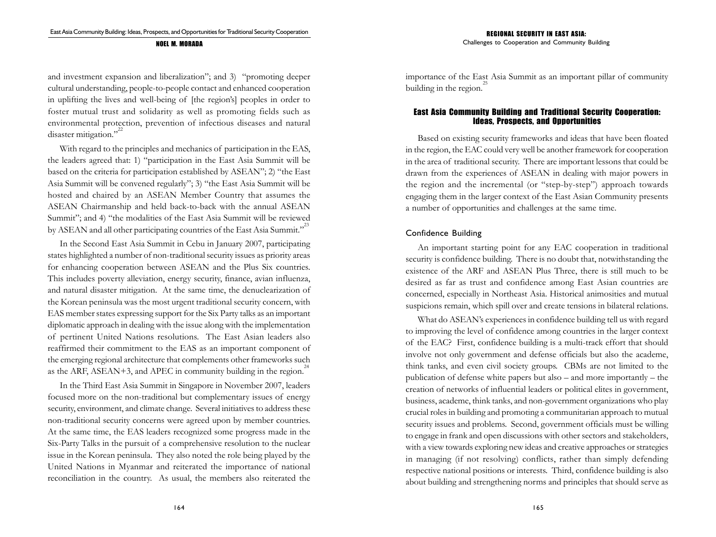and investment expansion and liberalization"; and 3) "promoting deeper cultural understanding, people-to-people contact and enhanced cooperation in uplifting the lives and well-being of [the region's] peoples in order to foster mutual trust and solidarity as well as promoting fields such as environmental protection, prevention of infectious diseases and natural disaster mitigation."<sup>22</sup>

With regard to the principles and mechanics of participation in the EAS, the leaders agreed that: 1) "participation in the East Asia Summit will be based on the criteria for participation established by ASEAN"; 2) "the East Asia Summit will be convened regularly"; 3) "the East Asia Summit will be hosted and chaired by an ASEAN Member Country that assumes the ASEAN Chairmanship and held back-to-back with the annual ASEAN Summit"; and 4) "the modalities of the East Asia Summit will be reviewed by ASEAN and all other participating countries of the East Asia Summit."

In the Second East Asia Summit in Cebu in January 2007, participating states highlighted a number of non-traditional security issues as priority areas for enhancing cooperation between ASEAN and the Plus Six countries. This includes poverty alleviation, energy security, finance, avian influenza, and natural disaster mitigation. At the same time, the denuclearization of the Korean peninsula was the most urgent traditional security concern, with EAS member states expressing support for the Six Party talks as an important diplomatic approach in dealing with the issue along with the implementation of pertinent United Nations resolutions. The East Asian leaders also reaffirmed their commitment to the EAS as an important component of the emerging regional architecture that complements other frameworks such as the ARF, ASEAN+3, and APEC in community building in the region.<sup>24</sup>

In the Third East Asia Summit in Singapore in November 2007, leaders focused more on the non-traditional but complementary issues of energy security, environment, and climate change. Several initiatives to address these non-traditional security concerns were agreed upon by member countries. At the same time, the EAS leaders recognized some progress made in the Six-Party Talks in the pursuit of a comprehensive resolution to the nuclear issue in the Korean peninsula. They also noted the role being played by the United Nations in Myanmar and reiterated the importance of national reconciliation in the country. As usual, the members also reiterated the importance of the East Asia Summit as an important pillar of community building in the region. 25

#### East Asia Community Building and Traditional Security Cooperation: Ideas, Prospects, and Opportunities

Based on existing security frameworks and ideas that have been floated in the region, the EAC could very well be another framework for cooperation in the area of traditional security. There are important lessons that could be drawn from the experiences of ASEAN in dealing with major powers in the region and the incremental (or "step-by-step") approach towards engaging them in the larger context of the East Asian Community presents a number of opportunities and challenges at the same time.

#### Confidence Building

An important starting point for any EAC cooperation in traditional security is confidence building. There is no doubt that, notwithstanding the existence of the ARF and ASEAN Plus Three, there is still much to be desired as far as trust and confidence among East Asian countries are concerned, especially in Northeast Asia. Historical animosities and mutual suspicions remain, which spill over and create tensions in bilateral relations.

What do ASEAN's experiences in confidence building tell us with regard to improving the level of confidence among countries in the larger context of the EAC? First, confidence building is a multi-track effort that should involve not only government and defense officials but also the academe, think tanks, and even civil society groups. CBMs are not limited to the publication of defense white papers but also – and more importantly – the creation of networks of influential leaders or political elites in government, business, academe, think tanks, and non-government organizations who play crucial roles in building and promoting a communitarian approach to mutual security issues and problems. Second, government officials must be willing to engage in frank and open discussions with other sectors and stakeholders, with a view towards exploring new ideas and creative approaches or strategies in managing (if not resolving) conflicts, rather than simply defending respective national positions or interests. Third, confidence building is also about building and strengthening norms and principles that should serve as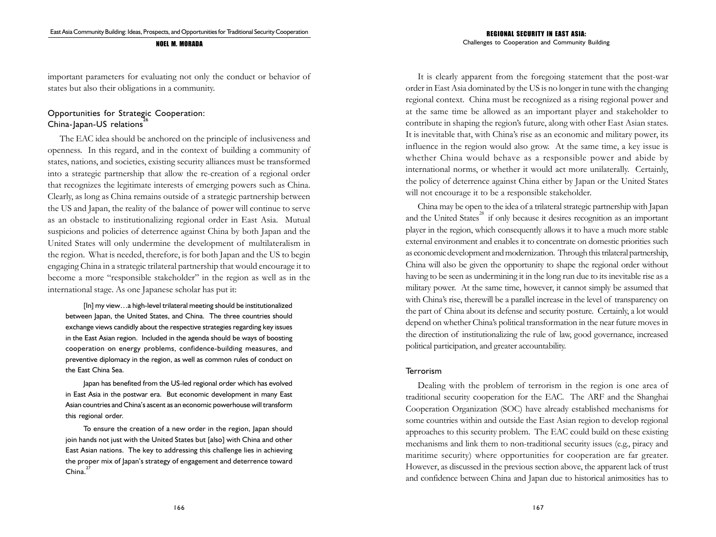important parameters for evaluating not only the conduct or behavior of states but also their obligations in a community.

#### Opportunities for Strategic Cooperation: China-Japan-US relations<sup>2</sup>

The EAC idea should be anchored on the principle of inclusiveness and openness. In this regard, and in the context of building a community of states, nations, and societies, existing security alliances must be transformed into a strategic partnership that allow the re-creation of a regional order that recognizes the legitimate interests of emerging powers such as China. Clearly, as long as China remains outside of a strategic partnership between the US and Japan, the reality of the balance of power will continue to serve as an obstacle to institutionalizing regional order in East Asia. Mutual suspicions and policies of deterrence against China by both Japan and the United States will only undermine the development of multilateralism in the region. What is needed, therefore, is for both Japan and the US to begin engaging China in a strategic trilateral partnership that would encourage it to become a more "responsible stakeholder" in the region as well as in the international stage. As one Japanese scholar has put it:

[In] my view...a high-level trilateral meeting should be institutionalized between Japan, the United States, and China. The three countries should exchange views candidly about the respective strategies regarding key issues in the East Asian region. Included in the agenda should be ways of boosting cooperation on energy problems, confidence-building measures, and preventive diplomacy in the region, as well as common rules of conduct on the East China Sea.

Japan has benefited from the US-led regional order which has evolved in East Asia in the postwar era. But economic development in many East Asian countries and China's ascent as an economic powerhouse will transform this regional order.

To ensure the creation of a new order in the region, Japan should join hands not just with the United States but [also] with China and other East Asian nations. The key to addressing this challenge lies in achieving the proper mix of Japan's strategy of engagement and deterrence toward China. $27$ 

It is clearly apparent from the foregoing statement that the post-war order in East Asia dominated by the US is no longer in tune with the changing regional context. China must be recognized as a rising regional power and at the same time be allowed as an important player and stakeholder to contribute in shaping the region's future, along with other East Asian states. It is inevitable that, with China's rise as an economic and military power, its influence in the region would also grow. At the same time, a key issue is whether China would behave as a responsible power and abide by international norms, or whether it would act more unilaterally. Certainly, the policy of deterrence against China either by Japan or the United States will not encourage it to be a responsible stakeholder.

China may be open to the idea of a trilateral strategic partnership with Japan and the United States<sup>28</sup> if only because it desires recognition as an important player in the region, which consequently allows it to have a much more stable external environment and enables it to concentrate on domestic priorities such as economic development and modernization. Through this trilateral partnership, China will also be given the opportunity to shape the regional order without having to be seen as undermining it in the long run due to its inevitable rise as a military power. At the same time, however, it cannot simply be assumed that with China's rise, therewill be a parallel increase in the level of transparency on the part of China about its defense and security posture. Certainly, a lot would depend on whether China's political transformation in the near future moves in the direction of institutionalizing the rule of law, good governance, increased political participation, and greater accountability.

#### **Terrorism**

Dealing with the problem of terrorism in the region is one area of traditional security cooperation for the EAC. The ARF and the Shanghai Cooperation Organization (SOC) have already established mechanisms for some countries within and outside the East Asian region to develop regional approaches to this security problem. The EAC could build on these existing mechanisms and link them to non-traditional security issues (e.g., piracy and maritime security) where opportunities for cooperation are far greater. However, as discussed in the previous section above, the apparent lack of trust and confidence between China and Japan due to historical animosities has to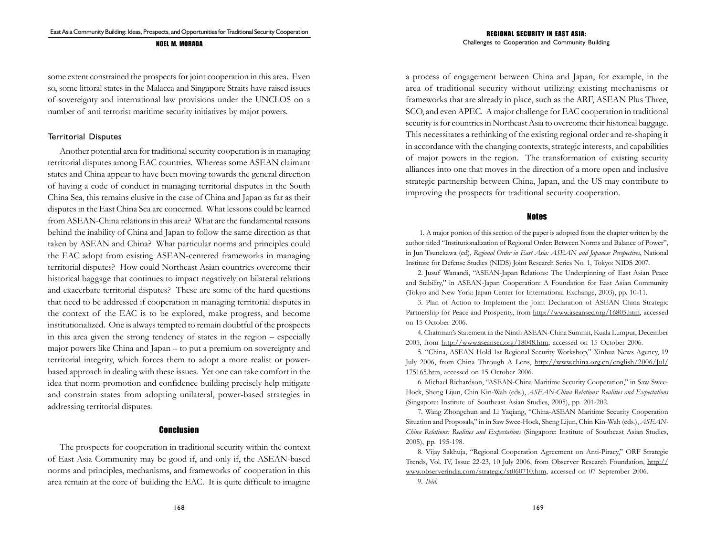some extent constrained the prospects for joint cooperation in this area. Even so, some littoral states in the Malacca and Singapore Straits have raised issues of sovereignty and international law provisions under the UNCLOS on a number of anti terrorist maritime security initiatives by major powers.

#### Territorial Disputes

Another potential area for traditional security cooperation is in managing territorial disputes among EAC countries. Whereas some ASEAN claimant states and China appear to have been moving towards the general direction of having a code of conduct in managing territorial disputes in the South China Sea, this remains elusive in the case of China and Japan as far as their disputes in the East China Sea are concerned. What lessons could be learned from ASEAN-China relations in this area? What are the fundamental reasons behind the inability of China and Japan to follow the same direction as that taken by ASEAN and China? What particular norms and principles could the EAC adopt from existing ASEAN-centered frameworks in managing territorial disputes? How could Northeast Asian countries overcome their historical baggage that continues to impact negatively on bilateral relations and exacerbate territorial disputes? These are some of the hard questions that need to be addressed if cooperation in managing territorial disputes in the context of the EAC is to be explored, make progress, and become institutionalized. One is always tempted to remain doubtful of the prospects in this area given the strong tendency of states in the region – especially major powers like China and Japan – to put a premium on sovereignty and territorial integrity, which forces them to adopt a more realist or powerbased approach in dealing with these issues. Yet one can take comfort in the idea that norm-promotion and confidence building precisely help mitigate and constrain states from adopting unilateral, power-based strategies in addressing territorial disputes.

#### Conclusion

The prospects for cooperation in traditional security within the context of East Asia Community may be good if, and only if, the ASEAN-based norms and principles, mechanisms, and frameworks of cooperation in this area remain at the core of building the EAC. It is quite difficult to imagine a process of engagement between China and Japan, for example, in the area of traditional security without utilizing existing mechanisms or frameworks that are already in place, such as the ARF, ASEAN Plus Three, SCO, and even APEC. A major challenge for EAC cooperation in traditional security is for countries in Northeast Asia to overcome their historical baggage. This necessitates a rethinking of the existing regional order and re-shaping it in accordance with the changing contexts, strategic interests, and capabilities of major powers in the region. The transformation of existing security alliances into one that moves in the direction of a more open and inclusive strategic partnership between China, Japan, and the US may contribute to improving the prospects for traditional security cooperation.

#### **Notes**

1. A major portion of this section of the paper is adopted from the chapter written by the author titled "Institutionalization of Regional Order: Between Norms and Balance of Power", in Jun Tsunekawa (ed), *Regional Order in East Asia: ASEAN and Japanese Perspectives*, National Institute for Defense Studies (NIDS) Joint Research Series No. 1, Tokyo: NIDS 2007.

2. Jusuf Wanandi, "ASEAN-Japan Relations: The Underpinning of East Asian Peace and Stability," in ASEAN-Japan Cooperation: A Foundation for East Asian Community (Tokyo and New York: Japan Center for International Exchange, 2003), pp. 10-11.

3. Plan of Action to Implement the Joint Declaration of ASEAN China Strategic Partnership for Peace and Prosperity, from http://www.aseansec.org/16805.htm, accessed on 15 October 2006.

4. Chairman's Statement in the Ninth ASEAN-China Summit, Kuala Lumpur, December 2005, from http://www.aseansec.org/18048.htm, accessed on 15 October 2006.

5. "China, ASEAN Hold 1st Regional Security Workshop," Xinhua News Agency, 19 July 2006, from China Through A Lens, http://www.china.org.cn/english/2006/Jul/ 175165.htm, accessed on 15 October 2006.

6. Michael Richardson, "ASEAN-China Maritime Security Cooperation," in Saw Swee-Hock, Sheng Lijun, Chin Kin-Wah (eds.), *ASEAN-China Relations: Realities and Expectations* (Singapore: Institute of Southeast Asian Studies, 2005), pp. 201-202.

7. Wang Zhongchun and Li Yaqiang, "China-ASEAN Maritime Security Cooperation Situation and Proposals," in in Saw Swee-Hock, Sheng Lijun, Chin Kin-Wah (eds.), *ASEAN-China Relations: Realities and Expectations* (Singapore: Institute of Southeast Asian Studies, 2005), pp. 195-198.

8. Vijay Sakhuja, "Regional Cooperation Agreement on Anti-Piracy," ORF Strategic Trends, Vol. IV, Issue 22-23, 10 July 2006, from Observer Research Foundation, http:// www.observerindia.com/strategic/st060710.htm, accessed on 07 September 2006.

<sup>9.</sup> *Ibid.*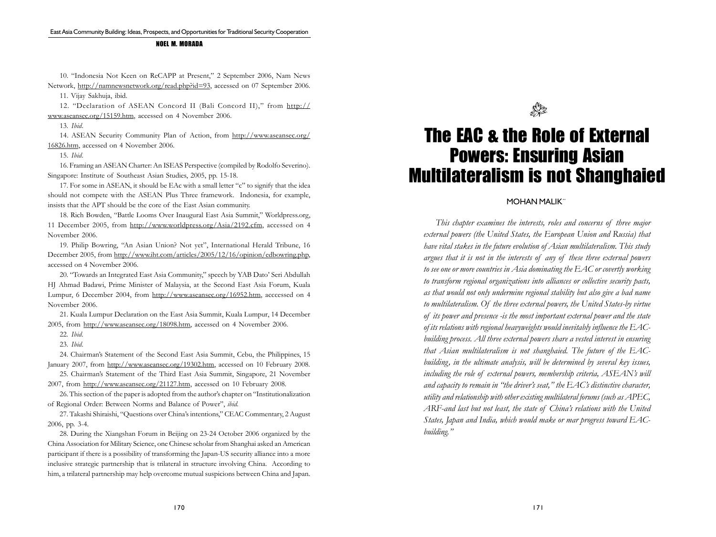10. "Indonesia Not Keen on ReCAPP at Present," 2 September 2006, Nam News Network, http://namnewsnetwork.org/read.php?id=93, accessed on 07 September 2006.

11. Vijay Sakhuja, ibid.

12. "Declaration of ASEAN Concord II (Bali Concord II)," from http:// www.aseansec.org/15159.htm, accessed on 4 November 2006.

13. *Ibid*.

14. ASEAN Security Community Plan of Action, from http://www.aseansec.org/ 16826.htm, accessed on 4 November 2006.

15. *Ibid*.

16. Framing an ASEAN Charter: An ISEAS Perspective (compiled by Rodolfo Severino). Singapore: Institute of Southeast Asian Studies, 2005, pp. 15-18.

17. For some in ASEAN, it should be EAc with a small letter "c" to signify that the idea should not compete with the ASEAN Plus Three framework. Indonesia, for example, insists that the APT should be the core of the East Asian community.

18. Rich Bowden, "Battle Looms Over Inaugural East Asia Summit," Worldpress.org, 11 December 2005, from http://www.worldpress.org/Asia/2192.cfm, accessed on 4 November 2006.

19. Philip Bowring, "An Asian Union? Not yet", International Herald Tribune, 16 December 2005, from http://www.iht.com/articles/2005/12/16/opinion/edbowring.php, accessed on 4 November 2006.

20. "Towards an Integrated East Asia Community," speech by YAB Dato' Seri Abdullah HJ Ahmad Badawi, Prime Minister of Malaysia, at the Second East Asia Forum, Kuala Lumpur, 6 December 2004, from http://www.aseansec.org/16952.htm, acccessed on 4 November 2006.

21. Kuala Lumpur Declaration on the East Asia Summit, Kuala Lumpur, 14 December 2005, from http://www.aseansec.org/18098.htm, accessed on 4 November 2006.

22. *Ibid*.

23. *Ibid*.

24. Chairman's Statement of the Second East Asia Summit, Cebu, the Philippines, 15 January 2007, from http://www.aseansec.org/19302.htm, accessed on 10 February 2008.

25. Chairman's Statement of the Third East Asia Summit, Singapore, 21 November 2007, from http://www.aseansec.org/21127.htm, accessed on 10 February 2008.

26. This section of the paper is adopted from the author's chapter on "Institutionalization of Regional Order: Between Norms and Balance of Power", *ibid.*

27. Takashi Shiraishi, "Questions over China's intentions," CEAC Commentary, 2 August 2006, pp. 3-4.

28. During the Xiangshan Forum in Beijing on 23-24 October 2006 organized by the China Association for Military Science, one Chinese scholar from Shanghai asked an American participant if there is a possibility of transforming the Japan-US security alliance into a more inclusive strategic partnership that is trilateral in structure involving China. According to him, a trilateral partnership may help overcome mutual suspicions between China and Japan.

## $\mathcal{E}^{\prime\prime\prime}_{\mathcal{E}}$

## The EAC & the Role of External Powers: Ensuring Asian Multilateralism is not Shanghaied

#### MOHAN MALIK¨

*This chapter examines the interests, roles and concerns of three major external powers (the United States, the European Union and Russia) that have vital stakes in the future evolution of Asian multilateralism. This study argues that it is not in the interests of any of these three external powers to see one or more countries in Asia dominating the EAC or covertly working to transform regional organizations into alliances or collective security pacts, as that would not only undermine regional stability but also give a bad name to multilateralism. Of the three external powers, the United States-by virtue of its power and presence -is the most important external power and the state of its relations with regional heavyweights would inevitably influence the EACbuilding process. All three external powers share a vested interest in ensuring that Asian multilateralism is not shanghaied. The future of the EACbuilding, in the ultimate analysis, will be determined by several key issues, including the role of external powers, membership criteria, ASEAN's will and capacity to remain in "the driver's seat," the EAC's distinctive character, utility and relationship with other existing multilateral forums (such as APEC, ARF-and last but not least, the state of China's relations with the United States, Japan and India, which would make or mar progress toward EACbuilding."*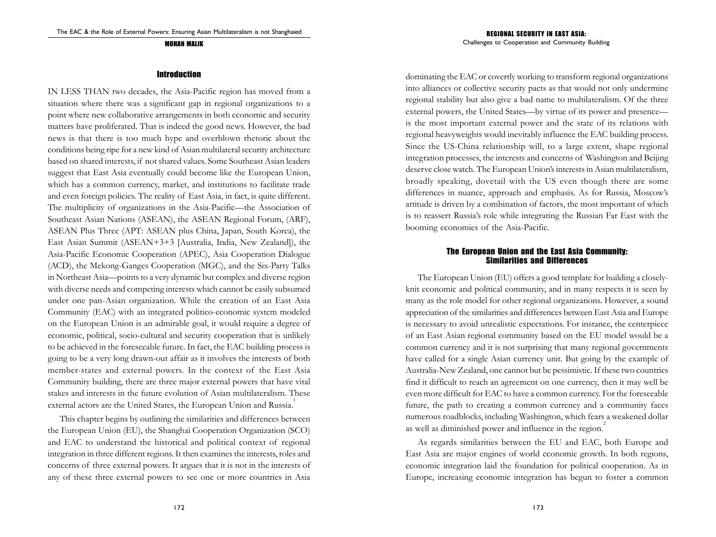#### Introduction

IN LESS THAN two decades, the Asia-Pacific region has moved from a situation where there was a significant gap in regional organizations to a point where new collaborative arrangements in both economic and security matters have proliferated. That is indeed the good news. However, the bad news is that there is too much hype and overblown rhetoric about the conditions being ripe for a new kind of Asian multilateral security architecture based on shared interests, if not shared values. Some Southeast Asian leaders suggest that East Asia eventually could become like the European Union, which has a common currency, market, and institutions to facilitate trade and even foreign policies. The reality of East Asia, in fact, is quite different. The multiplicity of organizations in the Asia-Pacific—the Association of Southeast Asian Nations (ASEAN), the ASEAN Regional Forum, (ARF), ASEAN Plus Three (APT: ASEAN plus China, Japan, South Korea), the East Asian Summit (ASEAN+3+3 [Australia, India, New Zealand]), the Asia-Pacific Economic Cooperation (APEC), Asia Cooperation Dialogue (ACD), the Mekong-Ganges Cooperation (MGC), and the Six-Party Talks in Northeast Asia—points to a very dynamic but complex and diverse region with diverse needs and competing interests which cannot be easily subsumed under one pan-Asian organization. While the creation of an East Asia Community (EAC) with an integrated politico-economic system modeled on the European Union is an admirable goal, it would require a degree of economic, political, socio-cultural and security cooperation that is unlikely to be achieved in the foreseeable future. In fact, the EAC building process is going to be a very long drawn-out affair as it involves the interests of both member-states and external powers. In the context of the East Asia Community building, there are three major external powers that have vital stakes and interests in the future evolution of Asian multilateralism. These external actors are the United States, the European Union and Russia.<sup>1</sup>

This chapter begins by outlining the similarities and differences between the European Union (EU), the Shanghai Cooperation Organization (SCO) and EAC to understand the historical and political context of regional integration in three different regions. It then examines the interests, roles and concerns of three external powers. It argues that it is not in the interests of any of these three external powers to see one or more countries in Asia

REGIONAL SECURITY IN EAST ASIA: Challenges to Cooperation and Community Building

dominating the EAC or covertly working to transform regional organizations into alliances or collective security pacts as that would not only undermine regional stability but also give a bad name to multilateralism. Of the three external powers, the United States—by virtue of its power and presence is the most important external power and the state of its relations with regional heavyweights would inevitably influence the EAC building process. Since the US-China relationship will, to a large extent, shape regional integration processes, the interests and concerns of Washington and Beijing deserve close watch. The European Union's interests in Asian multilateralism, broadly speaking, dovetail with the US even though there are some differences in nuance, approach and emphasis. As for Russia, Moscow's attitude is driven by a combination of factors, the most important of which is to reassert Russia's role while integrating the Russian Far East with the booming economies of the Asia-Pacific.

#### The European Union and the East Asia Community: Similarities and Differences

The European Union (EU) offers a good template for building a closelyknit economic and political community, and in many respects it is seen by many as the role model for other regional organizations. However, a sound appreciation of the similarities and differences between East Asia and Europe is necessary to avoid unrealistic expectations. For instance, the centerpiece of an East Asian regional community based on the EU model would be a common currency and it is not surprising that many regional governments have called for a single Asian currency unit. But going by the example of Australia-New Zealand, one cannot but be pessimistic. If these two countries find it difficult to reach an agreement on one currency, then it may well be even more difficult for EAC to have a common currency. For the foreseeable future, the path to creating a common currency and a community faces numerous roadblocks, including Washington, which fears a weakened dollar as well as diminished power and influence in the region. 2

As regards similarities between the EU and EAC, both Europe and East Asia are major engines of world economic growth. In both regions, economic integration laid the foundation for political cooperation. As in Europe, increasing economic integration has begun to foster a common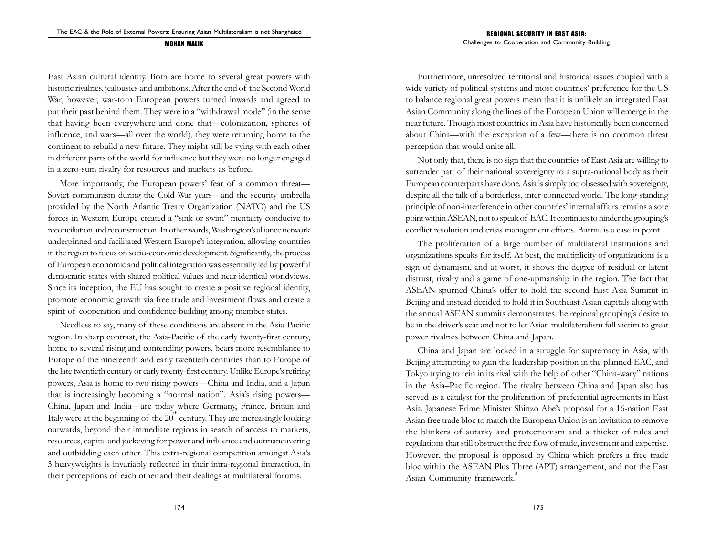East Asian cultural identity. Both are home to several great powers with historic rivalries, jealousies and ambitions. After the end of the Second World War, however, war-torn European powers turned inwards and agreed to put their past behind them. They were in a "withdrawal mode" (in the sense that having been everywhere and done that—colonization, spheres of influence, and wars—all over the world), they were returning home to the continent to rebuild a new future. They might still be vying with each other in different parts of the world for influence but they were no longer engaged in a zero-sum rivalry for resources and markets as before.

More importantly, the European powers' fear of a common threat— Soviet communism during the Cold War years—and the security umbrella provided by the North Atlantic Treaty Organization (NATO) and the US forces in Western Europe created a "sink or swim" mentality conducive to reconciliation and reconstruction. In other words, Washington's alliance network underpinned and facilitated Western Europe's integration, allowing countries in the region to focus on socio-economic development. Significantly, the process of European economic and political integration was essentially led by powerful democratic states with shared political values and near-identical worldviews. Since its inception, the EU has sought to create a positive regional identity, promote economic growth via free trade and investment flows and create a spirit of cooperation and confidence-building among member-states.

Needless to say, many of these conditions are absent in the Asia-Pacific region. In sharp contrast, the Asia-Pacific of the early twenty-first century, home to several rising and contending powers, bears more resemblance to Europe of the nineteenth and early twentieth centuries than to Europe of the late twentieth century or early twenty-first century. Unlike Europe's retiring powers, Asia is home to two rising powers—China and India, and a Japan that is increasingly becoming a "normal nation". Asia's rising powers— China, Japan and India—are today where Germany, France, Britain and Italy were at the beginning of the  $20^{\text{th}}$  century. They are increasingly looking outwards, beyond their immediate regions in search of access to markets, resources, capital and jockeying for power and influence and outmaneuvering and outbidding each other. This extra-regional competition amongst Asia's 3 heavyweights is invariably reflected in their intra-regional interaction, in their perceptions of each other and their dealings at multilateral forums.

Furthermore, unresolved territorial and historical issues coupled with a wide variety of political systems and most countries' preference for the US to balance regional great powers mean that it is unlikely an integrated East Asian Community along the lines of the European Union will emerge in the near future. Though most countries in Asia have historically been concerned about China—with the exception of a few—there is no common threat perception that would unite all.

Not only that, there is no sign that the countries of East Asia are willing to surrender part of their national sovereignty to a supra-national body as their European counterparts have done. Asia is simply too obsessed with sovereignty, despite all the talk of a borderless, inter-connected world. The long-standing principle of non-interference in other countries' internal affairs remains a sore point within ASEAN, not to speak of EAC. It continues to hinder the grouping's conflict resolution and crisis management efforts. Burma is a case in point.

The proliferation of a large number of multilateral institutions and organizations speaks for itself. At best, the multiplicity of organizations is a sign of dynamism, and at worst, it shows the degree of residual or latent distrust, rivalry and a game of one-upmanship in the region. The fact that ASEAN spurned China's offer to hold the second East Asia Summit in Beijing and instead decided to hold it in Southeast Asian capitals along with the annual ASEAN summits demonstrates the regional grouping's desire to be in the driver's seat and not to let Asian multilateralism fall victim to great power rivalries between China and Japan.

China and Japan are locked in a struggle for supremacy in Asia, with Beijing attempting to gain the leadership position in the planned EAC, and Tokyo trying to rein in its rival with the help of other "China-wary" nations in the Asia–Pacific region. The rivalry between China and Japan also has served as a catalyst for the proliferation of preferential agreements in East Asia. Japanese Prime Minister Shinzo Abe's proposal for a 16-nation East Asian free trade bloc to match the European Union is an invitation to remove the blinkers of autarky and protectionism and a thicket of rules and regulations that still obstruct the free flow of trade, investment and expertise. However, the proposal is opposed by China which prefers a free trade bloc within the ASEAN Plus Three (APT) arrangement, and not the East Asian Community framework.<sup>3</sup>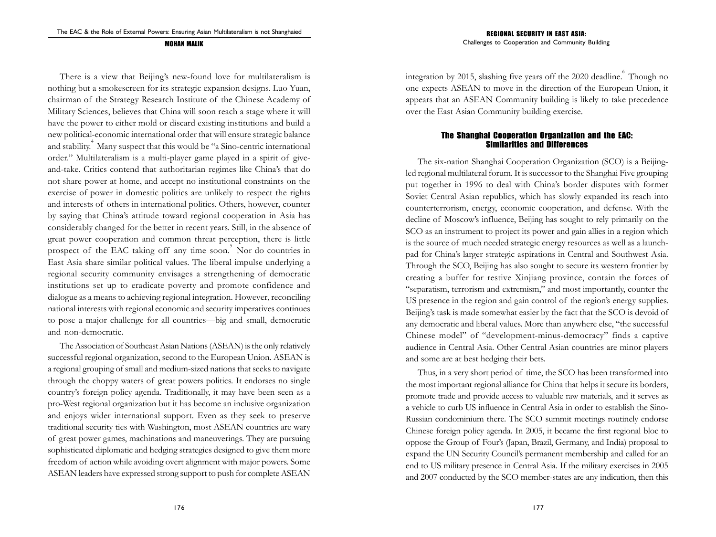There is a view that Beijing's new-found love for multilateralism is nothing but a smokescreen for its strategic expansion designs. Luo Yuan, chairman of the Strategy Research Institute of the Chinese Academy of Military Sciences, believes that China will soon reach a stage where it will have the power to either mold or discard existing institutions and build a new political-economic international order that will ensure strategic balance and stability.<sup>4</sup> Many suspect that this would be "a Sino-centric international order." Multilateralism is a multi-player game played in a spirit of giveand-take. Critics contend that authoritarian regimes like China's that do not share power at home, and accept no institutional constraints on the exercise of power in domestic politics are unlikely to respect the rights and interests of others in international politics. Others, however, counter by saying that China's attitude toward regional cooperation in Asia has considerably changed for the better in recent years. Still, in the absence of great power cooperation and common threat perception, there is little prospect of the EAC taking off any time soon.<sup>5</sup> Nor do countries in East Asia share similar political values. The liberal impulse underlying a regional security community envisages a strengthening of democratic institutions set up to eradicate poverty and promote confidence and dialogue as a means to achieving regional integration. However, reconciling national interests with regional economic and security imperatives continues to pose a major challenge for all countries—big and small, democratic and non-democratic.

The Association of Southeast Asian Nations (ASEAN) is the only relatively successful regional organization, second to the European Union. ASEAN is a regional grouping of small and medium-sized nations that seeks to navigate through the choppy waters of great powers politics. It endorses no single country's foreign policy agenda. Traditionally, it may have been seen as a pro-West regional organization but it has become an inclusive organization and enjoys wider international support. Even as they seek to preserve traditional security ties with Washington, most ASEAN countries are wary of great power games, machinations and maneuverings. They are pursuing sophisticated diplomatic and hedging strategies designed to give them more freedom of action while avoiding overt alignment with major powers. Some ASEAN leaders have expressed strong support to push for complete ASEAN

integration by 2015, slashing five years off the  $2020$  deadline.<sup>6</sup> Though no one expects ASEAN to move in the direction of the European Union, it appears that an ASEAN Community building is likely to take precedence over the East Asian Community building exercise.

#### The Shanghai Cooperation Organization and the EAC: Similarities and Differences

The six-nation Shanghai Cooperation Organization (SCO) is a Beijingled regional multilateral forum. It is successor to the Shanghai Five grouping put together in 1996 to deal with China's border disputes with former Soviet Central Asian republics, which has slowly expanded its reach into counterterrorism, energy, economic cooperation, and defense. With the decline of Moscow's influence, Beijing has sought to rely primarily on the SCO as an instrument to project its power and gain allies in a region which is the source of much needed strategic energy resources as well as a launchpad for China's larger strategic aspirations in Central and Southwest Asia. Through the SCO, Beijing has also sought to secure its western frontier by creating a buffer for restive Xinjiang province, contain the forces of "separatism, terrorism and extremism," and most importantly, counter the US presence in the region and gain control of the region's energy supplies. Beijing's task is made somewhat easier by the fact that the SCO is devoid of any democratic and liberal values. More than anywhere else, "the successful Chinese model" of "development-minus-democracy" finds a captive audience in Central Asia. Other Central Asian countries are minor players and some are at best hedging their bets.

Thus, in a very short period of time, the SCO has been transformed into the most important regional alliance for China that helps it secure its borders, promote trade and provide access to valuable raw materials, and it serves as a vehicle to curb US influence in Central Asia in order to establish the Sino-Russian condominium there. The SCO summit meetings routinely endorse Chinese foreign policy agenda. In 2005, it became the first regional bloc to oppose the Group of Four's (Japan, Brazil, Germany, and India) proposal to expand the UN Security Council's permanent membership and called for an end to US military presence in Central Asia. If the military exercises in 2005 and 2007 conducted by the SCO member-states are any indication, then this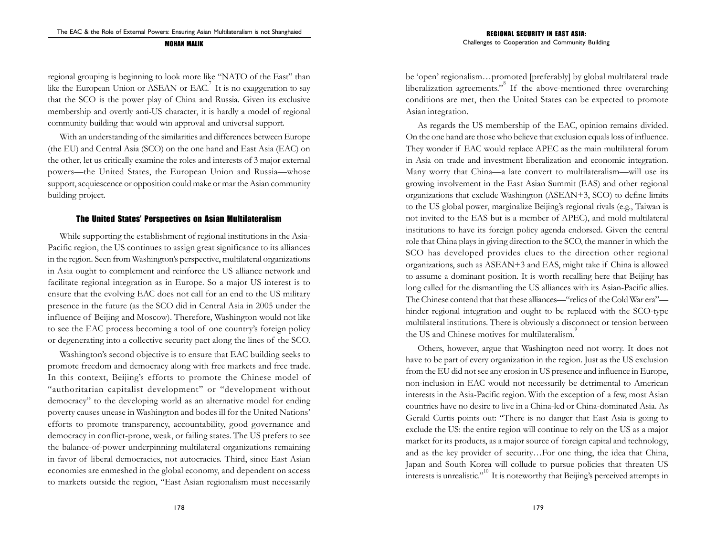regional grouping is beginning to look more like "NATO of the East" than like the European Union or ASEAN or EAC. It is no exaggeration to say that the SCO is the power play of China and Russia. Given its exclusive membership and overtly anti-US character, it is hardly a model of regional community building that would win approval and universal support.

With an understanding of the similarities and differences between Europe (the EU) and Central Asia (SCO) on the one hand and East Asia (EAC) on the other, let us critically examine the roles and interests of 3 major external powers—the United States, the European Union and Russia—whose support, acquiescence or opposition could make or mar the Asian community building project.

#### The United States' Perspectives on Asian Multilateralism

While supporting the establishment of regional institutions in the Asia-Pacific region, the US continues to assign great significance to its alliances in the region. Seen from Washington's perspective, multilateral organizations in Asia ought to complement and reinforce the US alliance network and facilitate regional integration as in Europe. So a major US interest is to ensure that the evolving EAC does not call for an end to the US military presence in the future (as the SCO did in Central Asia in 2005 under the influence of Beijing and Moscow). Therefore, Washington would not like to see the EAC process becoming a tool of one country's foreign policy or degenerating into a collective security pact along the lines of the SCO.

Washington's second objective is to ensure that EAC building seeks to promote freedom and democracy along with free markets and free trade. In this context, Beijing's efforts to promote the Chinese model of "authoritarian capitalist development" or "development without democracy" to the developing world as an alternative model for ending poverty causes unease in Washington and bodes ill for the United Nations' efforts to promote transparency, accountability, good governance and democracy in conflict-prone, weak, or failing states. The US prefers to see the balance-of-power underpinning multilateral organizations remaining in favor of liberal democracies, not autocracies. Third, since East Asian economies are enmeshed in the global economy, and dependent on access to markets outside the region, "East Asian regionalism must necessarily

be 'open' regionalism…promoted [preferably] by global multilateral trade liberalization agreements."<sup>8</sup> If the above-mentioned three overarching conditions are met, then the United States can be expected to promote Asian integration.

As regards the US membership of the EAC, opinion remains divided. On the one hand are those who believe that exclusion equals loss of influence. They wonder if EAC would replace APEC as the main multilateral forum in Asia on trade and investment liberalization and economic integration. Many worry that China—a late convert to multilateralism—will use its growing involvement in the East Asian Summit (EAS) and other regional organizations that exclude Washington (ASEAN+3, SCO) to define limits to the US global power, marginalize Beijing's regional rivals (e.g., Taiwan is not invited to the EAS but is a member of APEC), and mold multilateral institutions to have its foreign policy agenda endorsed. Given the central role that China plays in giving direction to the SCO, the manner in which the SCO has developed provides clues to the direction other regional organizations, such as ASEAN+3 and EAS, might take if China is allowed to assume a dominant position. It is worth recalling here that Beijing has long called for the dismantling the US alliances with its Asian-Pacific allies. The Chinese contend that that these alliances—"relics of the Cold War era" hinder regional integration and ought to be replaced with the SCO-type multilateral institutions. There is obviously a disconnect or tension between the US and Chinese motives for multilateralism.

Others, however, argue that Washington need not worry. It does not have to be part of every organization in the region. Just as the US exclusion from the EU did not see any erosion in US presence and influence in Europe, non-inclusion in EAC would not necessarily be detrimental to American interests in the Asia-Pacific region. With the exception of a few, most Asian countries have no desire to live in a China-led or China-dominated Asia. As Gerald Curtis points out: "There is no danger that East Asia is going to exclude the US: the entire region will continue to rely on the US as a major market for its products, as a major source of foreign capital and technology, and as the key provider of security…For one thing, the idea that China, Japan and South Korea will collude to pursue policies that threaten US interests is unrealistic."<sup>10</sup> It is noteworthy that Beijing's perceived attempts in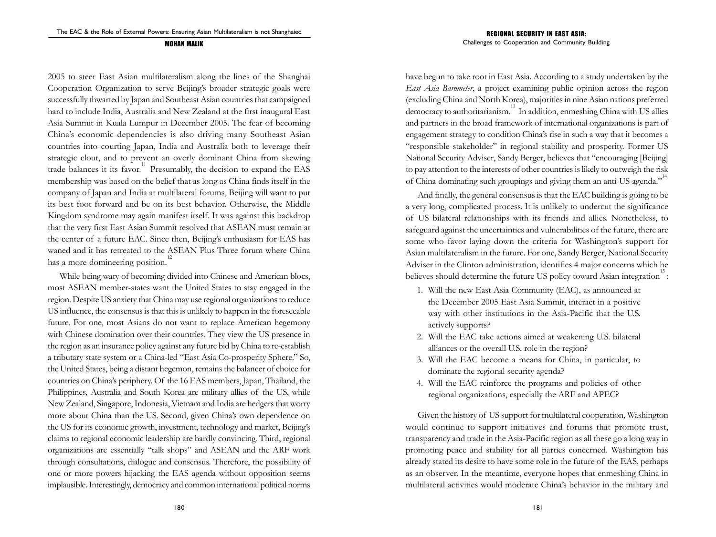2005 to steer East Asian multilateralism along the lines of the Shanghai Cooperation Organization to serve Beijing's broader strategic goals were successfully thwarted by Japan and Southeast Asian countries that campaigned hard to include India, Australia and New Zealand at the first inaugural East Asia Summit in Kuala Lumpur in December 2005. The fear of becoming China's economic dependencies is also driving many Southeast Asian countries into courting Japan, India and Australia both to leverage their strategic clout, and to prevent an overly dominant China from skewing trade balances it its favor.<sup>11</sup> Presumably, the decision to expand the EAS membership was based on the belief that as long as China finds itself in the company of Japan and India at multilateral forums, Beijing will want to put its best foot forward and be on its best behavior. Otherwise, the Middle Kingdom syndrome may again manifest itself. It was against this backdrop that the very first East Asian Summit resolved that ASEAN must remain at the center of a future EAC. Since then, Beijing's enthusiasm for EAS has waned and it has retreated to the ASEAN Plus Three forum where China has a more domineering position. 12

While being wary of becoming divided into Chinese and American blocs, most ASEAN member-states want the United States to stay engaged in the region. Despite US anxiety that China may use regional organizations to reduce US influence, the consensus is that this is unlikely to happen in the foreseeable future. For one, most Asians do not want to replace American hegemony with Chinese domination over their countries. They view the US presence in the region as an insurance policy against any future bid by China to re-establish a tributary state system or a China-led "East Asia Co-prosperity Sphere." So, the United States, being a distant hegemon, remains the balancer of choice for countries on China's periphery. Of the 16 EAS members, Japan, Thailand, the Philippines, Australia and South Korea are military allies of the US, while New Zealand, Singapore, Indonesia, Vietnam and India are hedgers that worry more about China than the US. Second, given China's own dependence on the US for its economic growth, investment, technology and market, Beijing's claims to regional economic leadership are hardly convincing. Third, regional organizations are essentially "talk shops" and ASEAN and the ARF work through consultations, dialogue and consensus. Therefore, the possibility of one or more powers hijacking the EAS agenda without opposition seems implausible. Interestingly, democracy and common international political norms

have begun to take root in East Asia. According to a study undertaken by the *East Asia Barometer*, a project examining public opinion across the region (excluding China and North Korea), majorities in nine Asian nations preferred democracy to authoritarianism. 13 In addition, enmeshing China with US allies and partners in the broad framework of international organizations is part of engagement strategy to condition China's rise in such a way that it becomes a "responsible stakeholder" in regional stability and prosperity. Former US National Security Adviser, Sandy Berger, believes that "encouraging [Beijing] to pay attention to the interests of other countries is likely to outweigh the risk of China dominating such groupings and giving them an anti-US agenda."<sup>14</sup>

And finally, the general consensus is that the EAC building is going to be a very long, complicated process. It is unlikely to undercut the significance of US bilateral relationships with its friends and allies. Nonetheless, to safeguard against the uncertainties and vulnerabilities of the future, there are some who favor laying down the criteria for Washington's support for Asian multilateralism in the future. For one, Sandy Berger, National Security Adviser in the Clinton administration, identifies 4 major concerns which he believes should determine the future US policy toward Asian integration<sup>5</sup> :

- 1. Will the new East Asia Community (EAC), as announced at the December 2005 East Asia Summit, interact in a positive way with other institutions in the Asia-Pacific that the U.S. actively supports?
- 2. Will the EAC take actions aimed at weakening U.S. bilateral alliances or the overall U.S. role in the region?
- 3. Will the EAC become a means for China, in particular, to dominate the regional security agenda?
- 4. Will the EAC reinforce the programs and policies of other regional organizations, especially the ARF and APEC?

Given the history of US support for multilateral cooperation, Washington would continue to support initiatives and forums that promote trust, transparency and trade in the Asia-Pacific region as all these go a long way in promoting peace and stability for all parties concerned. Washington has already stated its desire to have some role in the future of the EAS, perhaps as an observer. In the meantime, everyone hopes that enmeshing China in multilateral activities would moderate China's behavior in the military and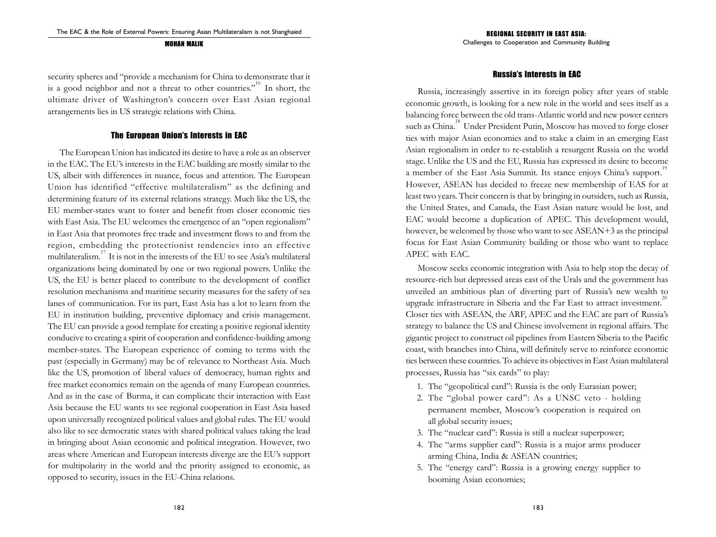security spheres and "provide a mechanism for China to demonstrate that it is a good neighbor and not a threat to other countries." In short, the ultimate driver of Washington's concern over East Asian regional arrangements lies in US strategic relations with China.

#### The European Union's Interests in EAC

The European Union has indicated its desire to have a role as an observer in the EAC. The EU's interests in the EAC building are mostly similar to the US, albeit with differences in nuance, focus and attention. The European Union has identified "effective multilateralism" as the defining and determining feature of its external relations strategy. Much like the US, the EU member-states want to foster and benefit from closer economic ties with East Asia. The EU welcomes the emergence of an "open regionalism" in East Asia that promotes free trade and investment flows to and from the region, embedding the protectionist tendencies into an effective multilateralism.<sup>17</sup> It is not in the interests of the EU to see Asia's multilateral organizations being dominated by one or two regional powers. Unlike the US, the EU is better placed to contribute to the development of conflict resolution mechanisms and maritime security measures for the safety of sea lanes of communication. For its part, East Asia has a lot to learn from the EU in institution building, preventive diplomacy and crisis management. The EU can provide a good template for creating a positive regional identity conducive to creating a spirit of cooperation and confidence-building among member-states. The European experience of coming to terms with the past (especially in Germany) may be of relevance to Northeast Asia. Much like the US, promotion of liberal values of democracy, human rights and free market economics remain on the agenda of many European countries. And as in the case of Burma, it can complicate their interaction with East Asia because the EU wants to see regional cooperation in East Asia based upon universally recognized political values and global rules. The EU would also like to see democratic states with shared political values taking the lead in bringing about Asian economic and political integration. However, two areas where American and European interests diverge are the EU's support for multipolarity in the world and the priority assigned to economic, as opposed to security, issues in the EU-China relations.

#### Russia's Interests in EAC

Russia, increasingly assertive in its foreign policy after years of stable economic growth, is looking for a new role in the world and sees itself as a balancing force between the old trans-Atlantic world and new power centers such as China.<sup>18</sup> Under President Putin, Moscow has moved to forge closer ties with major Asian economies and to stake a claim in an emerging East Asian regionalism in order to re-establish a resurgent Russia on the world stage. Unlike the US and the EU, Russia has expressed its desire to become a member of the East Asia Summit. Its stance enjoys China's support.<sup>1</sup> However, ASEAN has decided to freeze new membership of EAS for at least two years. Their concern is that by bringing in outsiders, such as Russia, the United States, and Canada, the East Asian nature would be lost, and EAC would become a duplication of APEC. This development would, however, be welcomed by those who want to see ASEAN+3 as the principal focus for East Asian Community building or those who want to replace APEC with EAC.

Moscow seeks economic integration with Asia to help stop the decay of resource-rich but depressed areas east of the Urals and the government has unveiled an ambitious plan of diverting part of Russia's new wealth to upgrade infrastructure in Siberia and the Far East to attract investment.<sup>20</sup> Closer ties with ASEAN, the ARF, APEC and the EAC are part of Russia's strategy to balance the US and Chinese involvement in regional affairs. The gigantic project to construct oil pipelines from Eastern Siberia to the Pacific coast, with branches into China, will definitely serve to reinforce economic ties between these countries. To achieve its objectives in East Asian multilateral processes, Russia has "six cards" to play:

- 1. The "geopolitical card": Russia is the only Eurasian power;
- 2. The "global power card": As a UNSC veto holding permanent member, Moscow's cooperation is required on all global security issues;
- 3. The "nuclear card": Russia is still a nuclear superpower;
- 4. The "arms supplier card": Russia is a major arms producer arming China, India & ASEAN countries;
- 5. The "energy card": Russia is a growing energy supplier to booming Asian economies;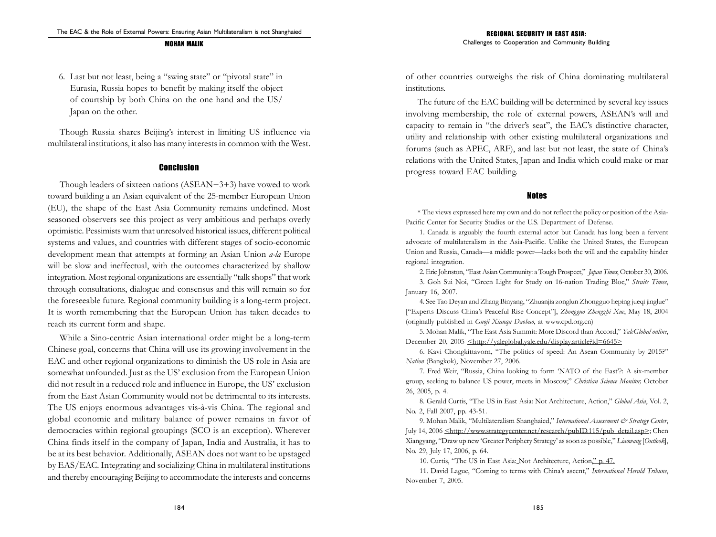6. Last but not least, being a "swing state" or "pivotal state" in Eurasia, Russia hopes to benefit by making itself the object of courtship by both China on the one hand and the US/ Japan on the other.

Though Russia shares Beijing's interest in limiting US influence via multilateral institutions, it also has many interests in common with the West.

#### Conclusion

Though leaders of sixteen nations (ASEAN+3+3) have vowed to work toward building a an Asian equivalent of the 25-member European Union (EU), the shape of the East Asia Community remains undefined. Most seasoned observers see this project as very ambitious and perhaps overly optimistic. Pessimists warn that unresolved historical issues, different political systems and values, and countries with different stages of socio-economic development mean that attempts at forming an Asian Union *a-la* Europe will be slow and ineffectual, with the outcomes characterized by shallow integration. Most regional organizations are essentially "talk shops" that work through consultations, dialogue and consensus and this will remain so for the foreseeable future. Regional community building is a long-term project. It is worth remembering that the European Union has taken decades to reach its current form and shape.

While a Sino-centric Asian international order might be a long-term Chinese goal, concerns that China will use its growing involvement in the EAC and other regional organizations to diminish the US role in Asia are somewhat unfounded. Just as the US' exclusion from the European Union did not result in a reduced role and influence in Europe, the US' exclusion from the East Asian Community would not be detrimental to its interests. The US enjoys enormous advantages vis-à-vis China. The regional and global economic and military balance of power remains in favor of democracies within regional groupings (SCO is an exception). Wherever China finds itself in the company of Japan, India and Australia, it has to be at its best behavior. Additionally, ASEAN does not want to be upstaged by EAS/EAC. Integrating and socializing China in multilateral institutions and thereby encouraging Beijing to accommodate the interests and concerns

of other countries outweighs the risk of China dominating multilateral institutions.

The future of the EAC building will be determined by several key issues involving membership, the role of external powers, ASEAN's will and capacity to remain in "the driver's seat", the EAC's distinctive character, utility and relationship with other existing multilateral organizations and forums (such as APEC, ARF), and last but not least, the state of China's relations with the United States, Japan and India which could make or mar progress toward EAC building.

#### **Notes**

\* The views expressed here my own and do not reflect the policy or position of the Asia-Pacific Center for Security Studies or the U.S. Department of Defense.

1. Canada is arguably the fourth external actor but Canada has long been a fervent advocate of multilateralism in the Asia-Pacific. Unlike the United States, the European Union and Russia, Canada—a middle power—lacks both the will and the capability hinder regional integration.

2. Eric Johnston, "East Asian Community: a Tough Prospect," *Japan Times*, October 30, 2006.

3. Goh Sui Noi, "Green Light for Study on 16-nation Trading Bloc," *Straits Times*, January 16, 2007.

4. See Tao Deyan and Zhang Binyang, "Zhuanjia zonglun Zhongguo heping jueqi jinglue" ["Experts Discuss China's Peaceful Rise Concept"], *Zhongguo Zhengzhi Xue*, May 18, 2004 (originally published in *Guoji Xianqu Daobao*, at www.cpd.org.cn)

5. Mohan Malik, "The East Asia Summit: More Discord than Accord," *YaleGlobal online*, December 20, 2005 <http://yaleglobal.yale.edu/display.article?id=6645>

6. Kavi Chongkittavorn, "The politics of speed: An Asean Community by 2015?" *Nation* (Bangkok), November 27, 2006.

7. Fred Weir, "Russia, China looking to form 'NATO of the East'?: A six-member group, seeking to balance US power, meets in Moscow," *Christian Science Monitor,* October 26, 2005, p. 4.

8. Gerald Curtis, "The US in East Asia: Not Architecture, Action," *Global Asia*, Vol. 2, No. 2, Fall 2007, pp. 43-51.

9. Mohan Malik, "Multilateralism Shanghaied," International Assessment & Strategy Center, July 14, 2006 <http://www.strategycenter.net/research/pubID.115/pub\_detail.asp>; Chen Xiangyang, "Draw up new 'Greater Periphery Strategy' as soon as possible," *Liaowang* [*Outlook*], No. 29, July 17, 2006, p. 64.

10. Curtis, "The US in East Asia: Not Architecture, Action," p. 47.

11. David Lague, "Coming to terms with China's ascent," *International Herald Tribune*, November 7, 2005.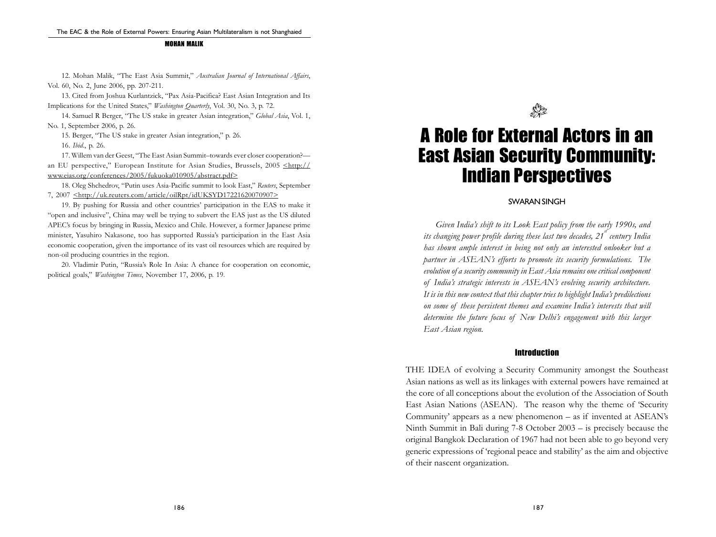12. Mohan Malik, "The East Asia Summit," *Australian Journal of International Affairs*, Vol. 60, No. 2, June 2006, pp. 207-211.

13. Cited from Joshua Kurlantzick, "Pax Asia-Pacifica? East Asian Integration and Its Implications for the United States," *Washington Quarterly*, Vol. 30, No. 3, p. 72.

14. Samuel R Berger, "The US stake in greater Asian integration," *Global Asia*, Vol. 1, No. 1, September 2006, p. 26.

15. Berger, "The US stake in greater Asian integration," p. 26.

16. *Ibid*., p. 26.

17. Willem van der Geest, "The East Asian Summit–towards ever closer cooperation? an EU perspective," European Institute for Asian Studies, Brussels, 2005 <http:// www.eias.org/conferences/2005/fukuoka010905/abstract.pdf>

18. Oleg Shchedrov, "Putin uses Asia-Pacific summit to look East," *Reuters*, September 7, 2007 <http://uk.reuters.com/article/oilRpt/idUKSYD17221620070907>

19. By pushing for Russia and other countries' participation in the EAS to make it "open and inclusive", China may well be trying to subvert the EAS just as the US diluted APEC's focus by bringing in Russia, Mexico and Chile. However, a former Japanese prime minister, Yasuhiro Nakasone, too has supported Russia's participation in the East Asia economic cooperation, given the importance of its vast oil resources which are required by non-oil producing countries in the region.

20. Vladimir Putin, "Russia's Role In Asia: A chance for cooperation on economic, political goals," *Washington Times*, November 17, 2006, p. 19.

# A Role for External Actors in an East Asian Security Community: Indian Perspectives

 $\mathcal{E}^{\prime\prime\prime}_{\mathcal{E}}$ 

#### SWARAN SINGH

*Given India's shift to its Look East policy from the early 1990s, and its changing power profile during these last two decades, 21 st century India has shown ample interest in being not only an interested onlooker but a partner in ASEAN's efforts to promote its security formulations. The evolution of a security community in East Asia remains one critical component of India's strategic interests in ASEAN's evolving security architecture. It is in this new context that this chapter tries to highlight India's predilections on some of these persistent themes and examine India's interests that will determine the future focus of New Delhi's engagement with this larger East Asian region.*

#### Introduction

THE IDEA of evolving a Security Community amongst the Southeast Asian nations as well as its linkages with external powers have remained at the core of all conceptions about the evolution of the Association of South East Asian Nations (ASEAN). The reason why the theme of 'Security Community' appears as a new phenomenon – as if invented at ASEAN's Ninth Summit in Bali during 7-8 October 2003 – is precisely because the original Bangkok Declaration of 1967 had not been able to go beyond very generic expressions of 'regional peace and stability' as the aim and objective of their nascent organization.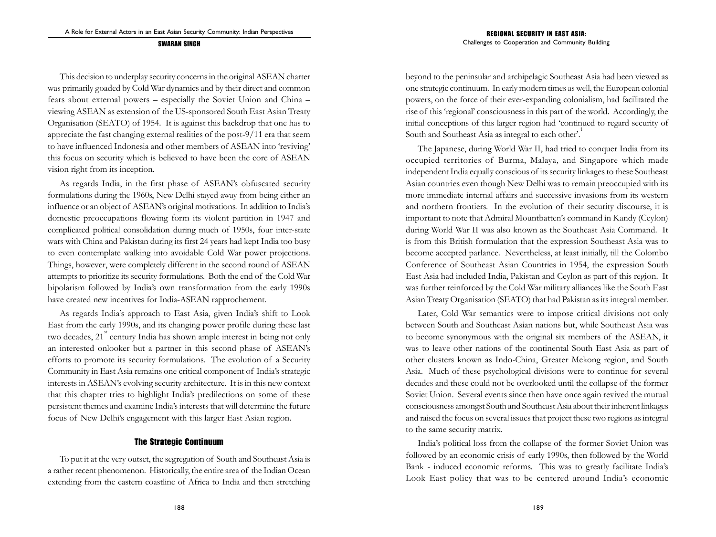This decision to underplay security concerns in the original ASEAN charter was primarily goaded by Cold War dynamics and by their direct and common fears about external powers – especially the Soviet Union and China – viewing ASEAN as extension of the US-sponsored South East Asian Treaty Organisation (SEATO) of 1954. It is against this backdrop that one has to appreciate the fast changing external realities of the post-9/11 era that seem to have influenced Indonesia and other members of ASEAN into 'reviving' this focus on security which is believed to have been the core of ASEAN vision right from its inception.

As regards India, in the first phase of ASEAN's obfuscated security formulations during the 1960s, New Delhi stayed away from being either an influence or an object of ASEAN's original motivations. In addition to India's domestic preoccupations flowing form its violent partition in 1947 and complicated political consolidation during much of 1950s, four inter-state wars with China and Pakistan during its first 24 years had kept India too busy to even contemplate walking into avoidable Cold War power projections. Things, however, were completely different in the second round of ASEAN attempts to prioritize its security formulations. Both the end of the Cold War bipolarism followed by India's own transformation from the early 1990s have created new incentives for India-ASEAN rapprochement.

As regards India's approach to East Asia, given India's shift to Look East from the early 1990s, and its changing power profile during these last two decades, 21<sup>st</sup> century India has shown ample interest in being not only an interested onlooker but a partner in this second phase of ASEAN's efforts to promote its security formulations. The evolution of a Security Community in East Asia remains one critical component of India's strategic interests in ASEAN's evolving security architecture. It is in this new context that this chapter tries to highlight India's predilections on some of these persistent themes and examine India's interests that will determine the future focus of New Delhi's engagement with this larger East Asian region.

#### The Strategic Continuum

To put it at the very outset, the segregation of South and Southeast Asia is a rather recent phenomenon. Historically, the entire area of the Indian Ocean extending from the eastern coastline of Africa to India and then stretching beyond to the peninsular and archipelagic Southeast Asia had been viewed as one strategic continuum. In early modern times as well, the European colonial powers, on the force of their ever-expanding colonialism, had facilitated the rise of this 'regional' consciousness in this part of the world. Accordingly, the initial conceptions of this larger region had 'continued to regard security of South and Southeast Asia as integral to each other'.

The Japanese, during World War II, had tried to conquer India from its occupied territories of Burma, Malaya, and Singapore which made independent India equally conscious of its security linkages to these Southeast Asian countries even though New Delhi was to remain preoccupied with its more immediate internal affairs and successive invasions from its western and northern frontiers. In the evolution of their security discourse, it is important to note that Admiral Mountbatten's command in Kandy (Ceylon) during World War II was also known as the Southeast Asia Command. It is from this British formulation that the expression Southeast Asia was to become accepted parlance. Nevertheless, at least initially, till the Colombo Conference of Southeast Asian Countries in 1954, the expression South East Asia had included India, Pakistan and Ceylon as part of this region. It was further reinforced by the Cold War military alliances like the South East Asian Treaty Organisation (SEATO) that had Pakistan as its integral member.

Later, Cold War semantics were to impose critical divisions not only between South and Southeast Asian nations but, while Southeast Asia was to become synonymous with the original six members of the ASEAN, it was to leave other nations of the continental South East Asia as part of other clusters known as Indo-China, Greater Mekong region, and South Asia. Much of these psychological divisions were to continue for several decades and these could not be overlooked until the collapse of the former Soviet Union. Several events since then have once again revived the mutual consciousness amongst South and Southeast Asia about their inherent linkages and raised the focus on several issues that project these two regions as integral to the same security matrix.

India's political loss from the collapse of the former Soviet Union was followed by an economic crisis of early 1990s, then followed by the World Bank - induced economic reforms. This was to greatly facilitate India's Look East policy that was to be centered around India's economic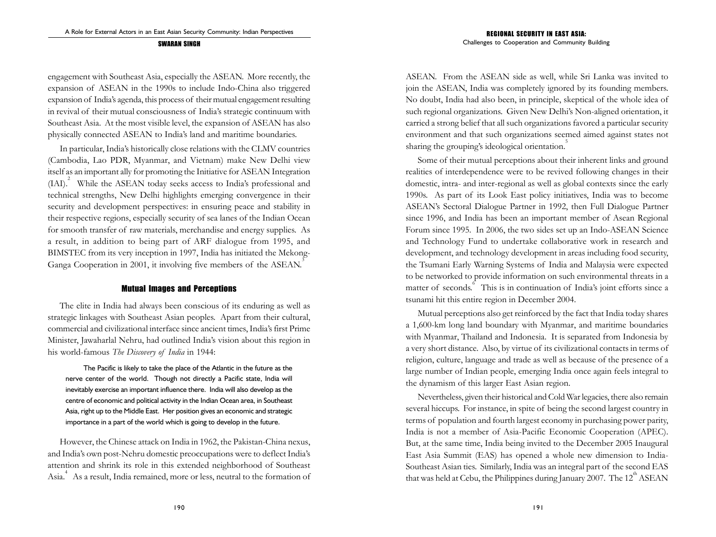engagement with Southeast Asia, especially the ASEAN. More recently, the expansion of ASEAN in the 1990s to include Indo-China also triggered expansion of India's agenda, this process of their mutual engagement resulting in revival of their mutual consciousness of India's strategic continuum with Southeast Asia. At the most visible level, the expansion of ASEAN has also physically connected ASEAN to India's land and maritime boundaries.

In particular, India's historically close relations with the CLMV countries (Cambodia, Lao PDR, Myanmar, and Vietnam) make New Delhi view itself as an important ally for promoting the Initiative for ASEAN Integration (IAI). 2 While the ASEAN today seeks access to India's professional and technical strengths, New Delhi highlights emerging convergence in their security and development perspectives: in ensuring peace and stability in their respective regions, especially security of sea lanes of the Indian Ocean for smooth transfer of raw materials, merchandise and energy supplies. As a result, in addition to being part of ARF dialogue from 1995, and BIMSTEC from its very inception in 1997, India has initiated the Mekong-Ganga Cooperation in 2001, it involving five members of the ASEAN.

#### Mutual Images and Perceptions

The elite in India had always been conscious of its enduring as well as strategic linkages with Southeast Asian peoples. Apart from their cultural, commercial and civilizational interface since ancient times, India's first Prime Minister, Jawaharlal Nehru, had outlined India's vision about this region in his world-famous *The Discovery of India* in 1944:

The Pacific is likely to take the place of the Atlantic in the future as the nerve center of the world. Though not directly a Pacific state, India will inevitably exercise an important influence there. India will also develop as the centre of economic and political activity in the Indian Ocean area, in Southeast Asia, right up to the Middle East. Her position gives an economic and strategic importance in a part of the world which is going to develop in the future.

However, the Chinese attack on India in 1962, the Pakistan-China nexus, and India's own post-Nehru domestic preoccupations were to deflect India's attention and shrink its role in this extended neighborhood of Southeast Asia. 4 As a result, India remained, more or less, neutral to the formation of ASEAN. From the ASEAN side as well, while Sri Lanka was invited to join the ASEAN, India was completely ignored by its founding members. No doubt, India had also been, in principle, skeptical of the whole idea of such regional organizations. Given New Delhi's Non-aligned orientation, it carried a strong belief that all such organizations favored a particular security environment and that such organizations seemed aimed against states not sharing the grouping's ideological orientation.

Some of their mutual perceptions about their inherent links and ground realities of interdependence were to be revived following changes in their domestic, intra- and inter-regional as well as global contexts since the early 1990s. As part of its Look East policy initiatives, India was to become ASEAN's Sectoral Dialogue Partner in 1992, then Full Dialogue Partner since 1996, and India has been an important member of Asean Regional Forum since 1995. In 2006, the two sides set up an Indo-ASEAN Science and Technology Fund to undertake collaborative work in research and development, and technology development in areas including food security, the Tsumani Early Warning Systems of India and Malaysia were expected to be networked to provide information on such environmental threats in a matter of seconds. This is in continuation of India's joint efforts since a tsunami hit this entire region in December 2004.

Mutual perceptions also get reinforced by the fact that India today shares a 1,600-km long land boundary with Myanmar, and maritime boundaries with Myanmar, Thailand and Indonesia. It is separated from Indonesia by a very short distance. Also, by virtue of its civilizational contacts in terms of religion, culture, language and trade as well as because of the presence of a large number of Indian people, emerging India once again feels integral to the dynamism of this larger East Asian region.

Nevertheless, given their historical and Cold War legacies, there also remain several hiccups. For instance, in spite of being the second largest country in terms of population and fourth largest economy in purchasing power parity, India is not a member of Asia-Pacific Economic Cooperation (APEC). But, at the same time, India being invited to the December 2005 Inaugural East Asia Summit (EAS) has opened a whole new dimension to India-Southeast Asian ties. Similarly, India was an integral part of the second EAS that was held at Cebu, the Philippines during January 2007. The 12<sup>th</sup> ASEAN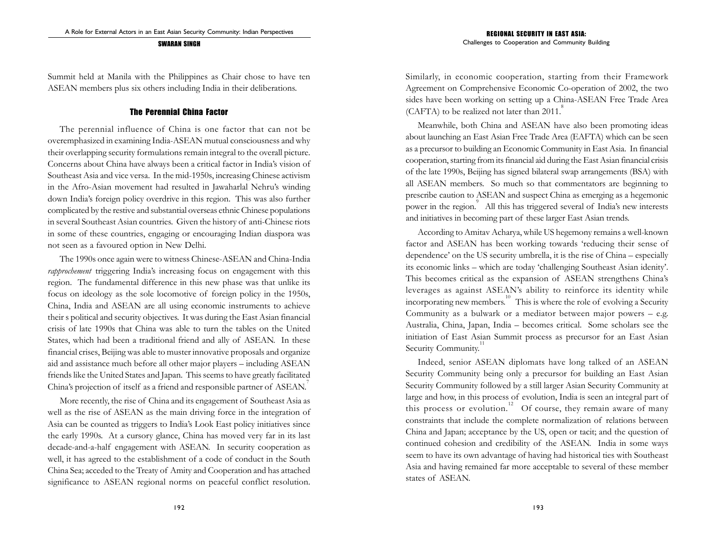Summit held at Manila with the Philippines as Chair chose to have ten ASEAN members plus six others including India in their deliberations.

#### The Perennial China Factor

The perennial influence of China is one factor that can not be overemphasized in examining India-ASEAN mutual consciousness and why their overlapping security formulations remain integral to the overall picture. Concerns about China have always been a critical factor in India's vision of Southeast Asia and vice versa. In the mid-1950s, increasing Chinese activism in the Afro-Asian movement had resulted in Jawaharlal Nehru's winding down India's foreign policy overdrive in this region. This was also further complicated by the restive and substantial overseas ethnic Chinese populations in several Southeast Asian countries. Given the history of anti-Chinese riots in some of these countries, engaging or encouraging Indian diaspora was not seen as a favoured option in New Delhi.

The 1990s once again were to witness Chinese-ASEAN and China-India *rapprochement* triggering India's increasing focus on engagement with this region. The fundamental difference in this new phase was that unlike its focus on ideology as the sole locomotive of foreign policy in the 1950s, China, India and ASEAN are all using economic instruments to achieve their s political and security objectives. It was during the East Asian financial crisis of late 1990s that China was able to turn the tables on the United States, which had been a traditional friend and ally of ASEAN. In these financial crises, Beijing was able to muster innovative proposals and organize aid and assistance much before all other major players – including ASEAN friends like the United States and Japan. This seems to have greatly facilitated China's projection of itself as a friend and responsible partner of ASEAN.

More recently, the rise of China and its engagement of Southeast Asia as well as the rise of ASEAN as the main driving force in the integration of Asia can be counted as triggers to India's Look East policy initiatives since the early 1990s. At a cursory glance, China has moved very far in its last decade-and-a-half engagement with ASEAN. In security cooperation as well, it has agreed to the establishment of a code of conduct in the South China Sea; acceded to the Treaty of Amity and Cooperation and has attached significance to ASEAN regional norms on peaceful conflict resolution.

 $(CAFTA)$  to be realized not later than 2011.

Meanwhile, both China and ASEAN have also been promoting ideas about launching an East Asian Free Trade Area (EAFTA) which can be seen as a precursor to building an Economic Community in East Asia. In financial cooperation, starting from its financial aid during the East Asian financial crisis of the late 1990s, Beijing has signed bilateral swap arrangements (BSA) with all ASEAN members. So much so that commentators are beginning to prescribe caution to ASEAN and suspect China as emerging as a hegemonic power in the region.<sup>9</sup> All this has triggered several of India's new interests and initiatives in becoming part of these larger East Asian trends.

According to Amitav Acharya, while US hegemony remains a well-known factor and ASEAN has been working towards 'reducing their sense of dependence' on the US security umbrella, it is the rise of China – especially its economic links – which are today 'challenging Southeast Asian idenity'. This becomes critical as the expansion of ASEAN strengthens China's leverages as against ASEAN's ability to reinforce its identity while incorporating new members.<sup>10</sup> This is where the role of evolving a Security Community as a bulwark or a mediator between major powers – e.g. Australia, China, Japan, India – becomes critical. Some scholars see the initiation of East Asian Summit process as precursor for an East Asian Security Community. 11

Indeed, senior ASEAN diplomats have long talked of an ASEAN Security Community being only a precursor for building an East Asian Security Community followed by a still larger Asian Security Community at large and how, in this process of evolution, India is seen an integral part of this process or evolution.<sup>12</sup> Of course, they remain aware of many constraints that include the complete normalization of relations between China and Japan; acceptance by the US, open or tacit; and the question of continued cohesion and credibility of the ASEAN. India in some ways seem to have its own advantage of having had historical ties with Southeast Asia and having remained far more acceptable to several of these member states of ASEAN.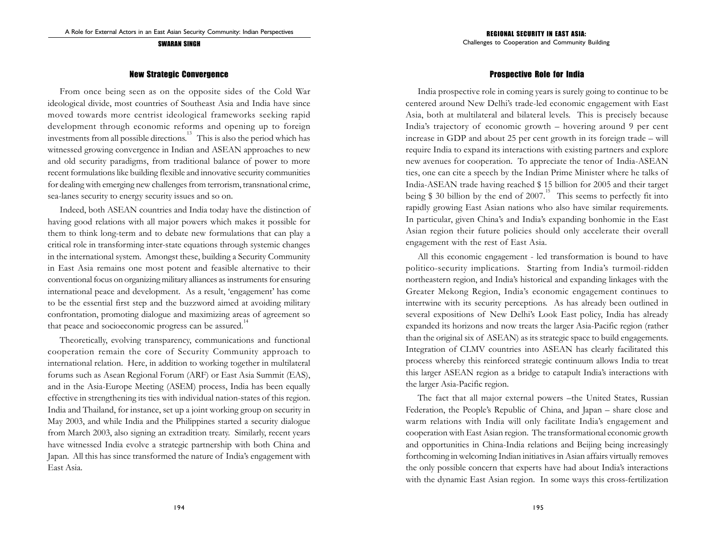#### New Strategic Convergence

From once being seen as on the opposite sides of the Cold War ideological divide, most countries of Southeast Asia and India have since moved towards more centrist ideological frameworks seeking rapid development through economic reforms and opening up to foreign investments from all possible directions.<sup>13</sup> This is also the period which has witnessed growing convergence in Indian and ASEAN approaches to new and old security paradigms, from traditional balance of power to more recent formulations like building flexible and innovative security communities for dealing with emerging new challenges from terrorism, transnational crime, sea-lanes security to energy security issues and so on.

Indeed, both ASEAN countries and India today have the distinction of having good relations with all major powers which makes it possible for them to think long-term and to debate new formulations that can play a critical role in transforming inter-state equations through systemic changes in the international system. Amongst these, building a Security Community in East Asia remains one most potent and feasible alternative to their conventional focus on organizing military alliances as instruments for ensuring international peace and development. As a result, 'engagement' has come to be the essential first step and the buzzword aimed at avoiding military confrontation, promoting dialogue and maximizing areas of agreement so that peace and socioeconomic progress can be assured.<sup>14</sup>

Theoretically, evolving transparency, communications and functional cooperation remain the core of Security Community approach to international relation. Here, in addition to working together in multilateral forums such as Asean Regional Forum (ARF) or East Asia Summit (EAS), and in the Asia-Europe Meeting (ASEM) process, India has been equally effective in strengthening its ties with individual nation-states of this region. India and Thailand, for instance, set up a joint working group on security in May 2003, and while India and the Philippines started a security dialogue from March 2003, also signing an extradition treaty. Similarly, recent years have witnessed India evolve a strategic partnership with both China and Japan. All this has since transformed the nature of India's engagement with East Asia.

REGIONAL SECURITY IN EAST ASIA: Challenges to Cooperation and Community Building

#### Prospective Role for India

India prospective role in coming years is surely going to continue to be centered around New Delhi's trade-led economic engagement with East Asia, both at multilateral and bilateral levels. This is precisely because India's trajectory of economic growth – hovering around 9 per cent increase in GDP and about 25 per cent growth in its foreign trade – will require India to expand its interactions with existing partners and explore new avenues for cooperation. To appreciate the tenor of India-ASEAN ties, one can cite a speech by the Indian Prime Minister where he talks of India-ASEAN trade having reached \$ 15 billion for 2005 and their target being \$ 30 billion by the end of 2007.<sup>15</sup> This seems to perfectly fit into rapidly growing East Asian nations who also have similar requirements. In particular, given China's and India's expanding bonhomie in the East Asian region their future policies should only accelerate their overall engagement with the rest of East Asia.

All this economic engagement - led transformation is bound to have politico-security implications. Starting from India's turmoil-ridden northeastern region, and India's historical and expanding linkages with the Greater Mekong Region, India's economic engagement continues to intertwine with its security perceptions. As has already been outlined in several expositions of New Delhi's Look East policy, India has already expanded its horizons and now treats the larger Asia-Pacific region (rather than the original six of ASEAN) as its strategic space to build engagements. Integration of CLMV countries into ASEAN has clearly facilitated this process whereby this reinforced strategic continuum allows India to treat this larger ASEAN region as a bridge to catapult India's interactions with the larger Asia-Pacific region.

The fact that all major external powers –the United States, Russian Federation, the People's Republic of China, and Japan – share close and warm relations with India will only facilitate India's engagement and cooperation with East Asian region. The transformational economic growth and opportunities in China-India relations and Beijing being increasingly forthcoming in welcoming Indian initiatives in Asian affairs virtually removes the only possible concern that experts have had about India's interactions with the dynamic East Asian region. In some ways this cross-fertilization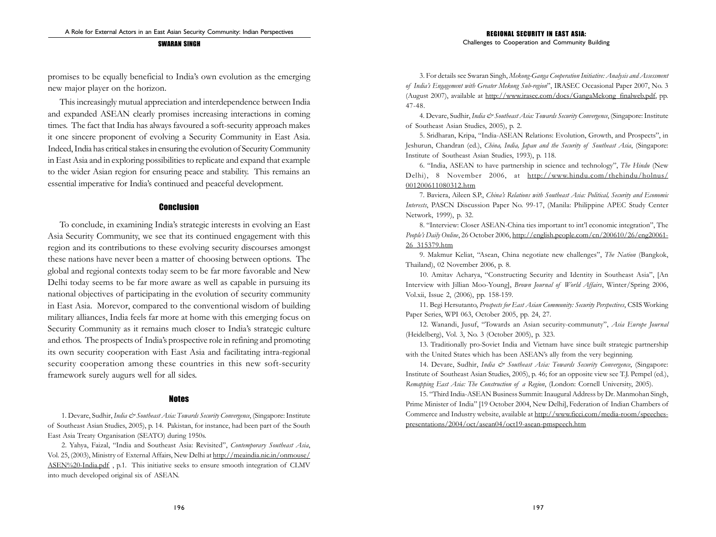promises to be equally beneficial to India's own evolution as the emerging new major player on the horizon.

This increasingly mutual appreciation and interdependence between India and expanded ASEAN clearly promises increasing interactions in coming times. The fact that India has always favoured a soft-security approach makes it one sincere proponent of evolving a Security Community in East Asia. Indeed, India has critical stakes in ensuring the evolution of Security Community in East Asia and in exploring possibilities to replicate and expand that example to the wider Asian region for ensuring peace and stability. This remains an essential imperative for India's continued and peaceful development.

#### Conclusion

To conclude, in examining India's strategic interests in evolving an East Asia Security Community, we see that its continued engagement with this region and its contributions to these evolving security discourses amongst these nations have never been a matter of choosing between options. The global and regional contexts today seem to be far more favorable and New Delhi today seems to be far more aware as well as capable in pursuing its national objectives of participating in the evolution of security community in East Asia. Morevor, compared to the conventional wisdom of building military alliances, India feels far more at home with this emerging focus on Security Community as it remains much closer to India's strategic culture and ethos. The prospects of India's prospective role in refining and promoting its own security cooperation with East Asia and facilitating intra-regional security cooperation among these countries in this new soft-security framework surely augurs well for all sides.

#### Notes

1. Devare, Sudhir, *India & Southeast Asia: Towards Security Convergence*, (Singapore: Institute of Southeast Asian Studies, 2005), p. 14. Pakistan, for instance, had been part of the South East Asia Treaty Organisation (SEATO) during 1950s.

2. Yahya, Faizal, "India and Southeast Asia: Revisited", *Contemporary Southeast Asia*, Vol. 25, (2003), Ministry of External Affairs, New Delhi at http://meaindia.nic.in/onmouse/ ASEN%20-India.pdf , p.1. This initiative seeks to ensure smooth integration of CLMV into much developed original six of ASEAN.

3. For details see Swaran Singh, *Mekong-Ganga Cooperation Initiative: Analysis and Assessment of India's Engagement with Greater Mekong Sub-region*", IRASEC Occasional Paper 2007, No. 3 (August 2007), available at http://www.irasec.com/docs/GangaMekong\_finalweb.pdf, pp. 47-48.

4. Devare, Sudhir, *India & Southeast Asia: Towards Security Convergence*, (Singapore: Institute of Southeast Asian Studies, 2005), p. 2.

5. Sridharan, Kripa, "India-ASEAN Relations: Evolution, Growth, and Prospects", in Jeshurun, Chandran (ed.), *China, India, Japan and the Security of Southeast Asia*, (Singapore: Institute of Southeast Asian Studies, 1993), p. 118.

6. "India, ASEAN to have partnership in science and technology", *The Hindu* (New Delhi), 8 November 2006, at http://www.hindu.com/thehindu/holnus/ 001200611080312.htm

7. Baviera, Aileen S.P., *China's Relations with Southeast Asia: Political, Security and Economic Interests*, PASCN Discussion Paper No. 99-17, (Manila: Philippine APEC Study Center Network, 1999), p. 32.

8. "Interview: Closer ASEAN-China ties important to int'l economic integration", The *People's Daily Online*, 26 October 2006, http://english.people.com/cn/200610/26/eng20061- 26\_315379.htm

9. Makmur Keliat, "Asean, China negotiate new challenges", *The Nation* (Bangkok, Thailand), 02 November 2006, p. 8.

10. Amitav Acharya, "Constructing Security and Identity in Southeast Asia", [An Interview with Jillian Moo-Young], *Brown Journal of World Affairs*, Winter/Spring 2006, Vol.xii, Issue 2, (2006), pp. 158-159.

11. Begi Hersutanto, *Prospects for East Asian Community: Security Perspectives*, CSIS Working Paper Series, WPI 063, October 2005, pp. 24, 27.

12. Wanandi, Jusuf, "Towards an Asian security-communuty", *Asia Europe Journal* (Heidelberg), Vol. 3, No. 3 (October 2005), p. 323.

13. Traditionally pro-Soviet India and Vietnam have since built strategic partnership with the United States which has been ASEAN's ally from the very beginning.

14. Devare, Sudhir, *India & Southeast Asia: Towards Security Convergence*, (Singapore: Institute of Southeast Asian Studies, 2005), p. 46; for an opposite view see T.J. Pempel (ed.), *Remapping East Asia: The Construction of a Region*, (London: Cornell University, 2005).

15. "Third India-ASEAN Business Summit: Inaugural Address by Dr. Manmohan Singh, Prime Minister of India" [19 October 2004, New Delhi], Federation of Indian Chambers of Commerce and Industry website, available at http://www.ficci.com/media-room/speechespresentations/2004/oct/asean04/oct19-asean-pmspeech.htm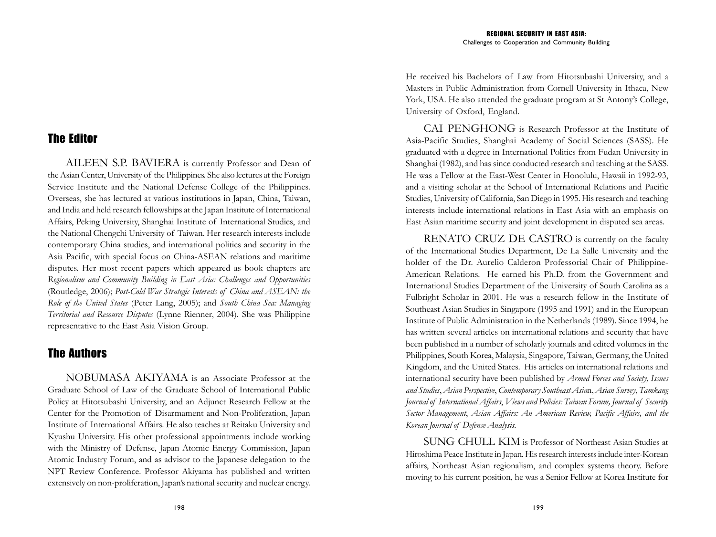## The Editor

AILEEN S.P. BAVIERA is currently Professor and Dean of the Asian Center, University of the Philippines. She also lectures at the Foreign Service Institute and the National Defense College of the Philippines. Overseas, she has lectured at various institutions in Japan, China, Taiwan, and India and held research fellowships at the Japan Institute of International Affairs, Peking University, Shanghai Institute of International Studies, and the National Chengchi University of Taiwan. Her research interests include contemporary China studies, and international politics and security in the Asia Pacific, with special focus on China-ASEAN relations and maritime disputes. Her most recent papers which appeared as book chapters are *Regionalism and Community Building in East Asia: Challenges and Opportunities* (Routledge, 2006); *Post-Cold War Strategic Interests of China and ASEAN: the Role of the United States* (Peter Lang, 2005); and *South China Sea: Managing Territorial and Resource Disputes* (Lynne Rienner, 2004). She was Philippine representative to the East Asia Vision Group.

### The Authors

NOBUMASA AKIYAMA is an Associate Professor at the Graduate School of Law of the Graduate School of International Public Policy at Hitotsubashi University, and an Adjunct Research Fellow at the Center for the Promotion of Disarmament and Non-Proliferation, Japan Institute of International Affairs. He also teaches at Reitaku University and Kyushu University. His other professional appointments include working with the Ministry of Defense, Japan Atomic Energy Commission, Japan Atomic Industry Forum, and as advisor to the Japanese delegation to the NPT Review Conference. Professor Akiyama has published and written extensively on non-proliferation, Japan's national security and nuclear energy.

He received his Bachelors of Law from Hitotsubashi University, and a Masters in Public Administration from Cornell University in Ithaca, New York, USA. He also attended the graduate program at St Antony's College, University of Oxford, England.

CAI PENGHONG is Research Professor at the Institute of Asia-Pacific Studies, Shanghai Academy of Social Sciences (SASS). He graduated with a degree in International Politics from Fudan University in Shanghai (1982), and has since conducted research and teaching at the SASS. He was a Fellow at the East-West Center in Honolulu, Hawaii in 1992-93, and a visiting scholar at the School of International Relations and Pacific Studies, University of California, San Diego in 1995. His research and teaching interests include international relations in East Asia with an emphasis on East Asian maritime security and joint development in disputed sea areas.

RENATO CRUZ DE CASTRO is currently on the faculty of the International Studies Department, De La Salle University and the holder of the Dr. Aurelio Calderon Professorial Chair of Philippine-American Relations. He earned his Ph.D. from the Government and International Studies Department of the University of South Carolina as a Fulbright Scholar in 2001. He was a research fellow in the Institute of Southeast Asian Studies in Singapore (1995 and 1991) and in the European Institute of Public Administration in the Netherlands (1989). Since 1994, he has written several articles on international relations and security that have been published in a number of scholarly journals and edited volumes in the Philippines, South Korea, Malaysia, Singapore, Taiwan, Germany, the United Kingdom, and the United States. His articles on international relations and international security have been published by *Armed Forces and Society, Issues and Studies*, *Asian Perspective*, *Contemporary Southeast Asia*n, *Asian Survey*, *Tamkang Journal of International Affairs*, *Views and Policies: Taiwan Forum, Journal of Security Sector Management*, *Asian Affairs: An American Review, Pacific Affairs, and the Korean Journal of Defense Analysis*.

SUNG CHULL KIM is Professor of Northeast Asian Studies at Hiroshima Peace Institute in Japan. His research interests include inter-Korean affairs, Northeast Asian regionalism, and complex systems theory. Before moving to his current position, he was a Senior Fellow at Korea Institute for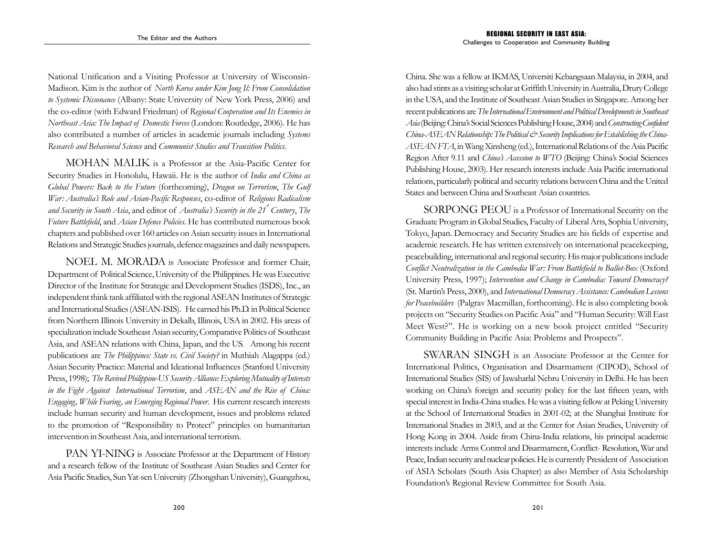National Unification and a Visiting Professor at University of Wisconsin-Madison. Kim is the author of *North Korea under Kim Jong Il: From Consolidation to Systemic Dissonance* (Albany: State University of New York Press, 2006) and the co-editor (with Edward Friedman) of *Regional Cooperation and Its Enemies in Northeast Asia: The Impact of Domestic Forces* (London: Routledge, 2006). He has also contributed a number of articles in academic journals including *Systems Research and Behavioral Science* and *Communist Studies and Transition Politics*.

MOHAN MALIK is a Professor at the Asia-Pacific Center for Security Studies in Honolulu, Hawaii. He is the author of *India and China as Global Powers: Back to the Future* (forthcoming), *Dragon on Terrorism*, *The Gulf War: Australia's Role and Asian-Pacific Responses*, co-editor of *Religious Radicalism and Security in South Asia*, and editor of *Australia's Security in the 21 st Century*, *The Future Battlefield*, and *Asian Defence Policies*. He has contributed numerous book chapters and published over 160 articles on Asian security issues in International Relations and Strategic Studies journals, defence magazines and daily newspapers.

NOEL M. MORADA is Associate Professor and former Chair, Department of Political Science, University of the Philippines. He was Executive Director of the Institute for Strategic and Development Studies (ISDS), Inc., an independent think tank affiliated with the regional ASEAN Institutes of Strategic and International Studies (ASEAN-ISIS). He earned his Ph.D. in Political Science from Northern Illinois University in Dekalb, Illinois, USA in 2002. His areas of specialization include Southeast Asian security, Comparative Politics of Southeast Asia, and ASEAN relations with China, Japan, and the US. Among his recent publications are *The Philippines: State vs. Civil Society?* in Muthiah Alagappa (ed.) Asian Security Practice: Material and Ideational Influences (Stanford University Press, 1998); *The Revived Philippine-US Security Alliance: Exploring Mutuality of Interests in the Fight Against International Terrorism*, and *ASEAN and the Rise of China: Engaging, While Fearing, an Emerging Regional Power*. His current research interests include human security and human development, issues and problems related to the promotion of "Responsibility to Protect" principles on humanitarian intervention in Southeast Asia, and international terrorism.

PAN YI-NING is Associate Professor at the Department of History and a research fellow of the Institute of Southeast Asian Studies and Center for Asia Pacific Studies, Sun Yat-sen University (Zhongshan University), Guangzhou,

China. She was a fellow at IKMAS, Universiti Kebangsaan Malaysia, in 2004, and also had stints as a visiting scholar at Griffith University in Australia, Drury College in the USA, and the Institute of Southeast Asian Studies in Singapore. Among her recent publications are *The International Environment and Political Developments in Southeast Asia* (Beijing: China's Social Sciences Publishing House, 2004) and *Constructing Confident* China-ASEAN Relationship: The Political & Security Implications for Establishing the China-*ASEAN FTA*, in Wang Xinsheng (ed.),International Relations of the Asia Pacific Region After 9.11 and *China's Accession to WTO* (Beijing: China's Social Sciences Publishing House, 2003). Her research interests include Asia Pacific international relations, particularly political and security relations between China and the United States and between China and Southeast Asian countries.

SORPONG PEOU is a Professor of International Security on the Graduate Program in Global Studies, Faculty of Liberal Arts, Sophia University, Tokyo, Japan. Democracy and Security Studies are his fields of expertise and academic research. He has written extensively on international peacekeeping, peacebuilding, international and regional security. His major publications include *Conflict Neutralization in the Cambodia War: From Battlefield to Ballot-Box* (Oxford University Press, 1997); *Intervention and Change in Cambodia: Toward Democracy?* (St. Martin's Press, 2000), and *International Democracy Assistance: Cambodian Lessons for Peacebuilders* (Palgrav Macmillan, forthcoming). He is also completing book projects on "Security Studies on Pacific Asia" and "Human Security: Will East Meet West?". He is working on a new book project entitled "Security Community Building in Pacific Asia: Problems and Prospects".

SWARAN SINGH is an Associate Professor at the Center for International Politics, Organisation and Disarmament (CIPOD), School of International Studies (SIS) of Jawaharlal Nehru University in Delhi. He has been working on China's foreign and security policy for the last fifteen years, with special interest in India-China studies. He was a visiting fellow at Peking University at the School of International Studies in 2001-02; at the Shanghai Institute for International Studies in 2003, and at the Center for Asian Studies, University of Hong Kong in 2004. Aside from China-India relations, his principal academic interests include Arms Control and Disarmament, Conflict- Resolution, War and Peace, Indian security and nuclear policies. He is currently President of Association of ASIA Scholars (South Asia Chapter) as also Member of Asia Scholarship Foundation's Regional Review Committee for South Asia.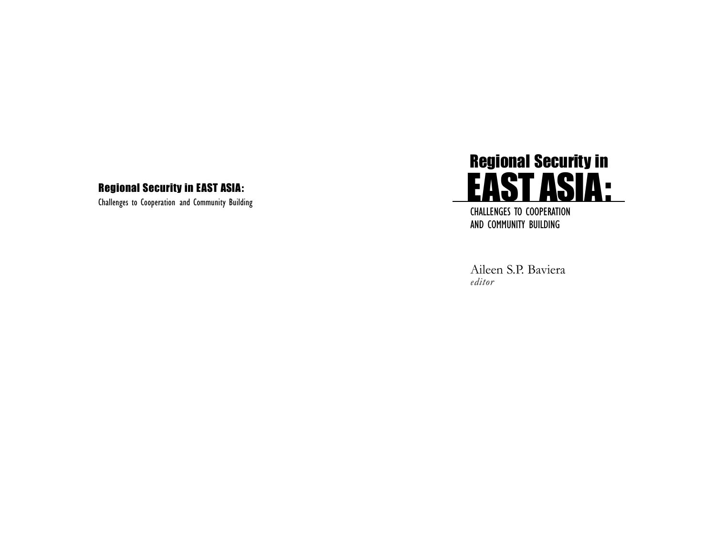## Regional Security in EAST ASIA:

Challenges to Cooperation and Community Building



CHALLENGES TO COOPERATION AND COMMUNITY BUILDING

Aileen S.P. Baviera *editor*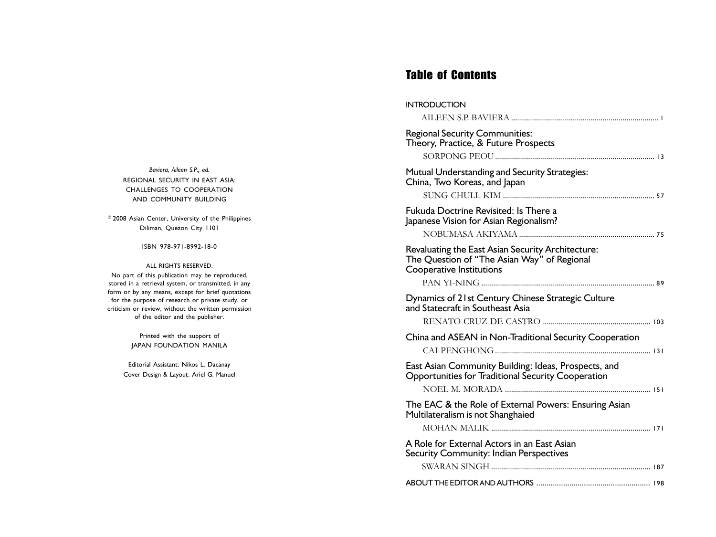*Baviera, Aileen S.P., ed.* REGIONAL SECURITY IN EAST ASIA: CHALLENGES TO COOPERATION AND COMMUNITY BUILDING

©2008 Asian Center, University of the Philippines Diliman, Quezon City 1101

ISBN 978-971-8992-18-0

#### ALL RIGHTS RESERVED.

No part of this publication may be reproduced, stored in a retrieval system, or transmitted, in any form or by any means, except for brief quotations for the purpose of research or private study, or criticism or review, without the written permission of the editor and the publisher.

> Printed with the support of JAPAN FOUNDATION MANILA

Editorial Assistant: Nikos L. Dacanay Cover Design & Layout: Ariel G. Manuel

## Table of Contents

| <b>INTRODUCTION</b>                                                                                                          |
|------------------------------------------------------------------------------------------------------------------------------|
|                                                                                                                              |
| <b>Regional Security Communities:</b><br>Theory, Practice, & Future Prospects                                                |
|                                                                                                                              |
| Mutual Understanding and Security Strategies:<br>China, Two Koreas, and Japan                                                |
|                                                                                                                              |
| Fukuda Doctrine Revisited: Is There a<br>Japanese Vision for Asian Regionalism?                                              |
|                                                                                                                              |
| Revaluating the East Asian Security Architecture:<br>The Question of "The Asian Way" of Regional<br>Cooperative Institutions |
|                                                                                                                              |
| Dynamics of 21st Century Chinese Strategic Culture<br>and Statecraft in Southeast Asia                                       |
|                                                                                                                              |
| China and ASEAN in Non-Traditional Security Cooperation                                                                      |
|                                                                                                                              |
| East Asian Community Building: Ideas, Prospects, and<br><b>Opportunities for Traditional Security Cooperation</b>            |
|                                                                                                                              |
| The EAC & the Role of External Powers: Ensuring Asian<br>Multilateralism is not Shanghaied                                   |
|                                                                                                                              |
| A Role for External Actors in an East Asian<br>Security Community: Indian Perspectives                                       |
|                                                                                                                              |